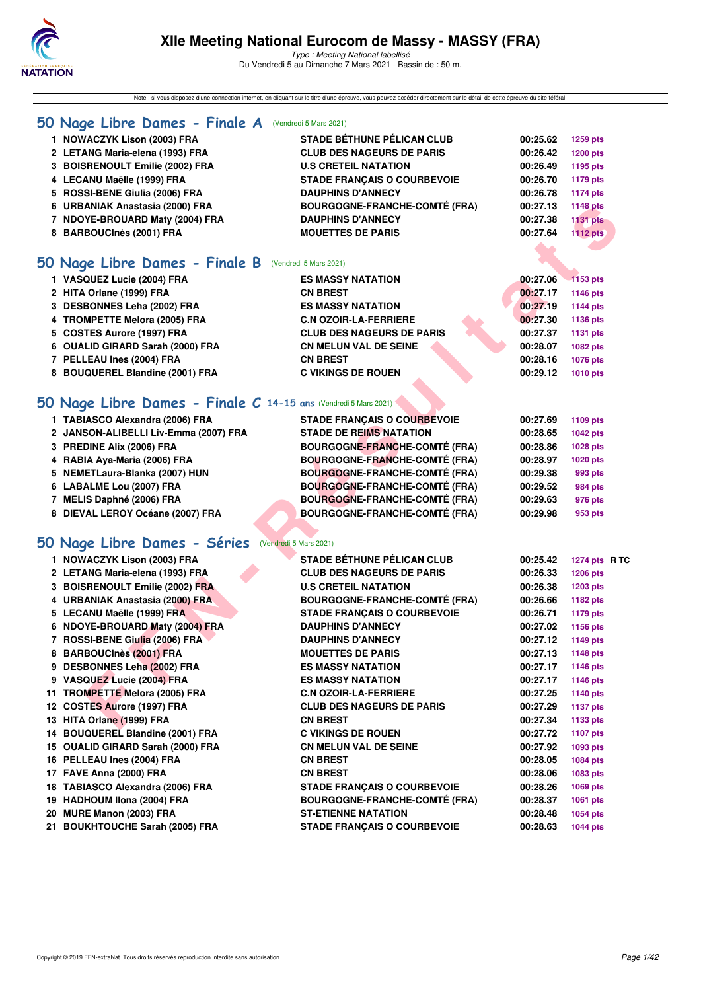

Note : si vous disposez d'une connection internet, en cliquant sur le titre d'une épreuve, vous pouvez accéder directement sur le détail de cette épreuve du site féféral.

### **50 Nage Libre Dames - Finale A** (Vendredi 5 Mars 2021)

| 1 NOWACZYK Lison (2003) FRA     | <b>STADE BÉTHUNE PÉLICAN CLUB</b>    | 00:25.62 | 1259 pts        |
|---------------------------------|--------------------------------------|----------|-----------------|
| 2 LETANG Maria-elena (1993) FRA | <b>CLUB DES NAGEURS DE PARIS</b>     | 00:26.42 | 1200 pts        |
| 3 BOISRENOULT Emilie (2002) FRA | <b>U.S CRETEIL NATATION</b>          | 00:26.49 | 1195 pts        |
| 4 LECANU Maëlle (1999) FRA      | <b>STADE FRANCAIS O COURBEVOIE</b>   | 00:26.70 | 1179 pts        |
| 5 ROSSI-BENE Giulia (2006) FRA  | <b>DAUPHINS D'ANNECY</b>             | 00:26.78 | 1174 pts        |
| 6 URBANIAK Anastasia (2000) FRA | <b>BOURGOGNE-FRANCHE-COMTÉ (FRA)</b> | 00:27.13 | 1148 pts        |
| 7 NDOYE-BROUARD Maty (2004) FRA | <b>DAUPHINS D'ANNECY</b>             | 00:27.38 | <b>1131 pts</b> |
| 8 BARBOUCInès (2001) FRA        | <b>MOUETTES DE PARIS</b>             | 00:27.64 | <b>1112 pts</b> |
|                                 |                                      |          |                 |

### **50 Nage Libre Dames - Finale B** (Vendredi 5 Mars 2021)

| $\sim$ , $\sim$ , $\sim$ , $\sim$ , $\sim$ , $\sim$ , $\sim$ , $\sim$ , $\sim$ , $\sim$ , $\sim$ , $\sim$ , $\sim$ , $\sim$ , $\sim$ |                                  |          |                 |
|--------------------------------------------------------------------------------------------------------------------------------------|----------------------------------|----------|-----------------|
| 1 VASQUEZ Lucie (2004) FRA                                                                                                           | <b>ES MASSY NATATION</b>         | 00:27.06 | 1153 pts        |
| 2 HITA Orlane (1999) FRA                                                                                                             | <b>CN BREST</b>                  | 00:27.17 | <b>1146 pts</b> |
| 3 DESBONNES Leha (2002) FRA                                                                                                          | <b>ES MASSY NATATION</b>         | 00:27.19 | <b>1144 pts</b> |
| 4 TROMPETTE Melora (2005) FRA                                                                                                        | <b>C.N OZOIR-LA-FERRIERE</b>     | 00:27.30 | 1136 pts        |
| 5 COSTES Aurore (1997) FRA                                                                                                           | <b>CLUB DES NAGEURS DE PARIS</b> | 00:27.37 | 1131 pts        |
| 6 OUALID GIRARD Sarah (2000) FRA                                                                                                     | <b>CN MELUN VAL DE SEINE</b>     | 00:28.07 | <b>1082 pts</b> |
| 7 PELLEAU Ines (2004) FRA                                                                                                            | <b>CN BREST</b>                  | 00:28.16 | <b>1076 pts</b> |
| 8 BOUQUEREL Blandine (2001) FRA                                                                                                      | <b>C VIKINGS DE ROUEN</b>        | 00:29.12 | <b>1010 pts</b> |
|                                                                                                                                      |                                  |          |                 |

# **[50 Nage Libre Dames - Finale C](http://www.ffnatation.fr/webffn/resultats.php?idact=nat&go=epr&idcpt=69813&idepr=1) 14-15 ans** (Vendredi 5 Mars 2021)

| 1 TABIASCO Alexandra (2006) FRA       | <b>STADE FRANCAIS O COURBEVOIE</b>   | 00:27.69 | 1109 pts        |
|---------------------------------------|--------------------------------------|----------|-----------------|
| 2 JANSON-ALIBELLI Liv-Emma (2007) FRA | <b>STADE DE REIMS NATATION</b>       | 00:28.65 | 1042 pts        |
| 3 PREDINE Alix (2006) FRA             | <b>BOURGOGNE-FRANCHE-COMTÉ (FRA)</b> | 00:28.86 | 1028 pts        |
| 4 RABIA Aya-Maria (2006) FRA          | <b>BOURGOGNE-FRANCHE-COMTÉ (FRA)</b> | 00:28.97 | <b>1020 pts</b> |
| 5 NEMETLaura-Blanka (2007) HUN        | <b>BOURGOGNE-FRANCHE-COMTÉ (FRA)</b> | 00:29.38 | 993 pts         |
| 6 LABALME Lou (2007) FRA              | <b>BOURGOGNE-FRANCHE-COMTÉ (FRA)</b> | 00:29.52 | <b>984 pts</b>  |
| 7 MELIS Daphné (2006) FRA             | <b>BOURGOGNE-FRANCHE-COMTÉ (FRA)</b> | 00:29.63 | 976 pts         |
| 8 DIEVAL LEROY Océane (2007) FRA      | <b>BOURGOGNE-FRANCHE-COMTÉ (FRA)</b> | 00:29.98 | 953 pts         |
|                                       |                                      |          |                 |

# **[50 Nage Libre Dames - Séries](http://www.ffnatation.fr/webffn/resultats.php?idact=nat&go=epr&idcpt=69813&idepr=1)** (Vendredi 5 Mars 2021)

| 6 URBANIAK Anastasia (2000) FRA                                | <b>BOURGOGNE-FRANCHE-COMTE (FRA)</b> | 00:27.13 | 1148 pts        |
|----------------------------------------------------------------|--------------------------------------|----------|-----------------|
| 7 NDOYE-BROUARD Maty (2004) FRA                                | <b>DAUPHINS D'ANNECY</b>             | 00:27.38 | <b>1131 pts</b> |
| 8 BARBOUCInès (2001) FRA                                       | <b>MOUETTES DE PARIS</b>             | 00:27.64 | <b>1112 pts</b> |
|                                                                |                                      |          |                 |
| 0 Nage Libre Dames - Finale B                                  | (Vendredi 5 Mars 2021)               |          |                 |
| 1 VASQUEZ Lucie (2004) FRA                                     | <b>ES MASSY NATATION</b>             | 00:27.06 | <b>1153 pts</b> |
| 2 HITA Orlane (1999) FRA                                       | <b>CN BREST</b>                      | 00:27.17 | 1146 pts        |
| 3 DESBONNES Leha (2002) FRA                                    | <b>ES MASSY NATATION</b>             | 00:27.19 | <b>1144 pts</b> |
| 4 TROMPETTE Melora (2005) FRA                                  | <b>C.N OZOIR-LA-FERRIERE</b>         | 00:27.30 | 1136 pts        |
| 5 COSTES Aurore (1997) FRA                                     | <b>CLUB DES NAGEURS DE PARIS</b>     | 00:27.37 | 1131 pts        |
| 6 OUALID GIRARD Sarah (2000) FRA                               | <b>CN MELUN VAL DE SEINE</b>         | 00:28.07 | 1082 pts        |
| 7 PELLEAU Ines (2004) FRA                                      | <b>CN BREST</b>                      | 00:28.16 | <b>1076 pts</b> |
| 8 BOUQUEREL Blandine (2001) FRA                                | <b>C VIKINGS DE ROUEN</b>            | 00:29.12 | 1010 pts        |
|                                                                |                                      |          |                 |
| O Nage Libre Dames - Finale C 14-15 ans (Vendredi 5 Mars 2021) |                                      |          |                 |
| 1 TABIASCO Alexandra (2006) FRA                                | <b>STADE FRANÇAIS O COURBEVOIE</b>   | 00:27.69 | 1109 pts        |
| 2 JANSON-ALIBELLI Liv-Emma (2007) FRA                          | <b>STADE DE REIMS NATATION</b>       | 00:28.65 | <b>1042 pts</b> |
| 3 PREDINE Alix (2006) FRA                                      | <b>BOURGOGNE-FRANCHE-COMTÉ (FRA)</b> | 00:28.86 | <b>1028 pts</b> |
| 4 RABIA Aya-Maria (2006) FRA                                   | <b>BOURGOGNE-FRANCHE-COMTÉ (FRA)</b> | 00:28.97 | <b>1020 pts</b> |
| 5 NEMETLaura-Blanka (2007) HUN                                 | <b>BOURGOGNE-FRANCHE-COMTÉ (FRA)</b> | 00:29.38 | 993 pts         |
| 6 LABALME Lou (2007) FRA                                       | <b>BOURGOGNE-FRANCHE-COMTÉ (FRA)</b> | 00:29.52 | 984 pts         |
| 7 MELIS Daphné (2006) FRA                                      | <b>BOURGOGNE-FRANCHE-COMTÉ (FRA)</b> | 00:29.63 | 976 pts         |
| 8 DIEVAL LEROY Océane (2007) FRA                               | <b>BOURGOGNE-FRANCHE-COMTÉ (FRA)</b> | 00:29.98 | 953 pts         |
|                                                                |                                      |          |                 |
| O Nage Libre Dames - Séries (Vendredi 5 Mars 2021)             |                                      |          |                 |
| 1 NOWACZYK Lison (2003) FRA                                    | <b>STADE BÉTHUNE PÉLICAN CLUB</b>    | 00:25.42 | 1274 pts R TC   |
| 2 LETANG Maria-elena (1993) FRA                                | <b>CLUB DES NAGEURS DE PARIS</b>     | 00:26.33 | 1206 pts        |
| 3 BOISRENOULT Emilie (2002) FRA                                | <b>U.S CRETEIL NATATION</b>          | 00:26.38 | 1203 pts        |
| 4 URBANIAK Anastasia (2000) FRA                                | <b>BOURGOGNE-FRANCHE-COMTÉ (FRA)</b> | 00:26.66 | 1182 pts        |
| 5 LECANU Maëlle (1999) FRA                                     | <b>STADE FRANÇAIS O COURBEVOIE</b>   | 00:26.71 | <b>1179 pts</b> |
| 6 NDOYE-BROUARD Maty (2004) FRA                                | <b>DAUPHINS D'ANNECY</b>             | 00:27.02 | 1156 pts        |
| 7 ROSSI-BENE Giulia (2006) FRA                                 | <b>DAUPHINS D'ANNECY</b>             | 00:27.12 | 1149 pts        |
| 8 BARBOUCInès (2001) FRA                                       | <b>MOUETTES DE PARIS</b>             | 00:27.13 | <b>1148 pts</b> |
| 9 DESBONNES Leha (2002) FRA                                    | <b>ES MASSY NATATION</b>             | 00:27.17 | 1146 pts        |
| 9 VASQUEZ Lucie (2004) FRA                                     | <b>ES MASSY NATATION</b>             | 00:27.17 | <b>1146 pts</b> |
| 11 TROMPETTE Melora (2005) FRA                                 | <b>C.N OZOIR-LA-FERRIERE</b>         | 00:27.25 | 1140 pts        |
| 12 COSTES Aurore (1997) FRA                                    | <b>CLUB DES NAGEURS DE PARIS</b>     | 00:27.29 | 1137 pts        |
| 13 HITA Orlane (1999) FRA                                      | <b>CN BREST</b>                      | 00:27.34 | 1133 pts        |
| 14 BOUQUEREL Blandine (2001) FRA                               | <b>C VIKINGS DE ROUEN</b>            | 00:27.72 | 1107 pts        |
| 15 OUALID GIRARD Sarah (2000) FRA                              | <b>CN MELUN VAL DE SEINE</b>         | 00:27.92 | 1093 pts        |
| 16 PELLEAU Ines (2004) FRA                                     | <b>CN BREST</b>                      | 00:28.05 | 1084 pts        |
| 17 FAVE Anna (2000) FRA                                        | <b>CN BREST</b>                      | 00:28.06 | 1083 pts        |
| 18 TABIASCO Alexandra (2006) FRA                               | <b>STADE FRANÇAIS O COURBEVOIE</b>   | 00:28.26 | 1069 pts        |
| 19 HADHOUM Ilona (2004) FRA                                    | <b>BOURGOGNE-FRANCHE-COMTÉ (FRA)</b> | 00:28.37 | <b>1061 pts</b> |
| 20 MURE Manon (2003) FRA                                       | <b>ST-ETIENNE NATATION</b>           | 00:28.48 | 1054 pts        |
| 21 BOUKHTOUCHE Sarah (2005) FRA                                | <b>STADE FRANÇAIS O COURBEVOIE</b>   | 00:28.63 | <b>1044 pts</b> |
|                                                                |                                      |          |                 |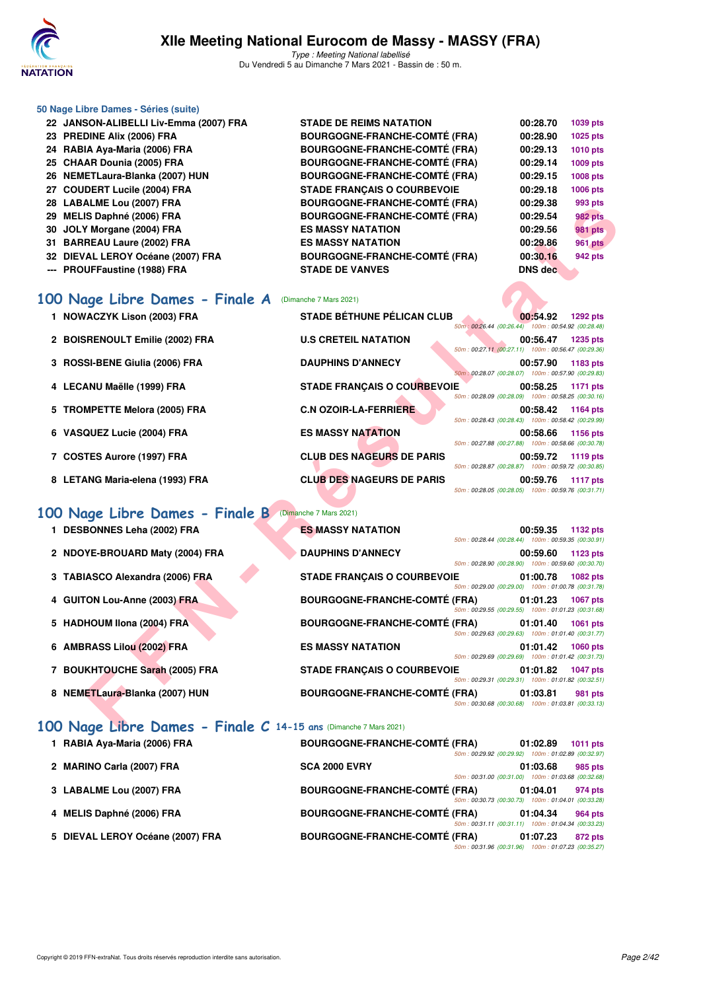

### **50 Nage Libre Dames - Séries (suite) 22 JANSON-ALIBELLI Liv-Emma (2007) FRA STADE DE REIMS NATATION 00:28.70 1039 pts 23 PREDINE Alix (2006) FRA BOURGOGNE-FRANCHE-COMTÉ (FRA) 00:28.90 1025 pts 24 RABIA Aya-Maria (2006) FRA BOURGOGNE-FRANCHE-COMTÉ (FRA) 00:29.13 1010 pts 25 CHAAR Dounia (2005) FRA BOURGOGNE-FRANCHE-COMTÉ (FRA) 00:29.14 1009 pts 26 NEMETLaura-Blanka (2007) HUN BOURGOGNE-FRANCHE-COMTÉ (FRA) 00:29.15 1008 pts 27 COUDERT Lucile (2004) FRA STADE FRANÇAIS O COURBEVOIE 00:29.18 1006 pts 28 LABALME Lou (2007) FRA BOURGOGNE-FRANCHE-COMTÉ (FRA) 00:29.38 993 pts 29 MELIS Daphné (2006) FRA BOURGOGNE-FRANCHE-COMTÉ (FRA) 00:29.54 982 pts 30 JOLY Morgane (2004) FRA ES MASSY NATATION 00:29.56 981 pts 31 BARREAU Laure (2002) FRA ES MASSY NATATION 00:29.86 961 pts 32 DIEVAL LEROY Océane (2007) FRA BOURGOGNE-FRANCHE-COMTÉ (FRA) 00:30.16 942 pts --- PROUFFaustine (1988) FRA STADE DE VANVES DNS dec**

### **[100 Nage Libre Dames - Finale A](http://www.ffnatation.fr/webffn/resultats.php?idact=nat&go=epr&idcpt=69813&idepr=2)** (Dimanche 7 Mars 2021)

| 1 NOWACZYK Lison (2003) FRA     | <b>STADE BÉTHUNE PÉLICAN CLUB</b>  | 00:54.92<br><b>1292 pts</b><br>50m: 00:26.44 (00:26.44) 100m: 00:54.92 (00:28.48) |
|---------------------------------|------------------------------------|-----------------------------------------------------------------------------------|
| 2 BOISRENOULT Emilie (2002) FRA | <b>U.S CRETEIL NATATION</b>        | <b>1235 pts</b><br>00:56.47<br>50m: 00:27.11 (00:27.11) 100m: 00:56.47 (00:29.36) |
| 3 ROSSI-BENE Giulia (2006) FRA  | <b>DAUPHINS D'ANNECY</b>           | 00:57.90<br>1183 pts<br>50m: 00:28.07 (00:28.07) 100m: 00:57.90 (00:29.83)        |
| 4 LECANU Maëlle (1999) FRA      | <b>STADE FRANCAIS O COURBEVOIE</b> | 00:58.25<br>1171 pts<br>50m: 00:28.09 (00:28.09) 100m: 00:58.25 (00:30.16)        |
| 5 TROMPETTE Melora (2005) FRA   | <b>C.N OZOIR-LA-FERRIERE</b>       | 00:58.42<br>1164 pts<br>50m: 00:28.43 (00:28.43) 100m: 00:58.42 (00:29.99)        |
| 6 VASQUEZ Lucie (2004) FRA      | <b>ES MASSY NATATION</b>           | 00:58.66<br>1156 pts<br>50m: 00:27.88 (00:27.88) 100m: 00:58.66 (00:30.78)        |
| 7 COSTES Aurore (1997) FRA      | <b>CLUB DES NAGEURS DE PARIS</b>   | 00:59.72<br>1119 pts<br>50m: 00:28.87 (00:28.87) 100m: 00:59.72 (00:30.85)        |
| 8 LETANG Maria-elena (1993) FRA | <b>CLUB DES NAGEURS DE PARIS</b>   | 00:59.76<br>1117 pts<br>100m: 00:59.76 (00:31.71)<br>50m: 00:28.05 (00:28.05)     |

# **FERENCISTAN DESCRIPTION CONTRANT CONTRANT CONTRANT CONTRANT CONTRANT CONTRANT CONTRANT CONTRANT CONTRANT CONTRANT CONTRANT CONTRANT CONTRANT CONTRANT CONTRANT CONTRANT CONTRANT CONTRANT CONTRANT CONTRANT CONTRANT CONTRANT [100 Nage Libre Dames - Finale B](http://www.ffnatation.fr/webffn/resultats.php?idact=nat&go=epr&idcpt=69813&idepr=2)** (Dimanche 7 Mars 2021) **1 DESBONNES Leha (2002) FRA ES MASSY NATATION 00:59.35 1132 pts** 50m : 00:28.44 (00:28.44) 100m : 00:59.35 (00:30.91) **2 NDOYE-BROUARD Maty (2004) FRA DAUPHINS D'ANNECY 00:59.60 1123 pts** 50m : 00:28.90 (00:28.90) 100m : 00:59.60 (00:30.70) **3 TABIASCO Alexandra (2006) FRA STADE FRANÇAIS O COURBEVOIE 01:00.78 1082 pts** 50m : 00:29.00 (00:29.00) 100m : 01:00.78 (00:31.78) **4 GUITON Lou-Anne (2003) FRA BOURGOGNE-FRANCHE-COMTÉ (FRA) 01:01.23 1067 pts** 50m : 00:29.55 (00:29.55) 100m : 01:01.23 (00:31.68) **5 HADHOUM Ilona (2004) FRA BOURGOGNE-FRANCHE-COMTÉ (FRA) 01:01.40 1061 pts** 50m : 00:29.63 (00:29.63) 100m : 01:01.40 (00:31.77) **6 AMBRASS Lilou (2002) FRA ES MASSY NATATION 01:01.42 1060 pts** 50m : 00:29.69 (00:29.69) 100m : 01:01.42 (00:31.73) **7 BOUKHTOUCHE Sarah (2005) FRA STADE FRANÇAIS O COURBEVOIE 01:01.82 1047 pts** 50m : 00:29.31 (00:29.31) 100m : 01:01.82 (00:32.51) **8 NEMETLaura-Blanka (2007) HUN BOURGOGNE-FRANCHE-COMTÉ (FRA) 01:03.81 981 pts** 50m : 00:30.68 (00:30.68) 100m : 01:03.81 (00:33.13)

### **[100 Nage Libre Dames - Finale C](http://www.ffnatation.fr/webffn/resultats.php?idact=nat&go=epr&idcpt=69813&idepr=2) 14-15 ans** (Dimanche 7 Mars 2021)

| 1 RABIA Aya-Maria (2006) FRA     | <b>BOURGOGNE-FRANCHE-COMTÉ (FRA)</b> | 50m: 00:29.92 (00:29.92) 100m: 01:02.89 (00:32.97) | 01:02.89 | 1011 pts       |
|----------------------------------|--------------------------------------|----------------------------------------------------|----------|----------------|
| 2 MARINO Carla (2007) FRA        | <b>SCA 2000 EVRY</b>                 | 50m: 00:31.00 (00:31.00) 100m: 01:03.68 (00:32.68) | 01:03.68 | 985 pts        |
| 3 LABALME Lou (2007) FRA         | <b>BOURGOGNE-FRANCHE-COMTÉ (FRA)</b> | 50m: 00:30.73 (00:30.73) 100m: 01:04.01 (00:33.28) | 01:04.01 | 974 pts        |
| 4 MELIS Daphné (2006) FRA        | <b>BOURGOGNE-FRANCHE-COMTÉ (FRA)</b> | 50m: 00:31.11 (00:31.11) 100m: 01:04.34 (00:33.23) | 01:04.34 | <b>964 pts</b> |
| 5 DIEVAL LEROY Océane (2007) FRA | <b>BOURGOGNE-FRANCHE-COMTÉ (FRA)</b> | 50m: 00:31.96 (00:31.96) 100m: 01:07.23 (00:35.27) | 01:07.23 | 872 pts        |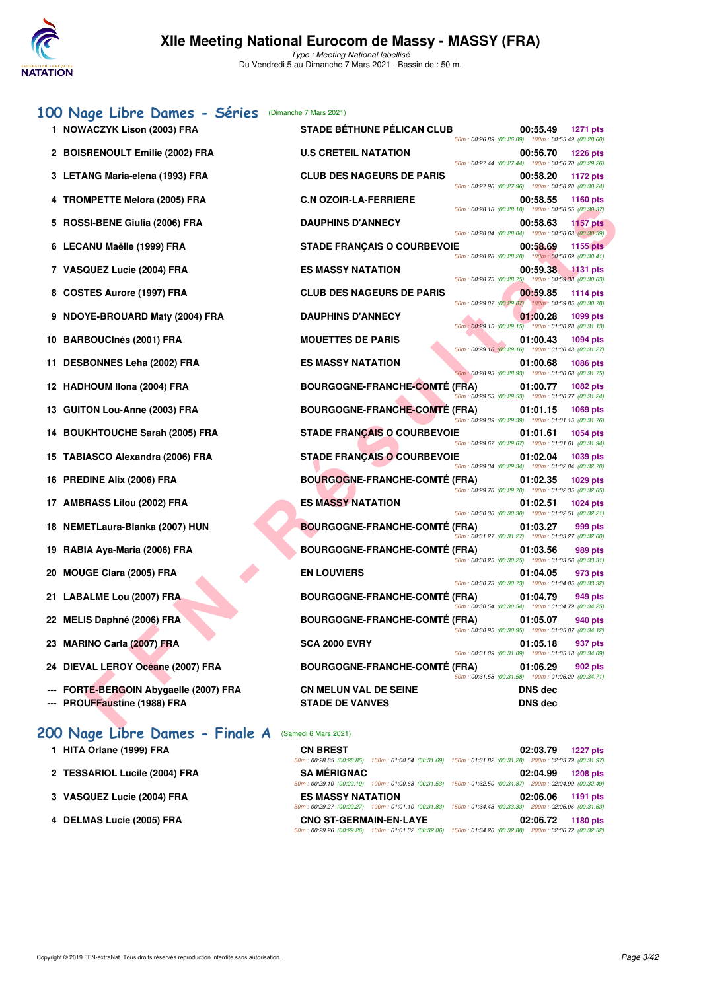

Type : Meeting National labellisé Du Vendredi 5 au Dimanche 7 Mars 2021 - Bassin de : 50 m.

# [100 Nage Libre Dames - Séries](http://www.ffnatation.fr/webffn/resultats.php?idact=nat&go=epr&idcpt=69813&idepr=2) (Dimanche 7 Mars 2021)

| 1 NOWACZYK Lison (2003) FRA            | <b>STADE BETHUNE PELICAN CLUB</b>    | 00:55.49<br><b>1271 pts</b><br>50m: 00:26.89 (00:26.89) 100m: 00:55.49 (00:28.60)   |
|----------------------------------------|--------------------------------------|-------------------------------------------------------------------------------------|
| 2 BOISRENOULT Emilie (2002) FRA        | <b>U.S CRETEIL NATATION</b>          | 00:56.70<br><b>1226 pts</b><br>50m: 00:27.44 (00:27.44) 100m: 00:56.70 (00:29.26)   |
| 3 LETANG Maria-elena (1993) FRA        | <b>CLUB DES NAGEURS DE PARIS</b>     | 00:58.20<br><b>1172 pts</b>                                                         |
| 4 TROMPETTE Melora (2005) FRA          | <b>C.N OZOIR-LA-FERRIERE</b>         | 50m: 00:27.96 (00:27.96) 100m: 00:58.20 (00:30.24)<br>00:58.55<br>1160 pts          |
| 5 ROSSI-BENE Giulia (2006) FRA         | <b>DAUPHINS D'ANNECY</b>             | 50m: 00:28.18 (00:28.18) 100m: 00:58.55 (00:30.37)<br>00:58.63<br><b>1157 pts</b>   |
| 6 LECANU Maëlle (1999) FRA             | <b>STADE FRANÇAIS O COURBEVOIE</b>   | 50m: 00:28.04 (00:28.04) 100m: 00:58.63 (00:30.59)<br>00:58.69<br><b>1155 pts</b>   |
| 7 VASQUEZ Lucie (2004) FRA             | <b>ES MASSY NATATION</b>             | 50m: 00:28.28 (00:28.28) 100m: 00:58.69 (00:30.41)<br>00:59.38<br>$\sqrt{1131}$ pts |
| 8 COSTES Aurore (1997) FRA             | <b>CLUB DES NAGEURS DE PARIS</b>     | 50m: 00:28.75 (00:28.75) 100m: 00:59.38 (00:30.63)<br>00:59.85<br><b>1114 pts</b>   |
| 9 NDOYE-BROUARD Maty (2004) FRA        | <b>DAUPHINS D'ANNECY</b>             | 50m: 00:29.07 (00:29.07) 100m: 00:59.85 (00:30.78)                                  |
|                                        |                                      | 01:00.28<br>1099 pts<br>50m : 00:29.15 (00:29.15) 100m : 01:00.28 (00:31.13)        |
| 10 BARBOUCInès (2001) FRA              | <b>MOUETTES DE PARIS</b>             | 01:00.43<br>1094 pts<br>50m: 00:29.16 (00:29.16) 100m: 01:00.43 (00:31.27)          |
| 11 DESBONNES Leha (2002) FRA           | <b>ES MASSY NATATION</b>             | 01:00.68<br><b>1086 pts</b><br>50m: 00:28.93 (00:28.93) 100m: 01:00.68 (00:31.75)   |
| 12 HADHOUM Ilona (2004) FRA            | <b>BOURGOGNE-FRANCHE-COMTE (FRA)</b> | 01:00.77<br>1082 pts<br>50m: 00:29.53 (00:29.53) 100m: 01:00.77 (00:31.24)          |
| 13 GUITON Lou-Anne (2003) FRA          | <b>BOURGOGNE-FRANCHE-COMTE (FRA)</b> | 01:01.15<br>1069 pts<br>50m: 00:29.39 (00:29.39) 100m: 01:01.15 (00:31.76)          |
| 14 BOUKHTOUCHE Sarah (2005) FRA        | <b>STADE FRANÇAIS O COURBEVOIE</b>   | 01:01.61<br>1054 pts<br>50m: 00:29.67 (00:29.67) 100m: 01:01.61 (00:31.94)          |
| 15 TABIASCO Alexandra (2006) FRA       | <b>STADE FRANCAIS O COURBEVOIE</b>   | 01:02.04<br>1039 pts                                                                |
| 16 PREDINE Alix (2006) FRA             | <b>BOURGOGNE-FRANCHE-COMTÉ (FRA)</b> | 50m: 00:29.34 (00:29.34) 100m: 01:02.04 (00:32.70)<br>01:02.35<br>1029 pts          |
| 17 AMBRASS Lilou (2002) FRA            | <b>ES MASSY NATATION</b>             | 50m: 00:29.70 (00:29.70) 100m: 01:02.35 (00:32.65)<br>01:02.51<br><b>1024 pts</b>   |
| 18 NEMETLaura-Blanka (2007) HUN        | <b>BOURGOGNE-FRANCHE-COMTE (FRA)</b> | 50m: 00:30.30 (00:30.30) 100m: 01:02.51 (00:32.21)<br>01:03.27<br>999 pts           |
| 19 RABIA Aya-Maria (2006) FRA          | <b>BOURGOGNE-FRANCHE-COMTÉ (FRA)</b> | 50m: 00:31.27 (00:31.27) 100m: 01:03.27 (00:32.00)<br>01:03.56<br>989 pts           |
|                                        | <b>EN LOUVIERS</b>                   | 50m: 00:30.25 (00:30.25) 100m: 01:03.56 (00:33.31)                                  |
| 20 MOUGE Clara (2005) FRA              |                                      | 01:04.05<br>973 pts<br>50m: 00:30.73 (00:30.73) 100m: 01:04.05 (00:33.32)           |
| 21 LABALME Lou (2007) FRA              | <b>BOURGOGNE-FRANCHE-COMTÉ (FRA)</b> | 01:04.79<br>949 pts<br>50m: 00:30.54 (00:30.54) 100m: 01:04.79 (00:34.25)           |
| 22 MELIS Daphné (2006) FRA             | <b>BOURGOGNE-FRANCHE-COMTE (FRA)</b> | 01:05.07<br>940 pts<br>50m: 00:30.95 (00:30.95) 100m: 01:05.07 (00:34.12)           |
| 23 MARINO Carla (2007) FRA             | <b>SCA 2000 EVRY</b>                 | 01:05.18<br>937 pts<br>50m: 00:31.09 (00:31.09) 100m: 01:05.18 (00:34.09)           |
| 24 DIEVAL LEROY Océane (2007) FRA      | <b>BOURGOGNE-FRANCHE-COMTÉ (FRA)</b> | 01:06.29<br>902 pts<br>50m: 00:31.58 (00:31.58) 100m: 01:06.29 (00:34.71)           |
| --- FORTE-BERGOIN Abygaelle (2007) FRA | <b>CN MELUN VAL DE SEINE</b>         | <b>DNS</b> dec                                                                      |
| --- PROUFFaustine (1988) FRA           | <b>STADE DE VANVES</b>               | <b>DNS</b> dec                                                                      |

# **200 Nage Libre Dames - Finale A** (Samedi 6 Mars 2021)

- 
- 2 TESSARIOL Lucile (2004) FRA
- **3 VASQUEZ Lucie (2004) FRA**
- **4 DELMAS Lucie (2005) FRA CNO ST-GERMAIN-EN-LAYE 02:06.72 1180 pts**

| 1 HITA Orlane (1999) FRA      | <b>CN BREST</b>               | 02:03.79<br><b>1227 pts</b>                                                                            |
|-------------------------------|-------------------------------|--------------------------------------------------------------------------------------------------------|
|                               |                               | 50m: 00:28.85 (00:28.85) 100m: 01:00.54 (00:31.69) 150m: 01:31.82 (00:31.28) 200m: 02:03.79 (00:31.97) |
| 2 TESSARIOL Lucile (2004) FRA | <b>SA MÉRIGNAC</b>            | 02:04.99<br><b>1208 pts</b>                                                                            |
|                               |                               | 50m: 00:29.10 (00:29.10) 100m: 01:00.63 (00:31.53) 150m: 01:32.50 (00:31.87) 200m: 02:04.99 (00:32.49) |
| 3 VASQUEZ Lucie (2004) FRA    | <b>ES MASSY NATATION</b>      | 02:06.06<br>1191 pts                                                                                   |
|                               |                               | 50m: 00:29.27 (00:29.27) 100m: 01:01.10 (00:31.83) 150m: 01:34.43 (00:33.33) 200m: 02:06.06 (00:31.63) |
| 4 DELMAS Lucie (2005) FRA     | <b>CNO ST-GERMAIN-EN-LAYE</b> | 02:06.72<br>1180 pts                                                                                   |
|                               |                               | 50m: 00:29.26 (00:29.26) 100m: 01:01.32 (00:32.06) 150m: 01:34.20 (00:32.88) 200m: 02:06.72 (00:32.52) |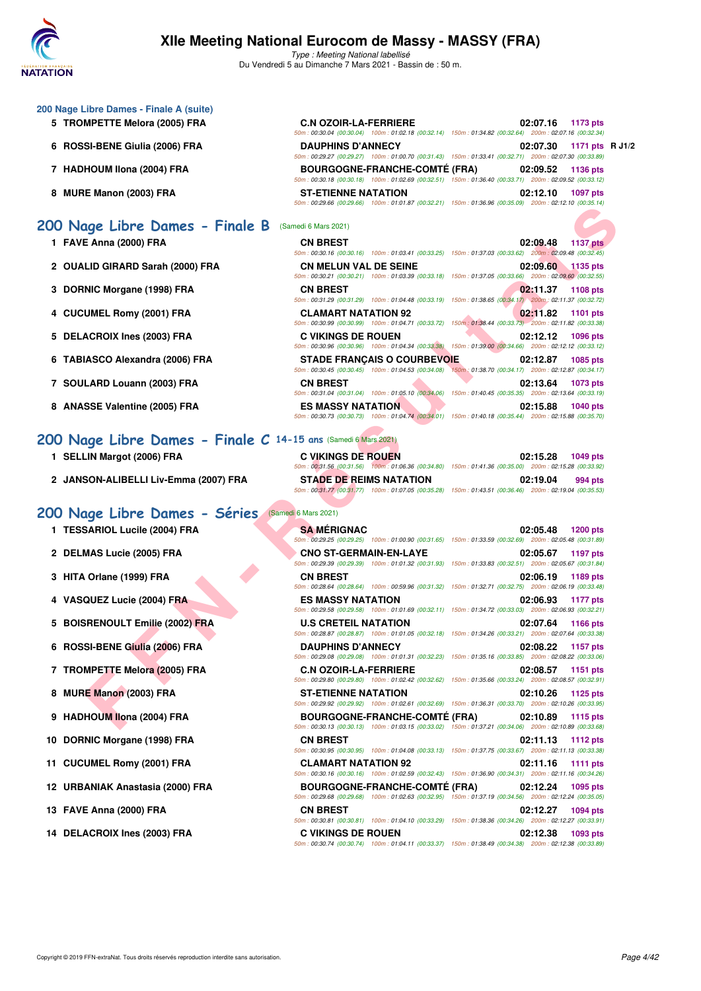

Type : Meeting National labellisé Du Vendredi 5 au Dimanche 7 Mars 2021 - Bassin de : 50 m.

| 200 Nage Libre Dames - Finale A (suite)                        |                                                                                                                                                                                                                                              |                             |
|----------------------------------------------------------------|----------------------------------------------------------------------------------------------------------------------------------------------------------------------------------------------------------------------------------------------|-----------------------------|
| 5 TROMPETTE Melora (2005) FRA                                  | <b>C.N OZOIR-LA-FERRIERE</b><br>50m : 00:30.04 (00:30.04) 100m : 01:02.18 (00:32.14) 150m : 01:34.82 (00:32.64) 200m : 02:07.16 (00:32.34)                                                                                                   | 02:07.16 1173 pts           |
| 6 ROSSI-BENE Giulia (2006) FRA                                 | <b>DAUPHINS D'ANNECY</b><br>50m: 00:29.27 (00:29.27) 100m: 01:00.70 (00:31.43) 150m: 01:33.41 (00:32.71) 200m: 02:07.30 (00:33.89)                                                                                                           | 1171 pts R J1/2<br>02:07.30 |
| 7 HADHOUM IIona (2004) FRA                                     | <b>BOURGOGNE-FRANCHE-COMTÉ (FRA)</b><br>50m : 00:30.18 (00:30.18) 100m : 01:02.69 (00:32.51) 150m : 01:36.40 (00:33.71) 200m : 02:09.52 (00:33.12)                                                                                           | 02:09.52<br>1136 pts        |
| 8 MURE Manon (2003) FRA                                        | <b>ST-ETIENNE NATATION</b><br>50m : 00:29.66 (00:29.66) 100m : 01:01.87 (00:32.21) 150m : 01:36.96 (00:35.09) 200m : 02:12.10 (00:35.14)                                                                                                     | 02:12.10<br>1097 pts        |
| 200 Nage Libre Dames - Finale B                                | (Samedi 6 Mars 2021)                                                                                                                                                                                                                         |                             |
| 1 FAVE Anna (2000) FRA                                         | <b>CN BREST</b>                                                                                                                                                                                                                              | 02:09.48<br><b>1137 pts</b> |
| 2 OUALID GIRARD Sarah (2000) FRA                               | 50m: 00:30.16 (00:30.16) 100m: 01:03.41 (00:33.25) 150m: 01:37.03 (00:33.62) 200m: 02:09.48 (00:32.45)<br><b>CN MELUN VAL DE SEINE</b>                                                                                                       | 02:09.60 1135 pts           |
| 3 DORNIC Morgane (1998) FRA                                    | $50m$ : 00:30.21 (00:30.21) 100m: 01:03.39 (00:33.18) 150m: 01:37.05 (00:33.66) 200m: 02:09.60 (00:32.55)<br><b>CN BREST</b>                                                                                                                 | 02:11.37<br>1108 pts        |
| 4 CUCUMEL Romy (2001) FRA                                      | $50m: 00:31.29$ $(00:31.29)$ $100m: 01:04.48$ $(00:33.19)$ $150m: 01:38.65$ $(00:34.17)$ $200m: 02:11.37$ $(00:32.72)$<br><b>CLAMART NATATION 92</b>                                                                                         | 02:11.82<br>1101 pts        |
| 5 DELACROIX Ines (2003) FRA                                    | 50m : 00:30.99 (00:30.99) 100m : 01:04.71 (00:33.72) 150m : 01:38.44 (00:33.73) 200m : 02:11.82 (00:33.38)<br><b>C VIKINGS DE ROUEN</b>                                                                                                      | 02:12.12<br>1096 pts        |
| 6 TABIASCO Alexandra (2006) FRA                                | 50m : 00:30.96 (00:30.96) 100m : 01:04.34 (00:33.38) 150m : 01:39.00 (00:34.66) 200m : 02:12.12 (00:33.12)<br><b>STADE FRANÇAIS O COURBEVOIE</b>                                                                                             | 02:12.87<br>1085 pts        |
| 7 SOULARD Louann (2003) FRA                                    | 50m : 00:30.45 (00:30.45) 100m : 01:04.53 (00:34.08) 150m : 01:38.70 (00:34.17) 200m : 02:12.87 (00:34.17)<br><b>CN BREST</b><br>50m : 00:31.04 (00:31.04) 100m : 01:05.10 (00:34.06) 150m : 01:40.45 (00:35.35) 200m : 02:13.64 (00:33.19)  | 02:13.64<br>1073 pts        |
| 8 ANASSE Valentine (2005) FRA                                  | <b>ES MASSY NATATION</b><br>50m: 00:30.73 (00:30.73) 100m: 01:04.74 (00:34.01) 150m: 01:40.18 (00:35.44) 200m: 02:15.88 (00:35.70)                                                                                                           | 02:15.88<br><b>1040 pts</b> |
| 200 Nage Libre Dames - Finale C 14-15 ans (Samedi 6 Mars 2021) |                                                                                                                                                                                                                                              |                             |
| 1 SELLIN Margot (2006) FRA                                     | <b>C VIKINGS DE ROUEN</b>                                                                                                                                                                                                                    | 02:15.28<br>1049 pts        |
|                                                                | 50m: 00:31.56 (00:31.56) 100m: 01:06.36 (00:34.80) 150m: 01:41.36 (00:35.00) 200m: 02:15.28 (00:33.92)                                                                                                                                       |                             |
| 2 JANSON-ALIBELLI Liv-Emma (2007) FRA                          | <b>STADE DE REIMS NATATION</b><br>50m: 00:31.77 (00:31.77) 100m: 01:07.05 (00:35.28) 150m: 01:43.51 (00:36.46) 200m: 02:19.04 (00:35.53)                                                                                                     | 02:19.04<br>994 pts         |
| 200 Nage Libre Dames - Séries                                  | (Samedi 6 Mars 2021)                                                                                                                                                                                                                         |                             |
| 1 TESSARIOL Lucile (2004) FRA                                  | <b>SA MERIGNAC</b>                                                                                                                                                                                                                           | 02:05.48<br><b>1200 pts</b> |
| 2 DELMAS Lucie (2005) FRA                                      | 50m: 00:29.25 (00:29.25) 100m: 01:00.90 (00:31.65) 150m: 01:33.59 (00:32.69) 200m: 02:05.48 (00:31.89)<br><b>CNO ST-GERMAIN-EN-LAYE</b>                                                                                                      | 02:05.67<br>1197 pts        |
| 3 HITA Orlane (1999) FRA                                       | 50m: 00:29.39 (00:29.39) 100m: 01:01.32 (00:31.93) 150m: 01:33.83 (00:32.51) 200m: 02:05.67 (00:31.84)<br><b>CN BREST</b>                                                                                                                    | 02:06.19<br>1189 pts        |
| 4 VASQUEZ Lucie (2004) FRA                                     | 50m: 00:28.64 (00:28.64) 100m: 00:59.96 (00:31.32) 150m: 01:32.71 (00:32.75) 200m: 02:06.19 (00:33.48)<br><b>ES MASSY NATATION</b><br>50m: 00:29.58 (00:29.58) 100m: 01:01.69 (00:32.11) 150m: 01:34.72 (00:33.03) 200m: 02:06.93 (00:32.21) | 02:06.93 1177 pts           |
| 5 BOISRENOULT Emilie (2002) FRA                                | <b>U.S CRETEIL NATATION</b><br>50m: 00:28.87 (00:28.87) 100m: 01:01.05 (00:32.18) 150m: 01:34.26 (00:33.21) 200m: 02:07.64 (00:33.38)                                                                                                        | 02:07.64 1166 pts           |
| 6 ROSSI-BENE Giulia (2006) FRA                                 | <b>DAUPHINS D'ANNECY</b><br>$50m$ : 00:29.08 (00:29.08) 100m: 01:01.31 (00:32.23) 150m: 01:35.16 (00:33.85) 200m: 02:08.22 (00:33.06)                                                                                                        | 02:08.22<br>1157 pts        |
| 7 TROMPETTE Melora (2005) FRA                                  | <b>C.N OZOIR-LA-FERRIERE</b><br>50m: 00:29.80 (00:29.80) 100m: 01:02.42 (00:32.62) 150m: 01:35.66 (00:33.24) 200m: 02:08.57 (00:32.91)                                                                                                       | 02:08.57<br>1151 pts        |
| 8 MURE Manon (2003) FRA                                        | <b>ST-ETIENNE NATATION</b><br>50m: 00:29.92 (00:29.92) 100m: 01:02.61 (00:32.69) 150m: 01:36.31 (00:33.70) 200m: 02:10.26 (00:33.95)                                                                                                         | 02:10.26<br>1125 pts        |
| 9 HADHOUM Ilona (2004) FRA                                     | <b>BOURGOGNE-FRANCHE-COMTÉ (FRA)</b><br>50m: 00:30.13 (00:30.13) 100m: 01:03.15 (00:33.02) 150m: 01:37.21 (00:34.06) 200m: 02:10.89 (00:33.68)                                                                                               | 02:10.89<br>1115 pts        |
| 10 DORNIC Morgane (1998) FRA                                   | <b>CN BREST</b>                                                                                                                                                                                                                              | 02:11.13 1112 pts           |
| 11 CUCUMEL Romy (2001) FRA                                     | 50m: 00:30.95 (00:30.95) 100m: 01:04.08 (00:33.13) 150m: 01:37.75 (00:33.67) 200m: 02:11.13 (00:33.38)<br><b>CLAMART NATATION 92</b>                                                                                                         | $02:11.16$ 1111 pts         |

**12 URBANIAK Anastasia (2000) FRA BOURGOGNE-FRANCHE-COMTÉ (FRA) 02:12.24 1095 pts**

**13 FAVE Anna (2000) FRA CN BREST 02:12.27 1094 pts**

**14 DELACROIX Ines (2003) FRA C VIKINGS DE ROUEN 02:12.38 1093 pts**

50m : 00:30.16 (00:30.16) 100m : 01:02.59 (00:32.43) 150m : 01:36.90 (00:34.31) 200m : 02:11.16 (00:34.26)

50m : 00:29.68 (00:29.68) 100m : 01:02.63 (00:32.95) 150m : 01:37.19 (00:34.56) 200m : 02:12.24 (00:35.05)

50m : 00:30.81 (00:30.81) 100m : 01:04.10 (00:33.29) 150m : 01:38.36 (00:34.26) 200m : 02:12.27 (00:33.91)

50m : 00:30.74 (00:30.74) 100m : 01:04.11 (00:33.37) 150m : 01:38.49 (00:34.38) 200m : 02:12.38 (00:33.89)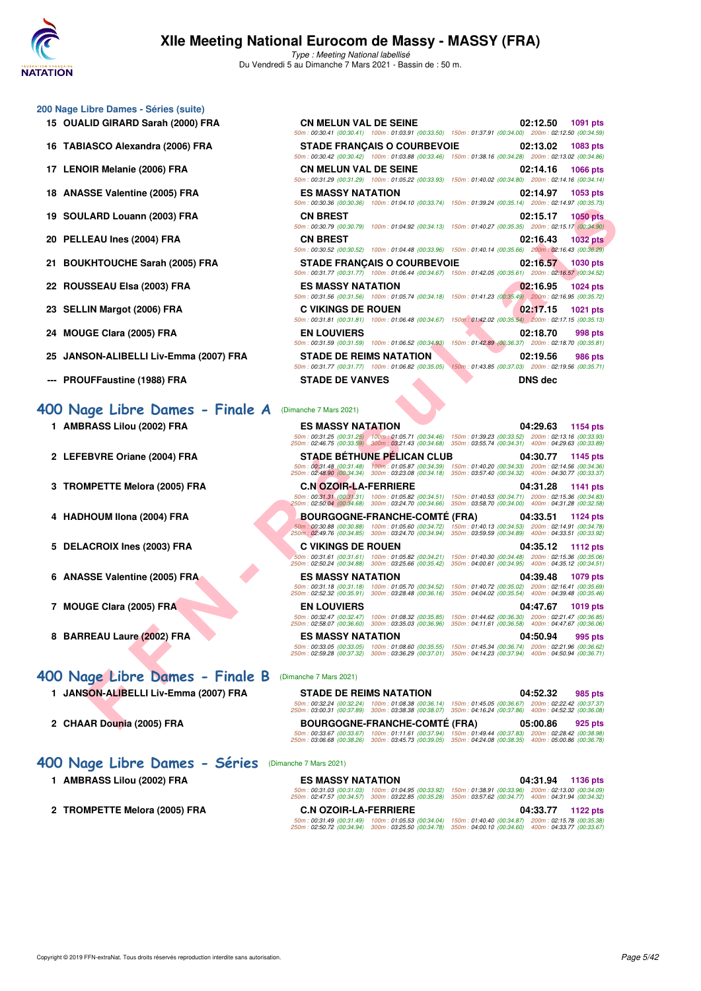

Type : Meeting National labellisé Du Vendredi 5 au Dimanche 7 Mars 2021 - Bassin de : 50 m.

|  | 200 Nage Libre Dames - Séries (suite) |  |  |  |
|--|---------------------------------------|--|--|--|
|--|---------------------------------------|--|--|--|

- 15 OUALID GIRARD Sarah (2000) FRA
- 16 TABIASCO Alexandra (2006) FRA
- **17 LENOIR Melanie (2006) FRA**
- 18 ANASSE Valentine (2005) FRA
- 19 SOULARD Louann (2003) FRA
- **20 PELLEAU Ines (2004) FRA**
- 21 BOUKHTOUCHE Sarah (2005) FRA
- 22 ROUSSEAU Elsa (2003) FRA
- 23 SELLIN Margot (2006) FRA
- **24 MOUGE Clara (2005) FRA**
- 25 JANSON-ALIBELLI Liv-Emma (2007) FRA
- **--- PROUFFaustine (1988) FRA**

### 400 Nage Libre Dames - Finale A

- 1 AMBRASS Lilou (2002) FRA
- 2 LEFEBVRE Oriane (2004) FRA
- **3 TROMPETTE Melora (2005) FRA**
- **4 HADHOUM Ilona (2004) FRA**
- **5 DELACROIX Ines (2003) FRA**
- **6 ANASSE Valentine (2005) FRA**
- **7 MOUGE Clara (2005) FRA**
- 8 BARREAU Laure (2002) FRA

### **[400 Nage Libre Dames - Finale B](http://www.ffnatation.fr/webffn/resultats.php?idact=nat&go=epr&idcpt=69813&idepr=4)** (Dimanche 7 Mars 2021)

- **1 JANSON-ALIBELLI Liv-Emma (2007) FRA**
- 2 CHAAR Dounia (2005) FRA

### **[400 Nage Libre Dames - Séries](http://www.ffnatation.fr/webffn/resultats.php?idact=nat&go=epr&idcpt=69813&idepr=4)** (Dimanche 7 Mars 2021)

- 1 AMBRASS Lilou (2002) FRA
- 2 TROMPETTE Melora (2005) FRA

| <b>CN MELUN VAL DE SEINE</b>   |                                                                                                            | 02:12.50 1091 pts |  |
|--------------------------------|------------------------------------------------------------------------------------------------------------|-------------------|--|
|                                | 50m: 00:30.41 (00:30.41) 100m: 01:03.91 (00:33.50) 150m: 01:37.91 (00:34.00) 200m: 02:12.50 (00:34.59)     |                   |  |
|                                | <b>STADE FRANCAIS O COURBEVOIE</b>                                                                         | 02:13.02 1083 pts |  |
|                                | 50m : 00:30.42 (00:30.42) 100m : 01:03.88 (00:33.46) 150m : 01:38.16 (00:34.28) 200m : 02:13.02 (00:34.86) |                   |  |
| <b>CN MELUN VAL DE SEINE</b>   |                                                                                                            | 02:14.16 1066 pts |  |
|                                | 50m: 00:31.29 (00:31.29) 100m: 01:05.22 (00:33.93) 150m: 01:40.02 (00:34.80) 200m: 02:14.16 (00:34.14)     |                   |  |
| <b>ES MASSY NATATION</b>       |                                                                                                            | 02:14.97 1053 pts |  |
|                                | 50m; 00:30.36 (00:30.36) 100m; 01:04.10 (00:33.74) 150m; 01:39.24 (00:35.14) 200m; 02:14.97 (00:35.73)     |                   |  |
| <b>CN BREST</b>                |                                                                                                            | 02:15.17 1050 pts |  |
|                                | 50m: 00:30.79 (00:30.79) 100m: 01:04.92 (00:34.13) 150m: 01:40.27 (00:35.35) 200m: 02:15.17 (00:34.90)     |                   |  |
| <b>CN BREST</b>                |                                                                                                            | 02:16.43 1032 pts |  |
|                                | 50m : 00:30.52 (00:30.52) 100m : 01:04.48 (00:33.96) 150m : 01:40.14 (00:35.66) 200m : 02:16.43 (00:36.29) |                   |  |
|                                | <b>STADE FRANCAIS O COURBEVOIE</b>                                                                         | 02:16.57 1030 pts |  |
|                                | 50m: 00:31.77 (00:31.77) 100m: 01:06.44 (00:34.67) 150m: 01:42.05 (00:35.61) 200m: 02:16.57 (00:34.52)     |                   |  |
| <b>ES MASSY NATATION</b>       |                                                                                                            | 02:16.95 1024 pts |  |
|                                | 50m: 00:31.56 (00:31.56) 100m: 01:05.74 (00:34.18) 150m: 01:41.23 (00:35.49) 200m: 02:16.95 (00:35.72)     |                   |  |
| <b>C VIKINGS DE ROUEN</b>      |                                                                                                            | 02:17.15 1021 pts |  |
|                                | 50m: 00:31.81 (00:31.81) 100m: 01:06.48 (00:34.67) 150m: 01:42.02 (00:35.54) 200m: 02:17.15 (00:35.13)     |                   |  |
| <b>EN LOUVIERS</b>             |                                                                                                            | 02:18.70 998 pts  |  |
|                                | 50m: 00:31.59 (00:31.59) 100m: 01:06.52 (00:34.93) 150m: 01:42.89 (00:36.37) 200m: 02:18.70 (00:35.81)     |                   |  |
| <b>STADE DE REIMS NATATION</b> |                                                                                                            | 02:19.56 986 pts  |  |
|                                | 50m: 00:31.77 (00:31.77) 100m: 01:06.82 (00:35.05) 150m: 01:43.85 (00:37.03) 200m: 02:19.56 (00:35.71)     |                   |  |
| <b>STADE DE VANVES</b>         |                                                                                                            | <b>DNS</b> dec    |  |

|                                  | JUIII . UU.JU.JU TUU.JU.JUJ<br>$100111.011.04.10$ $100.00.14$                                                                                 | $10011.01.03.24$ $100.00.14$<br>20011.02.14.31 100.00.101                                                                                 |
|----------------------------------|-----------------------------------------------------------------------------------------------------------------------------------------------|-------------------------------------------------------------------------------------------------------------------------------------------|
| LARD Louann (2003) FRA           | <b>CN BREST</b>                                                                                                                               | 02:15.17<br><b>1050 pts</b><br>50m : 00:30.79 (00:30.79) 100m : 01:04.92 (00:34.13) 150m : 01:40.27 (00:35.35) 200m : 02:15.17 (00:34.90) |
| LEAU Ines (2004) FRA             | <b>CN BREST</b>                                                                                                                               | 02:16.43<br><b>1032 pts</b><br>50m : 00:30.52 (00:30.52) 100m : 01:04.48 (00:33.96) 150m : 01:40.14 (00:35.66) 200m : 02:16.43 (00:36.29) |
| KHTOUCHE Sarah (2005) FRA        | <b>STADE FRANÇAIS O COURBEVOIE</b>                                                                                                            | 02:16.57<br><b>1030 pts</b><br>50m: 00:31.77 (00:31.77) 100m: 01:06.44 (00:34.67) 150m: 01:42.05 (00:35.61) 200m: 02:16.57 (00:34.52)     |
| SSEAU Elsa (2003) FRA            | <b>ES MASSY NATATION</b>                                                                                                                      | 02:16.95<br>1024 pts<br>50m : 00:31.56 (00:31.56) 100m : 01:05.74 (00:34.18) 150m : 01:41.23 (00:35.49) 200m : 02:16.95 (00:35.72)        |
| LIN Margot (2006) FRA            | <b>C VIKINGS DE ROUEN</b>                                                                                                                     | 02:17.15<br><b>1021 pts</b><br>50m: 00:31.81 (00:31.81) 100m: 01:06.48 (00:34.67) 150m: 01:42.02 (00:35.54) 200m: 02:17.15 (00:35.13)     |
| <b>IGE Clara (2005) FRA</b>      | <b>EN LOUVIERS</b><br>50m: 00:31.59 (00:31.59) 100m: 01:06.52 (00:34.93)                                                                      | 02:18.70<br>998 pts<br>150m: 01:42.89 (00:36.37) 200m: 02:18.70 (00:35.81)                                                                |
| SON-ALIBELLI Liv-Emma (2007) FRA | <b>STADE DE REIMS NATATION</b><br>50m: 00:31.77 (00:31.77) 100m: 01:06.82 (00:35.05)                                                          | 02:19.56<br>986 pts<br>150m: 01:43.85 (00:37.03) 200m: 02:19.56 (00:35.71)                                                                |
| UFFaustine (1988) FRA            | <b>STADE DE VANVES</b>                                                                                                                        | <b>DNS</b> dec                                                                                                                            |
| age Libre Dames - Finale A       | (Dimanche 7 Mars 2021)                                                                                                                        |                                                                                                                                           |
| RASS Lilou (2002) FRA            | <b>ES MASSY NATATION</b><br>250m : 02:46.75 (00:33.59) 300m : 03:21.43 (00:34.68) 350m : 03:55.74 (00:34.31) 400m : 04:29.63 (00:33.89)       | 04:29.63<br>1154 pts<br>50m: 00:31.25 (00:31.25) 100m: 01:05.71 (00:34.46) 150m: 01:39.23 (00:33.52) 200m: 02:13.16 (00:33.93)            |
| EBVRE Oriane (2004) FRA          | <b>STADE BETHUNE PELICAN CLUB</b>                                                                                                             | 04:30.77<br>1145 pts                                                                                                                      |
|                                  | 50m: 00:31.48 (00:31.48) 100m: 01:05.87 (00:34.39)<br>250m: 02:48.90 (00:34.34) 300m: 03:23.08 (00:34.18)                                     | 150m: 01:40.20 (00:34.33) 200m: 02:14.56 (00:34.36)<br>350m: 03:57.40 (00:34.32) 400m: 04:30.77 (00:33.37)                                |
| MPETTE Melora (2005) FRA         | <b>C.N OZOIR-LA-FERRIERE</b><br>250m: 02:50.04 (00:34.68) 300m: 03:24.70 (00:34.66) 350m: 03:58.70 (00:34.00) 400m: 04:31.28 (00:32.58)       | 04:31.28<br>1141 pts<br>50m: 00:31.31 (00:31.31) 100m: 01:05.82 (00:34.51) 150m: 01:40.53 (00:34.71) 200m: 02:15.36 (00:34.83)            |
| HOUM Ilona (2004) FRA            | <b>BOURGOGNE-FRANCHE-COMTE (FRA)</b><br>50m: 00:30.88 (00:30.88) 100m: 01:05.60 (00:34.72)                                                    | 04:33.51<br>1124 pts<br>150m: 01:40.13 (00:34.53) 200m: 02:14.91 (00:34.78)                                                               |
| ACROIX Ines (2003) FRA           | 250m: 02:49.76 (00:34.85) 300m: 03:24.70 (00:34.94)<br><b>C VIKINGS DE ROUEN</b><br>50m: 00:31.61 (00:31.61) 100m: 01:05.82 (00:34.21)        | 350m: 03:59.59 (00:34.89) 400m: 04:33.51 (00:33.92)<br>04:35.12<br>1112 pts<br>150m: 01:40.30 (00:34.48) 200m: 02:15.36 (00:35.06)        |
| SSE Valentine (2005) FRA         | 250m: 02:50.24 (00:34.88) 300m: 03:25.66 (00:35.42) 350m: 04:00.61 (00:34.95) 400m: 04:35.12 (00:34.51)<br><b>ES MASSY NATATION</b>           | 04:39.48<br>1079 pts                                                                                                                      |
|                                  | 50m: 00:31.18 (00:31.18) 100m: 01:05.70 (00:34.52)<br>250m: 02:52.32 (00:35.91) 300m: 03:28.48 (00:36.16)                                     | 150m: 01:40.72 (00:35.02) 200m: 02:16.41 (00:35.69)<br>350m: 04:04.02 (00:35.54) 400m: 04:39.48 (00:35.46)                                |
| <b>IGE Clara (2005) FRA</b>      | <b>EN LOUVIERS</b><br>50m: 00:32.47 (00:32.47) 100m: 01:08.32 (00:35.85)<br>250m: 02:58.07 (00:36.60) 300m: 03:35.03 (00:36.96)               | 04:47.67<br>1019 pts<br>150m: 01:44.62 (00:36.30) 200m: 02:21.47 (00:36.85)<br>350m: 04:11.61 (00:36.58) 400m: 04:47.67 (00:36.06)        |
| REAU Laure (2002) FRA            | <b>ES MASSY NATATION</b><br>250m: 02:59.28 (00:37.32) 300m: 03:36.29 (00:37.01) 350m: 04:14.23 (00:37.94) 400m: 04:50.94 (00:36.71)           | 04:50.94<br>995 pts<br>50m: 00:33.05 (00:33.05) 100m: 01:08.60 (00:35.55) 150m: 01:45.34 (00:36.74) 200m: 02:21.96 (00:36.62)             |
| age Libre Dames - Finale B       | (Dimanche 7 Mars 2021)                                                                                                                        |                                                                                                                                           |
| SON-ALIBELLI Liv-Emma (2007) FRA | <b>STADE DE REIMS NATATION</b><br>250m : 03:00.31 (00:37.89) 300m : 03:38.38 (00:38.07) 350m : 04:16.24 (00:37.86) 400m : 04:52.32 (00:36.08) | 04:52.32<br>985 pts<br>50m: 00:32.24 (00:32.24) 100m: 01:08.38 (00:36.14) 150m: 01:45.05 (00:36.67) 200m: 02:22.42 (00:37.37)             |
| AR Dounia (2005) FRA             | <b>BOURGOGNE-FRANCHE-COMTÉ (FRA)</b>                                                                                                          | 05:00.86<br>925 pts                                                                                                                       |
|                                  |                                                                                                                                               |                                                                                                                                           |

|                                                       | <b>STADE DE REIMS NATATION</b>                         |                                                        | 04:52.32                                               | 985 pts |
|-------------------------------------------------------|--------------------------------------------------------|--------------------------------------------------------|--------------------------------------------------------|---------|
| 50m: 00:32.24 (00:32.24)<br>250m: 03:00.31 (00:37.89) | 100m: 01:08.38 (00:36.14)<br>300m: 03:38.38 (00:38.07) | 150m: 01:45.05 (00:36.67)<br>350m: 04:16.24 (00:37.86) | 200m: 02:22.42 (00:37.37)<br>400m: 04:52.32 (00:36.08) |         |
|                                                       |                                                        |                                                        |                                                        |         |
|                                                       | <b>BOURGOGNE-FRANCHE-COMTÉ (FRA)</b>                   |                                                        | 05:00.86                                               | 925 pts |

| <b>ES MASSY NATATION</b>     |                           |                           | 04:31.94 1136 pts         |
|------------------------------|---------------------------|---------------------------|---------------------------|
| 50m: 00:31.03 (00:31.03)     | 100m: 01:04.95 (00:33.92) | 150m: 01:38.91 (00:33.96) | 200m: 02:13.00 (00:34.09) |
| 250m: 02:47.57 (00:34.57)    | 300m: 03:22.85 (00:35.28) | 350m: 03:57.62 (00:34.77) | 400m: 04:31.94 (00:34.32) |
| <b>C.N OZOIR-LA-FERRIERE</b> |                           |                           | 04:33.77 1122 pts         |
| 50m: 00:31.49 (00:31.49)     | 100m: 01:05.53 (00:34.04) | 150m: 01:40.40 (00:34.87) | 200m: 02:15.78 (00:35.38) |
| 250m: 02:50.72 (00:34.94)    | 300m: 03:25.50 (00:34.78) | 350m: 04:00.10 (00:34.60) | 400m: 04:33.77 (00:33.67) |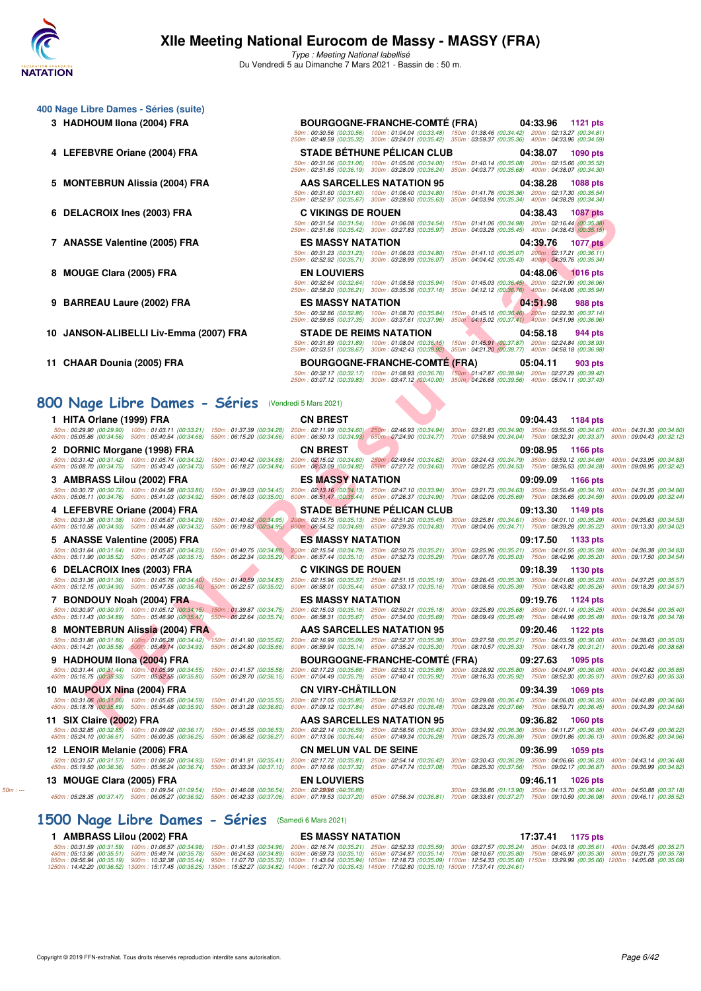

| <b>BOURGOGNE-FRANCHE-COMTÉ (FRA)</b><br>04:33.96 1121 pts                                                                                                                                                                                                                                                                                                                                                                                  |
|--------------------------------------------------------------------------------------------------------------------------------------------------------------------------------------------------------------------------------------------------------------------------------------------------------------------------------------------------------------------------------------------------------------------------------------------|
|                                                                                                                                                                                                                                                                                                                                                                                                                                            |
| 50m: 00:30.56 (00:30.56) 100m: 01:04.04 (00:33.48) 150m: 01:38.46 (00:34.42) 200m: 02:13.27 (00:34.81)<br>250m: 02:48.59 (00:35.32) 300m: 03:24.01 (00:35.42) 350m: 03:59.37 (00:35.36) 400m: 04:33.96 (00:34.59)                                                                                                                                                                                                                          |
| <b>STADE BETHUNE PELICAN CLUB</b><br>04:38.07<br><b>1090 pts</b>                                                                                                                                                                                                                                                                                                                                                                           |
| 50m: 00:31.06 (00:31.06) 100m: 01:05.06 (00:34.00) 150m: 01:40.14 (00:35.08) 200m: 02:15.66 (00:35.52)<br>250m: 02:51.85 (00:36.19) 300m: 03:28.09 (00:36.24) 350m: 04:03.77 (00:35.68) 400m: 04:38.07 (00:34.30)                                                                                                                                                                                                                          |
| AAS SARCELLES NATATION 95<br>04:38.28<br><b>1088 pts</b>                                                                                                                                                                                                                                                                                                                                                                                   |
| 50m: 00:31.60 (00:31.60) 100m: 01:06.40 (00:34.80)<br>150m: 01:41.76 (00:35.36) 200m: 02:17.30 (00:35.54)<br>250m: 02:52.97 (00:35.67) 300m: 03:28.60 (00:35.63)<br>350m: 04:03.94 (00:35.34) 400m: 04:38.28 (00:34.34)                                                                                                                                                                                                                    |
| <b>C VIKINGS DE ROUEN</b><br>04:38.43<br><b>1087 pts</b>                                                                                                                                                                                                                                                                                                                                                                                   |
| 50m: 00:31.54 (00:31.54) 100m: 01:06.08 (00:34.54) 150m: 01:41.06 (00:34.98) 200m: 02:16.44 (00:35.38)<br>250m: 02:51.86 (00:35.42) 300m: 03:27.83 (00:35.97) 350m: 04:03.28 (00:35.45) 400m: 04:38.43 (00:35.15)                                                                                                                                                                                                                          |
| <b>ES MASSY NATATION</b><br>04:39.76<br><b>1077 pts</b>                                                                                                                                                                                                                                                                                                                                                                                    |
| 50m: 00:31.23 (00:31.23) 100m: 01:06.03 (00:34.80)<br>150m: 01:41.10 (00:35.07) 200m: 02:17.21 (00:36.11)                                                                                                                                                                                                                                                                                                                                  |
| 250m: 02:52.92 (00:35.71) 300m: 03:28.99 (00:36.07) 350m: 04:04.42 (00:35.43) 400m: 04:39.76 (00:35.34)<br><b>EN LOUVIERS</b><br>04:48.06 1016 pts                                                                                                                                                                                                                                                                                         |
| 50m: 00:32.64 (00:32.64) 100m: 01:08.58 (00:35.94) 150m: 01:45.03 (00:36.45) 200m: 02:21.99 (00:36.96)                                                                                                                                                                                                                                                                                                                                     |
| 250m: 02:58.20 (00:36.21) 300m: 03:35.36 (00:37.16) 350m: 04:12.12 (00:36.76) 400m: 04:48.06 (00:35.94)                                                                                                                                                                                                                                                                                                                                    |
| <b>ES MASSY NATATION</b><br>04:51.98<br>988 pts<br>50m: 00:32.86 (00:32.86) 100m: 01:08.70 (00:35.84) 150m: 01:45.16 (00:36.46) 200m: 02:22.30 (00:37.14)                                                                                                                                                                                                                                                                                  |
| 250m: 02:59.65 (00:37.35) 300m: 03:37.61 (00:37.96) 350m: 04:15.02 (00:37.41) 400m: 04:51.98 (00:36.96)                                                                                                                                                                                                                                                                                                                                    |
| <b>STADE DE REIMS NATATION</b><br>04:58.18<br>944 pts<br>50m: 00:31.89 (00:31.89) 100m: 01:08.04 (00:36.15) 150m: 01:45.91 (00:37.87) 200m: 02:24.84 (00:38.93)                                                                                                                                                                                                                                                                            |
| 250m: 03:03.51 (00:38.67) 300m: 03:42.43 (00:38.92)<br>350m: 04:21.20 (00:38.77) 400m: 04:58.18 (00:36.98)                                                                                                                                                                                                                                                                                                                                 |
| <b>BOURGOGNE-FRANCHE-COMTE (FRA)</b><br>05:04.11<br>903 pts                                                                                                                                                                                                                                                                                                                                                                                |
| 50m: 00:32.17 (00:32.17) 100m: 01:08.93 (00:36.76) 150m: 01:47.87 (00:38.94) 200m: 02:27.29 (00:39.42)<br>250m : 03:07.12 (00:39.83) 300m : 03:47.12 (00:40.00) 350m : 04:26.68 (00:39.56) 400m : 05:04.11 (00:37.43)                                                                                                                                                                                                                      |
|                                                                                                                                                                                                                                                                                                                                                                                                                                            |
| (Vendredi 5 Mars 2021)                                                                                                                                                                                                                                                                                                                                                                                                                     |
| <b>CN BREST</b><br>09:04.43<br>1184 pts<br>150m: 01:37.39 (00:34.28) 200m: 02:11.99 (00:34.60) 250m: 02:46.93 (00:34.94) 300m: 03:21.83 (00:34.90) 350m: 03:56.50 (00:34.67) 400m: 04:31.30 (00:34.80)                                                                                                                                                                                                                                     |
| 550m:06:15.20 (00:34.66) 600m:06:50.13 (00:34.93) 650m:07:24.90 (00:34.77) 700m:07:58.94 (00:34.04) 750m:08:32.31 (00:33.37) 800m:09:04.43 (00:32.12                                                                                                                                                                                                                                                                                       |
| <b>CN BREST</b><br>09:08.95<br>1166 pts                                                                                                                                                                                                                                                                                                                                                                                                    |
| 150m: 01:40.42 (00:34.68)<br>200m: 02:15.02 (00:34.60) 250m: 02:49.64 (00:34.62)<br>300m: 03:24.43 (00:34.79) 350m: 03:59.12 (00:34.69)<br>400m: 04:33.95 (00:34.83)<br>600m: 06:53.09 (00:34.82) 650m: 07:27.72 (00:34.63)<br>550m: 06:18.27 (00:34.84)<br>700m: 08:02.25 (00:34.53) 750m: 08:36.53 (00:34.28)<br>800m: 09:08.95 (00:32.42)                                                                                               |
| <b>ES MASSY NATATION</b><br>09:09.09<br>1166 pts                                                                                                                                                                                                                                                                                                                                                                                           |
| 150m: 01:39.03 (00:34.45)<br>200m: 02:13.16 (00:34.13) 250m: 02:47.10 (00:33.94) 300m: 03:21.73 (00:34.63) 350m: 03:56.49 (00:34.76)<br>400m: 04:31.35 (00:34.86)<br>600m: 06:51.47 (00:35.44) 650m: 07:26.37 (00:34.90) 700m: 08:02.06 (00:35.69) 750m: 08:36.65 (00:34.59)<br>550m: 06:16.03 (00:35.00)<br>800m: 09:09.09 (00:32.44)                                                                                                     |
| STADE BÉTHUNE PÉLICAN CLUB<br>09:13.30<br>1149 pts                                                                                                                                                                                                                                                                                                                                                                                         |
| 150m : 01:40.62 (00:34.95) 200m : 02:15.75 (00:35.13) 250m : 02:51.20 (00:35.45) 300m : 03:25.81 (00:34.61) 350m : 04:01.10 (00:35.29) 400m : 04:35.63 (00:34.53)<br>550m : 06:19.83 (00:34.95) 600m : 06:54.52 (00:34.69) 650m : 07:29.35 (00:34.83) 700m : 08:04.06 (00:34.71) 750m : 08:39.28 (00:35.22) 800m : 09:13.30 (00:34.02)                                                                                                     |
| <b>ES MASSY NATATION</b><br>09:17.50<br>1133 pts                                                                                                                                                                                                                                                                                                                                                                                           |
| 150m: 01:40.75 (00:34.88) 200m: 02:15.54 (00:34.79) 250m: 02:50.75 (00:35.21) 300m: 03:25.96 (00:35.21) 350m: 04:01.55 (00:35.59) 400m: 04:36.38 (00:34.83)                                                                                                                                                                                                                                                                                |
| 550m: 06:22.34 (00:35.29) 600m: 06:57.44 (00:35.10) 650m: 07:32.73 (00:35.29) 700m: 08:07.76 (00:35.03) 750m: 08:42.96 (00:35.20)<br>800m: 09:17.50 (00:34.54)<br><b>C VIKINGS DE ROUEN</b><br>09:18.39<br>1130 pts                                                                                                                                                                                                                        |
| 50m: 00:31.36 (00:31.36) 100m: 01:05.76 (00:34.40) 150m: 01:40.59 (00:34.83) 200m: 02:15.96 (00:35.37) 250m: 02:51.15 (00:35.19) 300m: 03:26.45 (00:35.30) 350m: 04:01.68 (00:35.23) 400m: 04:37.25 (00:35.57)                                                                                                                                                                                                                             |
| 450m: 05:12.15 (00:34.90) 500m: 05:47.55 (00:35.40) 550m: 06:22.57 (00:35.02)<br>600m: 06:58.01 (00:35.44) 650m: 07:33.17 (00:35.16) 700m: 08:08.56 (00:35.39) 750m: 08:43.82 (00:35.26) 800m: 09:18.39 (00:34.57)                                                                                                                                                                                                                         |
| <b>ES MASSY NATATION</b><br>09:19.76<br>1124 pts<br>50m: 00:30.97 (00:30.97) 100m: 01:05.12 (00:34.15) 150m: 01:39.87 (00:34.75) 200m: 02:15.03 (00:35.16) 250m: 02:50.21 (00:35.18) 300m: 03:25.89 (00:35.88) 350m: 04:01.14 (00:35.25) 400m: 04:36.54 (00:35.40)                                                                                                                                                                         |
| 600m : 06:58.31 (00:35.67) 650m : 07:34.00 (00:35.69) 700m : 08:09.49 (00:35.49) 750m : 08:44.98 (00:35.49) 800m : 09:19.76 (00:34.78<br>450m: 05:11.43 (00:34.89) 500m: 05:46.90 (00:35.47) 550m: 06:22.64 (00:35.74)                                                                                                                                                                                                                     |
| <b>AAS SARCELLES NATATION 95</b><br>09:20.46 1122 pts<br>50m: 00:31.86 (00:31.86) 100m: 01:06.28 (00:34.42) 150m: 01:41.90 (00:35.62) 200m: 02:16.99 (00:35.09) 250m: 02:52.37 (00:35.38)<br>300m: 03:27.58 (00:35.21) 350m: 04:03.58 (00:36.00) 400m: 04:38.63 (00:35.05                                                                                                                                                                  |
| 450m : 05:14.21 (00:35.58) 500m : 05:49.14 (00:34.93) 550m : 06:24.80 (00:35.66) 600m : 06:59.94 (00:35.14) 650m : 07:35.24 (00:35.30) 700m : 08:10.57 (00:35.33) 750m : 08:41.78 (00:31.21) 800m : 09:20.46 (00:38.68)                                                                                                                                                                                                                    |
| <b>BOURGOGNE-FRANCHE-COMTÉ (FRA)</b><br>09:27.63<br>1095 pts                                                                                                                                                                                                                                                                                                                                                                               |
| 50m: 00:31.44 (00:31.44) 100m: 01:05.99 (00:34.55) 150m: 01:41.57 (00:35.58) 200m: 02:17.23 (00:35.66) 250m: 02:53.12 (00:35.89)<br>300m: 03:28.92 (00:35.80) 350m: 04:04.97 (00:36.05) 400m: 04:40.82 (00:35.85<br>450m : 05:16.75 (00:35.93) 500m : 05:52.55 (00:35.80) 550m : 06:28.70 (00:36.15) 600m : 07:04.49 (00:35.79) 650m : 07:40.41 (00:35.92) 700m : 08:16.33 (00:35.92) 750m : 08:52.30 (00:35.97) 800m : 09:27.63 (00:35.33 |
| <b>CN VIRY-CHATILLON</b><br>09:34.39<br>1069 pts                                                                                                                                                                                                                                                                                                                                                                                           |
| 50m:00:31.06 (00:31.06) 100m:01:05.65 (00:34.59) 150m:01:41.20 (00:35.55) 200m:02:17.05 (00:35.85) 250m:02:53.21 (00:36.16) 300m:03:29.68 (00:36.47) 350m:04:06.03 (00:36.35) 400m:04:42.89 (00:36.86)<br>600m : 07:09.12 (00:37.84) 650m : 07:45.60 (00:36.48) 700m : 08:23.26 (00:37.66) 750m : 08:59.71 (00:36.45) 800m : 09:34.39 (00:34.68<br>450m: 05:18.78 (00:35.89) 500m: 05:54.68 (00:35.90) 550m: 06:31.28 (00:36.60)           |
| <b>AAS SARCELLES NATATION 95</b><br>09:36.82<br><b>1060 pts</b>                                                                                                                                                                                                                                                                                                                                                                            |
| 50m: 00:32.85 (00:32.85) 100m: 01:09.02 (00:36.17) 150m: 01:45.55 (00:36.53) 200m: 02:22.14 (00:36.59) 250m: 02:58.56 (00:36.42)<br>300m: 03:34.92 (00:36.36) 350m: 04:11.27 (00:36.35) 400m: 04:47.49 (00:36.22<br>450m : 05:24.10 (00:36.61) 500m : 06:00.35 (00:36.25) 550m : 06:36.62 (00:36.27) 600m : 07:13.06 (00:36.44) 650m : 07:49.34 (00:36.28) 700m : 08:25.73 (00:36.39) 750m : 09:01.86 (00:36.13) 800m : 09:36.82 (00:34.96 |
| <b>CN MELUN VAL DE SEINE</b><br>09:36.99<br>1059 pts                                                                                                                                                                                                                                                                                                                                                                                       |
| 50m:00:31.57 (00:31.57) 100m:01:06.50 (00:34.93) 150m:01:41.91 (00:35.41) 200m:02:17.72 (00:35.81) 250m:02:54.14 (00:36.42) 300m:03:30.43 (00:36.29) 350m:04:06.66 (00:36.23) 400m:04:43.14 (00:36.48)<br>450m : 05:19.50 (00:36.36) 500m : 05:56.24 (00:36.74) 550m : 06:33.34 (00:37.10) 600m : 07:10.66 (00:37.32) 650m : 07:47.74 (00:37.08) 700m : 08:25.30 (00:37.56) 750m : 09:02.17 (00:36.87) 800m : 09:36.99 (00:34.82           |
| <b>EN LOUVIERS</b><br>09:46.11<br>1026 pts                                                                                                                                                                                                                                                                                                                                                                                                 |
| (00.36.88): 02:28.98 (01:09.54) 150m : 01:46.08 (00:36.54) 200m : 01:28.98 (03:36.88)<br>300m: 03:36.86 (01:13.90) 350m: 04:13.70 (00:36.84) 400m: 04:50.88 (00:37.18<br>450m : 05:28.35 (00:37.47) 500m : 06:05.27 (00:36.92) 550m : 06:42.33 (00:37.06) 600m : 07:19.53 (00:37.20) 650m : 07:56.34 (00:36.81) 700m : 08:33.61 (00:37.27) 750m : 09:10.59 (00:36.98) 800m : 09:46.11 (00:35.52                                            |
|                                                                                                                                                                                                                                                                                                                                                                                                                                            |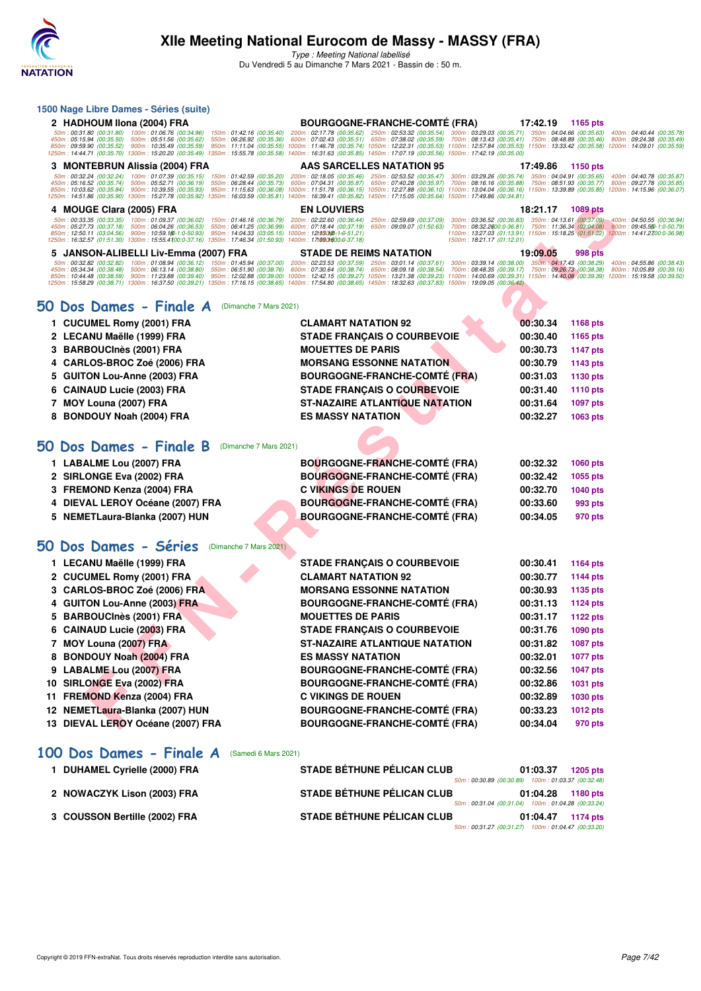

**1500 Nage Libre Dames - Séries (suite)**

# **XIIe Meeting National Eurocom de Massy - MASSY (FRA)**

Type : Meeting National labellisé Du Vendredi 5 au Dimanche 7 Mars 2021 - Bassin de : 50 m.

| 2 HADHOUM IIona (2004) FRA                                                                                                                                                                                                                                  | <b>BOURGOGNE-FRANCHE-COMTE (FRA)</b>                                                                                                                                                                                                                                                                | 17:42.19 | 1165 pts                  |                                                                                                           |
|-------------------------------------------------------------------------------------------------------------------------------------------------------------------------------------------------------------------------------------------------------------|-----------------------------------------------------------------------------------------------------------------------------------------------------------------------------------------------------------------------------------------------------------------------------------------------------|----------|---------------------------|-----------------------------------------------------------------------------------------------------------|
| 50m: 00:31.80 (00:31.80) 100m: 01:06.76 (00:34.96)<br>150m: 01:42.16 (00:35.40)<br>450m: 05:15.94 (00:35.50) 500m: 05:51.56 (00:35.62)<br>550m: 06:26.92 (00:35.36)                                                                                         | 200m: 02:17.78 (00:35.62) 250m: 02:53.32 (00:35.54) 300m: 03:29.03 (00:35.71) 350m: 04:04.66 (00:35.63)<br>600m: 07:02.43 (00:35.51) 650m: 07:38.02 (00:35.59)<br>700m: 08:13.43 (00:35.41) 750m: 08:48.89 (00:35.46)                                                                               |          |                           | 400m: 04:40.44 (00:35.78<br>800m: 09:24.38 (00:35.49                                                      |
| 850m: 09:59.90 (00:35.52) 900m: 10:35.49 (00:35.59)<br>950m: 11:11.04 (00:35.55)<br>1250m : 14:44.71 (00:35.70) 1300m : 15:20.20 (00:35.49) 1350m : 15:55.78 (00:35.58) 1400m : 16:31.63 (00:35.85) 1450m : 17:07.19 (00:35.56) 1500m : 17:42.19 (00:35.00) | 1000m: 11:46.78 (00:35.74) 1050m: 12:22.31 (00:35.53) 1100m: 12:57.84 (00:35.53) 1150m: 13:33.42 (00:35.58) 1200m: 14:09.01 (00:35.59                                                                                                                                                               |          |                           |                                                                                                           |
| 3 MONTEBRUN Alissia (2004) FRA                                                                                                                                                                                                                              | AAS SARCELLES NATATION 95                                                                                                                                                                                                                                                                           | 17:49.86 | 1150 pts                  |                                                                                                           |
| 50m: 00:32.24 (00:32.24)<br>100m: 01:07.39 (00:35.15)<br>150m: 01:42.59 (00:35.20)<br>450m: 05:16.52 (00:35.74)<br>500m: 05:52.71 (00:36.19)<br>550m: 06:28.44 (00:35.73)                                                                                   | 200m: 02:18.05 (00:35.46)<br>250m: 02:53.52 (00:35.47)<br>300m: 03:29.26 (00:35.74) 350m: 04:04.91 (00:35.65)<br>600m: 07:04.31 (00:35.87)<br>650m: 07:40.28 (00:35.97)<br>700m: 08:16.16 (00:35.88)                                                                                                |          | 750m: 08:51.93 (00:35.77) | 400m: 04:40.78 (00:35.87<br>800m: 09:27.78 (00:35.85                                                      |
| 850m: 10:03.62 (00:35.84) 900m: 10:39.55 (00:35.93)<br>950m: 11:15.63 (00:36.08)<br>1250m: 14:51.86 (00:35.90) 1300m: 15:27.78 (00:35.92) 1350m: 16:03.59 (00:35.81) 1400m: 16:39.41 (00:35.82) 1450m: 17:15.05 (00:35.64) 1500m: 17:49.86 (00:34.81)       | 1000m: 11:51.78 (00:36.15) 1050m: 12:27.88 (00:36.10) 1100m: 13:04.04 (00:36.16) 1150m: 13:39.89 (00:35.85) 1200m: 14:15.96 (00:36.07                                                                                                                                                               |          |                           |                                                                                                           |
| 4 MOUGE Clara (2005) FRA                                                                                                                                                                                                                                    | <b>EN LOUVIERS</b>                                                                                                                                                                                                                                                                                  | 18:21.17 | 1089 pts                  |                                                                                                           |
| 50m: 00:33.35 (00:33.35) 100m: 01:09.37 (00:36.02)<br>150m: 01:46.16 (00:36.79)<br>450m: 05:27.73 (00:37.18)<br>500m: 06:04.26 (00:36.53)<br>550m: 06:41.25 (00:36.99)                                                                                      | 200m: 02:22.60 (00:36.44)<br>250m: 02:59.69 (00:37.09) 300m: 03:36.52 (00:36.83) 350m: 04:13.61 (00:37.09)<br>600m: 07:18.44 (00:37.19)<br>650m: 09:09.07 (01:50.63)                                                                                                                                |          |                           | 400m: 04:50.55 (00:36.94<br>700m: 08:32.2600:0-36.81) 750m: 11:36.34 (03:04.08) 800m: 09:45.550-1:0-50.79 |
| 850m: 12:50.11 (03:04.56) 900m: 10:59.180-1:0-50.93)<br>1250m: 16:32.57 (01:51.30) 1300m: 15:55.4100:0-37.16) 1350m: 17:46.34 (01:50.93) 1400m: 17:090t600:0-37.18)                                                                                         | 950m: 14:04.33 (03:05.15) 1000m: 12t030m20-1-0-51.21)<br>1500m: 18:21.17 (01:12.01)                                                                                                                                                                                                                 |          |                           | 1100m: 13:27.03 (01:13.91) 1150m: 15:18.25 (01:51.22) 1200m: 14:41.2700:0-36.98                           |
| 5 JANSON-ALIBELLI Liv-Emma (2007) FRA                                                                                                                                                                                                                       | <b>STADE DE REIMS NATATION</b>                                                                                                                                                                                                                                                                      | 19:09.05 | 998 pts                   |                                                                                                           |
| 50m:00:32.82 (00:32.82) 100m:01:08.94 (00:36.12) 150m:01:45.94 (00:37.00) 200m:02:23.53 (00:37.59) 250m:03:01.14 (00:37.61) 300m:03:39.14 (00:38.00) 350m:04:17.43 (00:38.29) 400m:04:17.43 (00:38.29) 400m:04:55.86 (00:38.43                              |                                                                                                                                                                                                                                                                                                     |          |                           |                                                                                                           |
| 450m: 05:34.34 (00:38.48) 500m: 06:13.14 (00:38.80)<br>550m: 06:51.90 (00:38.76)<br>850m: 10:44.48 (00:38.59) 900m: 11:23.88 (00:39.40)                                                                                                                     | 600m: 07:30.64 (00:38.74) 650m: 08:09.18 (00:38.54) 700m: 08:48.35 (00:39.17) 750m: 09:26.73 (00:38.38) 800m: 10:05.89 (00:39.16<br>950m: 12:02.88 (00:39.00) 1000m: 12:42.15 (00:39.27) 1050m: 13:21.38 (00:39.23) 1100m: 14:00.69 (00:39.31) 1150m: 14:40.08 (00:39.39) 1200m: 15:19.58 (00:39.50 |          |                           |                                                                                                           |
| 1250m: 15:58.29 (00:38.71) 1300m: 16:37.50 (00:39.21) 1350m: 17:16.15 (00:38.65) 1400m: 17:54.80 (00:38.65) 1450m: 18:32.63 (00:37.83) 1500m: 19:09.05 (00:36.42)                                                                                           |                                                                                                                                                                                                                                                                                                     |          |                           |                                                                                                           |
| 50 Dos Dames - Finale A<br>(Dimanche 7 Mars 2021)                                                                                                                                                                                                           |                                                                                                                                                                                                                                                                                                     |          |                           |                                                                                                           |
| 1 CUCUMEL Romy (2001) FRA                                                                                                                                                                                                                                   | <b>CLAMART NATATION 92</b>                                                                                                                                                                                                                                                                          | 00:30.34 | 1168 pts                  |                                                                                                           |
| 2 LECANU Maëlle (1999) FRA                                                                                                                                                                                                                                  | <b>STADE FRANÇAIS O COURBEVOIE</b>                                                                                                                                                                                                                                                                  | 00:30.40 | 1165 pts                  |                                                                                                           |
| <b>BARBOUCInès (2001) FRA</b><br>3                                                                                                                                                                                                                          | <b>MOUETTES DE PARIS</b>                                                                                                                                                                                                                                                                            | 00:30.73 | <b>1147 pts</b>           |                                                                                                           |
| CARLOS-BROC Zoé (2006) FRA<br>4                                                                                                                                                                                                                             | <b>MORSANG ESSONNE NATATION</b>                                                                                                                                                                                                                                                                     | 00:30.79 | 1143 pts                  |                                                                                                           |
| <b>GUITON Lou-Anne (2003) FRA</b><br>5                                                                                                                                                                                                                      | <b>BOURGOGNE-FRANCHE-COMTÉ (FRA)</b>                                                                                                                                                                                                                                                                | 00:31.03 | <b>1130 pts</b>           |                                                                                                           |
| <b>CAINAUD Lucie (2003) FRA</b><br>6                                                                                                                                                                                                                        | <b>STADE FRANÇAIS O COURBEVOIE</b>                                                                                                                                                                                                                                                                  | 00:31.40 | <b>1110 pts</b>           |                                                                                                           |
| 7 MOY Louna (2007) FRA                                                                                                                                                                                                                                      | <b>ST-NAZAIRE ATLANTIQUE NATATION</b>                                                                                                                                                                                                                                                               | 00:31.64 | <b>1097 pts</b>           |                                                                                                           |
| <b>BONDOUY Noah (2004) FRA</b><br>8                                                                                                                                                                                                                         | <b>ES MASSY NATATION</b>                                                                                                                                                                                                                                                                            | 00:32.27 | 1063 pts                  |                                                                                                           |
|                                                                                                                                                                                                                                                             |                                                                                                                                                                                                                                                                                                     |          |                           |                                                                                                           |
| Dos Dames - Finale B<br>50<br>(Dimanche 7 Mars 2021)                                                                                                                                                                                                        |                                                                                                                                                                                                                                                                                                     |          |                           |                                                                                                           |
| 1 LABALME Lou (2007) FRA                                                                                                                                                                                                                                    | <b>BOURGOGNE-FRANCHE-COMTÉ (FRA)</b>                                                                                                                                                                                                                                                                | 00:32.32 | 1060 pts                  |                                                                                                           |
| 2 SIRLONGE Eva (2002) FRA                                                                                                                                                                                                                                   | <b>BOURGOGNE-FRANCHE-COMTÉ (FRA)</b>                                                                                                                                                                                                                                                                | 00:32.42 | 1055 pts                  |                                                                                                           |
| 3 FREMOND Kenza (2004) FRA                                                                                                                                                                                                                                  | <b>C VIKINGS DE ROUEN</b>                                                                                                                                                                                                                                                                           | 00:32.70 | <b>1040 pts</b>           |                                                                                                           |
| DIEVAL LEROY Océane (2007) FRA<br>4                                                                                                                                                                                                                         | <b>BOURGOGNE-FRANCHE-COMTÉ (FRA)</b>                                                                                                                                                                                                                                                                | 00:33.60 | 993 pts                   |                                                                                                           |
| 5 NEMETLaura-Blanka (2007) HUN                                                                                                                                                                                                                              | <b>BOURGOGNE-FRANCHE-COMTÉ (FRA)</b>                                                                                                                                                                                                                                                                | 00:34.05 | 970 pts                   |                                                                                                           |
|                                                                                                                                                                                                                                                             |                                                                                                                                                                                                                                                                                                     |          |                           |                                                                                                           |
| 50 Dos Dames - Séries<br>(Dimanche 7 Mars 2021)                                                                                                                                                                                                             |                                                                                                                                                                                                                                                                                                     |          |                           |                                                                                                           |
| 1 LECANU Maëlle (1999) FRA                                                                                                                                                                                                                                  | <b>STADE FRANÇAIS O COURBEVOIE</b>                                                                                                                                                                                                                                                                  | 00:30.41 | 1164 pts                  |                                                                                                           |
| 2 CUCUMEL Romy (2001) FRA                                                                                                                                                                                                                                   | <b>CLAMART NATATION 92</b>                                                                                                                                                                                                                                                                          | 00:30.77 | <b>1144 pts</b>           |                                                                                                           |
| CARLOS-BROC Zoé (2006) FRA<br>3                                                                                                                                                                                                                             | <b>MORSANG ESSONNE NATATION</b>                                                                                                                                                                                                                                                                     | 00:30.93 | 1135 pts                  |                                                                                                           |
| <b>GUITON Lou-Anne (2003) FRA</b><br>4                                                                                                                                                                                                                      | <b>BOURGOGNE-FRANCHE-COMTÉ (FRA)</b>                                                                                                                                                                                                                                                                | 00:31.13 | <b>1124 pts</b>           |                                                                                                           |
| 5 BARBOUCInès (2001) FRA                                                                                                                                                                                                                                    | <b>MOUETTES DE PARIS</b>                                                                                                                                                                                                                                                                            | 00:31.17 | <b>1122 pts</b>           |                                                                                                           |
| 6 CAINAUD Lucie (2003) FRA                                                                                                                                                                                                                                  | <b>STADE FRANÇAIS O COURBEVOIE</b>                                                                                                                                                                                                                                                                  | 00:31.76 | 1090 pts                  |                                                                                                           |
| 7 MOY Louna (2007) FRA                                                                                                                                                                                                                                      | ST-NAZAIRE ATLANTIQUE NATATION                                                                                                                                                                                                                                                                      | 00:31.82 | <b>1087 pts</b>           |                                                                                                           |
| 8 BONDOUY Noah (2004) FRA                                                                                                                                                                                                                                   | <b>ES MASSY NATATION</b>                                                                                                                                                                                                                                                                            | 00:32.01 | <b>1077 pts</b>           |                                                                                                           |
| 9 LABALME Lou (2007) FRA                                                                                                                                                                                                                                    | <b>BOURGOGNE-FRANCHE-COMTÉ (FRA)</b>                                                                                                                                                                                                                                                                | 00:32.56 | 1047 pts                  |                                                                                                           |
| 10 SIRLONGE Eva (2002) FRA                                                                                                                                                                                                                                  | <b>BOURGOGNE-FRANCHE-COMTÉ (FRA)</b>                                                                                                                                                                                                                                                                | 00:32.86 | 1031 pts                  |                                                                                                           |
| 11 FREMOND Kenza (2004) FRA                                                                                                                                                                                                                                 | <b>C VIKINGS DE ROUEN</b>                                                                                                                                                                                                                                                                           | 00:32.89 | 1030 pts                  |                                                                                                           |
| 12 NEMETLaura-Blanka (2007) HUN                                                                                                                                                                                                                             | <b>BOURGOGNE-FRANCHE-COMTÉ (FRA)</b>                                                                                                                                                                                                                                                                | 00:33.23 | <b>1012 pts</b>           |                                                                                                           |
| 13 DIEVAL LEROY Océane (2007) FRA                                                                                                                                                                                                                           | <b>BOURGOGNE-FRANCHE-COMTÉ (FRA)</b>                                                                                                                                                                                                                                                                | 00:34.04 | 970 pts                   |                                                                                                           |
|                                                                                                                                                                                                                                                             |                                                                                                                                                                                                                                                                                                     |          |                           |                                                                                                           |

**[100 Dos Dames - Finale A](http://www.ffnatation.fr/webffn/resultats.php?idact=nat&go=epr&idcpt=69813&idepr=12)** (Samedi 6 Mars 2021)

| <b>DUHAMEL Cyrielle (2000) FRA</b> | <b>STADE BÉTHUNE PÉLICAN CLUB</b>                  | 01:03.37 | <b>1205 pts</b> |
|------------------------------------|----------------------------------------------------|----------|-----------------|
|                                    | 50m: 00:30.89 (00:30.89) 100m: 01:03.37 (00:32.48) |          |                 |
| 2 NOWACZYK Lison (2003) FRA        | <b>STADE BÉTHUNE PÉLICAN CLUB</b>                  | 01:04.28 | 1180 pts        |
|                                    | 50m: 00:31.04 (00:31.04) 100m: 01:04.28 (00:33.24) |          |                 |
| 3 COUSSON Bertille (2002) FRA      | <b>STADE BÉTHUNE PÉLICAN CLUB</b>                  | 01:04.47 | 1174 pts        |
|                                    | 50m: 00:31.27 (00:31.27) 100m: 01:04.47 (00:33.20) |          |                 |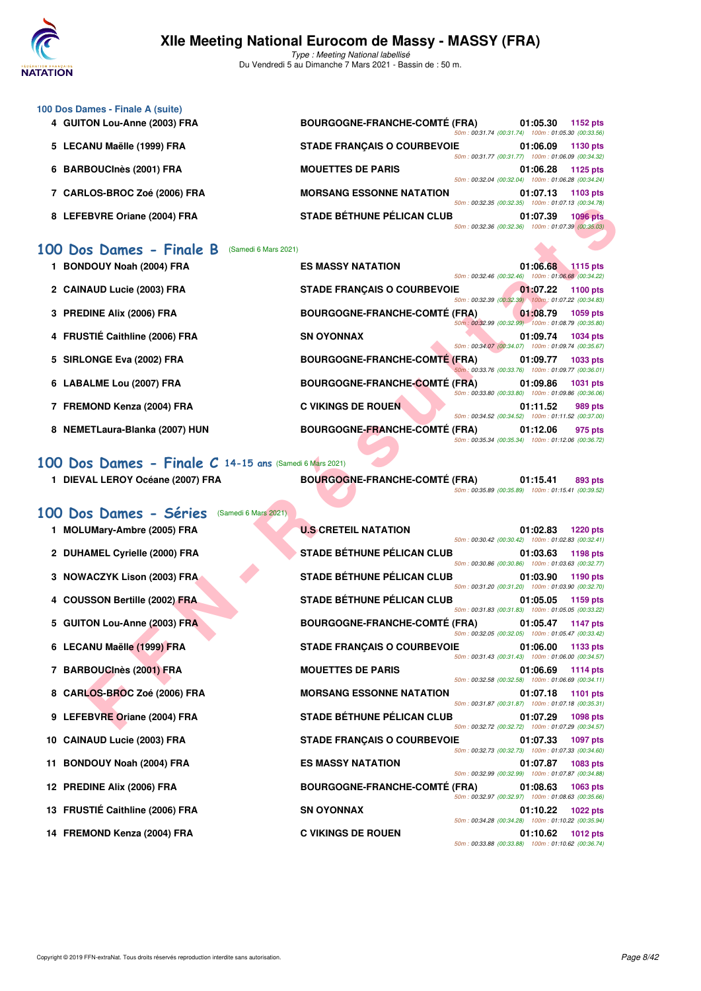

| 100 Dos Dames - Finale A (suite)    |                                      |                                                    |
|-------------------------------------|--------------------------------------|----------------------------------------------------|
| 4 GUITON Lou-Anne (2003) FRA        | <b>BOURGOGNE-FRANCHE-COMTÉ (FRA)</b> | 01:05.30<br>1152 $pts$                             |
|                                     |                                      | 50m: 00:31.74 (00:31.74) 100m: 01:05.30 (00:33.56) |
| 5 LECANU Maëlle (1999) FRA          | <b>STADE FRANÇAIS O COURBEVOIE</b>   | 01:06.09<br><b>1130 pts</b>                        |
|                                     |                                      | 50m: 00:31.77 (00:31.77) 100m: 01:06.09 (00:34.32) |
| <b>BARBOUCInès (2001) FRA</b><br>6. | <b>MOUETTES DE PARIS</b>             | 01:06.28<br>1125 pts                               |
|                                     |                                      | 50m: 00:32.04 (00:32.04) 100m: 01:06.28 (00:34.24) |
| 7 CARLOS-BROC Zoé (2006) FRA        | <b>MORSANG ESSONNE NATATION</b>      | 01:07.13<br>1103 pts                               |
|                                     | 50m: 00:32.35 (00:32.35)             | 100m: 01:07.13 (00:34.78)                          |
| 8 LEFEBVRE Oriane (2004) FRA        | <b>STADE BÉTHUNE PÉLICAN CLUB</b>    | 01:07.39<br><b>1096 pts</b>                        |
|                                     |                                      | 50m: 00:32.36 (00:32.36) 100m: 01:07.39 (00:35.03) |

### **[100 Dos Dames - Finale B](http://www.ffnatation.fr/webffn/resultats.php?idact=nat&go=epr&idcpt=69813&idepr=12)** (Samedi 6 Mars 2021)

| <b>BONDOUY Noah (2004) FRA</b> | <b>ES MASSY NATATION</b>             | 01:06.68<br>1115 pts                                  |
|--------------------------------|--------------------------------------|-------------------------------------------------------|
|                                |                                      | 50m: 00:32.46 (00:32.46)<br>100m: 01:06.68 (00:34.22) |
| 2 CAINAUD Lucie (2003) FRA     | <b>STADE FRANCAIS O COURBEVOIE</b>   | 01:07.22<br>1100 pts                                  |
|                                |                                      | 50m: 00:32.39 (00:32.39) 100m: 01:07.22 (00:34.83)    |
| 3 PREDINE Alix (2006) FRA      | <b>BOURGOGNE-FRANCHE-COMTÉ (FRA)</b> | 01:08.79<br>1059 pts                                  |
|                                |                                      | 50m: 00:32.99 (00:32.99) 100m: 01:08.79 (00:35.80)    |
| 4 FRUSTIÉ Caithline (2006) FRA | <b>SN OYONNAX</b>                    | 01:09.74<br>1034 pts                                  |
|                                |                                      | 50m: 00:34.07 (00:34.07) 100m: 01:09.74 (00:35.67)    |
| 5 SIRLONGE Eva (2002) FRA      | <b>BOURGOGNE-FRANCHE-COMTÉ (FRA)</b> | 01:09.77<br>1033 pts                                  |
|                                |                                      | 50m: 00:33.76 (00:33.76) 100m: 01:09.77 (00:36.01)    |
| 6 LABALME Lou (2007) FRA       | <b>BOURGOGNE-FRANCHE-COMTÉ (FRA)</b> | 01:09.86<br><b>1031 pts</b>                           |
|                                |                                      | 50m: 00:33.80 (00:33.80) 100m: 01:09.86 (00:36.06)    |
| 7 FREMOND Kenza (2004) FRA     | <b>C VIKINGS DE ROUEN</b>            | 01:11.52<br>989 pts                                   |
|                                |                                      | 50m: 00:34.52 (00:34.52) 100m: 01:11.52 (00:37.00)    |
|                                |                                      |                                                       |
| 8 NEMETLaura-Blanka (2007) HUN | <b>BOURGOGNE-FRANCHE-COMTÉ (FRA)</b> | 01:12.06<br>975 pts                                   |
|                                |                                      | 50m: 00:35.34 (00:35.34) 100m: 01:12.06 (00:36.72)    |

# **[100 Dos Dames - Finale C](http://www.ffnatation.fr/webffn/resultats.php?idact=nat&go=epr&idcpt=69813&idepr=12) 14-15 ans** (Samedi 6 Mars 2021)

| DIEVAL LEROY Océane (2007) FRA              |  | <b>BOURGOGNE-FRANCHE-COMTÉ (FRA)</b> | 01:15.41                                          | 893 pts |
|---------------------------------------------|--|--------------------------------------|---------------------------------------------------|---------|
|                                             |  |                                      | 50m: 00:35.89 (00:35.89) 100m: 01:15.41 (00:39.52 |         |
| 100 Dos Dames - Séries (Samedi 6 Mars 2021) |  |                                      |                                                   |         |

|    | 8 LEFEBVRE Oriane (2004) FRA                                                  | <b>STADE BÉTHUNE PÉLICAN CLUB</b>    | וטט. אט. וויטט (סט. אטי<br>50m: 00:32.36 (00:32.36) 100m: 01:07.39 (00:35.03)                            | $100111.01.01.10$ $100.04.10$<br>01:07.39 | <b>1096 pts</b> |
|----|-------------------------------------------------------------------------------|--------------------------------------|----------------------------------------------------------------------------------------------------------|-------------------------------------------|-----------------|
|    | 100 Dos Dames - Finale B<br>(Samedi 6 Mars 2021)<br>1 BONDOUY Noah (2004) FRA | <b>ES MASSY NATATION</b>             |                                                                                                          | 01:06.68                                  | $1115$ pts      |
|    | 2 CAINAUD Lucie (2003) FRA                                                    | <b>STADE FRANÇAIS O COURBEVOIE</b>   | 50m: 00:32.46 (00:32.46) 100m: 01:06.68 (00:34.22)                                                       | 01:07.22                                  | 1100 pts        |
|    | 3 PREDINE Alix (2006) FRA                                                     | <b>BOURGOGNE-FRANCHE-COMTE (FRA)</b> | 50m: 00:32.39 (00:32.39) 100m: 01:07.22 (00:34.83)<br>50m: 00:32.99 (00:32.99) 100m: 01:08.79 (00:35.80) | 01:08.79                                  | 1059 pts        |
|    | 4 FRUSTIÉ Caithline (2006) FRA                                                | <b>SN OYONNAX</b>                    | 50m: 00:34.07 (00:34.07) 100m: 01:09.74 (00:35.67)                                                       | 01:09.74                                  | 1034 pts        |
|    | 5 SIRLONGE Eva (2002) FRA                                                     | <b>BOURGOGNE-FRANCHE-COMTÉ (FRA)</b> | 50m: 00:33.76 (00:33.76) 100m: 01:09.77 (00:36.01)                                                       | 01:09.77                                  | 1033 pts        |
|    | 6 LABALME Lou (2007) FRA                                                      | <b>BOURGOGNE-FRANCHE-COMTÉ (FRA)</b> | 50m: 00:33.80 (00:33.80) 100m: 01:09.86 (00:36.06)                                                       | 01:09.86                                  | 1031 pts        |
|    | 7 FREMOND Kenza (2004) FRA                                                    | <b>C VIKINGS DE ROUEN</b>            | 50m: 00:34.52 (00:34.52) 100m: 01:11.52 (00:37.00)                                                       | 01:11.52                                  | 989 pts         |
|    | 8 NEMETLaura-Blanka (2007) HUN                                                | <b>BOURGOGNE-FRANCHE-COMTÉ (FRA)</b> | 50m: 00:35.34 (00:35.34) 100m: 01:12.06 (00:36.72)                                                       | 01:12.06                                  | 975 pts         |
|    | 100 Dos Dames - Finale C 14-15 ans (Samedi 6 Mars 2021)                       |                                      |                                                                                                          |                                           |                 |
|    | 1 DIEVAL LEROY Océane (2007) FRA                                              | <b>BOURGOGNE-FRANCHE-COMTÉ (FRA)</b> | 50m: 00:35.89 (00:35.89) 100m: 01:15.41 (00:39.52)                                                       | 01:15.41                                  | 893 pts         |
|    | 100 Dos Dames - Séries<br>(Samedi 6 Mars 2021)                                |                                      |                                                                                                          |                                           |                 |
| 1. | MOLUMary-Ambre (2005) FRA                                                     | <b>U.S CRETEIL NATATION</b>          | 50m: 00:30.42 (00:30.42) 100m: 01:02.83 (00:32.41)                                                       | 01:02.83                                  | <b>1220 pts</b> |
|    | 2 DUHAMEL Cyrielle (2000) FRA                                                 | STADE BÉTHUNE PÉLICAN CLUB           | 50m: 00:30.86 (00:30.86) 100m: 01:03.63 (00:32.77)                                                       | 01:03.63                                  | 1198 pts        |
|    | 3 NOWACZYK Lison (2003) FRA                                                   | <b>STADE BÉTHUNE PÉLICAN CLUB</b>    | 50m: 00:31.20 (00:31.20) 100m: 01:03.90 (00:32.70)                                                       | 01:03.90                                  | 1190 pts        |
|    | <b>COUSSON Bertille (2002) FRA</b>                                            | <b>STADE BÉTHUNE PÉLICAN CLUB</b>    | 50m: 00:31.83 (00:31.83) 100m: 01:05.05 (00:33.22)                                                       | 01:05.05                                  | 1159 pts        |
|    | 5 GUITON Lou-Anne (2003) FRA                                                  | <b>BOURGOGNE-FRANCHE-COMTÉ (FRA)</b> | 50m: 00:32.05 (00:32.05) 100m: 01:05.47 (00:33.42)                                                       | 01:05.47                                  | 1147 pts        |
|    | 6 LECANU Maëlle (1999) FRA                                                    | <b>STADE FRANÇAIS O COURBEVOIE</b>   | 50m: 00:31.43 (00:31.43) 100m: 01:06.00 (00:34.57)                                                       | 01:06.00                                  | 1133 pts        |
|    | 7 BARBOUCInès (2001) FRA                                                      | <b>MOUETTES DE PARIS</b>             | 50m: 00:32.58 (00:32.58) 100m: 01:06.69 (00:34.11)                                                       | 01:06.69                                  | <b>1114 pts</b> |
|    | 8 CARLOS-BROC Zoé (2006) FRA                                                  | <b>MORSANG ESSONNE NATATION</b>      | 50m: 00:31.87 (00:31.87) 100m: 01:07.18 (00:35.31)                                                       | 01:07.18                                  | 1101 pts        |
|    | 9 LEFEBVRE Oriane (2004) FRA                                                  | <b>STADE BÉTHUNE PÉLICAN CLUB</b>    | 50m: 00:32.72 (00:32.72) 100m: 01:07.29 (00:34.57)                                                       | 01:07.29                                  | <b>1098 pts</b> |
|    | 10 CAINAUD Lucie (2003) FRA                                                   | <b>STADE FRANÇAIS O COURBEVOIE</b>   |                                                                                                          | 01:07.33                                  | 1097 pts        |
|    | 11 BONDOUY Noah (2004) FRA                                                    | <b>ES MASSY NATATION</b>             | 50m: 00:32.73 (00:32.73) 100m: 01:07.33 (00:34.60)                                                       | 01:07.87                                  | 1083 pts        |
|    | 12 PREDINE Alix (2006) FRA                                                    | <b>BOURGOGNE-FRANCHE-COMTE (FRA)</b> | 50m: 00:32.99 (00:32.99) 100m: 01:07.87 (00:34.88)                                                       | 01:08.63                                  | <b>1063 pts</b> |
|    | 13 FRUSTIÉ Caithline (2006) FRA                                               | <b>SN OYONNAX</b>                    | 50m: 00:32.97 (00:32.97) 100m: 01:08.63 (00:35.66)                                                       | 01:10.22                                  | 1022 pts        |
|    | 14 FREMOND Kenza (2004) FRA                                                   | <b>C VIKINGS DE ROUEN</b>            | 50m: 00:34.28 (00:34.28) 100m: 01:10.22 (00:35.94)<br>50m: 00:33.88 (00:33.88) 100m: 01:10.62 (00:36.74) | 01:10.62                                  | 1012 pts        |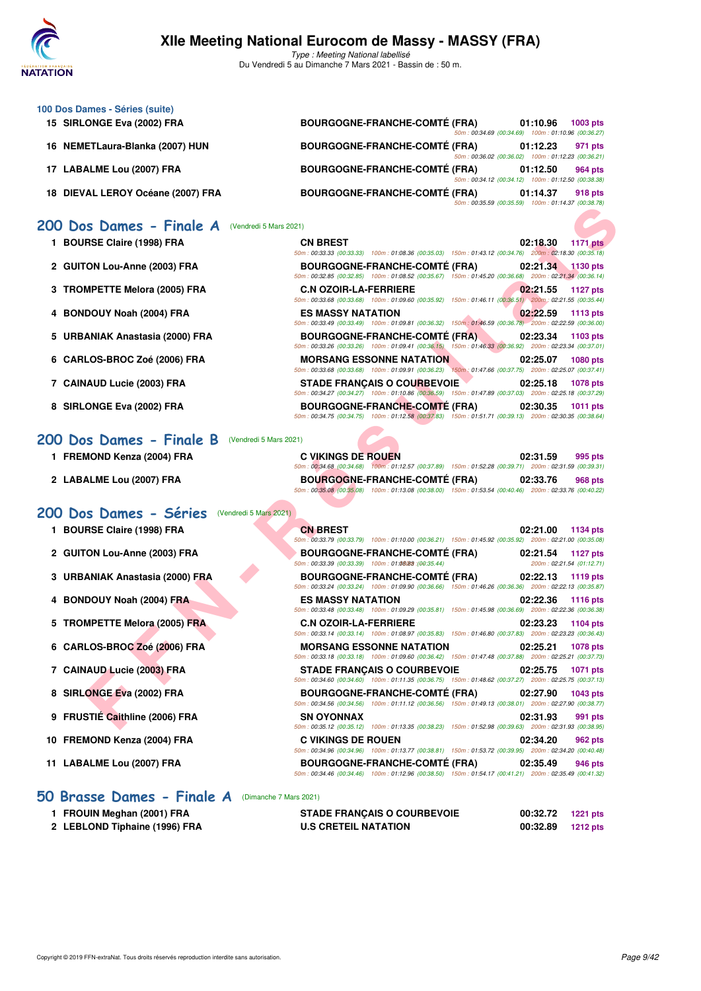

| 100 Dos Dames - Séries (suite)                     |                                                                                                                                                                              |
|----------------------------------------------------|------------------------------------------------------------------------------------------------------------------------------------------------------------------------------|
| 15 SIRLONGE Eva (2002) FRA                         | <b>BOURGOGNE-FRANCHE-COMTÉ (FRA)</b><br>01:10.96<br>1003 pts<br>50m: 00:34.69 (00:34.69) 100m: 01:10.96 (00:36.27)                                                           |
| 16 NEMETLaura-Blanka (2007) HUN                    | <b>BOURGOGNE-FRANCHE-COMTÉ (FRA)</b><br>01:12.23<br>971 pts<br>50m: 00:36.02 (00:36.02) 100m: 01:12.23 (00:36.21)                                                            |
| 17 LABALME Lou (2007) FRA                          | <b>BOURGOGNE-FRANCHE-COMTÉ (FRA)</b><br>01:12.50<br>964 pts<br>50m: 00:34.12 (00:34.12) 100m: 01:12.50 (00:38.38)                                                            |
| 18 DIEVAL LEROY Océane (2007) FRA                  | <b>BOURGOGNE-FRANCHE-COMTÉ (FRA)</b><br>01:14.37<br>918 pts<br>50m: 00:35.59 (00:35.59) 100m: 01:14.37 (00:38.78)                                                            |
| 200 Dos Dames - Finale A<br>(Vendredi 5 Mars 2021) |                                                                                                                                                                              |
| 1 BOURSE Claire (1998) FRA                         | <b>CN BREST</b><br>02:18.30<br><b>1171 pts</b><br>50m: 00:33.33 (00:33.33) 100m: 01:08.36 (00:35.03) 150m: 01:43.12 (00:34.76) 200m: 02:18.30 (00:35.18)                     |
| 2 GUITON Lou-Anne (2003) FRA                       | <b>BOURGOGNE-FRANCHE-COMTE (FRA)</b><br>02:21.34<br>1130 pts<br>50m : 00:32.85 (00:32.85) 100m : 01:08.52 (00:35.67) 150m : 01:45.20 (00:36.68) 200m : 02:21.34 (00:36.14)   |
| 3 TROMPETTE Melora (2005) FRA                      | <b>C.N OZOIR-LA-FERRIERE</b><br>02:21.55<br><b>1127 pts</b><br>50m : 00:33.68 (00:33.68) 100m : 01:09.60 (00:35.92) 150m : 01:46.11 (00:36.51) 200m : 02:21.55 (00:35.44)    |
| <b>BONDOUY Noah (2004) FRA</b><br>4                | <b>ES MASSY NATATION</b><br>02:22.59<br>1113 pts<br>50m: 00:33.49 (00:33.49) 100m: 01:09.81 (00:36.32) 150m: 01:46.59 (00:36.78) 200m: 02:22.59 (00:36.00)                   |
| 5 URBANIAK Anastasia (2000) FRA                    | <b>BOURGOGNE-FRANCHE-COMTE (FRA).</b><br>02:23.34<br>1103 pts<br>50m: 00:33.26 (00:33.26) 100m: 01:09.41 (00:36.15) 150m: 01:46.33 (00:36.92) 200m: 02:23.34 (00:37.01)      |
| 6 CARLOS-BROC Zoé (2006) FRA                       | <b>MORSANG ESSONNE NATATION</b><br>02:25.07<br><b>1080 pts</b><br>50m : 00:33.68 (00:33.68) 100m : 01:09.91 (00:36.23) 150m : 01:47.66 (00:37.75) 200m : 02:25.07 (00:37.41) |
| 7 CAINAUD Lucie (2003) FRA                         | <b>STADE FRANCAIS O COURBEVOIE</b><br>02:25.18<br><b>1078 pts</b>                                                                                                            |
| 8 SIRLONGE Eva (2002) FRA                          | 50m : 00:34.27 (00:34.27) 100m : 01:10.86 (00:36.59) 150m : 01:47.89 (00:37.03) 200m : 02:25.18 (00:37.29)<br><b>BOURGOGNE-FRANCHE-COMTE (FRA)</b><br>02:30.35<br>1011 pts   |
|                                                    | 50m : 00:34.75 (00:34.75) 100m : 01:12.58 (00:37.83) 150m : 01:51.71 (00:39.13) 200m : 02:30.35 (00:38.64)                                                                   |
| 200 Dos Dames - Finale B<br>(Vendredi 5 Mars 2021) |                                                                                                                                                                              |
| 1 FREMOND Kenza (2004) FRA                         | <b>C VIKINGS DE ROUEN</b><br>02:31.59<br>995 pts<br>50m: 00:34.68 (00:34.68) 100m: 01:12.57 (00:37.89) 150m: 01:52.28 (00:39.71) 200m: 02:31.59 (00:39.31)                   |
| 2 LABALME Lou (2007) FRA                           | <b>BOURGOGNE-FRANCHE-COMTE (FRA)</b><br>02:33.76<br>968 pts<br>50m: 00:35.08 (00:35.08) 100m: 01:13.08 (00:38.00) 150m: 01:53.54 (00:40.46) 200m: 02:33.76 (00:40.22)        |
| 200 Dos Dames - Séries<br>(Vendredi 5 Mars 2021)   |                                                                                                                                                                              |
| 1 BOURSE Claire (1998) FRA                         | <b>CN BREST</b><br>02:21.00<br>1134 pts<br>50m : 00:33.79 (00:33.79) 100m : 01:10.00 (00:36.21) 150m : 01:45.92 (00:35.92) 200m : 02:21.00 (00:35.08)                        |
| 2 GUITON Lou-Anne (2003) FRA                       | <b>BOURGOGNE-FRANCHE-COMTE (FRA)</b><br>02:21.54<br><b>1127 pts</b><br>50m: 00:33.39 (00:33.39) 100m: 01:08:88 : (00:35.44)<br>200m: 02:21.54 (01:12.71)                     |
| 3 URBANIAK Anastasia (2000) FRA                    | <b>BOURGOGNE-FRANCHE-COMTE (FRA)</b><br>02:22.13<br>1119 pts<br>50m : 00:33.24 (00:33.24) 100m : 01:09.90 (00:36.66) 150m : 01:46.26 (00:36.36) 200m : 02:22.13 (00:35.87)   |
| 4 BONDOUY Noah (2004) FRA                          | <b>ES MASSY NATATION</b><br>02:22.36<br><b>1116 pts</b><br>50m: 00:33.48 (00:33.48) 100m: 01:09.29 (00:35.81) 150m: 01:45.98 (00:36.69) 200m: 02:22.36 (00:36.38)            |
| 5 TROMPETTE Melora (2005) FRA                      | <b>C.N OZOIR-LA-FERRIERE</b><br>02:23.23<br>1104 pts                                                                                                                         |
| 6 CARLOS-BROC Zoé (2006) FRA                       | 50m : 00:33.14 (00:33.14) 100m : 01:08.97 (00:35.83) 150m : 01:46.80 (00:37.83) 200m : 02:23.23 (00:36.43)<br><b>MORSANG ESSONNE NATATION</b><br>02:25.21<br><b>1078 pts</b> |
| 7 CAINAUD Lucie (2003) FRA                         | 50m: 00:33.18 (00:33.18) 100m: 01:09.60 (00:36.42) 150m: 01:47.48 (00:37.88) 200m: 02:25.21 (00:37.73)<br><b>STADE FRANÇAIS O COURBEVOIE</b><br>02:25.75<br>1071 pts         |
| 8 SIRLONGE Eva (2002) FRA                          | 50m: 00:34.60 (00:34.60) 100m: 01:11.35 (00:36.75) 150m: 01:48.62 (00:37.27) 200m: 02:25.75 (00:37.13)<br><b>BOURGOGNE-FRANCHE-COMTÉ (FRA)</b><br>02:27.90<br>1043 pts       |
|                                                    | 50m: 00:34.56 (00:34.56) 100m: 01:11.12 (00:36.56) 150m: 01:49.13 (00:38.01) 200m: 02:27.90 (00:38.77)                                                                       |
| 9 FRUSTIÉ Caithline (2006) FRA                     | <b>SN OYONNAX</b><br>02:31.93<br>991 pts<br>50m: 00:35.12 (00:35.12) 100m: 01:13.35 (00:38.23) 150m: 01:52.98 (00:39.63) 200m: 02:31.93 (00:38.95)                           |

50m : 00:34.96 (00:34.96) 100m : 01:13.77 (00:38.81) 150m : 01:53.72 (00:39.95) 200m : 02:34.20 (00:40.48)

50m : 00:34.46 (00:34.46) 100m : 01:12.96 (00:38.50) 150m : 01:54.17 (00:41.21) 200m : 02:35.49 (00:41.32)

- **4 BONDOUY Noah (2004) FRA ES MASSY NATATION 02:22.59 1113 pts**
- **5 URBANIAK Anastasia (2000) FRA BOURGOGNE-FRANCHE-COMTÉ (FRA) 02:23.34 1103 pts**
- **6 CARLOS-BROC Zoé (2006) FRA MORSANG ESSONNE NATATION 02:25.07 1080 pts**
- **7 CAINAUD Lucie (2003) FRA STADE FRANÇAIS O COURBEVOIE 02:25.18 1078 pts**
- **8 SIRLONGE Eva (2002) FRA BOURGOGNE-FRANCHE-COMTÉ (FRA) 02:30.35 1011 pts**

### [200 Dos Dames - Finale B](http://www.ffnatation.fr/webffn/resultats.php?idact=nat&go=epr&idcpt=69813&idepr=13) (Vendredi 5 Mars 2021)

- **1 FREMOND Kenza (2004) FRA C VIKINGS DE ROUEN 02:31.59 995 pts**
- **2 LABALME Lou (2007) FRA BOURGOGNE-FRANCHE-COMTÉ (FRA) 02:33.76 968 pts**

### **[200 Dos Dames - Séries](http://www.ffnatation.fr/webffn/resultats.php?idact=nat&go=epr&idcpt=69813&idepr=13)** (Vendredi 5 Mars 2021)

- **2 GUITON Lou-Anne (2003) FRA BOURGOGNE-FRANCHE-COMTÉ (FRA) 02:21.54 1127 pts**
- **3 URBANIAK Anastasia (2000) FRA BOURGOGNE-FRANCHE-COMTÉ (FRA) 02:22.13 1119 pts**
- **4 BONDOUY Noah (2004) FRA ES MASSY NATATION 02:22.36 1116 pts**
- **5 TROMPETTE Melora (2005) FRA C.N OZOIR-LA-FERRIERE 02:23.23 1104 pts**
- **6 CARLOS-BROC Zoé (2006) FRA MORSANG ESSONNE NATATION 02:25.21 1078 pts**
- **7 CAINAUD Lucie (2003) FRA STADE FRANÇAIS O COURBEVOIE 02:25.75 1071 pts**
- **8 SIRLONGE Eva (2002) FRA BOURGOGNE-FRANCHE-COMTÉ (FRA) 02:27.90 1043 pts**
- **9 FRUSTIÉ Caithline (2006) FRA SN OYONNAX 02:31.93 991 pts**
- **10 FREMOND Kenza (2004) FRA C VIKINGS DE ROUEN 02:34.20 962 pts**
- **11 LABALME Lou (2007) FRA BOURGOGNE-FRANCHE-COMTÉ (FRA) 02:35.49 946 pts**

### **[50 Brasse Dames - Finale A](http://www.ffnatation.fr/webffn/resultats.php?idact=nat&go=epr&idcpt=69813&idepr=21)** (Dimanche 7 Mars 2021)

| 1 FROUIN Meghan (2001) FRA    | <b>STADE FRANÇAIS O COURBEVOIE</b> | 00:32.72 1221 pts |          |
|-------------------------------|------------------------------------|-------------------|----------|
| 2 LEBLOND Tiphaine (1996) FRA | <b>U.S CRETEIL NATATION</b>        | 00:32.89          | 1212 pts |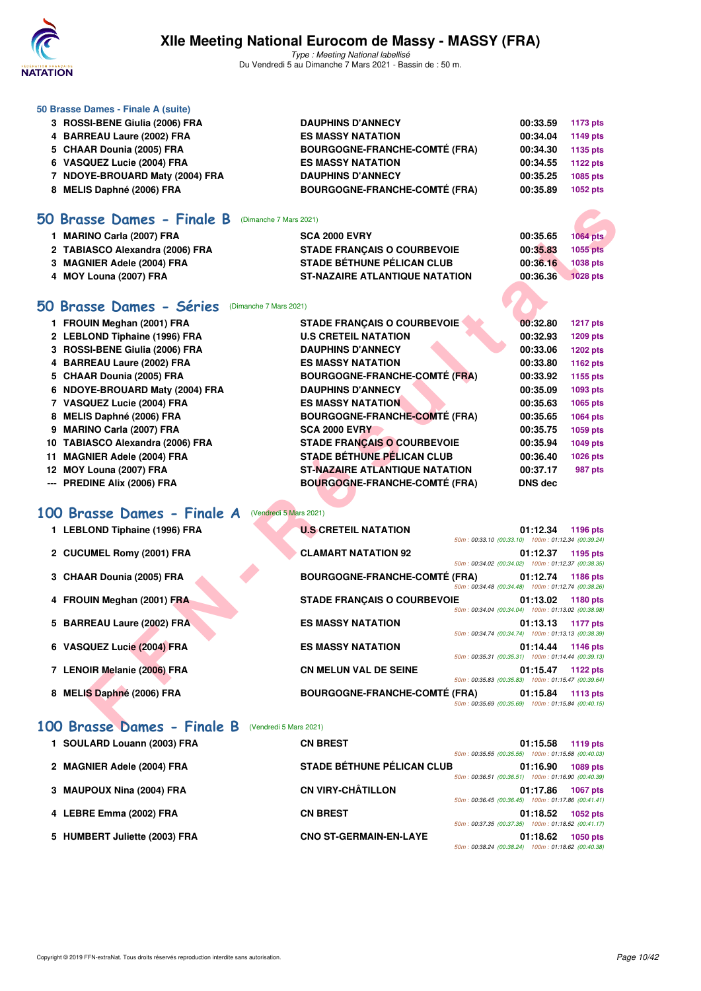

Type : Meeting National labellisé Du Vendredi 5 au Dimanche 7 Mars 2021 - Bassin de : 50 m.

| 50 Brasse Dames - Finale A (suite) |                                      |          |          |
|------------------------------------|--------------------------------------|----------|----------|
| 3 ROSSI-BENE Giulia (2006) FRA     | <b>DAUPHINS D'ANNECY</b>             | 00:33.59 | 1173 pts |
| 4 BARREAU Laure (2002) FRA         | <b>ES MASSY NATATION</b>             | 00:34.04 | 1149 pts |
| 5 CHAAR Dounia (2005) FRA          | <b>BOURGOGNE-FRANCHE-COMTÉ (FRA)</b> | 00:34.30 | 1135 pts |
| 6 VASQUEZ Lucie (2004) FRA         | <b>ES MASSY NATATION</b>             | 00:34.55 | 1122 pts |
| NDOYE-BROUARD Maty (2004) FRA      | <b>DAUPHINS D'ANNECY</b>             | 00:35.25 | 1085 pts |
| 8 MELIS Daphné (2006) FRA          | <b>BOURGOGNE-FRANCHE-COMTÉ (FRA)</b> | 00:35.89 | 1052 pts |
|                                    |                                      |          |          |

### **[50 Brasse Dames - Finale B](http://www.ffnatation.fr/webffn/resultats.php?idact=nat&go=epr&idcpt=69813&idepr=21)** (Dimanche 7 Mars 2021)

| <b>MARINO Carla (2007) FRA</b>  | <b>SCA 2000 EVRY</b>                  | 00:35.65 | 1064 pts        |
|---------------------------------|---------------------------------------|----------|-----------------|
| 2 TABIASCO Alexandra (2006) FRA | <b>STADE FRANCAIS O COURBEVOIE</b>    | 00:35.83 | $1055$ pts      |
| 3 MAGNIER Adele (2004) FRA      | <b>STADE BÉTHUNE PÉLICAN CLUB</b>     | 00:36.16 | <b>1038 pts</b> |
| 4 MOY Louna (2007) FRA          | <b>ST-NAZAIRE ATLANTIQUE NATATION</b> | 00:36.36 | <b>1028 pts</b> |

## **[50 Brasse Dames - Séries](http://www.ffnatation.fr/webffn/resultats.php?idact=nat&go=epr&idcpt=69813&idepr=21)** (Dimanche 7 Mars 2021)

| 1 FROUIN Meghan (2001) FRA       | <b>STADE FRANCAIS O COURBEVOIE</b>    | 00:32.80       | <b>1217 pts</b> |
|----------------------------------|---------------------------------------|----------------|-----------------|
| 2 LEBLOND Tiphaine (1996) FRA    | <b>U.S CRETEIL NATATION</b>           | 00:32.93       | 1209 pts        |
| 3 ROSSI-BENE Giulia (2006) FRA   | <b>DAUPHINS D'ANNECY</b>              | 00:33.06       | 1202 pts        |
| 4 BARREAU Laure (2002) FRA       | <b>ES MASSY NATATION</b>              | 00:33.80       | 1162 pts        |
| 5 CHAAR Dounia (2005) FRA        | <b>BOURGOGNE-FRANCHE-COMTÉ (FRA)</b>  | 00:33.92       | 1155 pts        |
| 6 NDOYE-BROUARD Maty (2004) FRA  | <b>DAUPHINS D'ANNECY</b>              | 00:35.09       | 1093 pts        |
| 7 VASQUEZ Lucie (2004) FRA       | <b>ES MASSY NATATION</b>              | 00:35.63       | 1065 pts        |
| 8 MELIS Daphné (2006) FRA        | <b>BOURGOGNE-FRANCHE-COMTÉ (FRA)</b>  | 00:35.65       | 1064 pts        |
| 9 MARINO Carla (2007) FRA        | <b>SCA 2000 EVRY</b>                  | 00:35.75       | 1059 pts        |
| 10 TABIASCO Alexandra (2006) FRA | <b>STADE FRANCAIS O COURBEVOIE</b>    | 00:35.94       | 1049 pts        |
| 11 MAGNIER Adele (2004) FRA      | <b>STADE BÉTHUNE PÉLICAN CLUB</b>     | 00:36.40       | 1026 pts        |
| 12 MOY Louna (2007) FRA          | <b>ST-NAZAIRE ATLANTIQUE NATATION</b> | 00:37.17       | 987 pts         |
| --- PREDINE Alix (2006) FRA      | <b>BOURGOGNE-FRANCHE-COMTÉ (FRA)</b>  | <b>DNS</b> dec |                 |
|                                  |                                       |                |                 |

# **[100 Brasse Dames - Finale A](http://www.ffnatation.fr/webffn/resultats.php?idact=nat&go=epr&idcpt=69813&idepr=22)** (Vendredi 5 Mars 2021)

|     | 50 Brasse Dames - Finale B<br>(Dimanche 7 Mars 2021)        |                                                      |                                                    |                      |                      |
|-----|-------------------------------------------------------------|------------------------------------------------------|----------------------------------------------------|----------------------|----------------------|
|     | 1 MARINO Carla (2007) FRA                                   | <b>SCA 2000 EVRY</b>                                 |                                                    | 00:35.65             | 1064 pts             |
|     | 2 TABIASCO Alexandra (2006) FRA                             | <b>STADE FRANÇAIS O COURBEVOIE</b>                   |                                                    | 00:35.83             | 1055 pts             |
|     | 3 MAGNIER Adele (2004) FRA                                  | <b>STADE BÉTHUNE PÉLICAN CLUB</b>                    |                                                    | 00:36.16             | 1038 pts             |
|     | 4 MOY Louna (2007) FRA                                      | <b>ST-NAZAIRE ATLANTIQUE NATATION</b>                |                                                    | 00:36.36             | <b>1028 pts</b>      |
|     | 50 Brasse Dames - Séries<br>(Dimanche 7 Mars 2021)          |                                                      |                                                    |                      |                      |
|     | 1 FROUIN Meghan (2001) FRA                                  | <b>STADE FRANCAIS O COURBEVOIE</b>                   |                                                    | 00:32.80             | <b>1217 pts</b>      |
|     | 2 LEBLOND Tiphaine (1996) FRA                               | <b>U.S CRETEIL NATATION</b>                          |                                                    | 00:32.93             | 1209 pts             |
|     | 3 ROSSI-BENE Giulia (2006) FRA                              | <b>DAUPHINS D'ANNECY</b>                             |                                                    | 00:33.06             | <b>1202 pts</b>      |
| 4   | <b>BARREAU Laure (2002) FRA</b>                             | <b>ES MASSY NATATION</b>                             |                                                    | 00:33.80             | 1162 pts             |
|     | 5 CHAAR Dounia (2005) FRA                                   | <b>BOURGOGNE-FRANCHE-COMTÉ (FRA)</b>                 |                                                    | 00:33.92             | 1155 pts             |
| 6   | NDOYE-BROUARD Maty (2004) FRA<br>7 VASQUEZ Lucie (2004) FRA | <b>DAUPHINS D'ANNECY</b><br><b>ES MASSY NATATION</b> |                                                    | 00:35.09<br>00:35.63 | 1093 pts             |
| 8   | MELIS Daphné (2006) FRA                                     | <b>BOURGOGNE-FRANCHE-COMTÉ (FRA)</b>                 |                                                    | 00:35.65             | 1065 pts<br>1064 pts |
| 9   | <b>MARINO Carla (2007) FRA</b>                              | <b>SCA 2000 EVRY</b>                                 |                                                    | 00:35.75             | 1059 pts             |
|     | 10 TABIASCO Alexandra (2006) FRA                            | <b>STADE FRANÇAIS O COURBEVOIE</b>                   |                                                    | 00:35.94             | 1049 pts             |
| 11  | <b>MAGNIER Adele (2004) FRA</b>                             | <b>STADE BÉTHUNE PÉLICAN CLUB</b>                    |                                                    | 00:36.40             | <b>1026 pts</b>      |
|     | 12 MOY Louna (2007) FRA                                     | <b>ST-NAZAIRE ATLANTIQUE NATATION</b>                |                                                    | 00:37.17             | 987 pts              |
| --- | PREDINE Alix (2006) FRA                                     | <b>BOURGOGNE-FRANCHE-COMTÉ (FRA)</b>                 |                                                    | <b>DNS</b> dec       |                      |
|     | 100 Brasse Dames - Finale A<br>(Vendredi 5 Mars 2021)       |                                                      |                                                    |                      |                      |
|     |                                                             |                                                      |                                                    |                      |                      |
|     | 1 LEBLOND Tiphaine (1996) FRA                               | <b>U.S CRETEIL NATATION</b>                          | 50m: 00:33.10 (00:33.10) 100m: 01:12.34 (00:39.24) | 01:12.34             | 1196 pts             |
|     | 2 CUCUMEL Romy (2001) FRA                                   | <b>CLAMART NATATION 92</b>                           | 50m: 00:34.02 (00:34.02) 100m: 01:12.37 (00:38.35) | 01:12.37             | 1195 pts             |
|     | 3 CHAAR Dounia (2005) FRA                                   | <b>BOURGOGNE-FRANCHE-COMTÉ (FRA)</b>                 | 50m: 00:34.48 (00:34.48) 100m: 01:12.74 (00:38.26) | 01:12.74             |                      |
| 4   | FROUIN Meghan (2001) FRA                                    | <b>STADE FRANÇAIS O COURBEVOIE</b>                   | 50m: 00:34.04 (00:34.04) 100m: 01:13.02 (00:38.98) | 01:13.02             | 1186 pts<br>1180 pts |
| 5   | <b>BARREAU Laure (2002) FRA</b>                             | <b>ES MASSY NATATION</b>                             | 50m: 00:34.74 (00:34.74) 100m: 01:13.13 (00:38.39) | 01:13.13             | 1177 pts             |
| 6   | <b>VASQUEZ Lucie (2004) FRA</b>                             | <b>ES MASSY NATATION</b>                             | 50m: 00:35.31 (00:35.31) 100m: 01:14.44 (00:39.13) | 01:14.44             | 1146 pts             |
|     | 7 LENOIR Melanie (2006) FRA                                 | <b>CN MELUN VAL DE SEINE</b>                         | 50m: 00:35.83 (00:35.83) 100m: 01:15.47 (00:39.64) | 01:15.47             | 1122 pts             |

### [100 Brasse Dames - Finale B](http://www.ffnatation.fr/webffn/resultats.php?idact=nat&go=epr&idcpt=69813&idepr=22) (Vendredi 5 Mars 2021)

| 1 SOULARD Louann (2003) FRA   | <b>CN BREST</b>                   |                                                    | 01:15.58 | 1119 pts        |
|-------------------------------|-----------------------------------|----------------------------------------------------|----------|-----------------|
| 2 MAGNIER Adele (2004) FRA    | <b>STADE BÉTHUNE PÉLICAN CLUB</b> | 50m: 00:35.55 (00:35.55) 100m: 01:15.58 (00:40.03) | 01:16.90 | 1089 pts        |
|                               |                                   | 50m: 00:36.51 (00:36.51) 100m: 01:16.90 (00:40.39) |          |                 |
| 3 MAUPOUX Nina (2004) FRA     | <b>CN VIRY-CHÂTILLON</b>          | 50m: 00:36.45 (00:36.45) 100m: 01:17.86 (00:41.41) | 01:17.86 | <b>1067 pts</b> |
| 4 LEBRE Emma (2002) FRA       | <b>CN BREST</b>                   | 50m: 00:37.35 (00:37.35) 100m: 01:18.52 (00:41.17) | 01:18.52 | 1052 pts        |
| 5 HUMBERT Juliette (2003) FRA | <b>CNO ST-GERMAIN-EN-LAYE</b>     | 50m: 00:38.24 (00:38.24) 100m: 01:18.62 (00:40.38) | 01:18.62 | 1050 pts        |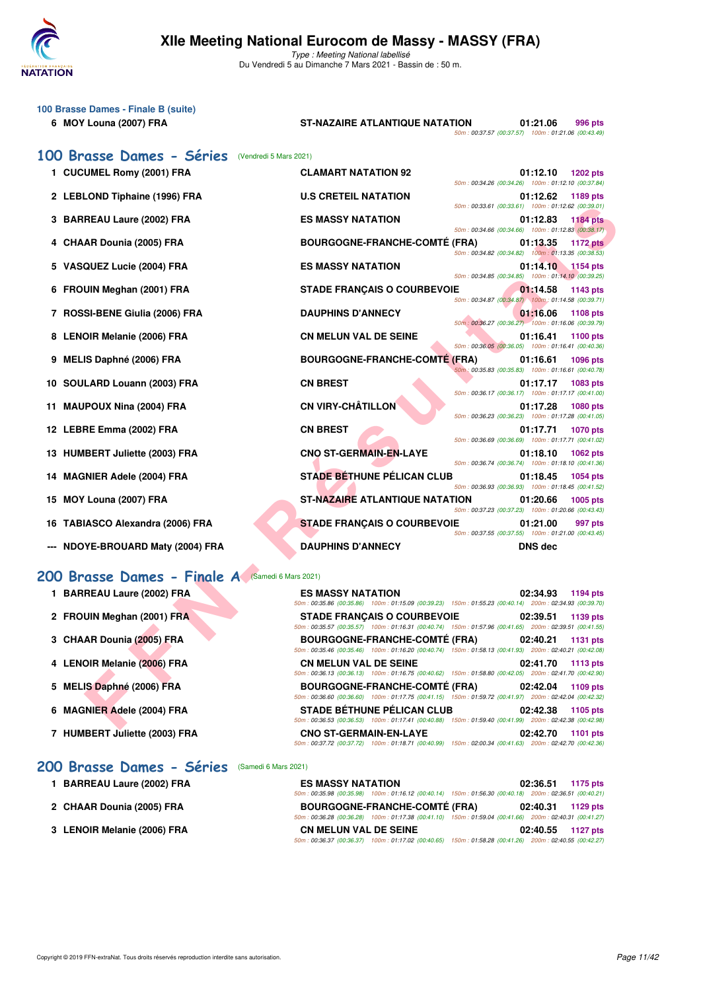

| 100 Brasse Dames - Finale B (suite)<br>6 MOY Louna (2007) FRA | <b>ST-NAZAIRE ATLANTIQUE NATATION</b>                                                                                                           | 50m: 00:37.57 (00:37.57) 100m: 01:21.06 (00:43.49) | 01:21.06       | 996 pts         |
|---------------------------------------------------------------|-------------------------------------------------------------------------------------------------------------------------------------------------|----------------------------------------------------|----------------|-----------------|
| 100 Brasse Dames - Séries<br>(Vendredi 5 Mars 2021)           |                                                                                                                                                 |                                                    |                |                 |
| 1 CUCUMEL Romy (2001) FRA                                     | <b>CLAMART NATATION 92</b>                                                                                                                      | 50m: 00:34.26 (00:34.26) 100m: 01:12.10 (00:37.84) | 01:12.10       | <b>1202 pts</b> |
| 2 LEBLOND Tiphaine (1996) FRA                                 | <b>U.S CRETEIL NATATION</b>                                                                                                                     | 50m: 00:33.61 (00:33.61) 100m: 01:12.62 (00:39.01) | 01:12.62       | 1189 pts        |
| 3 BARREAU Laure (2002) FRA                                    | <b>ES MASSY NATATION</b>                                                                                                                        | 50m: 00:34.66 (00:34.66) 100m: 01:12.83 (00:38.17) | 01:12.83       | <b>1184 pts</b> |
| 4 CHAAR Dounia (2005) FRA                                     | <b>BOURGOGNE-FRANCHE-COMTÉ (FRA)</b>                                                                                                            | 50m: 00:34.82 (00:34.82) 100m: 01:13.35 (00:38.53) | 01:13.35       | <b>1172 pts</b> |
| 5 VASQUEZ Lucie (2004) FRA                                    | <b>ES MASSY NATATION</b>                                                                                                                        | 50m: 00:34.85 (00:34.85) 100m: 01:14.10 (00:39.25) | 01:14.10       | 1154 pts        |
| 6 FROUIN Meghan (2001) FRA                                    | <b>STADE FRANÇAIS O COURBEVOIE</b>                                                                                                              |                                                    | 01:14.58       | 1143 pts        |
| 7 ROSSI-BENE Giulia (2006) FRA                                | <b>DAUPHINS D'ANNECY</b>                                                                                                                        | 50m: 00:34.87 (00:34.87) 100m: 01:14.58 (00:39.71) | 01:16.06       | <b>1108 pts</b> |
| 8 LENOIR Melanie (2006) FRA                                   | <b>CN MELUN VAL DE SEINE</b>                                                                                                                    | 50m: 00:36.27 (00:36.27) 100m: 01:16.06 (00:39.79) | 01:16.41       | 1100 pts        |
| <b>MELIS Daphné (2006) FRA</b><br>9                           | <b>BOURGOGNE-FRANCHE-COMTE (FRA)</b>                                                                                                            | 50m: 00:36.05 (00:36.05) 100m: 01:16.41 (00:40.36) | 01:16.61       | <b>1096 pts</b> |
| 10 SOULARD Louann (2003) FRA                                  | <b>CN BREST</b>                                                                                                                                 | 50m: 00:35.83 (00:35.83) 100m: 01:16.61 (00:40.78) | 01:17.17       | 1083 pts        |
| <b>MAUPOUX Nina (2004) FRA</b><br>11                          | <b>CN VIRY-CHÂTILLON</b>                                                                                                                        | 50m: 00:36.17 (00:36.17) 100m: 01:17.17 (00:41.00) | 01:17.28       | <b>1080 pts</b> |
| 12 LEBRE Emma (2002) FRA                                      | <b>CN BREST</b>                                                                                                                                 | 50m: 00:36.23 (00:36.23) 100m: 01:17.28 (00:41.05) | 01:17.71       | <b>1070 pts</b> |
| 13 HUMBERT Juliette (2003) FRA                                | <b>CNO ST-GERMAIN-EN-LAYE</b>                                                                                                                   | 50m: 00:36.69 (00:36.69) 100m: 01:17.71 (00:41.02) | 01:18.10       | 1062 pts        |
| <b>MAGNIER Adele (2004) FRA</b><br>14                         | <b>STADE BÉTHUNE PÉLICAN CLUB</b>                                                                                                               | 50m: 00:36.74 (00:36.74) 100m: 01:18.10 (00:41.36) | 01:18.45       | 1054 pts        |
| 15 MOY Louna (2007) FRA                                       | <b>ST-NAZAIRE ATLANTIQUE NATATION</b>                                                                                                           | 50m: 00:36.93 (00:36.93) 100m: 01:18.45 (00:41.52) | 01:20.66       | 1005 pts        |
| 16 TABIASCO Alexandra (2006) FRA                              | <b>STADE FRANÇAIS O COURBEVOIE</b>                                                                                                              | 50m: 00:37.23 (00:37.23) 100m: 01:20.66 (00:43.43) | 01:21.00       | 997 pts         |
| --- NDOYE-BROUARD Maty (2004) FRA                             | <b>DAUPHINS D'ANNECY</b>                                                                                                                        | 50m: 00:37.55 (00:37.55) 100m: 01:21.00 (00:43.45) | <b>DNS dec</b> |                 |
|                                                               |                                                                                                                                                 |                                                    |                |                 |
| 200 Brasse Dames - Finale A (Samedi 6 Mars 2021)              |                                                                                                                                                 |                                                    |                |                 |
| 1 BARREAU Laure (2002) FRA                                    | <b>ES MASSY NATATION</b><br>50m : 00:35.86 (00:35.86) 100m : 01:15.09 (00:39.23) 150m : 01:55.23 (00:40.14) 200m : 02:34.93 (00:39.70)          |                                                    | 02:34.93       | 1194 pts        |
| 2 FROUIN Meghan (2001) FRA                                    | <b>STADE FRANÇAIS O COURBEVOIE</b><br>$50m$ : 00:35.57 (00:35.57) 100m: 01:16.31 (00:40.74) 150m: 01:57.96 (00:41.65) 200m: 02:39.51 (00:41.55) |                                                    | 02:39.51       | 1139 pts        |
| 3 CHAAR Dounia (2005) FRA                                     | <b>BOURGOGNE-FRANCHE-COMTÉ (FRA)</b><br>50m: 00:35.46 (00:35.46) 100m: 01:16.20 (00:40.74) 150m: 01:58.13 (00:41.93) 200m: 02:40.21 (00:42.08)  |                                                    | 02:40.21       | 1131 pts        |
| 4 LENOIR Melanie (2006) FRA                                   | <b>CN MELUN VAL DE SEINE</b><br>50m : 00:36.13 (00:36.13) 100m : 01:16.75 (00:40.62) 150m : 01:58.80 (00:42.05) 200m : 02:41.70 (00:42.90)      |                                                    | 02:41.70       | 1113 pts        |
| 5 MELIS Daphné (2006) FRA                                     | <b>BOURGOGNE-FRANCHE-COMTÉ (FRA)</b>                                                                                                            |                                                    | 02:42.04       | 1109 pts        |
| 6 MAGNIER Adele (2004) FRA                                    | 50m: 00:36.60 (00:36.60) 100m: 01:17.75 (00:41.15) 150m: 01:59.72 (00:41.97) 200m: 02:42.04 (00:42.32)<br><b>STADE BÉTHUNE PÉLICAN CLUB</b>     |                                                    | 02:42.38       | 1105 pts        |
|                                                               | 50m : 00:36.53 (00:36.53) 100m : 01:17.41 (00:40.88) 150m : 01:59.40 (00:41.99) 200m : 02:42.38 (00:42.98)                                      |                                                    |                |                 |

### [200 Brasse Dames - Finale A](http://www.ffnatation.fr/webffn/resultats.php?idact=nat&go=epr&idcpt=69813&idepr=23) (Samedi 6 Mars 2021)

| 1 BARREAU Laure (2002) FRA    | <b>ES MASSY NATATION</b><br>02:34.93<br>1194 pts                                                       |
|-------------------------------|--------------------------------------------------------------------------------------------------------|
|                               | 50m: 00:35.86 (00:35.86) 100m: 01:15.09 (00:39.23) 150m: 01:55.23 (00:40.14) 200m: 02:34.93 (00:39.70) |
| 2 FROUIN Meghan (2001) FRA    | <b>STADE FRANCAIS O COURBEVOIE</b><br>02:39.51<br>1139 pts                                             |
|                               | 50m: 00:35.57 (00:35.57) 100m: 01:16.31 (00:40.74) 150m: 01:57.96 (00:41.65) 200m: 02:39.51 (00:41.55) |
| 3 CHAAR Dounia (2005) FRA     | BOURGOGNE-FRANCHE-COMTÉ (FRA) 02:40.21<br>1131 pts                                                     |
|                               | 50m: 00:35.46 (00:35.46) 100m: 01:16.20 (00:40.74) 150m: 01:58.13 (00:41.93) 200m: 02:40.21 (00:42.08) |
| 4 LENOIR Melanie (2006) FRA   | <b>CN MELUN VAL DE SEINE</b><br>02:41.70<br>1113 pts                                                   |
|                               | 50m: 00:36.13 (00:36.13) 100m: 01:16.75 (00:40.62) 150m: 01:58.80 (00:42.05) 200m: 02:41.70 (00:42.90) |
| 5 MELIS Daphné (2006) FRA     | <b>BOURGOGNE-FRANCHE-COMTÉ (FRA)</b><br>02:42.04<br>$1109$ pts                                         |
|                               | 50m: 00:36.60 (00:36.60) 100m: 01:17.75 (00:41.15) 150m: 01:59.72 (00:41.97) 200m: 02:42.04 (00:42.32) |
| 6 MAGNIER Adele (2004) FRA    | <b>STADE BÉTHUNE PÉLICAN CLUB</b><br>02:42.38<br>1105 pts                                              |
|                               | 50m: 00:36.53 (00:36.53) 100m: 01:17.41 (00:40.88) 150m: 01:59.40 (00:41.99) 200m: 02:42.38 (00:42.98) |
| 7 HUMBERT Juliette (2003) FRA | <b>CNO ST-GERMAIN-EN-LAYE</b><br>02:42.70<br><b>1101 pts</b>                                           |
|                               | 50m: 00:37.72 (00:37.72) 100m: 01:18.71 (00:40.99) 150m: 02:00.34 (00:41.63) 200m: 02:42.70 (00:42.36) |
|                               |                                                                                                        |

# **[200 Brasse Dames - Séries](http://www.ffnatation.fr/webffn/resultats.php?idact=nat&go=epr&idcpt=69813&idepr=23)** (Samedi 6 Mars 2021)

| 1 BARREAU Laure (2002) FRA  | <b>ES MASSY NATATION</b>     |                                                                                                        | 02:36.51 1175 pts |  |
|-----------------------------|------------------------------|--------------------------------------------------------------------------------------------------------|-------------------|--|
|                             |                              | 50m: 00:35.98 (00:35.98) 100m: 01:16.12 (00:40.14) 150m: 01:56.30 (00:40.18) 200m: 02:36.51 (00:40.21) |                   |  |
| 2 CHAAR Dounia (2005) FRA   |                              | <b>BOURGOGNE-FRANCHE-COMTÉ (FRA)</b>                                                                   | 02:40.31 1129 pts |  |
|                             |                              | 50m: 00:36.28 (00:36.28) 100m: 01:17.38 (00:41.10) 150m: 01:59.04 (00:41.66) 200m: 02:40.31 (00:41.27) |                   |  |
| 3 LENOIR Melanie (2006) FRA | <b>CN MELUN VAL DE SEINE</b> |                                                                                                        | 02:40.55 1127 pts |  |
|                             |                              | 50m: 00:36.37 (00:36.37) 100m: 01:17.02 (00:40.65) 150m: 01:58.28 (00:41.26) 200m: 02:40.55 (00:42.27) |                   |  |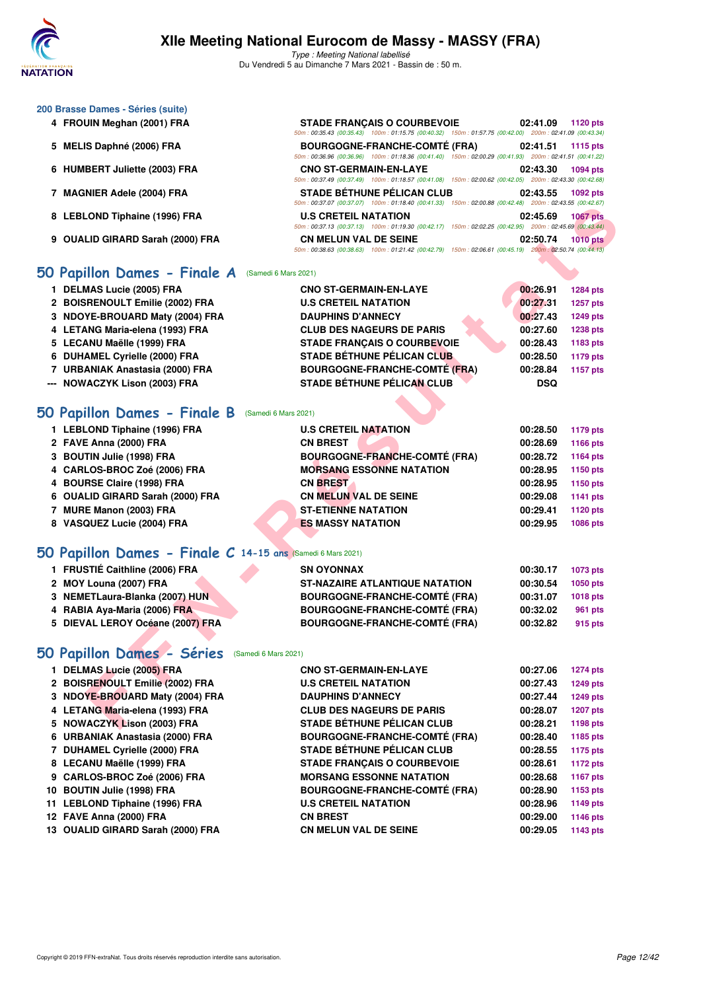

50m : 00:35.43 (00:35.43) 100m : 01:15.75 (00:40.32) 150m : 01:57.75 (00:42.00) 200m : 02:41.09 (00:43.34)

50m : 00:36.96 (00:36.96) 100m : 01:18.36 (00:41.40) 150m : 02:00.29 (00:41.93) 200m : 02:41.51 (00:41.22)

50m : 00:37.49 (00:37.49) 100m : 01:18.57 (00:41.08) 150m : 02:00.62 (00:42.05) 200m : 02:43.30 (00:42.68)

50m : 00:37.07 (00:37.07) 100m : 01:18.40 (00:41.33) 150m : 02:00.88 (00:42.48) 200m : 02:43.55 (00:42.67)

### **200 Brasse Dames - Séries (suite)**

- **4 FROUIN Meghan (2001) FRA STADE FRANÇAIS O COURBEVOIE 02:41.09 1120 pts**
- **5 MELIS Daphné (2006) FRA BOURGOGNE-FRANCHE-COMTÉ (FRA) 02:41.51 1115 pts**
- **6 HUMBERT Juliette (2003) FRA CNO ST-GERMAIN-EN-LAYE 02:43.30 1094 pts**
- **7 MAGNIER Adele (2004) FRA STADE BÉTHUNE PÉLICAN CLUB 02:43.55 1092 pts**
- **8 LEBLOND Tiphaine (1996) FRA U.S CRETEIL NATATION 02:45.69 1067 pts**
- **9 OUALID GIRARD Sarah (2000) FRA CN MELUN VAL DE SEINE 02:50.74 1010 pts**

### **[50 Papillon Dames - Finale A](http://www.ffnatation.fr/webffn/resultats.php?idact=nat&go=epr&idcpt=69813&idepr=31)** (Samedi 6 Mars 2021)

- **1 DELMAS Lucie (2005) FRA CNO ST-GERMAIN-EN-LAYE 00:26.91 1284 pts**
- **2 BOISRENOULT Emilie (2002) FRA U.S CRETEIL NATATION 00:27.31 1257 pts**
- **3 NDOYE-BROUARD Maty (2004) FRA DAUPHINS D'ANNECY 00:27.43 1249 pts**
- **4 LETANG Maria-elena (1993) FRA CLUB DES NAGEURS DE PARIS 00:27.60 1238 pts**
- **5 LECANU Maëlle (1999) FRA STADE FRANÇAIS O COURBEVOIE 00:28.43 1183 pts**
- **6 DUHAMEL Cyrielle (2000) FRA STADE BÉTHUNE PÉLICAN CLUB 00:28.50 1179 pts**
- **7 URBANIAK Anastasia (2000) FRA BOURGOGNE-FRANCHE-COMTÉ (FRA) 00:28.84 1157 pts**
- **--- NOWACZYK Lison (2003) FRA STADE BÉTHUNE PÉLICAN CLUB DSQ**

### **[50 Papillon Dames - Finale B](http://www.ffnatation.fr/webffn/resultats.php?idact=nat&go=epr&idcpt=69813&idepr=31)** (Samedi 6 Mars 2021)

| 8 LEBLOND Tiphaine (1996) FRA<br><b>U.S CRETEIL NATATION</b> |                                                                                                            |            |                 |
|--------------------------------------------------------------|------------------------------------------------------------------------------------------------------------|------------|-----------------|
|                                                              | 50m: 00:37.13 (00:37.13) 100m: 01:19.30 (00:42.17) 150m: 02:02.25 (00:42.95) 200m: 02:45.69 (00:43.44)     | 02:45.69   | <b>1067 pts</b> |
| 9 OUALID GIRARD Sarah (2000) FRA                             | <b>CN MELUN VAL DE SEINE</b>                                                                               | 02:50.74   | <b>1010 pts</b> |
|                                                              | 50m : 00:38.63 (00:38.63) 100m : 01:21.42 (00:42.79) 150m : 02:06.61 (00:45.19) 200m : 02:50.74 (00:44.13) |            |                 |
| 0 Papillon Dames - Finale A<br>(Samedi 6 Mars 2021)          |                                                                                                            |            |                 |
| 1 DELMAS Lucie (2005) FRA                                    | <b>CNO ST-GERMAIN-EN-LAYE</b>                                                                              | 00:26.91   | <b>1284 pts</b> |
| 2 BOISRENOULT Emilie (2002) FRA                              | <b>U.S CRETEIL NATATION</b>                                                                                | 00:27.31   | 1257 pts        |
| 3 NDOYE-BROUARD Maty (2004) FRA                              | <b>DAUPHINS D'ANNECY</b>                                                                                   | 00:27.43   | <b>1249 pts</b> |
| 4 LETANG Maria-elena (1993) FRA                              | <b>CLUB DES NAGEURS DE PARIS</b>                                                                           | 00:27.60   | <b>1238 pts</b> |
| 5 LECANU Maëlle (1999) FRA                                   | <b>STADE FRANÇAIS O COURBEVOIE</b>                                                                         | 00:28.43   | 1183 pts        |
| 6 DUHAMEL Cyrielle (2000) FRA                                | <b>STADE BÉTHUNE PÉLICAN CLUB</b>                                                                          | 00:28.50   | 1179 pts        |
| 7 URBANIAK Anastasia (2000) FRA                              | <b>BOURGOGNE-FRANCHE-COMTÉ (FRA)</b>                                                                       | 00:28.84   | 1157 pts        |
| --- NOWACZYK Lison (2003) FRA                                | <b>STADE BÉTHUNE PÉLICAN CLUB</b>                                                                          | <b>DSQ</b> |                 |
|                                                              |                                                                                                            |            |                 |
| <b>O Papillon Dames - Finale B</b><br>(Samedi 6 Mars 2021)   |                                                                                                            |            |                 |
| 1 LEBLOND Tiphaine (1996) FRA                                | <b>U.S CRETEIL NATATION</b>                                                                                | 00:28.50   | 1179 pts        |
| 2 FAVE Anna (2000) FRA<br><b>CN BREST</b>                    |                                                                                                            | 00:28.69   | 1166 pts        |
| 3 BOUTIN Julie (1998) FRA                                    | <b>BOURGOGNE-FRANCHE-COMTÉ (FRA)</b>                                                                       | 00:28.72   | 1164 pts        |
| 4 CARLOS-BROC Zoé (2006) FRA                                 | <b>MORSANG ESSONNE NATATION</b>                                                                            | 00:28.95   | 1150 pts        |
| 4 BOURSE Claire (1998) FRA<br><b>CN BREST</b>                |                                                                                                            | 00:28.95   | 1150 pts        |
| 6 OUALID GIRARD Sarah (2000) FRA                             | <b>CN MELUN VAL DE SEINE</b>                                                                               | 00:29.08   | 1141 pts        |
| 7 MURE Manon (2003) FRA                                      | <b>ST-ETIENNE NATATION</b>                                                                                 | 00:29.41   | 1120 pts        |
| 8 VASQUEZ Lucie (2004) FRA                                   | <b>ES MASSY NATATION</b>                                                                                   | 00:29.95   | 1086 pts        |
|                                                              |                                                                                                            |            |                 |
| O Papillon Dames - Finale C 14-15 ans (Samedi 6 Mars 2021)   |                                                                                                            |            |                 |
| 1 FRUSTIÉ Caithline (2006) FRA<br><b>SN OYONNAX</b>          |                                                                                                            | 00:30.17   | 1073 pts        |
| 2 MOY Louna (2007) FRA                                       | <b>ST-NAZAIRE ATLANTIQUE NATATION</b>                                                                      | 00:30.54   | 1050 pts        |
| 3 NEMETLaura-Blanka (2007) HUN                               | <b>BOURGOGNE-FRANCHE-COMTÉ (FRA)</b>                                                                       | 00:31.07   | 1018 pts        |
| 4 RABIA Aya-Maria (2006) FRA                                 | <b>BOURGOGNE-FRANCHE-COMTÉ (FRA)</b>                                                                       | 00:32.02   | 961 pts         |
| 5 DIEVAL LEROY Océane (2007) FRA                             | <b>BOURGOGNE-FRANCHE-COMTÉ (FRA)</b>                                                                       | 00:32.82   | 915 pts         |
|                                                              |                                                                                                            |            |                 |
| <b>O Papillon Dames - Séries</b><br>(Samedi 6 Mars 2021)     |                                                                                                            |            |                 |
| 1 DELMAS Lucie (2005) FRA                                    | <b>CNO ST-GERMAIN-EN-LAYE</b>                                                                              | 00:27.06   | <b>1274 pts</b> |
| 2 BOISRENOULT Emilie (2002) FRA                              | <b>U.S CRETEIL NATATION</b>                                                                                | 00:27.43   | 1249 pts        |
| 3 NDOYE-BROUARD Maty (2004) FRA                              | <b>DAUPHINS D'ANNECY</b>                                                                                   | 00:27.44   | <b>1249 pts</b> |
| 4 LETANG Maria-elena (1993) FRA                              | <b>CLUB DES NAGEURS DE PARIS</b>                                                                           | 00:28.07   | <b>1207 pts</b> |
| 5 NOWACZYK Lison (2003) FRA                                  | <b>STADE BÉTHUNE PÉLICAN CLUB</b>                                                                          | 00:28.21   | 1198 pts        |

### **[50 Papillon Dames - Finale C](http://www.ffnatation.fr/webffn/resultats.php?idact=nat&go=epr&idcpt=69813&idepr=31) 14-15 ans** (Samedi 6 Mars 2021)

| <b>SN OYONNAX</b>                     | 00:30.17 | 1073 pts |
|---------------------------------------|----------|----------|
| <b>ST-NAZAIRE ATLANTIQUE NATATION</b> | 00:30.54 | 1050 pts |
| <b>BOURGOGNE-FRANCHE-COMTÉ (FRA)</b>  | 00:31.07 | 1018 pts |
| <b>BOURGOGNE-FRANCHE-COMTÉ (FRA)</b>  | 00:32.02 | 961 pts  |
| <b>BOURGOGNE-FRANCHE-COMTÉ (FRA)</b>  | 00:32.82 | 915 pts  |
|                                       |          |          |

### **[50 Papillon Dames - Séries](http://www.ffnatation.fr/webffn/resultats.php?idact=nat&go=epr&idcpt=69813&idepr=31)** (Samedi 6 Mars 2021)

| 1 DELMAS Lucie (2005) FRA         | <b>CNO ST-GERMAIN-EN-LAYE</b>        | 00:27.06 | 1274 pts |
|-----------------------------------|--------------------------------------|----------|----------|
| 2 BOISRENOULT Emilie (2002) FRA   | <b>U.S CRETEIL NATATION</b>          | 00:27.43 | 1249 pts |
| 3 NDOYE-BROUARD Maty (2004) FRA   | <b>DAUPHINS D'ANNECY</b>             | 00:27.44 | 1249 pts |
| 4 LETANG Maria-elena (1993) FRA   | <b>CLUB DES NAGEURS DE PARIS</b>     | 00:28.07 | 1207 pts |
| 5 NOWACZYK Lison (2003) FRA       | <b>STADE BÉTHUNE PÉLICAN CLUB</b>    | 00:28.21 | 1198 pts |
| 6 URBANIAK Anastasia (2000) FRA   | <b>BOURGOGNE-FRANCHE-COMTÉ (FRA)</b> | 00:28.40 | 1185 pts |
| 7 DUHAMEL Cyrielle (2000) FRA     | <b>STADE BÉTHUNE PÉLICAN CLUB</b>    | 00:28.55 | 1175 pts |
| 8 LECANU Maëlle (1999) FRA        | <b>STADE FRANCAIS O COURBEVOIE</b>   | 00:28.61 | 1172 pts |
| 9 CARLOS-BROC Zoé (2006) FRA      | <b>MORSANG ESSONNE NATATION</b>      | 00:28.68 | 1167 pts |
| 10 BOUTIN Julie (1998) FRA        | <b>BOURGOGNE-FRANCHE-COMTÉ (FRA)</b> | 00:28.90 | 1153 pts |
| 11 LEBLOND Tiphaine (1996) FRA    | <b>U.S CRETEIL NATATION</b>          | 00:28.96 | 1149 pts |
| 12 FAVE Anna (2000) FRA           | <b>CN BREST</b>                      | 00:29.00 | 1146 pts |
| 13 OUALID GIRARD Sarah (2000) FRA | <b>CN MELUN VAL DE SEINE</b>         | 00:29.05 | 1143 pts |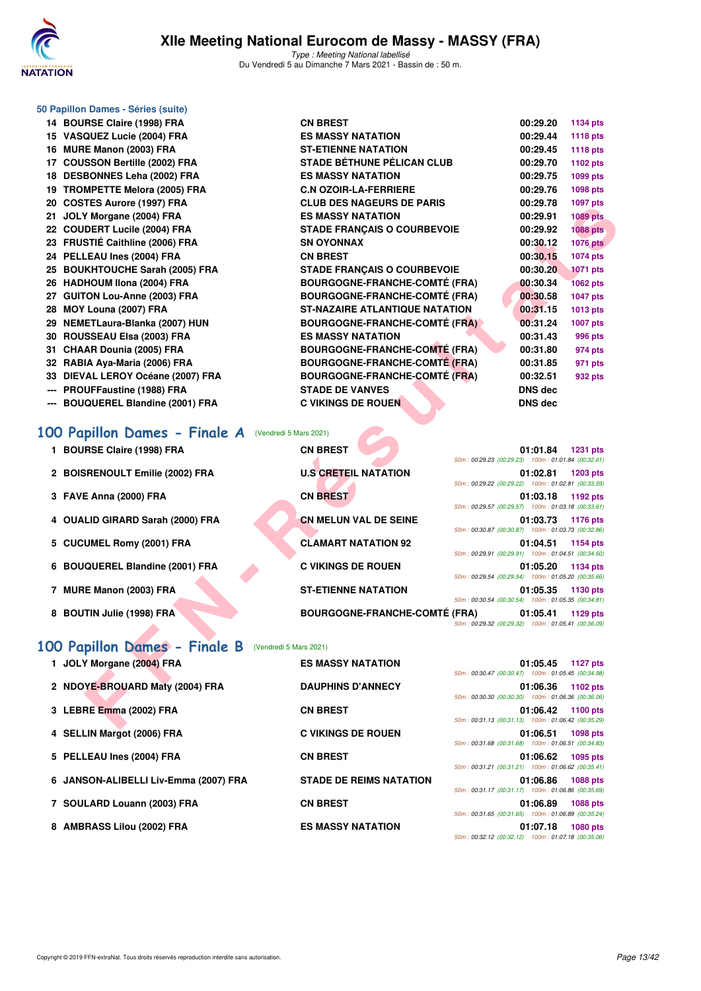

Type : Meeting National labellisé Du Vendredi 5 au Dimanche 7 Mars 2021 - Bassin de : 50 m.

|     | 50 Papillon Dames - Séries (suite)                      |                                       |                                                                |                 |
|-----|---------------------------------------------------------|---------------------------------------|----------------------------------------------------------------|-----------------|
|     | 14 BOURSE Claire (1998) FRA                             | <b>CN BREST</b>                       | 00:29.20                                                       | 1134 pts        |
|     | 15 VASQUEZ Lucie (2004) FRA                             | <b>ES MASSY NATATION</b>              | 00:29.44                                                       | <b>1118 pts</b> |
|     | 16 MURE Manon (2003) FRA                                | <b>ST-ETIENNE NATATION</b>            | 00:29.45                                                       | <b>1118 pts</b> |
|     | 17 COUSSON Bertille (2002) FRA                          | <b>STADE BÉTHUNE PÉLICAN CLUB</b>     | 00:29.70                                                       | 1102 pts        |
|     | 18 DESBONNES Leha (2002) FRA                            | <b>ES MASSY NATATION</b>              | 00:29.75                                                       | 1099 pts        |
|     | 19 TROMPETTE Melora (2005) FRA                          | <b>C.N OZOIR-LA-FERRIERE</b>          | 00:29.76                                                       | 1098 pts        |
|     | 20 COSTES Aurore (1997) FRA                             | <b>CLUB DES NAGEURS DE PARIS</b>      | 00:29.78                                                       | 1097 pts        |
|     | 21 JOLY Morgane (2004) FRA                              | <b>ES MASSY NATATION</b>              | 00:29.91                                                       | <b>1089 pts</b> |
|     | 22 COUDERT Lucile (2004) FRA                            | STADE FRANÇAIS O COURBEVOIE           | 00:29.92                                                       | <b>1088 pts</b> |
|     | 23 FRUSTIÉ Caithline (2006) FRA                         | <b>SN OYONNAX</b>                     | 00:30.12                                                       | <b>1076 pts</b> |
|     | 24 PELLEAU Ines (2004) FRA                              | <b>CN BREST</b>                       | 00:30.15                                                       | 1074 pts        |
|     | 25 BOUKHTOUCHE Sarah (2005) FRA                         | <b>STADE FRANÇAIS O COURBEVOIE</b>    | 00:30.20                                                       | 1071 pts        |
|     | 26 HADHOUM Ilona (2004) FRA                             | <b>BOURGOGNE-FRANCHE-COMTÉ (FRA)</b>  | 00:30.34                                                       | <b>1062 pts</b> |
|     | 27 GUITON Lou-Anne (2003) FRA                           | <b>BOURGOGNE-FRANCHE-COMTÉ (FRA)</b>  | 00:30.58                                                       | 1047 pts        |
|     | 28 MOY Louna (2007) FRA                                 | <b>ST-NAZAIRE ATLANTIQUE NATATION</b> | 00:31.15                                                       | 1013 pts        |
|     | 29 NEMETLaura-Blanka (2007) HUN                         | <b>BOURGOGNE-FRANCHE-COMTÉ (FRA)</b>  | 00:31.24                                                       | <b>1007 pts</b> |
|     | 30 ROUSSEAU Elsa (2003) FRA                             | <b>ES MASSY NATATION</b>              | 00:31.43                                                       | 996 pts         |
|     | 31 CHAAR Dounia (2005) FRA                              | <b>BOURGOGNE-FRANCHE-COMTÉ (FRA)</b>  | 00:31.80                                                       | 974 pts         |
|     | 32 RABIA Aya-Maria (2006) FRA                           | <b>BOURGOGNE-FRANCHE-COMTÉ (FRA)</b>  | 00:31.85                                                       | 971 pts         |
|     | 33 DIEVAL LEROY Océane (2007) FRA                       | <b>BOURGOGNE-FRANCHE-COMTÉ (FRA)</b>  | 00:32.51                                                       | 932 pts         |
|     | PROUFFaustine (1988) FRA                                | <b>STADE DE VANVES</b>                | <b>DNS</b> dec                                                 |                 |
| --- | <b>BOUQUEREL Blandine (2001) FRA</b>                    | <b>C VIKINGS DE ROUEN</b>             | <b>DNS dec</b>                                                 |                 |
|     |                                                         |                                       |                                                                |                 |
|     |                                                         |                                       |                                                                |                 |
|     | 100 Papillon Dames - Finale A (Vendredi 5 Mars 2021)    |                                       |                                                                |                 |
|     | 1 BOURSE Claire (1998) FRA                              | <b>CN BREST</b>                       | 01:01.84                                                       | <b>1231 pts</b> |
|     |                                                         |                                       | 50m: 00:29.23 (00:29.23) 100m: 01:01.84 (00:32.61)             |                 |
|     | 2 BOISRENOULT Emilie (2002) FRA                         | <b>U.S CRETEIL NATATION</b>           | 01:02.81                                                       | <b>1203 pts</b> |
|     |                                                         |                                       | 50m: 00:29.22 (00:29.22) 100m: 01:02.81 (00:33.59)             |                 |
|     | 3 FAVE Anna (2000) FRA                                  | <b>CN BREST</b>                       | 01:03.18<br>50m: 00:29.57 (00:29.57) 100m: 01:03.18 (00:33.61) | 1192 pts        |
| 4   | <b>OUALID GIRARD Sarah (2000) FRA</b>                   | <b>CN MELUN VAL DE SEINE</b>          | 01:03.73                                                       | 1176 pts        |
|     |                                                         |                                       | 50m: 00:30.87 (00:30.87) 100m: 01:03.73 (00:32.86)             |                 |
|     | 5 CUCUMEL Romy (2001) FRA                               | <b>CLAMART NATATION 92</b>            | 01:04.51                                                       | <b>1154 pts</b> |
|     |                                                         |                                       | 50m: 00:29.91 (00:29.91) 100m: 01:04.51 (00:34.60)             |                 |
|     | 6 BOUQUEREL Blandine (2001) FRA                         | <b>C VIKINGS DE ROUEN</b>             | 01:05.20                                                       | 1134 pts        |
|     |                                                         | <b>ST-ETIENNE NATATION</b>            | 50m: 00:29.54 (00:29.54) 100m: 01:05.20 (00:35.66)<br>01:05.35 | 1130 pts        |
|     | 7 MURE Manon (2003) FRA                                 |                                       | 50m: 00:30.54 (00:30.54) 100m: 01:05.35 (00:34.81)             |                 |
|     | 8 BOUTIN Julie (1998) FRA                               | <b>BOURGOGNE-FRANCHE-COMTÉ (FRA)</b>  | 01:05.41                                                       | 1129 pts        |
|     |                                                         |                                       | 50m: 00:29.32 (00:29.32) 100m: 01:05.41 (00:36.09)             |                 |
|     |                                                         |                                       |                                                                |                 |
|     | 100 Papillon Dames - Finale B<br>(Vendredi 5 Mars 2021) |                                       |                                                                |                 |
|     | 1 JOLY Morgane (2004) FRA                               | <b>ES MASSY NATATION</b>              | 01:05.45                                                       | <b>1127 pts</b> |
|     |                                                         |                                       | 50m: 00:30.47 (00:30.47) 100m: 01:05.45 (00:34.98)             |                 |
|     | 2 NDOYE-BROUARD Maty (2004) FRA                         | <b>DAUPHINS D'ANNECY</b>              | 01:06.36<br>50m: 00:30.30 (00:30.30) 100m: 01:06.36 (00:36.06) | 1102 pts        |
|     | 3 LEBRE Emma (2002) FRA                                 | <b>CN BREST</b>                       | 01:06.42<br>50m: 00:31.13 (00:31.13) 100m: 01:06.42 (00:35.29) | 1100 pts        |

### [100 Papillon Dames - Finale A](http://www.ffnatation.fr/webffn/resultats.php?idact=nat&go=epr&idcpt=69813&idepr=32) (Vendredi 5 Mars 2021)

- 1 BOURSE Claire (1998) FRA **CN BREST**
- 2 BOISRENOULT Emilie (2002) FRA **U.S CRETEIL NATATION**
- **3 FAVE Anna (2000) FRA CN BREST 01:03.18 1192 pts**
- 4 OUALID GIRARD Sarah (2000) FRA **CN MELUN VAL DE SEINE**
- 5 CUCUMEL Romy (2001) FRA **CLAMART NATATION 92**
- **6 BOUQUEREL Blandine (2001) FRA C VIKINGS DE ROUEN**
- **7 MURE Manon (2003) FRA ST-ETIENNE NATATION**
- 8 BOUTIN Julie (1998) FRA BOURGOGNE-FRANCHE-COMT

### [100 Papillon Dames - Finale B](http://www.ffnatation.fr/webffn/resultats.php?idact=nat&go=epr&idcpt=69813&idepr=32) (Vendredi 5 Mars 2021)

1 JOLY Morgane (2004) FRA **ES MASSY NATATION** 2 NDOYE-BROUARD Maty (2004) FRA DAUPHINS D'ANNECY **3 LEBRE Emma (2002) FRA CN BREST** 4 SELLIN Margot (2006) FRA C VIKINGS DE ROUEN **5 PELLEAU Ines (2004) FRA CN BREST 01:06.62 1095 pts 6 JANSON-ALIBELLI Liv-Emma (2007) FRA STADE DE REIMS NATATION 01:06.86 1088 pts 7 SOULARD Louann (2003) FRA CN BREST 01:06.89 1088 pts** 8 AMBRASS Lilou (2002) FRA ES MASSY NATATION

|         |  | 01:01.84 1231 pts<br>50m: 00:29.23 (00:29.23) 100m: 01:01.84 (00:32.61) |
|---------|--|-------------------------------------------------------------------------|
|         |  | 01:02.81 1203 pts<br>50m: 00:29.22 (00:29.22) 100m: 01:02.81 (00:33.59) |
|         |  | 01:03.18 1192 pts<br>50m: 00:29.57 (00:29.57) 100m: 01:03.18 (00:33.61) |
|         |  | 01:03.73 1176 pts<br>50m: 00:30.87 (00:30.87) 100m: 01:03.73 (00:32.86) |
|         |  | 01:04.51 1154 pts<br>50m: 00:29.91 (00:29.91) 100m: 01:04.51 (00:34.60) |
|         |  | 01:05.20 1134 pts<br>50m: 00:29.54 (00:29.54) 100m: 01:05.20 (00:35.66) |
|         |  | 01:05.35 1130 pts<br>50m: 00:30.54 (00:30.54) 100m: 01:05.35 (00:34.81) |
| É (FRA) |  | 01:05.41 1129 pts<br>50m: 00:29.32 (00:29.32) 100m: 01:05.41 (00:36.09) |

| 01:05.45 1127 pts<br>50m: 00:30.47 (00:30.47) 100m: 01:05.45 (00:34.98) |
|-------------------------------------------------------------------------|
| 01:06.36 1102 pts                                                       |
| 50m: 00:30.30 (00:30.30) 100m: 01:06.36 (00:36.06)<br>01:06.42 1100 pts |
| 50m: 00:31.13 (00:31.13) 100m: 01:06.42 (00:35.29)<br>01:06.51 1098 pts |
| 50m: 00:31.68 (00:31.68) 100m: 01:06.51 (00:34.83)<br>01:06.62 1095 pts |
| 50m: 00:31.21 (00:31.21) 100m: 01:06.62 (00:35.41)                      |
| 01:06.86 1088 pts<br>50m: 00:31.17 (00:31.17) 100m: 01:06.86 (00:35.69) |
| 01:06.89 1088 pts<br>50m: 00:31.65 (00:31.65) 100m: 01:06.89 (00:35.24) |
| 01:07.18 1080 pts<br>50m: 00:32.12 (00:32.12) 100m: 01:07.18 (00:35.06) |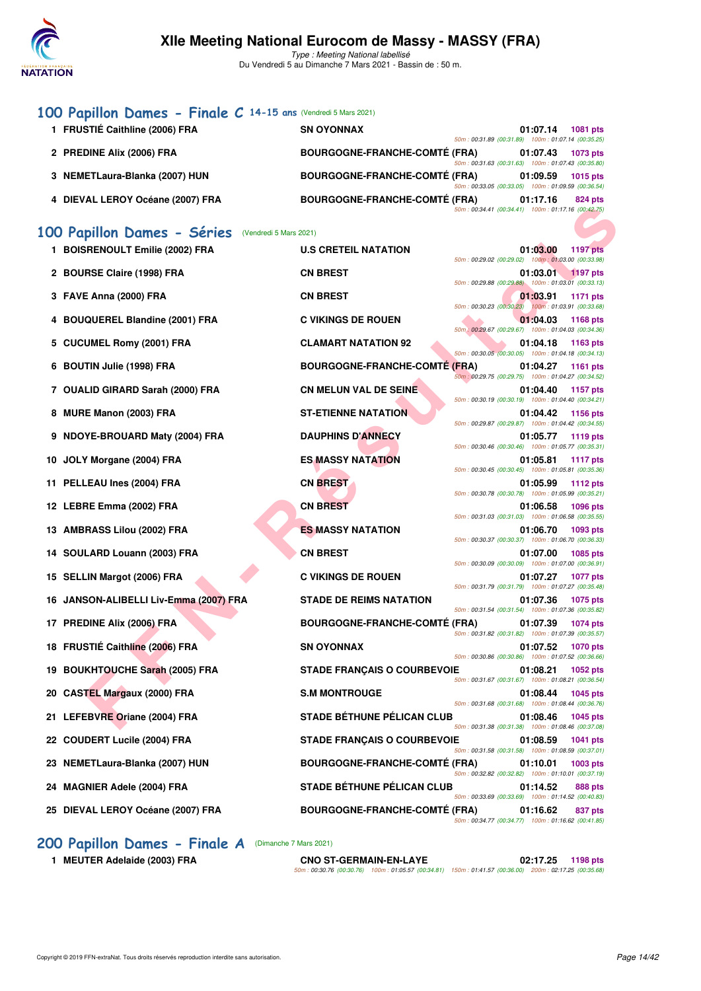

# **[100 Papillon Dames - Finale C](http://www.ffnatation.fr/webffn/resultats.php?idact=nat&go=epr&idcpt=69813&idepr=32) 14-15 ans** (Vendredi 5 Mars 2021)

| 1 FRUSTIÉ Caithline (2006) FRA   | <b>SN OYONNAX</b>                    |                                                    | 01:07.14 | 1081 pts        |
|----------------------------------|--------------------------------------|----------------------------------------------------|----------|-----------------|
|                                  |                                      | 50m: 00:31.89 (00:31.89) 100m: 01:07.14 (00:35.25) |          |                 |
| 2 PREDINE Alix (2006) FRA        | <b>BOURGOGNE-FRANCHE-COMTÉ (FRA)</b> |                                                    | 01:07.43 | 1073 pts        |
|                                  |                                      | 50m: 00:31.63 (00:31.63) 100m: 01:07.43 (00:35.80) |          |                 |
| 3 NEMETLaura-Blanka (2007) HUN   | <b>BOURGOGNE-FRANCHE-COMTÉ (FRA)</b> |                                                    | 01:09.59 | <b>1015 pts</b> |
|                                  |                                      | 50m: 00:33.05 (00:33.05) 100m: 01:09.59 (00:36.54) |          |                 |
| 4 DIEVAL LEROY Océane (2007) FRA | <b>BOURGOGNE-FRANCHE-COMTÉ (FRA)</b> |                                                    | 01:17.16 | 824 pts         |
|                                  |                                      | 50m: 00:34.41 (00:34.41) 100m: 01:17.16 (00:42.75) |          |                 |

## **[100 Papillon Dames - Séries](http://www.ffnatation.fr/webffn/resultats.php?idact=nat&go=epr&idcpt=69813&idepr=32)** (Vendredi 5 Mars 2021)

|                                        | 50m: 00:34.41 (00:34.41) 100m: 01:17.16 (00:42.75)                                                                        |
|----------------------------------------|---------------------------------------------------------------------------------------------------------------------------|
| 00 Papillon Dames - Séries             | (Vendredi 5 Mars 2021)                                                                                                    |
| 1 BOISRENOULT Emilie (2002) FRA        | <b>U.S CRETEIL NATATION</b><br>01:03.00<br>1197 pts<br>50m: 00:29.02 (00:29.02) 100m: 01:03.00 (00:33.98)                 |
| 2 BOURSE Claire (1998) FRA             | <b>CN BREST</b><br>01:03.01 1197 pts<br>50m: 00:29.88 (00:29.88) 100m: 01:03.01 (00:33.13)                                |
| 3 FAVE Anna (2000) FRA                 | <b>CN BREST</b><br>01:03.91<br>1171 pts                                                                                   |
| 4 BOUQUEREL Blandine (2001) FRA        | 50m: 00:30.23 (00:30.23) 100m: 01:03.91 (00:33.68)<br><b>C VIKINGS DE ROUEN</b><br>01:04.03<br>1168 pts                   |
| 5 CUCUMEL Romy (2001) FRA              | 50m / 00:29.67 (00:29.67) 100m : 01:04.03 (00:34.36)<br><b>CLAMART NATATION 92</b><br>01:04.18<br>1163 pts                |
| 6 BOUTIN Julie (1998) FRA              | 50m: 00:30.05 (00:30.05) 100m: 01:04.18 (00:34.13)<br><b>BOURGOGNE-FRANCHE-COMTE (FRA)</b><br>01:04.27<br>1161 pts        |
| 7 OUALID GIRARD Sarah (2000) FRA       | 50m: 00:29.75 (00:29.75) 100m: 01:04.27 (00:34.52)<br><b>CN MELUN VAL DE SEINE</b><br>01:04.40<br>1157 pts                |
| 8 MURE Manon (2003) FRA                | 50m: 00:30.19 (00:30.19) 100m: 01:04.40 (00:34.21)<br><b>ST-ETIENNE NATATION</b><br>01:04.42<br>1156 pts                  |
| 9 NDOYE-BROUARD Maty (2004) FRA        | 50m: 00:29.87 (00:29.87) 100m: 01:04.42 (00:34.55)<br><b>DAUPHINS D'ANNECY</b><br>01:05.77<br>1119 pts                    |
|                                        | 50m: 00:30.46 (00:30.46) 100m: 01:05.77 (00:35.31)                                                                        |
| 10 JOLY Morgane (2004) FRA             | <b>ES MASSY NATATION</b><br>01:05.81<br><b>1117 pts</b><br>50m: 00:30.45 (00:30.45) 100m: 01:05.81 (00:35.36)             |
| 11 PELLEAU Ines (2004) FRA             | <b>CN BREST</b><br>01:05.99<br><b>1112 pts</b><br>50m: 00:30.78 (00:30.78) 100m: 01:05.99 (00:35.21)                      |
| 12 LEBRE Emma (2002) FRA               | <b>CN BREST</b><br>01:06.58<br>1096 pts<br>50m: 00:31.03 (00:31.03) 100m: 01:06.58 (00:35.55)                             |
| 13 AMBRASS Lilou (2002) FRA            | <b>ES MASSY NATATION</b><br>01:06.70<br>1093 pts<br>50m: 00:30.37 (00:30.37) 100m: 01:06.70 (00:36.33)                    |
| 14 SOULARD Louann (2003) FRA           | <b>CN BREST</b><br>01:07.00<br>1085 pts<br>50m: 00:30.09 (00:30.09) 100m: 01:07.00 (00:36.91)                             |
| 15 SELLIN Margot (2006) FRA            | <b>C VIKINGS DE ROUEN</b><br>01:07.27<br>1077 pts                                                                         |
| 16 JANSON-ALIBELLI Liv-Emma (2007) FRA | 50m: 00:31.79 (00:31.79) 100m: 01:07.27 (00:35.48)<br><b>STADE DE REIMS NATATION</b><br>01:07.36<br>1075 pts              |
| 17 PREDINE Alix (2006) FRA             | 50m: 00:31.54 (00:31.54) 100m: 01:07.36 (00:35.82)<br><b>BOURGOGNE-FRANCHE-COMTE (FRA)</b><br>01:07.39<br><b>1074 pts</b> |
| 18 FRUSTIÉ Caithline (2006) FRA        | 50m: 00:31.82 (00:31.82) 100m: 01:07.39 (00:35.57)<br><b>SN OYONNAX</b><br>01:07.52<br><b>1070 pts</b>                    |
| 19 BOUKHTOUCHE Sarah (2005) FRA        | 50m: 00:30.86 (00:30.86) 100m: 01:07.52 (00:36.66)<br><b>STADE FRANÇAIS O COURBEVOIE</b><br>01:08.21<br>1052 pts          |
| 20 CASTEL Margaux (2000) FRA           | 50m: 00:31.67 (00:31.67) 100m: 01:08.21 (00:36.54)<br><b>S.M MONTROUGE</b><br>01:08.44<br>1045 pts                        |
|                                        | 50m: 00:31.68 (00:31.68) 100m: 01:08.44 (00:36.76)                                                                        |
| 21 LEFEBVRE Oriane (2004) FRA          | <b>STADE BÉTHUNE PÉLICAN CLUB</b><br>01:08.46<br>1045 pts<br>50m: 00:31.38 (00:31.38) 100m: 01:08.46 (00:37.08)           |
| 22 COUDERT Lucile (2004) FRA           | <b>STADE FRANÇAIS O COURBEVOIE</b><br>01:08.59<br><b>1041 pts</b><br>50m: 00:31.58 (00:31.58) 100m: 01:08.59 (00:37.01)   |
| 23 NEMETLaura-Blanka (2007) HUN        | <b>BOURGOGNE-FRANCHE-COMTÉ (FRA)</b><br>01:10.01<br>1003 pts<br>50m: 00:32.82 (00:32.82) 100m: 01:10.01 (00:37.19)        |
| 24 MAGNIER Adele (2004) FRA            | <b>STADE BÉTHUNE PÉLICAN CLUB</b><br>01:14.52<br>888 pts<br>50m: 00:33.69 (00:33.69) 100m: 01:14.52 (00:40.83)            |
| 25 DIEVAL LEROY Océane (2007) FRA      | <b>BOURGOGNE-FRANCHE-COMTÉ (FRA)</b><br>01:16.62<br>837 pts                                                               |

### [200 Papillon Dames - Finale A](http://www.ffnatation.fr/webffn/resultats.php?idact=nat&go=epr&idcpt=69813&idepr=33) (Dimanche 7 Mars 2021)

**1 MEUTER Adelaide (2003) FRA CNO ST-GERMAIN-EN-LAYE 02:17.25 1198 pts** 50m : 00:30.76 (00:30.76) 100m : 01:05.57 (00:34.81) 150m : 01:41.57 (00:36.00) 200m : 02:17.25 (00:35.68)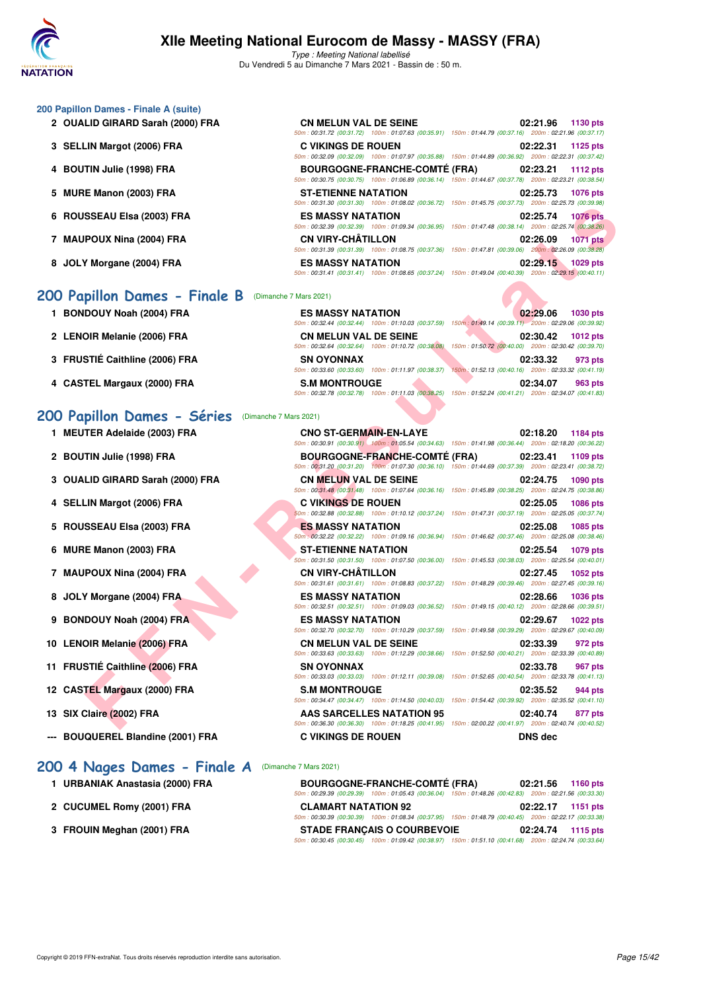

### **200 Papillon Dames - Finale A (suite)**

- 2 OUALID GIRARD Sarah (2000) FRA
- **3 SELLIN Margot (2006) FRA**
- **4 BOUTIN Julie (1998) FRA BOURGOGNE-FRANCHE-COMTÉ (FRA) 02:23.21 1112 pts**
- **5 MURE Manon (2003) FRA**
- **6 ROUSSEAU Elsa (2003) FRA**
- 7 MAUPOUX Nina (2004) FRA
- 8 JOLY Morgane (2004) FRA

# **[200 Papillon Dames - Finale B](http://www.ffnatation.fr/webffn/resultats.php?idact=nat&go=epr&idcpt=69813&idepr=33)** (Dimanche 7 Mars 2021)

- 1 BONDOUY Noah (2004) FRA
- 2 LENOIR Melanie (2006) FRA
- **3 FRUSTIÉ Caithline (2006) FRA**
- **4 CASTEL Margaux (2000) FRA**

### **[200 Papillon Dames - Séries](http://www.ffnatation.fr/webffn/resultats.php?idact=nat&go=epr&idcpt=69813&idepr=33)** (Dimanche 7 Mars 2021)

- 
- 2 BOUTIN Julie (1998) FRA
- **3 OUALID GIRARD Sarah (2000) FRA**
- **4 SELLIN Margot (2006) FRA**
- 5 ROUSSEAU Elsa (2003) FRA
- **6 MURE Manon (2003) FRA**
- **7 MAUPOUX Nina (2004) FRA**
- 8 JOLY Morgane (2004) FRA
- **9 BONDOUY Noah (2004) FRA**
- **10 LENOIR Melanie (2006) FRA**
- **11 FRUSTIÉ Caithline (2006) FRA**
- **12 CASTEL Margaux (2000) FRA**
- **13 SIX Claire (2002) FRA**
- **--- BOUQUEREL Blandine (2001) FRA**

### **[200 4 Nages Dames - Finale A](http://www.ffnatation.fr/webffn/resultats.php?idact=nat&go=epr&idcpt=69813&idepr=41)** (Dimanche 7 Mars 2021)

- 1 URBANIAK Anastasia (2000) FRA
- 2 CUCUMEL Romy (2001) FRA
- **3 FROUIN Meghan (2001) FRA**

| <b>CN MELUN VAL DE SEINE</b> |  | 02:21.96 1130 pts                                                                                                                                         |
|------------------------------|--|-----------------------------------------------------------------------------------------------------------------------------------------------------------|
|                              |  | 50m: 00:31.72 (00:31.72) 100m: 01:07.63 (00:35.91) 150m: 01:44.79 (00:37.16) 200m: 02:21.96 (00:37.17)                                                    |
| <b>C VIKINGS DE ROUEN</b>    |  | 02:22.31 1125 pts                                                                                                                                         |
|                              |  | 50m: 00:32.09 (00:32.09) 100m: 01:07.97 (00:35.88) 150m: 01:44.89 (00:36.92) 200m: 02:22.31 (00:37.42)                                                    |
|                              |  | BOURGOGNE-FRANCHE-COMTÉ (FRA) 02:23.21 1112 pts<br>50m: 00:30.75 (00:30.75) 100m: 01:06.89 (00:36.14) 150m: 01:44.67 (00:37.78) 200m: 02:23.21 (00:38.54) |
| <b>ST-ETIENNE NATATION</b>   |  | 02:25.73 1076 pts                                                                                                                                         |
|                              |  | 50m: 00:31.30 (00:31.30) 100m: 01:08.02 (00:36.72) 150m: 01:45.75 (00:37.73) 200m: 02:25.73 (00:39.98)                                                    |
| <b>ES MASSY NATATION</b>     |  | 02:25.74 1076 pts<br>50m: 00:32.39 (00:32.39) 100m: 01:09.34 (00:36.95) 150m: 01:47.48 (00:38.14) 200m: 02:25.74 (00:38.26)                               |
| <b>CN VIRY-CHÂTILLON</b>     |  | 02:26.09 1071 pts                                                                                                                                         |
| <b>ES MASSY NATATION</b>     |  | 50m: 00:31.39 (00:31.39) 100m: 01:08.75 (00:37.36) 150m: 01:47.81 (00:39.06) 200m: 02:26.09 (00:38.28)<br>02:29.15 1029 pts                               |
|                              |  | 50m: 00:31.41 (00:31.41) 100m: 01:08.65 (00:37.24) 150m: 01:49.04 (00:40.39) 200m: 02:29.15 (00:40.11)                                                    |

| <b>ES MASSY NATATION</b>                           | 02:29.06<br>1030 pts                                                                                  |
|----------------------------------------------------|-------------------------------------------------------------------------------------------------------|
|                                                    | 50m: 00:32.44 (00:32.44) 100m: 01:10.03 (00:37.59) 150m: 01:49.14 (00:39.11) 200m: 02:29.06 (00:39.92 |
| <b>CN MELUN VAL DE SEINE</b>                       | 02:30.42<br>1012 pts                                                                                  |
| 50m: 00:32.64 (00:32.64) 100m: 01:10.72 (00:38.08) | 150m: 01:50.72 (00:40.00) 200m: 02:30.42 (00:39.70)                                                   |
| <b>SN OYONNAX</b>                                  | 02:33.32<br>973 pts                                                                                   |
|                                                    | 50m: 00:33.60 (00:33.60) 100m: 01:11.97 (00:38.37) 150m: 01:52.13 (00:40.16) 200m: 02:33.32 (00:41.19 |
| <b>S.M MONTROUGE</b>                               | 02:34.07<br>963 pts                                                                                   |
| 50m: 00:32.78 (00:32.78) 100m: 01:11.03 (00:38.25) | 150m: 01:52.24 (00:41.21) 200m: 02:34.07 (00:41.83)                                                   |

| MEUTER Adelaide (2003) FRA | <b>CNO ST-GERMAIN-EN-LAYE</b>                                                                         | 02:18.20 | 1184 pts |
|----------------------------|-------------------------------------------------------------------------------------------------------|----------|----------|
|                            | 50m: 00:30.91 (00:30.91) 100m: 01:05.54 (00:34.63) 150m: 01:41.98 (00:36.44) 200m: 02:18.20 (00:36.22 |          |          |

|                             | $(00.01.00, 0.00)$ (00.01.00) (00.01.01.00.02 (00.00.12) (00.12.10) (00.10.10) | LUUIII. UL.LU.IU (UU.UJ.JU)                                                                                                               |
|-----------------------------|--------------------------------------------------------------------------------|-------------------------------------------------------------------------------------------------------------------------------------------|
| SSEAU Elsa (2003) FRA       | <b>ES MASSY NATATION</b>                                                       | 02:25.74<br><b>1076 pts</b><br>50m : 00:32.39 (00:32.39) 100m : 01:09.34 (00:36.95) 150m : 01:47.48 (00:38.14) 200m : 02:25.74 (00:38.26) |
| POUX Nina (2004) FRA        | <b>CN VIRY-CHÂTILLON</b>                                                       | 02:26.09<br><b>1071 pts</b><br>50m: 00:31.39 (00:31.39) 100m: 01:08.75 (00:37.36) 150m: 01:47.81 (00:39.06) 200m: 02:26.09 (00:38.28)     |
| Y Morgane (2004) FRA        | <b>ES MASSY NATATION</b>                                                       | 02:29.15 1029 pts<br>50m: 00:31.41 (00:31.41) 100m: 01:08.65 (00:37.24) 150m: 01:49.04 (00:40.39) 200m: 02:29.15 (00:40.11)               |
| pillon Dames - Finale B     | (Dimanche 7 Mars 2021)                                                         |                                                                                                                                           |
| DOUY Noah (2004) FRA        | <b>ES MASSY NATATION</b>                                                       | 02:29.06<br><b>1030 pts</b><br>50m: 00:32.44 (00:32.44) 100m: 01:10.03 (00:37.59) 150m: 01:49.14 (00:39.11) 200m: 02:29.06 (00:39.92)     |
| OIR Melanie (2006) FRA      | <b>CN MELUN VAL DE SEINE</b>                                                   | 02:30.42<br><b>1012 pts</b><br>50m : 00:32.64 (00:32.64) 100m : 01:10.72 (00:38.08) 150m : 01:50.72 (00:40.00) 200m : 02:30.42 (00:39.70) |
| STIÉ Caithline (2006) FRA   | <b>SN OYONNAX</b><br>50m: 00:33.60 (00:33.60) 100m: 01:11.97 (00:38.37)        | 02:33.32<br>973 pts<br>150m: 01:52.13 (00:40.16) 200m: 02:33.32 (00:41.19)                                                                |
| TEL Margaux (2000) FRA      | <b>S.M MONTROUGE</b>                                                           | 02:34.07<br>963 pts<br>50m: 00:32.78 (00:32.78) 100m: 01:11.03 (00:38.25) 150m: 01:52.24 (00:41.21) 200m: 02:34.07 (00:41.83)             |
| pillon Dames - Séries       | (Dimanche 7 Mars 2021)                                                         |                                                                                                                                           |
| TER Adelaide (2003) FRA     | <b>CNO ST-GERMAIN-EN-LAYE</b>                                                  | 02:18.20<br>1184 pts<br>50m : 00:30.91 (00:30.91) 100m : 01:05.54 (00:34.63) 150m : 01:41.98 (00:36.44) 200m : 02:18.20 (00:36.22)        |
| TIN Julie (1998) FRA        | <b>BOURGOGNE-FRANCHE-COMTE (FRA)</b>                                           | 02:23.41<br>1109 pts<br>50m: 00:31.20 (00:31.20) 100m: 01:07.30 (00:36.10) 150m: 01:44.69 (00:37.39) 200m: 02:23.41 (00:38.72)            |
| LID GIRARD Sarah (2000) FRA | <b>CN MELUN VAL DE SEINE</b>                                                   | 02:24.75<br><b>1090 pts</b><br>50m: 00:31.48 (00:31.48) 100m: 01:07.64 (00:36.16) 150m: 01:45.89 (00:38.25) 200m: 02:24.75 (00:38.86)     |
| LIN Margot (2006) FRA       | <b>C VIKINGS DE ROUEN</b>                                                      | 02:25.05<br><b>1086 pts</b><br>50m : 00:32.88 (00:32.88) 100m : 01:10.12 (00:37.24) 150m : 01:47.31 (00:37.19) 200m : 02:25.05 (00:37.74) |
| SSEAU Elsa (2003) FRA       | <b>ES MASSY NATATION</b>                                                       | 02:25.08<br>1085 pts<br>50m : 00:32.22 (00:32.22) 100m : 01:09.16 (00:36.94) 150m : 01:46.62 (00:37.46) 200m : 02:25.08 (00:38.46)        |
| E Manon (2003) FRA          | <b>ST-ETIENNE NATATION</b>                                                     | 02:25.54<br>1079 pts<br>50m: 00:31.50 (00:31.50) 100m: 01:07.50 (00:36.00) 150m: 01:45.53 (00:38.03) 200m: 02:25.54 (00:40.01)            |
| POUX Nina (2004) FRA        | <b>CN VIRY-CHÂTILLON</b>                                                       | 02:27.45<br><b>1052 pts</b><br>50m: 00:31.61 (00:31.61) 100m: 01:08.83 (00:37.22) 150m: 01:48.29 (00:39.46) 200m: 02:27.45 (00:39.16)     |
| Y Morgane (2004) FRA        | <b>ES MASSY NATATION</b>                                                       | 02:28.66<br>1036 pts<br>50m: 00:32.51 (00:32.51) 100m: 01:09.03 (00:36.52) 150m: 01:49.15 (00:40.12) 200m: 02:28.66 (00:39.51)            |
| DOUY Noah (2004) FRA        | <b>ES MASSY NATATION</b>                                                       | 02:29.67<br><b>1022 pts</b><br>50m : 00:32.70 (00:32.70) 100m : 01:10.29 (00:37.59) 150m : 01:49.58 (00:39.29) 200m : 02:29.67 (00:40.09) |
| OIR Melanie (2006) FRA      | <b>CN MELUN VAL DE SEINE</b>                                                   | 02:33.39<br>972 pts<br>50m: 00:33.63 (00:33.63) 100m: 01:12.29 (00:38.66) 150m: 01:52.50 (00:40.21) 200m: 02:33.39 (00:40.89)             |
| STIÉ Caithline (2006) FRA   | <b>SN OYONNAX</b>                                                              | 02:33.78<br>967 pts<br>$50m$ : 00:33.03 (00:33.03) 100m: 01:12.11 (00:39.08) 150m: 01:52.65 (00:40.54) 200m: 02:33.78 (00:41.13)          |
| TEL Margaux (2000) FRA      | <b>S.M MONTROUGE</b>                                                           | 02:35.52<br>944 pts<br>50m: 00:34.47 (00:34.47) 100m: 01:14.50 (00:40.03) 150m: 01:54.42 (00:39.92) 200m: 02:35.52 (00:41.10)             |
| Claire (2002) FRA           | <b>AAS SARCELLES NATATION 95</b>                                               | 02:40.74<br>877 pts<br>50m: 00:36.30 (00:36.30) 100m: 01:18.25 (00:41.95) 150m: 02:00.22 (00:41.97) 200m: 02:40.74 (00:40.52)             |
| QUEREL Blandine (2001) FRA  | <b>C VIKINGS DE ROUEN</b>                                                      | <b>DNS</b> dec                                                                                                                            |

| <b>BOURGOGNE-FRANCHE-COMTÉ (FRA)</b>                                                                   |  | 02:21.56 1160 pts |  |
|--------------------------------------------------------------------------------------------------------|--|-------------------|--|
| 50m: 00:29.39 (00:29.39) 100m: 01:05.43 (00:36.04) 150m: 01:48.26 (00:42.83) 200m: 02:21.56 (00:33.30) |  |                   |  |
| <b>CLAMART NATATION 92</b>                                                                             |  | 02:22.17 1151 pts |  |
| 50m: 00:30.39 (00:30.39) 100m: 01:08.34 (00:37.95) 150m: 01:48.79 (00:40.45) 200m: 02:22.17 (00:33.38) |  |                   |  |
| <b>STADE FRANCAIS O COURBEVOIE</b>                                                                     |  | 02:24.74 1115 pts |  |
| 50m: 00:30.45 (00:30.45) 100m: 01:09.42 (00:38.97) 150m: 01:51.10 (00:41.68) 200m: 02:24.74 (00:33.64) |  |                   |  |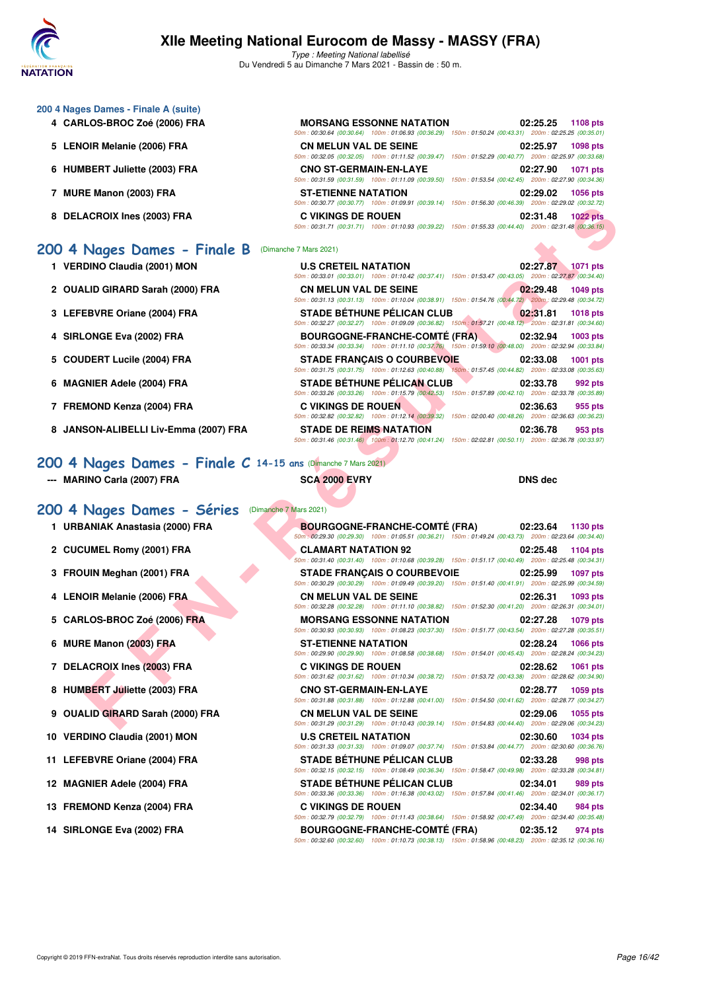

| 200 4 Nages Dames - Finale A (suite)  |                                                                                       |                                                                                    |
|---------------------------------------|---------------------------------------------------------------------------------------|------------------------------------------------------------------------------------|
| 4 CARLOS-BROC Zoé (2006) FRA          | <b>MORSANG ESSONNE NATATION</b><br>50m: 00:30.64 (00:30.64) 100m: 01:06.93 (00:36.29) | 02:25.25<br><b>1108 pts</b><br>150m: 01:50.24 (00:43.31) 200m: 02:25.25 (00:35.01) |
| 5 LENOIR Melanie (2006) FRA           | <b>CN MELUN VAL DE SEINE</b><br>50m: 00:32.05 (00:32.05) 100m: 01:11.52 (00:39.47)    | 02:25.97<br><b>1098 pts</b><br>150m: 01:52.29 (00:40.77) 200m: 02:25.97 (00:33.68) |
| 6 HUMBERT Juliette (2003) FRA         | <b>CNO ST-GERMAIN-EN-LAYE</b><br>50m: 00:31.59 (00:31.59) 100m: 01:11.09 (00:39.50)   | 02:27.90<br><b>1071 pts</b><br>150m: 01:53.54 (00:42.45) 200m: 02:27.90 (00:34.36) |
| MURE Manon (2003) FRA                 | <b>ST-ETIENNE NATATION</b><br>50m: 00:30.77 (00:30.77)  100m: 01:09.91 (00:39.14)     | 02:29.02<br><b>1056 pts</b><br>150m: 01:56.30 (00:46.39) 200m: 02:29.02 (00:32.72) |
| <b>DELACROIX Ines (2003) FRA</b><br>8 | C VIKINGS DE ROUEN<br>50m: 00:31.71 (00:31.71) 100m: 01:10.93 (00:39.22)              | 02:31.48<br><b>1022 pts</b><br>150m: 01:55.33 (00:44.40) 200m: 02:31.48 (00:36.15) |
| 200 4 Nages Dames - Finale B          | (Dimanche 7 Mars 2021)                                                                |                                                                                    |

| 1 VERDINO Claudia (2001) MON          | <b>U.S CRETEIL NATATION</b>                                                                            | 02:27.87<br><b>1071 pts</b>                         |
|---------------------------------------|--------------------------------------------------------------------------------------------------------|-----------------------------------------------------|
|                                       | 50m: 00:33.01 (00:33.01) 100m: 01:10.42 (00:37.41) 150m: 01:53.47 (00:43.05)                           | 200m: 02:27.87 (00:34.40)                           |
| 2 OUALID GIRARD Sarah (2000) FRA      | <b>CN MELUN VAL DE SEINE</b>                                                                           | 02:29.48<br>1049 pts                                |
|                                       | 50m: 00:31.13 (00:31.13) 100m: 01:10.04 (00:38.91) 150m: 01:54.76 (00:44.72) 200m: 02:29.48 (00:34.72) |                                                     |
| 3 LEFEBVRE Oriane (2004) FRA          | <b>STADE BÉTHUNE PÉLICAN CLUB</b>                                                                      | 02:31.81<br>1018 pts                                |
|                                       | 50m: 00:32.27 (00:32.27) 100m: 01:09.09 (00:36.82) 150m: 01:57.21 (00:48.12) 200m: 02:31.81 (00:34.60) |                                                     |
| 4 SIRLONGE Eva (2002) FRA             | <b>BOURGOGNE-FRANCHE-COMTÉ (FRA)</b>                                                                   | 02:32.94<br>1003 pts                                |
|                                       | 50m: 00:33.34 (00:33.34) 100m: 01:11.10 (00:37.76) 150m: 01:59.10 (00:48.00) 200m: 02:32.94 (00:33.84) |                                                     |
| 5 COUDERT Lucile (2004) FRA           | <b>STADE FRANCAIS O COURBEVOIE</b>                                                                     | 02:33.08<br>1001 pts                                |
|                                       |                                                                                                        |                                                     |
|                                       | 50m: 00:31.75 (00:31.75) 100m: 01:12.63 (00:40.88) 150m: 01:57.45 (00:44.82) 200m: 02:33.08 (00:35.63) |                                                     |
| 6 MAGNIER Adele (2004) FRA            | <b>STADE BÉTHUNE PÉLICAN CLUB</b>                                                                      | 02:33.78<br>992 pts                                 |
|                                       | 50m: 00:33.26 (00:33.26) 100m: 01:15.79 (00:42.53)                                                     | 150m: 01:57.89 (00:42.10) 200m: 02:33.78 (00:35.89) |
| 7 FREMOND Kenza (2004) FRA            | <b>C VIKINGS DE ROUEN</b>                                                                              | 02:36.63<br>955 pts                                 |
|                                       | 100m: 01:12.14 (00:39.32)<br>50m: 00:32.82 (00:32.82)                                                  | 150m: 02:00.40 (00:48.26) 200m: 02:36.63 (00:36.23) |
| 8 JANSON-ALIBELLI Liv-Emma (2007) FRA | <b>STADE DE REIMS NATATION</b>                                                                         | 02:36.78<br>953 pts                                 |

# **[200 4 Nages Dames - Finale C](http://www.ffnatation.fr/webffn/resultats.php?idact=nat&go=epr&idcpt=69813&idepr=41) 14-15 ans** (Dimanche 7 Mars 2021)

|  | <b>MARINO Carla (2007) FRA</b> |  |  |  |
|--|--------------------------------|--|--|--|
|--|--------------------------------|--|--|--|

## **--- MARINO Carla (2007) FRA SCA 2000 EVRY DNS dec**

|                                                              | $(00.9011, 00.90.77, 00.90.77)$ TODIT: 01.09.91 (00.93.14) TODIT: 01.00.00 (00.40.09) LODIT: 02.29.02 (00.92.72)                                                                                                                                         |                             |
|--------------------------------------------------------------|----------------------------------------------------------------------------------------------------------------------------------------------------------------------------------------------------------------------------------------------------------|-----------------------------|
| 8 DELACROIX Ines (2003) FRA                                  | <b>C VIKINGS DE ROUEN</b><br>50m : 00:31.71 (00:31.71) 100m : 01:10.93 (00:39.22) 150m : 01:55.33 (00:44.40) 200m : 02:31.48 (00:36.15)                                                                                                                  | 02:31.48<br><b>1022 pts</b> |
| 00 4 Nages Dames - Finale B                                  | (Dimanche 7 Mars 2021)                                                                                                                                                                                                                                   |                             |
| 1 VERDINO Claudia (2001) MON                                 | <b>U.S CRETEIL NATATION</b><br>50m : 00:33.01 (00:33.01) 100m : 01:10.42 (00:37.41) 150m : 01:53.47 (00:43.05) 200m : 02:27.87 (00:34.40)                                                                                                                | 02:27.87<br>1071 pts        |
| 2 OUALID GIRARD Sarah (2000) FRA                             | <b>CN MELUN VAL DE SEINE</b><br>50m: 00:31.13 (00:31.13) 100m: 01:10.04 (00:38.91) 150m: 01:54.76 (00:44.72) 200m: 02:29.48 (00:34.72)                                                                                                                   | 02:29.48<br>1049 pts        |
| 3 LEFEBVRE Oriane (2004) FRA                                 | <b>STADE BÉTHUNE PÉLICAN CLUB</b><br>50m: 00:32.27 (00:32.27) 100m: 01:09.09 (00:36.82) 150m: 01:57.21 (00:48.12) 200m: 02:31.81 (00:34.60)                                                                                                              | 02:31.81<br><b>1018 pts</b> |
| 4 SIRLONGE Eva (2002) FRA                                    | <b>BOURGOGNE-FRANCHE-COMTÉ (FRA)</b><br>50m: 00:33.34 (00:33.34) 100m: 01:11.10 (00:37.76) 150m: 01:59.10 (00:48.00) 200m: 02:32.94 (00:33.84)                                                                                                           | 02:32.94<br>1003 pts        |
| 5 COUDERT Lucile (2004) FRA                                  | <b>STADE FRANÇAIS O COURBEVOIE</b><br>50m: 00:31.75 (00:31.75) 100m: 01:12.63 (00:40.88) 150m: 01:57.45 (00:44.82) 200m: 02:33.08 (00:35.63)                                                                                                             | 02:33.08<br>1001 pts        |
| 6 MAGNIER Adele (2004) FRA                                   | <b>STADE BÉTHUNE PÉLICAN CLUB</b><br>50m : 00:33.26 (00:33.26) 100m : 01:15.79 (00:42.53) 150m : 01:57.89 (00:42.10) 200m : 02:33.78 (00:35.89)                                                                                                          | 02:33.78<br>992 pts         |
| 7 FREMOND Kenza (2004) FRA                                   | <b>C VIKINGS DE ROUEN</b><br>50m : 00:32.82 (00:32.82) 100m : 01:12.14 (00:39.32) 150m : 02:00.40 (00:48.26) 200m : 02:36.63 (00:36.23)                                                                                                                  | 02:36.63<br>955 pts         |
| 8 JANSON-ALIBELLI Liv-Emma (2007) FRA                        | <b>STADE DE REIMS NATATION</b><br>50m: 00:31.46 (00:31.46) 100m: 01:12.70 (00:41.24) 150m: 02:02.81 (00:50.11) 200m: 02:36.78 (00:33.97)                                                                                                                 | 02:36.78<br>953 pts         |
| 00 4 Nages Dames - Finale C 14-15 ans (Dimanche 7 Mars 2021) |                                                                                                                                                                                                                                                          |                             |
| --- MARINO Carla (2007) FRA                                  | <b>SCA 2000 EVRY</b>                                                                                                                                                                                                                                     | <b>DNS dec</b>              |
| 00 4 Nages Dames - Séries                                    | (Dimanche 7 Mars 2021)                                                                                                                                                                                                                                   |                             |
| 1 URBANIAK Anastasia (2000) FRA                              | <b>BOURGOGNE-FRANCHE-COMTÉ (FRA)</b><br>50m: 00:29.30 (00:29.30) 100m: 01:05.51 (00:36.21) 150m: 01:49.24 (00:43.73) 200m: 02:23.64 (00:34.40)                                                                                                           | 02:23.64<br>1130 pts        |
| 2 CUCUMEL Romy (2001) FRA                                    | <b>CLAMART NATATION 92</b><br>50m: 00:31.40 (00:31.40) 100m: 01:10.68 (00:39.28) 150m: 01:51.17 (00:40.49) 200m: 02:25.48 (00:34.31)                                                                                                                     | 02:25.48<br>1104 pts        |
| 3 FROUIN Meghan (2001) FRA                                   | <b>STADE FRANÇAIS O COURBEVOIE</b>                                                                                                                                                                                                                       | 02:25.99<br>1097 pts        |
| 4 LENOIR Melanie (2006) FRA                                  | 50m: 00:30.29 (00:30.29) 100m: 01:09.49 (00:39.20) 150m: 01:51.40 (00:41.91) 200m: 02:25.99 (00:34.59)<br><b>CN MELUN VAL DE SEINE</b>                                                                                                                   | 02:26.31<br>1093 pts        |
| 5 CARLOS-BROC Zoé (2006) FRA                                 | 50m : 00:32.28 (00:32.28) 100m : 01:11.10 (00:38.82) 150m : 01:52.30 (00:41.20) 200m : 02:26.31 (00:34.01)<br><b>MORSANG ESSONNE NATATION</b>                                                                                                            | 02:27.28<br><b>1079 pts</b> |
| 6 MURE Manon (2003) FRA                                      | 50m: 00:30.93 (00:30.93) 100m: 01:08.23 (00:37.30) 150m: 01:51.77 (00:43.54) 200m: 02:27.28 (00:35.51)<br><b>ST-ETIENNE NATATION</b>                                                                                                                     | 02:28.24<br><b>1066 pts</b> |
| 7 DELACROIX Ines (2003) FRA                                  | 50m : 00:29.90 (00:29.90) 100m : 01:08.58 (00:38.68) 150m : 01:54.01 (00:45.43) 200m : 02:28.24 (00:34.23)<br><b>C VIKINGS DE ROUEN</b><br>50m: 00:31.62 (00:31.62) 100m: 01:10.34 (00:38.72) 150m: 01:53.72 (00:43.38) 200m: 02:28.62 (00:34.90)        | 02:28.62<br>1061 pts        |
| 8 HUMBERT Juliette (2003) FRA                                | <b>CNO ST-GERMAIN-EN-LAYE</b><br>50m: 00:31.88 (00:31.88) 100m: 01:12.88 (00:41.00) 150m: 01:54.50 (00:41.62) 200m: 02:28.77 (00:34.27)                                                                                                                  | 02:28.77<br>1059 pts        |
| 9 OUALID GIRARD Sarah (2000) FRA                             | <b>CN MELUN VAL DE SEINE</b><br>50m : 00:31.29 (00:31.29) 100m : 01:10.43 (00:39.14) 150m : 01:54.83 (00:44.40) 200m : 02:29.06 (00:34.23)                                                                                                               | 02:29.06<br>1055 pts        |
| 10 VERDINO Claudia (2001) MON                                | <b>U.S CRETEIL NATATION</b>                                                                                                                                                                                                                              | 02:30.60<br><b>1034 pts</b> |
| 11 LEFEBVRE Oriane (2004) FRA                                | 50m: 00:31.33 (00:31.33) 100m: 01:09.07 (00:37.74) 150m: 01:53.84 (00:44.77) 200m: 02:30.60 (00:36.76)<br><b>STADE BETHUNE PELICAN CLUB</b>                                                                                                              | 02:33.28<br>998 pts         |
| 12 MAGNIER Adele (2004) FRA                                  | 50m: 00:32.15 (00:32.15) 100m: 01:08.49 (00:36.34) 150m: 01:58.47 (00:49.98) 200m: 02:33.28 (00:34.81)<br><b>STADE BÉTHUNE PÉLICAN CLUB</b>                                                                                                              | 02:34.01<br>989 pts         |
| 13 FREMOND Kenza (2004) FRA                                  | 50m: 00:33.36 (00:33.36) 100m: 01:16.38 (00:43.02) 150m: 01:57.84 (00:41.46) 200m: 02:34.01 (00:36.17)<br><b>C VIKINGS DE ROUEN</b>                                                                                                                      | 02:34.40<br>984 pts         |
| 14 SIRLONGE Eva (2002) FRA                                   | 50m: 00:32.79 (00:32.79) 100m: 01:11.43 (00:38.64) 150m: 01:58.92 (00:47.49) 200m: 02:34.40 (00:35.48)<br><b>BOURGOGNE-FRANCHE-COMTE (FRA)</b><br>50m: 00:32.60 (00:32.60) 100m: 01:10.73 (00:38.13) 150m: 01:58.96 (00:48.23) 200m: 02:35.12 (00:36.16) | 02:35.12<br>974 pts         |
|                                                              |                                                                                                                                                                                                                                                          |                             |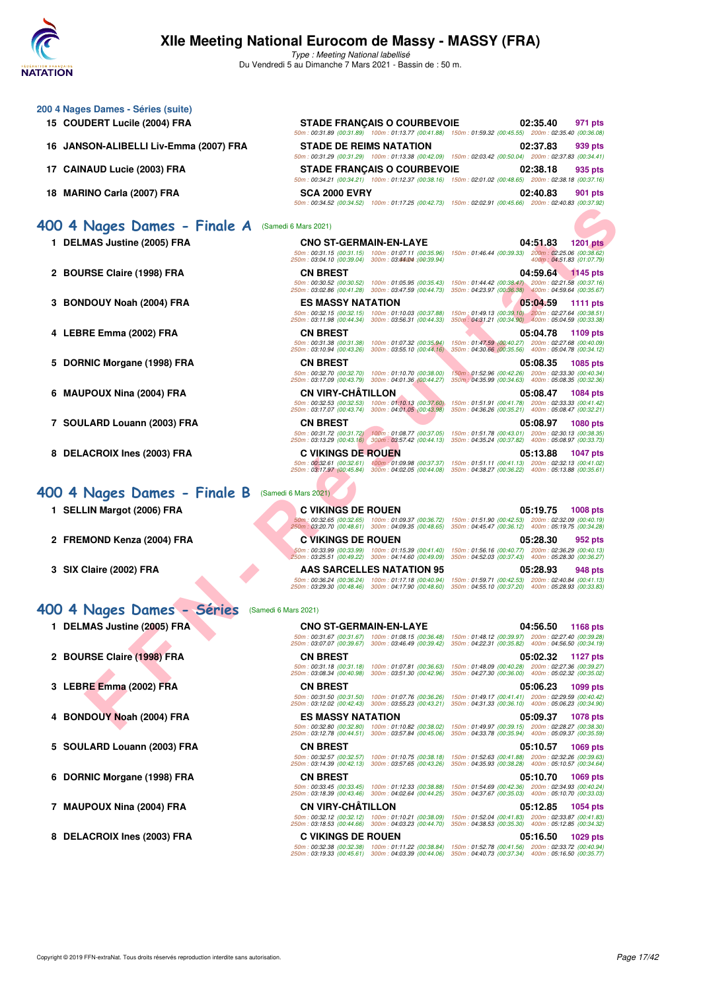

| 15 COUDERT Lucile (2004) FRA           | <b>STADE FRANÇAIS O COURBEVOIE</b>                                                                                                                                                         | 02:35.40<br>971 pts<br>50m: 00:31.89 (00:31.89) 100m: 01:13.77 (00:41.88) 150m: 01:59.32 (00:45.55) 200m: 02:35.40 (00:36.08)                                                                                                        |
|----------------------------------------|--------------------------------------------------------------------------------------------------------------------------------------------------------------------------------------------|--------------------------------------------------------------------------------------------------------------------------------------------------------------------------------------------------------------------------------------|
| 16 JANSON-ALIBELLI Liv-Emma (2007) FRA | <b>STADE DE REIMS NATATION</b>                                                                                                                                                             | 02:37.83<br>939 pts<br>50m: 00:31.29 (00:31.29) 100m: 01:13.38 (00:42.09) 150m: 02:03.42 (00:50.04) 200m: 02:37.83 (00:34.41)                                                                                                        |
| 17 CAINAUD Lucie (2003) FRA            | <b>STADE FRANÇAIS O COURBEVOIE</b>                                                                                                                                                         | 02:38.18<br>935 pts<br>50m : 00:34.21 (00:34.21) 100m : 01:12.37 (00:38.16) 150m : 02:01.02 (00:48.65) 200m : 02:38.18 (00:37.16)                                                                                                    |
| 18 MARINO Carla (2007) FRA             | <b>SCA 2000 EVRY</b>                                                                                                                                                                       | 02:40.83<br>901 pts<br>50m : 00:34.52 (00:34.52) 100m : 01:17.25 (00:42.73) 150m : 02:02.91 (00:45.66) 200m : 02:40.83 (00:37.92)                                                                                                    |
| 400 4 Nages Dames - Finale A           | (Samedi 6 Mars 2021)                                                                                                                                                                       |                                                                                                                                                                                                                                      |
| 1 DELMAS Justine (2005) FRA            | <b>CNO ST-GERMAIN-EN-LAYE</b><br>50m: 00:31.15 (00:31.15) 100m: 01:07.11 (00:35.96)<br>(00:39.94): 250m: 03:04.10 (00:39.04) 300m: 03:44004                                                | 04:51.83<br><b>1201 pts</b><br>150m: 01:46.44 (00:39.33) 200m: 02:25.06 (00:38.62)<br>400m: 04:51.83 (01:07.79)                                                                                                                      |
| 2 BOURSE Claire (1998) FRA             | <b>CN BREST</b><br>50m: 00:30.52 (00:30.52) 100m: 01:05.95 (00:35.43)<br>250m: 03:02.86 (00:41.28) 300m: 03:47.59 (00:44.73) 350m: 04:23.97 (00:36.38) 400m: 04:59.64 (00:35.67)           | 04:59.64 1145 pts<br>150m: 01:44.42 (00:38.47) 200m: 02:21.58 (00:37.16)                                                                                                                                                             |
| 3 BONDOUY Noah (2004) FRA              | <b>ES MASSY NATATION</b><br>50m: 00:32.15 (00:32.15) 100m: 01:10.03 (00:37.88)<br>250m: 03:11.98 (00:44.34) 300m: 03:56.31 (00:44.33)                                                      | 05:04.59<br>1111 pts<br>150m: 01:49.13 (00:39.10) 200m: 02:27.64 (00:38.51)<br>350m: 04:31.21 (00:34.90) 400m: 05:04.59 (00:33.38)                                                                                                   |
| 4   LEBRE Emma (2002) FRA              | <b>CN BREST</b><br>50m: 00:31.38 (00:31.38)<br>100m: 01:07.32 (00:35.94)                                                                                                                   | 05:04.78<br>1109 pts<br>150m: 01:47.59 (00:40.27) 200m: 02:27.68 (00:40.09)                                                                                                                                                          |
| 5 DORNIC Morgane (1998) FRA            | 250m: 03:10.94 (00:43.26)<br>300m: 03:55.10 (00:44.16)<br><b>CN BREST</b><br>50m: 00:32.70 (00:32.70) 100m: 01:10.70 (00:38.00)                                                            | 350m: 04:30.66 (00:35.56) 400m: 05:04.78 (00:34.12)<br>05:08.35<br>1085 pts<br>150m: 01:52.96 (00:42.26) 200m: 02:33.30 (00:40.34)                                                                                                   |
| 6 MAUPOUX Nina (2004) FRA              | 250m: 03:17.09 (00:43.79) 300m: 04:01.36 (00:44.27)<br><b>CN VIRY-CHATILLON</b><br>50m: 00:32.53 (00:32.53) 100m: 01:10.13 (00:37.60)                                                      | 350m : 04:35.99 (00:34.63) 400m : 05:08.35 (00:32.36)<br>05:08.47<br>1084 pts<br>150m: 01:51.91 (00:41.78) 200m: 02:33.33 (00:41.42)                                                                                                 |
| 7 SOULARD Louann (2003) FRA            | 250m: 03:17.07 (00:43.74) 300m: 04:01.05 (00:43.98)<br><b>CN BREST</b><br>50m: 00:31.72 (00:31.72)  100m: 01:08.77 (00:37.05)                                                              | 350m: 04:36.26 (00:35.21) 400m: 05:08.47 (00:32.21)<br>05:08.97<br><b>1080 pts</b><br>150m: 01:51.78 (00:43.01) 200m: 02:30.13 (00:38.35)                                                                                            |
| 8 DELACROIX Ines (2003) FRA            | 250m: 03:13.29 (00:43.16) 300m: 03:57.42 (00:44.13)<br><b>C VIKINGS DE ROUEN</b><br>50m: 00:32.61 (00:32.61) 100m: 01:09.98 (00:37.37)                                                     | 350m: 04:35.24 (00:37.82) 400m: 05:08.97 (00:33.73)<br>05:13.88<br><b>1047 pts</b><br>150m: 01:51.11 (00:41.13) 200m: 02:32.13 (00:41.02)                                                                                            |
| 400 4 Nages Dames - Finale B           | 250m: 03:17.97 (00:45.84) 300m: 04:02.05 (00:44.08)<br>(Samedi 6 Mars 2021)                                                                                                                | 350m: 04:38.27 (00:36.22) 400m: 05:13.88 (00:35.61)                                                                                                                                                                                  |
| 1 SELLIN Margot (2006) FRA             | <b>C VIKINGS DE ROUEN</b><br>50m: 00:32.65 (00:32.65) 100m: 01:09.37 (00:36.72)                                                                                                            | 05:19.75<br><b>1008 pts</b><br>150m: 01:51.90 (00:42.53) 200m: 02:32.09 (00:40.19)                                                                                                                                                   |
| 2 FREMOND Kenza (2004) FRA             | 250m: 03:20.70 (00:48.61) 300m: 04:09.35 (00:48.65)<br><b>C VIKINGS DE ROUEN</b><br>50m: 00:33.99 (00:33.99) 100m: 01:15.39 (00:41.40)                                                     | 350m: 04:45.47 (00:36.12) 400m: 05:19.75 (00:34.28)<br>05:28.30<br>952 pts<br>150m: 01:56.16 (00:40.77) 200m: 02:36.29 (00:40.13)                                                                                                    |
| 3 SIX Claire (2002) FRA                | 250m: 03:25.51 (00:49.22) 300m: 04:14.60 (00:49.09)<br><b>AAS SARCELLES NATATION 95</b><br>50m: 00:36.24 (00:36.24) 100m: 01:17.18 (00:40.94)                                              | 350m: 04:52.03 (00:37.43) 400m: 05:28.30 (00:36.27)<br>05:28.93<br>948 pts<br>150m: 01:59.71 (00:42.53) 200m: 02:40.84 (00:41.13)                                                                                                    |
| 400 4 Nages Dames - Séries             | 250m: 03:29.30 (00:48.46) 300m: 04:17.90 (00:48.60)<br>(Samedi 6 Mars 2021)                                                                                                                | 350m: 04:55.10 (00:37.20) 400m: 05:28.93 (00:33.83)                                                                                                                                                                                  |
| 1 DELMAS Justine (2005) FRA            | <b>CNO ST-GERMAIN-EN-LAYE</b>                                                                                                                                                              | 04:56.50<br><b>1168 pts</b>                                                                                                                                                                                                          |
| ▼<br>2 BOURSE Claire (1998) FRA        | 50m: 00:31.67 (00:31.67) 100m: 01:08.15 (00:36.48)<br>250m: 03:07.07 (00:39.67) 300m: 03:46.49 (00:39.42)<br><b>CN BREST</b>                                                               | 150m: 01:48.12 (00:39.97) 200m: 02:27.40 (00:39.28)<br>350m: 04:22.31 (00:35.82) 400m: 04:56.50 (00:34.19)                                                                                                                           |
|                                        |                                                                                                                                                                                            | 05:02.32<br>1127 pts                                                                                                                                                                                                                 |
|                                        | 50m: 00:31.18 (00:31.18) 100m: 01:07.81 (00:36.63)<br>250m: 03:08.34 (00:40.98) 300m: 03:51.30 (00:42.96)                                                                                  | 150m: 01:48.09 (00:40.28) 200m: 02:27.36 (00:39.27)<br>350m: 04:27.30 (00:36.00) 400m: 05:02.32 (00:35.02)                                                                                                                           |
| 3   LEBRE Emma (2002) FRA              | <b>CN BREST</b><br>50m: 00:31.50 (00:31.50) 100m: 01:07.76 (00:36.26)<br>250m: 03:12.02 (00:42.43) 300m: 03:55.23 (00:43.21)                                                               | 05:06.23<br>150m: 01:49.17 (00:41.41) 200m: 02:29.59 (00:40.42)                                                                                                                                                                      |
| 4 BONDOUY Noah (2004) FRA              | <b>ES MASSY NATATION</b><br>50m: 00:32.80 (00:32.80) 100m: 01:10.82 (00:38.02)                                                                                                             | 05:09.37<br>150m: 01:49.97 (00:39.15) 200m: 02:28.27 (00:38.30)                                                                                                                                                                      |
| 5 SOULARD Louann (2003) FRA            | 250m: 03:12.78 (00:44.51) 300m: 03:57.84 (00:45.06)<br><b>CN BREST</b><br>50m: 00:32.57 (00:32.57) 100m: 01:10.75 (00:38.18)                                                               | 350m: 04:31.33 (00:36.10) 400m: 05:06.23 (00:34.90)<br>05:10.57<br>150m: 01:52.63 (00:41.88) 200m: 02:32.26 (00:39.63)                                                                                                               |
| 6 DORNIC Morgane (1998) FRA            | 250m: 03:14.39 (00:42.13) 300m: 03:57.65 (00:43.26)<br><b>CN BREST</b><br>50m: 00:33.45 (00:33.45) 100m: 01:12.33 (00:38.88)                                                               | 1099 pts<br><b>1078 pts</b><br>350m: 04:33.78 (00:35.94) 400m: 05:09.37 (00:35.59)<br>1069 pts<br>350m: 04:35.93 (00:38.28) 400m: 05:10.57 (00:34.64)<br>05:10.70<br>1069 pts<br>150m: 01:54.69 (00:42.36) 200m: 02:34.93 (00:40.24) |
| 7 MAUPOUX Nina (2004) FRA              | 250m: 03:18.39 (00:43.46) 300m: 04:02.64 (00:44.25)<br><b>CN VIRY-CHATILLON</b><br>250m: 03:18.53 (00:44.66) 300m: 04:03.23 (00:44.70) 350m: 04:38.53 (00:35.30) 400m: 05:12.85 (00:34.32) | 350m: 04:37.67 (00:35.03) 400m: 05:10.70 (00:33.03)<br>05:12.85<br>1054 pts<br>50m: 00:32.12 (00:32.12) 100m: 01:10.21 (00:38.09) 150m: 01:52.04 (00:41.83) 200m: 02:33.87 (00:41.83)                                                |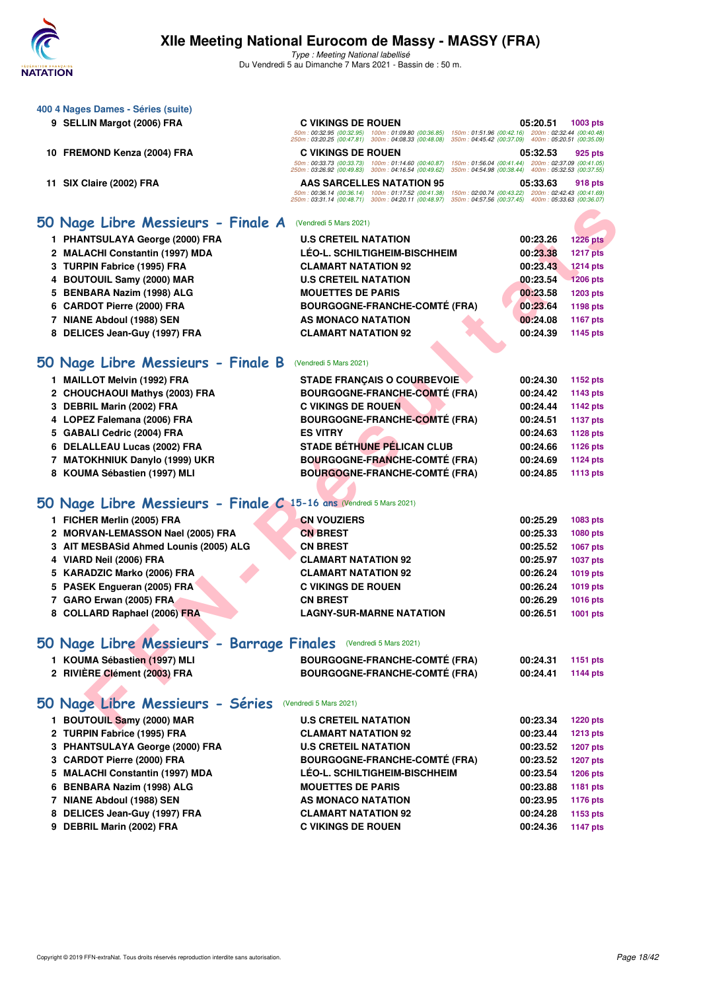

| 400 4 Nages Dames - Séries (suite)<br>9 SELLIN Margot (2006) FRA       | <b>C VIKINGS DE ROUEN</b><br>50m: 00:32.95 (00:32.95) 100m: 01:09.80 (00:36.85)                                                                                     | 05:20.51<br>1003 pts<br>150m: 01:51.96 (00:42.16) 200m: 02:32.44 (00:40.48)                                |
|------------------------------------------------------------------------|---------------------------------------------------------------------------------------------------------------------------------------------------------------------|------------------------------------------------------------------------------------------------------------|
| 10 FREMOND Kenza (2004) FRA                                            | 250m: 03:20.25 (00:47.81) 300m: 04:08.33 (00:48.08)<br>350m: 04:45.42 (00:37.09)<br><b>C VIKINGS DE ROUEN</b><br>50m: 00:33.73 (00:33.73) 100m: 01:14.60 (00:40.87) | 400m: 05:20.51 (00:35.09)<br>05:32.53<br>925 pts<br>150m: 01:56.04 (00:41.44) 200m: 02:37.09 (00:41.05)    |
| 11 SIX Claire (2002) FRA                                               | 250m: 03:26.92 (00:49.83) 300m: 04:16.54 (00:49.62)<br><b>AAS SARCELLES NATATION 95</b>                                                                             | 350m: 04:54.98 (00:38.44) 400m: 05:32.53 (00:37.55)<br>05:33.63<br>918 pts                                 |
|                                                                        | 50m: 00:36.14 (00:36.14) 100m: 01:17.52 (00:41.38)<br>250m: 03:31.14 (00:48.71) 300m: 04:20.11 (00:48.97)                                                           | 150m: 02:00.74 (00:43.22) 200m: 02:42.43 (00:41.69)<br>350m: 04:57.56 (00:37.45) 400m: 05:33.63 (00:36.07) |
| 50 Nage Libre Messieurs - Finale A                                     | (Vendredi 5 Mars 2021)                                                                                                                                              |                                                                                                            |
| 1 PHANTSULAYA George (2000) FRA                                        | <b>U.S CRETEIL NATATION</b>                                                                                                                                         | 00:23.26<br><b>1226 pts</b>                                                                                |
| 2 MALACHI Constantin (1997) MDA                                        | <b>LEO-L. SCHILTIGHEIM-BISCHHEIM</b>                                                                                                                                | 00:23.38<br><b>1217 pts</b>                                                                                |
| 3 TURPIN Fabrice (1995) FRA                                            | <b>CLAMART NATATION 92</b>                                                                                                                                          | 00:23.43<br><b>1214 pts</b>                                                                                |
| 4 BOUTOUIL Samy (2000) MAR                                             | <b>U.S CRETEIL NATATION</b>                                                                                                                                         | 00:23.54<br><b>1206 pts</b>                                                                                |
| BENBARA Nazim (1998) ALG<br>5.                                         | <b>MOUETTES DE PARIS</b>                                                                                                                                            | 00:23.58<br><b>1203 pts</b>                                                                                |
| <b>CARDOT Pierre (2000) FRA</b><br>6                                   | <b>BOURGOGNE-FRANCHE-COMTÉ (FRA)</b>                                                                                                                                | 00:23.64<br>1198 pts                                                                                       |
| 7 NIANE Abdoul (1988) SEN                                              | AS MONACO NATATION                                                                                                                                                  | 00:24.08<br><b>1167 pts</b>                                                                                |
| 8 DELICES Jean-Guy (1997) FRA                                          | <b>CLAMART NATATION 92</b>                                                                                                                                          | 00:24.39<br>1145 pts                                                                                       |
| Nage Libre Messieurs - Finale B<br>50                                  | (Vendredi 5 Mars 2021)                                                                                                                                              |                                                                                                            |
| 1 MAILLOT Melvin (1992) FRA                                            | <b>STADE FRANÇAIS O COURBEVOIE</b>                                                                                                                                  | 00:24.30<br>1152 pts                                                                                       |
| 2 CHOUCHAOUI Mathys (2003) FRA                                         | <b>BOURGOGNE-FRANCHE-COMTÉ (FRA)</b>                                                                                                                                | 00:24.42<br>1143 pts                                                                                       |
| 3 DEBRIL Marin (2002) FRA                                              | <b>C VIKINGS DE ROUEN</b>                                                                                                                                           | 00:24.44<br><b>1142 pts</b>                                                                                |
| 4 LOPEZ Falemana (2006) FRA                                            | <b>BOURGOGNE-FRANCHE-COMTÉ (FRA)</b>                                                                                                                                | 00:24.51<br><b>1137 pts</b>                                                                                |
| <b>GABALI Cedric (2004) FRA</b><br>5.                                  | <b>ES VITRY</b>                                                                                                                                                     | 00:24.63<br><b>1128 pts</b>                                                                                |
| <b>DELALLEAU Lucas (2002) FRA</b><br>6                                 | <b>STADE BÉTHUNE PÉLICAN CLUB</b>                                                                                                                                   | 00:24.66<br>1126 pts                                                                                       |
| 7 MATOKHNIUK Danylo (1999) UKR                                         | <b>BOURGOGNE-FRANCHE-COMTÉ (FRA)</b>                                                                                                                                | 00:24.69<br><b>1124 pts</b>                                                                                |
| 8 KOUMA Sébastien (1997) MLI                                           | <b>BOURGOGNE-FRANCHE-COMTÉ (FRA)</b>                                                                                                                                | 00:24.85<br>1113 pts                                                                                       |
| Nage Libre Messieurs - Finale C 15-16 ans (Vendredi 5 Mars 2021)<br>50 |                                                                                                                                                                     |                                                                                                            |
| 1 FICHER Merlin (2005) FRA                                             | <b>CN VOUZIERS</b>                                                                                                                                                  | 00:25.29<br>1083 pts                                                                                       |
| 2 MORVAN-LEMASSON Nael (2005) FRA                                      | <b>CN BREST</b>                                                                                                                                                     | 00:25.33<br>1080 pts                                                                                       |
| 3 AIT MESBASid Ahmed Lounis (2005) ALG                                 | <b>CN BREST</b>                                                                                                                                                     | 00:25.52<br>1067 pts                                                                                       |
| VIARD Neil (2006) FRA<br>4                                             | <b>CLAMART NATATION 92</b>                                                                                                                                          | 00:25.97<br><b>1037 pts</b>                                                                                |
| 5 KARADZIC Marko (2006) FRA                                            | <b>CLAMART NATATION 92</b>                                                                                                                                          | 00:26.24<br>1019 pts                                                                                       |
| 5 PASEK Engueran (2005) FRA                                            | <b>C VIKINGS DE ROUEN</b>                                                                                                                                           | 00:26.24<br>1019 pts                                                                                       |
| 7 GARO Erwan (2005) FRA                                                | <b>CN BREST</b>                                                                                                                                                     | 00:26.29<br><b>1016 pts</b>                                                                                |
| 8 COLLARD Raphael (2006) FRA                                           | <b>LAGNY-SUR-MARNE NATATION</b>                                                                                                                                     | 00:26.51<br>1001 pts                                                                                       |
| 50 Nage Libre Messieurs - Barrage Finales (Vendredi 5 Mars 2021)       |                                                                                                                                                                     |                                                                                                            |
| 1 KOUMA Sébastien (1997) MLI                                           | <b>BOURGOGNE-FRANCHE-COMTÉ (FRA)</b>                                                                                                                                | 00:24.31<br>1151 pts                                                                                       |
| 2 RIVIÈRE Clément (2003) FRA                                           | <b>BOURGOGNE-FRANCHE-COMTÉ (FRA)</b>                                                                                                                                | 00:24.41<br>1144 pts                                                                                       |
| 50 Nage Libre Messieurs - Séries                                       | (Vendredi 5 Mars 2021)                                                                                                                                              |                                                                                                            |
| 1 BOUTOUIL Samy (2000) MAR                                             | <b>U.S CRETEIL NATATION</b>                                                                                                                                         | 00:23.34<br><b>1220 pts</b>                                                                                |
| 2 TURPIN Fabrice (1995) FRA                                            | <b>CLAMART NATATION 92</b>                                                                                                                                          | 00:23.44<br><b>1213 pts</b>                                                                                |
| 3 PHANTSULAYA George (2000) FRA                                        | <b>U.S CRETEIL NATATION</b>                                                                                                                                         | 00:23.52<br><b>1207 pts</b>                                                                                |
| 3 CARDOT Pierre (2000) FRA                                             | <b>BOURGOGNE-FRANCHE-COMTÉ (FRA)</b>                                                                                                                                | 00:23.52<br><b>1207 pts</b>                                                                                |
| 5 MALACHI Constantin (1997) MDA                                        | LÉO-L. SCHILTIGHEIM-BISCHHEIM                                                                                                                                       | 00:23.54<br><b>1206 pts</b>                                                                                |
| 6 BENBARA Nazim (1998) ALG                                             | <b>MOUETTES DE PARIS</b>                                                                                                                                            | 00:23.88<br>1181 pts                                                                                       |
| 7 NIANE Abdoul (1988) SEN                                              | AS MONACO NATATION                                                                                                                                                  | 00:23.95<br>1176 pts                                                                                       |
| 8 DELICES Jean-Guy (1997) FRA                                          | <b>CLAMART NATATION 92</b>                                                                                                                                          | 00:24.28<br>1153 pts                                                                                       |
| 9 DEBRIL Marin (2002) FRA                                              | <b>C VIKINGS DE ROUEN</b>                                                                                                                                           | 00:24.36<br><b>1147 pts</b>                                                                                |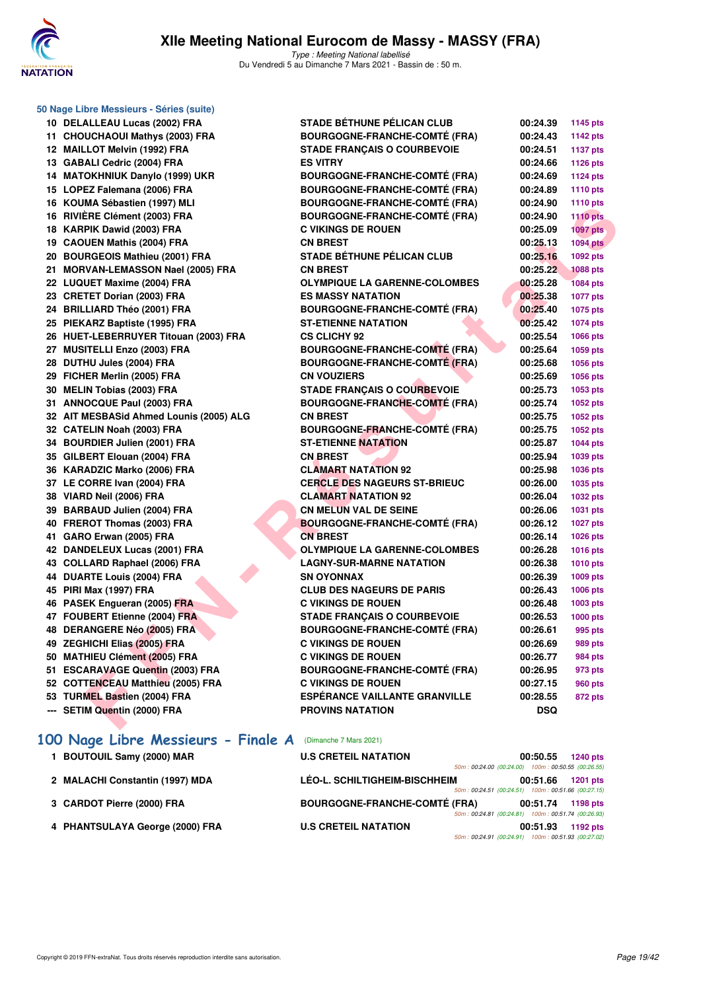

| 50 Nage Libre Messieurs - Séries (suite) |                                      |          |                 |
|------------------------------------------|--------------------------------------|----------|-----------------|
| 10 DELALLEAU Lucas (2002) FRA            | <b>STADE BÉTHUNE PÉLICAN CLUB</b>    | 00:24.39 | 1145 pts        |
| 11 CHOUCHAOUI Mathys (2003) FRA          | <b>BOURGOGNE-FRANCHE-COMTÉ (FRA)</b> | 00:24.43 | <b>1142 pts</b> |
| 12 MAILLOT Melvin (1992) FRA             | <b>STADE FRANÇAIS O COURBEVOIE</b>   | 00:24.51 | <b>1137 pts</b> |
| 13 GABALI Cedric (2004) FRA              | <b>ES VITRY</b>                      | 00:24.66 | 1126 pts        |
| 14 MATOKHNIUK Danylo (1999) UKR          | <b>BOURGOGNE-FRANCHE-COMTÉ (FRA)</b> | 00:24.69 | <b>1124 pts</b> |
| 15 LOPEZ Falemana (2006) FRA             | <b>BOURGOGNE-FRANCHE-COMTÉ (FRA)</b> | 00:24.89 | 1110 pts        |
| 16 KOUMA Sébastien (1997) MLI            | <b>BOURGOGNE-FRANCHE-COMTÉ (FRA)</b> | 00:24.90 | 1110 pts        |
| 16 RIVIÈRE Clément (2003) FRA            | <b>BOURGOGNE-FRANCHE-COMTÉ (FRA)</b> | 00:24.90 | <b>1110 pts</b> |
| 18 KARPIK Dawid (2003) FRA               | <b>C VIKINGS DE ROUEN</b>            | 00:25.09 | <b>1097 pts</b> |
| 19 CAOUEN Mathis (2004) FRA              | <b>CN BREST</b>                      | 00:25.13 | <b>1094 pts</b> |
| 20 BOURGEOIS Mathieu (2001) FRA          | <b>STADE BÉTHUNE PÉLICAN CLUB</b>    | 00:25.16 | 1092 pts        |
| 21 MORVAN-LEMASSON Nael (2005) FRA       | <b>CN BREST</b>                      | 00:25.22 | <b>1088 pts</b> |
| 22 LUQUET Maxime (2004) FRA              | <b>OLYMPIQUE LA GARENNE-COLOMBES</b> | 00:25.28 | <b>1084 pts</b> |
| 23 CRETET Dorian (2003) FRA              | <b>ES MASSY NATATION</b>             | 00:25.38 | <b>1077 pts</b> |
| 24 BRILLIARD Théo (2001) FRA             | <b>BOURGOGNE-FRANCHE-COMTÉ (FRA)</b> | 00:25.40 | 1075 pts        |
| 25 PIEKARZ Baptiste (1995) FRA           | <b>ST-ETIENNE NATATION</b>           | 00:25.42 | 1074 pts        |
| 26 HUET-LEBERRUYER Titouan (2003) FRA    | <b>CS CLICHY 92</b>                  | 00:25.54 | 1066 pts        |
| 27 MUSITELLI Enzo (2003) FRA             | <b>BOURGOGNE-FRANCHE-COMTÉ (FRA)</b> | 00:25.64 | 1059 pts        |
| 28 DUTHU Jules (2004) FRA                | <b>BOURGOGNE-FRANCHE-COMTÉ (FRA)</b> | 00:25.68 | 1056 pts        |
| 29 FICHER Merlin (2005) FRA              | <b>CN VOUZIERS</b>                   | 00:25.69 | 1056 pts        |
| 30 MELIN Tobias (2003) FRA               | <b>STADE FRANÇAIS O COURBEVOIE</b>   | 00:25.73 | 1053 pts        |
| 31 ANNOCQUE Paul (2003) FRA              | <b>BOURGOGNE-FRANCHE-COMTÉ (FRA)</b> | 00:25.74 | 1052 pts        |
| 32 AIT MESBASid Ahmed Lounis (2005) ALG  | <b>CN BREST</b>                      | 00:25.75 | 1052 pts        |
| 32 CATELIN Noah (2003) FRA               | <b>BOURGOGNE-FRANCHE-COMTÉ (FRA)</b> | 00:25.75 | 1052 pts        |
| 34 BOURDIER Julien (2001) FRA            | <b>ST-ETIENNE NATATION</b>           | 00:25.87 | <b>1044 pts</b> |
| 35 GILBERT Elouan (2004) FRA             | <b>CN BREST</b>                      | 00:25.94 | 1039 pts        |
| 36 KARADZIC Marko (2006) FRA             | <b>CLAMART NATATION 92</b>           | 00:25.98 | 1036 pts        |
| 37 LE CORRE Ivan (2004) FRA              | <b>CERCLE DES NAGEURS ST-BRIEUC</b>  | 00:26.00 | 1035 pts        |
| 38 VIARD Neil (2006) FRA                 | <b>CLAMART NATATION 92</b>           | 00:26.04 | 1032 pts        |
| 39 BARBAUD Julien (2004) FRA             | <b>CN MELUN VAL DE SEINE</b>         | 00:26.06 | 1031 pts        |
| 40 FREROT Thomas (2003) FRA              | <b>BOURGOGNE-FRANCHE-COMTÉ (FRA)</b> | 00:26.12 | <b>1027 pts</b> |
| 41 GARO Erwan (2005) FRA                 | <b>CN BREST</b>                      | 00:26.14 | 1026 pts        |
| 42 DANDELEUX Lucas (2001) FRA            | <b>OLYMPIQUE LA GARENNE-COLOMBES</b> | 00:26.28 | <b>1016 pts</b> |
| 43 COLLARD Raphael (2006) FRA            | <b>LAGNY-SUR-MARNE NATATION</b>      | 00:26.38 | <b>1010 pts</b> |
| 44 DUARTE Louis (2004) FRA               | <b>SN OYONNAX</b>                    | 00:26.39 | 1009 pts        |
| 45 PIRI Max (1997) FRA                   | <b>CLUB DES NAGEURS DE PARIS</b>     | 00:26.43 | 1006 pts        |
| 46 PASEK Engueran (2005) FRA             | <b>C VIKINGS DE ROUEN</b>            | 00:26.48 | 1003 pts        |
| 47 FOUBERT Etienne (2004) FRA            | <b>STADE FRANÇAIS O COURBEVOIE</b>   | 00:26.53 | <b>1000 pts</b> |
| 48 DERANGERE Néo (2005) FRA              | <b>BOURGOGNE-FRANCHE-COMTÉ (FRA)</b> | 00:26.61 | 995 pts         |
| 49 ZEGHICHI Elias (2005) FRA             | <b>C VIKINGS DE ROUEN</b>            | 00:26.69 | <b>989 pts</b>  |
| 50 MATHIEU Clément (2005) FRA            | <b>C VIKINGS DE ROUEN</b>            | 00:26.77 | 984 pts         |
| 51 ESCARAVAGE Quentin (2003) FRA         | <b>BOURGOGNE-FRANCHE-COMTÉ (FRA)</b> | 00:26.95 | 973 pts         |
| 52 COTTENCEAU Matthieu (2005) FRA        | <b>C VIKINGS DE ROUEN</b>            | 00:27.15 | <b>960 pts</b>  |
| 53 TURMEL Bastien (2004) FRA             | <b>ESPERANCE VAILLANTE GRANVILLE</b> | 00:28.55 | 872 pts         |
| --- SETIM Quentin (2000) FRA             | <b>PROVINS NATATION</b>              | DSQ      |                 |
| 100 Nage Libre Messieurs - Finale A      | (Dimanche 7 Mars 2021)               |          |                 |

- **1 BOUTOUIL Samy (2000) MAR U.S CRETEIL NATATION 00:50.55 1240 pts**
- **2 MALACHI Constantin (1997) MDA LÉO-L. SCHILTIGHEIM-BISCHHEIM 00:51.66 1201 pts**
- **3 CARDOT Pierre (2000) FRA BOURGOGNE-FRANCHE-COMTÉ (FRA) 00:51.74 1198 pts**
- **4 PHANTSULAYA George (2000) FRA U.S CRETEIL NATATION 00:51.93 1192 pts**

50m : 00:24.00 (00:24.00) 100m : 00:50.55 (00:26.55)

50m : 00:24.51 (00:24.51) 100m : 00:51.66 (00:27.15)

50m : 00:24.81 (00:24.81) 100m : 00:51.74 (00:26.93)

50m : 00:24.91 (00:24.91) 100m : 00:51.93 (00:27.02)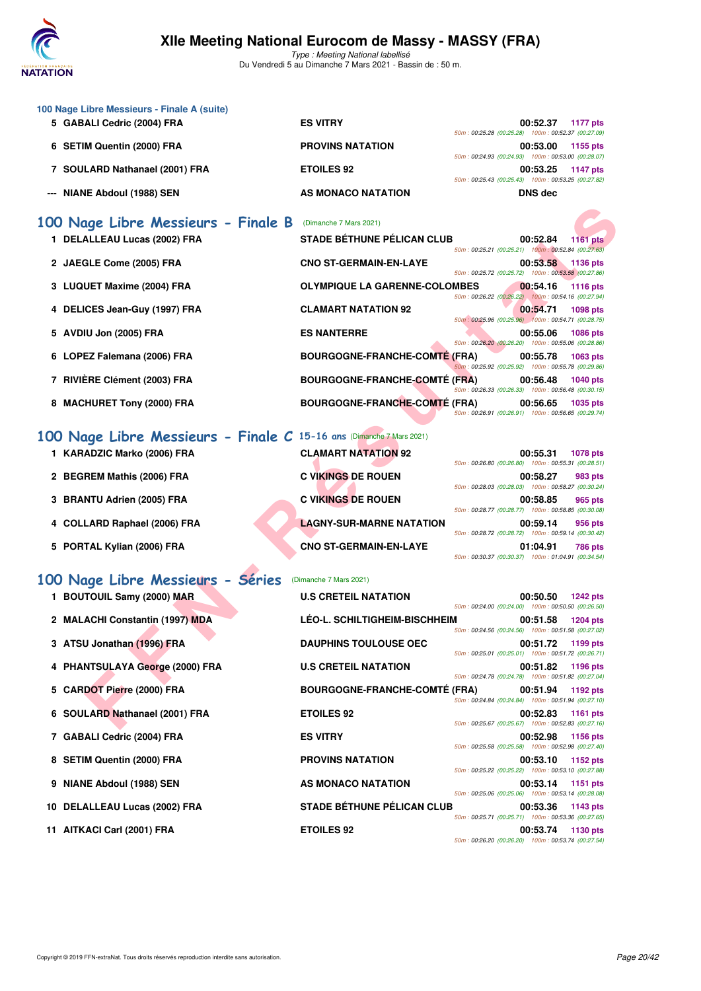

|   | 100 Nage Libre Messieurs - Finale A (suite)<br>5 GABALI Cedric (2004) FRA | <b>ES VITRY</b>                      | 00:52.37                                                                                                             | 1177 pts        |
|---|---------------------------------------------------------------------------|--------------------------------------|----------------------------------------------------------------------------------------------------------------------|-----------------|
|   | 6 SETIM Quentin (2000) FRA                                                | <b>PROVINS NATATION</b>              | 50m: 00:25.28 (00:25.28) 100m: 00:52.37 (00:27.09)<br>00:53.00<br>50m: 00:24.93 (00:24.93) 100m: 00:53.00 (00:28.07) | 1155 pts        |
|   | 7 SOULARD Nathanael (2001) FRA                                            | <b>ETOILES 92</b>                    | 00:53.25<br>50m: 00:25.43 (00:25.43) 100m: 00:53.25 (00:27.82)                                                       | 1147 pts        |
|   | --- NIANE Abdoul (1988) SEN                                               | AS MONACO NATATION                   | <b>DNS dec</b>                                                                                                       |                 |
|   | 100 Nage Libre Messieurs - Finale B                                       | (Dimanche 7 Mars 2021)               |                                                                                                                      |                 |
|   | 1 DELALLEAU Lucas (2002) FRA                                              | <b>STADE BÉTHUNE PÉLICAN CLUB</b>    | 00:52.84<br>50m: 00:25.21 (00:25.21) 100m: 00:52.84 (00:27.63)                                                       | <b>1161 pts</b> |
|   | 2 JAEGLE Come (2005) FRA                                                  | <b>CNO ST-GERMAIN-EN-LAYE</b>        | 00:53.58<br>50m: 00:25.72 (00:25.72) 100m: 00:53.58 (00:27.86)                                                       | 1136 pts        |
| 3 | <b>LUQUET Maxime (2004) FRA</b>                                           | <b>OLYMPIQUE LA GARENNE-COLOMBES</b> | 00:54.16<br>50m: 00:26.22 (00:26.22) 100m: 00:54.16 (00:27.94)                                                       | <b>1116 pts</b> |
| 4 | DELICES Jean-Guy (1997) FRA                                               | <b>CLAMART NATATION 92</b>           | 00:54.71<br>50m: 00:25.96 (00:25.96) 100m: 00:54.71 (00:28.75)                                                       | 1098 pts        |
| 5 | AVDIU Jon (2005) FRA                                                      | <b>ES NANTERRE</b>                   | 00:55.06<br>50m: 00:26.20 (00:26.20) 100m: 00:55.06 (00:28.86)                                                       | <b>1086 pts</b> |
|   | 6 LOPEZ Falemana (2006) FRA                                               | <b>BOURGOGNE-FRANCHE-COMTÉ (FRA)</b> | 00:55.78<br>50m: 00:25.92 (00:25.92) 100m: 00:55.78 (00:29.86)                                                       | 1063 pts        |
|   | 7 RIVIÈRE Clément (2003) FRA                                              | <b>BOURGOGNE-FRANCHE-COMTÉ (FRA)</b> | 00:56.48<br>50m: 00:26.33 (00:26.33) 100m: 00:56.48 (00:30.15)                                                       | <b>1040 pts</b> |
|   | 8 MACHURET Tony (2000) FRA                                                | <b>BOURGOGNE-FRANCHE-COMTE (FRA)</b> | 00:56.65<br>50m: 00:26.91 (00:26.91) 100m: 00:56.65 (00:29.74)                                                       | 1035 pts        |
|   | 100 Nage Libre Messieurs - Finale C 15-16 ans (Dimanche 7 Mars 2021)      |                                      |                                                                                                                      |                 |
|   | 1 KARADZIC Marko (2006) FRA                                               | <b>CLAMART NATATION 92</b>           | 00:55.31<br>50m: 00:26.80 (00:26.80) 100m: 00:55.31 (00:28.51)                                                       | <b>1078 pts</b> |
|   | 2 BEGREM Mathis (2006) FRA                                                | <b>C VIKINGS DE ROUEN</b>            | 00:58.27<br>50m: 00:28.03 (00:28.03) 100m: 00:58.27 (00:30.24)                                                       | 983 pts         |
| З | <b>BRANTU Adrien (2005) FRA</b>                                           | <b>C VIKINGS DE ROUEN</b>            | 00:58.85<br>50m: 00:28.77 (00:28.77) 100m: 00:58.85 (00:30.08)                                                       | 965 pts         |
|   | 4 COLLARD Raphael (2006) FRA                                              | <b>LAGNY-SUR-MARNE NATATION</b>      | 00:59.14<br>50m: 00:28.72 (00:28.72) 100m: 00:59.14 (00:30.42)                                                       | 956 pts         |
|   | 5 PORTAL Kylian (2006) FRA                                                | <b>CNO ST-GERMAIN-EN-LAYE</b>        | 01:04.91<br>50m: 00:30.37 (00:30.37) 100m: 01:04.91 (00:34.54)                                                       | <b>786 pts</b>  |
|   | 100 Nage Libre Messieurs - Séries                                         | (Dimanche 7 Mars 2021)               |                                                                                                                      |                 |
|   | 1 BOUTOUIL Samy (2000) MAR                                                | <b>U.S CRETEIL NATATION</b>          | 00:50.50<br>50m: 00:24.00 (00:24.00) 100m: 00:50.50 (00:26.50)                                                       | <b>1242 pts</b> |
|   | 2 MALACHI Constantin (1997) MDA                                           | LÉO-L. SCHILTIGHEIM-BISCHHEIM        | 00:51.58<br>50m: 00:24.56 (00:24.56) 100m: 00:51.58 (00:27.02)                                                       | <b>1204 pts</b> |
|   | 3 ATSU Jonathan (1996) FRA                                                | <b>DAUPHINS TOULOUSE OEC</b>         | 00:51.72 1199 pts<br>50m: 00:25.01 (00:25.01) 100m: 00:51.72 (00:26.71)                                              |                 |
|   | 4 PHANTSULAYA George (2000) FRA                                           | <b>U.S CRETEIL NATATION</b>          | 00:51.82<br>50m: 00:24.78 (00:24.78) 100m: 00:51.82 (00:27.04)                                                       | 1196 pts        |
|   | 5 CARDOT Pierre (2000) FRA                                                | <b>BOURGOGNE-FRANCHE-COMTE (FRA)</b> | 00:51.94<br>50m: 00:24.84 (00:24.84) 100m: 00:51.94 (00:27.10)                                                       | 1192 pts        |
|   | 6 SOULARD Nathanael (2001) FRA                                            | <b>ETOILES 92</b>                    | 00:52.83<br>50m: 00:25.67 (00:25.67) 100m: 00:52.83 (00:27.16)                                                       | 1161 pts        |
|   | 7 GABALI Cedric (2004) FRA                                                | <b>ES VITRY</b>                      | 00:52.98<br>50m: 00:25.58 (00:25.58) 100m: 00:52.98 (00:27.40)                                                       | 1156 pts        |
|   | 8 SETIM Quentin (2000) FRA                                                | <b>PROVINS NATATION</b>              | 00:53.10<br>50m: 00:25.22 (00:25.22) 100m: 00:53.10 (00:27.88)                                                       | 1152 pts        |
| 9 | NIANE Abdoul (1988) SEN                                                   | AS MONACO NATATION                   | 00:53.14<br>50m: 00:25.06 (00:25.06) 100m: 00:53.14 (00:28.08)                                                       | 1151 pts        |
|   | 10 DELALLEAU Lucas (2002) FRA                                             | <b>STADE BÉTHUNE PÉLICAN CLUB</b>    | 00:53.36<br>50m: 00:25.71 (00:25.71) 100m: 00:53.36 (00:27.65)                                                       | 1143 pts        |
|   | 11 AITKACI Carl (2001) FRA                                                | <b>ETOILES 92</b>                    | 00:53.74<br>50m: 00:26.20 (00:26.20) 100m: 00:53.74 (00:27.54)                                                       | 1130 pts        |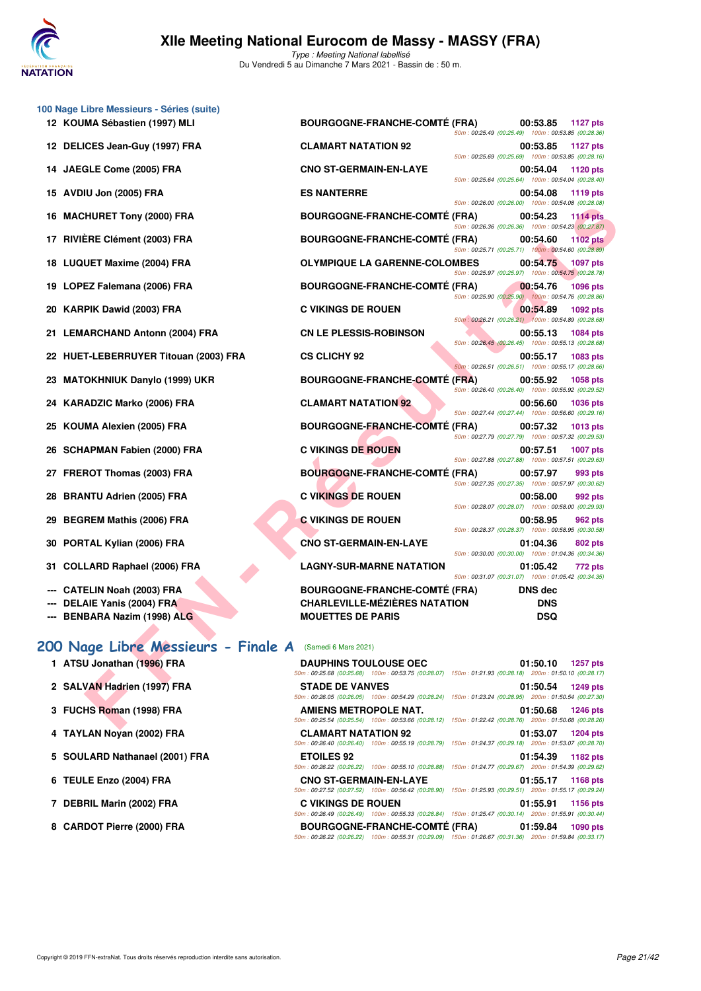

|    | 100 Nage Libre Messieurs - Séries (suite)                |                                                                                                                                        |                                                                |                 |
|----|----------------------------------------------------------|----------------------------------------------------------------------------------------------------------------------------------------|----------------------------------------------------------------|-----------------|
|    | 12 KOUMA Sébastien (1997) MLI                            | <b>BOURGOGNE-FRANCHE-COMTÉ (FRA)</b>                                                                                                   | 00:53.85<br>50m: 00:25.49 (00:25.49) 100m: 00:53.85 (00:28.36) | <b>1127 pts</b> |
|    | 12 DELICES Jean-Guy (1997) FRA                           | <b>CLAMART NATATION 92</b>                                                                                                             | 00:53.85<br>50m: 00:25.69 (00:25.69) 100m: 00:53.85 (00:28.16) | <b>1127 pts</b> |
|    | 14 JAEGLE Come (2005) FRA                                | <b>CNO ST-GERMAIN-EN-LAYE</b>                                                                                                          | 00:54.04<br>50m: 00:25.64 (00:25.64) 100m: 00:54.04 (00:28.40) | 1120 pts        |
| 15 | AVDIU Jon (2005) FRA                                     | <b>ES NANTERRE</b>                                                                                                                     | 00:54.08<br>50m: 00:26.00 (00:26.00) 100m: 00:54.08 (00:28.08) | 1119 pts        |
| 16 | <b>MACHURET Tony (2000) FRA</b>                          | <b>BOURGOGNE-FRANCHE-COMTÉ (FRA)</b>                                                                                                   | 00:54.23<br>50m: 00:26.36 (00:26.36) 100m: 00:54.23 (00:27.87) | <b>1114 pts</b> |
| 17 | <b>RIVIÈRE Clément (2003) FRA</b>                        | <b>BOURGOGNE-FRANCHE-COMTÉ (FRA)</b>                                                                                                   | 00:54.60<br>50m: 00:25.71 (00:25.71) 100m: 00:54.60 (00:28.89) | <b>1102 pts</b> |
| 18 | <b>LUQUET Maxime (2004) FRA</b>                          | <b>OLYMPIQUE LA GARENNE-COLOMBES</b>                                                                                                   | 00:54.75                                                       | 1097 pts        |
| 19 | LOPEZ Falemana (2006) FRA                                | <b>BOURGOGNE-FRANCHE-COMTÉ (FRA)</b>                                                                                                   | 50m: 00:25.97 (00:25.97) 100m: 00:54.75 (00:28.78)<br>00:54.76 | <b>1096 pts</b> |
|    | 20 KARPIK Dawid (2003) FRA                               | <b>C VIKINGS DE ROUEN</b>                                                                                                              | 50m: 00:25.90 (00:25.90) 100m: 00:54.76 (00:28.86)<br>00:54.89 | 1092 pts        |
|    | 21 LEMARCHAND Antonn (2004) FRA                          | <b>CN LE PLESSIS-ROBINSON</b>                                                                                                          | 50m: 00:26.21 (00:26.21) 100m: 00:54.89 (00:28.68)<br>00:55.13 | 1084 pts        |
|    | 22 HUET-LEBERRUYER Titouan (2003) FRA                    | <b>CS CLICHY 92</b>                                                                                                                    | 50m: 00:26.45 (00:26.45) 100m: 00:55.13 (00:28.68)<br>00:55.17 | 1083 pts        |
|    | <b>MATOKHNIUK Danylo (1999) UKR</b>                      | <b>BOURGOGNE-FRANCHE-COMTE (FRA)</b>                                                                                                   | 50m: 00:26.51 (00:26.51) 100m: 00:55.17 (00:28.66)<br>00:55.92 | <b>1058 pts</b> |
| 24 | <b>KARADZIC Marko (2006) FRA</b>                         | <b>CLAMART NATATION 92</b>                                                                                                             | 50m: 00:26.40 (00:26.40) 100m: 00:55.92 (00:29.52)<br>00:56.60 | <b>1036 pts</b> |
| 25 | KOUMA Alexien (2005) FRA                                 | <b>BOURGOGNE-FRANCHE-COMTÉ (FRA)</b>                                                                                                   | 50m: 00:27.44 (00:27.44) 100m: 00:56.60 (00:29.16)<br>00:57.32 | <b>1013 pts</b> |
| 26 | <b>SCHAPMAN Fabien (2000) FRA</b>                        | <b>C VIKINGS DE ROUEN</b>                                                                                                              | 50m: 00:27.79 (00:27.79) 100m: 00:57.32 (00:29.53)<br>00:57.51 | <b>1007 pts</b> |
| 27 | <b>FREROT Thomas (2003) FRA</b>                          | <b>BOURGOGNE-FRANCHE-COMTÉ (FRA)</b>                                                                                                   | 50m: 00:27.88 (00:27.88) 100m: 00:57.51 (00:29.63)<br>00:57.97 | 993 pts         |
| 28 | <b>BRANTU Adrien (2005) FRA</b>                          | <b>C VIKINGS DE ROUEN</b>                                                                                                              | 50m: 00:27.35 (00:27.35) 100m: 00:57.97 (00:30.62)<br>00:58.00 | 992 pts         |
| 29 | <b>BEGREM Mathis (2006) FRA</b>                          | <b>C VIKINGS DE ROUEN</b>                                                                                                              | 50m: 00:28.07 (00:28.07) 100m: 00:58.00 (00:29.93)<br>00:58.95 | 962 pts         |
| 30 | PORTAL Kylian (2006) FRA                                 | <b>CNO ST-GERMAIN-EN-LAYE</b>                                                                                                          | 50m: 00:28.37 (00:28.37) 100m: 00:58.95 (00:30.58)<br>01:04.36 | 802 pts         |
| 31 | <b>COLLARD Raphael (2006) FRA</b>                        | <b>LAGNY-SUR-MARNE NATATION</b>                                                                                                        | 50m: 00:30.00 (00:30.00) 100m: 01:04.36 (00:34.36)<br>01:05.42 | <b>772 pts</b>  |
|    |                                                          |                                                                                                                                        | 50m: 00:31.07 (00:31.07) 100m: 01:05.42 (00:34.35)             |                 |
|    | <b>CATELIN Noah (2003) FRA</b>                           | <b>BOURGOGNE-FRANCHE-COMTÉ (FRA)</b><br><b>CHARLEVILLE-MÉZIÈRES NATATION</b>                                                           | <b>DNS</b> dec                                                 |                 |
|    | DELAIE Yanis (2004) FRA<br>BENBARA Nazim (1998) ALG      | <b>MOUETTES DE PARIS</b>                                                                                                               | <b>DNS</b><br><b>DSQ</b>                                       |                 |
|    | 200 Nage Libre Messieurs - Finale A (Samedi 6 Mars 2021) |                                                                                                                                        |                                                                |                 |
|    | 1 ATSU Jonathan (1996) FRA                               | <b>DAUPHINS TOULOUSE OEC</b>                                                                                                           | 01:50.10                                                       | <b>1257 pts</b> |
|    | 2 SALVAN Hadrien (1997) FRA                              | 50m: 00:25.68 (00:25.68) 100m: 00:53.75 (00:28.07) 150m: 01:21.93 (00:28.18) 200m: 01:50.10 (00:28.17)<br><b>STADE DE VANVES</b>       | 01:50.54                                                       | 1249 pts        |
|    | 3 FUCHS Roman (1998) FRA                                 | 50m: 00:26.05 (00:26.05) 100m: 00:54.29 (00:28.24) 150m: 01:23.24 (00:28.95) 200m: 01:50.54 (00:27.30)<br><b>AMIENS METROPOLE NAT.</b> | 01:50.68                                                       | <b>1246 pts</b> |
|    |                                                          | 50m : 00:25.54 (00:25.54) 100m : 00:53.66 (00:28.12) 150m : 01:22.42 (00:28.76) 200m : 01:50.68 (00:28.26)                             |                                                                |                 |

### **[200 Nage Libre Messieurs - Finale A](http://www.ffnatation.fr/webffn/resultats.php?idact=nat&go=epr&idcpt=69813&idepr=53)** (Samedi 6 Mars 2021)

- **1 ATSU Jonathan (1996) FRA DAUPHINS TOULOUSE OEC 01:50.10 1257 pts**
- 2 SALVAN Hadrien (1997) FRA
- **3 FUCHS Roman (1998) FRA**
- **4 TAYLAN Noyan (2002) FRA**
- 5 SOULARD Nathanael (2001) FRA
- **6 TEULE Enzo (2004) FRA**

**7 DEBRIL Marin (2002) FRA** 

8 CARDOT Pierre (2000) FRA

| <b>STADE DE VANVES</b>                                                                                 | 01:50.54 1249 pts |
|--------------------------------------------------------------------------------------------------------|-------------------|
| 50m: 00:26.05 (00:26.05) 100m: 00:54.29 (00:28.24) 150m: 01:23.24 (00:28.95) 200m: 01:50.54 (00:27.30) |                   |
| AMIENS METROPOLE NAT.                                                                                  | 01:50.68 1246 pts |
| 50m: 00:25.54 (00:25.54) 100m: 00:53.66 (00:28.12) 150m: 01:22.42 (00:28.76) 200m: 01:50.68 (00:28.26) |                   |
| <b>CLAMART NATATION 92</b>                                                                             | 01:53.07 1204 pts |
| 50m: 00:26.40 (00:26.40) 100m: 00:55.19 (00:28.79) 150m: 01:24.37 (00:29.18) 200m: 01:53.07 (00:28.70) |                   |
| <b>ETOILES 92</b>                                                                                      | 01:54.39 1182 pts |
| 50m: 00:26.22 (00:26.22) 100m: 00:55.10 (00:28.88) 150m: 01:24.77 (00:29.67) 200m: 01:54.39 (00:29.62) |                   |
| <b>CNO ST-GERMAIN-EN-LAYE</b>                                                                          | 01:55.17 1168 pts |
| 50m: 00:27.52 (00:27.52) 100m: 00:56.42 (00:28.90) 150m: 01:25.93 (00:29.51) 200m: 01:55.17 (00:29.24) |                   |
| <b>C VIKINGS DE ROUEN</b>                                                                              | 01:55.91 1156 pts |
| 50m: 00:26.49 (00:26.49) 100m: 00:55.33 (00:28.84) 150m: 01:25.47 (00:30.14) 200m: 01:55.91 (00:30.44) |                   |
| BOURGOGNE-FRANCHE-COMTÉ (FRA) 01:59.84 1090 pts                                                        |                   |
| 50m: 00:26.22 (00:26.22) 100m: 00:55.31 (00:29.09) 150m: 01:26.67 (00:31.36) 200m: 01:59.84 (00:33.17) |                   |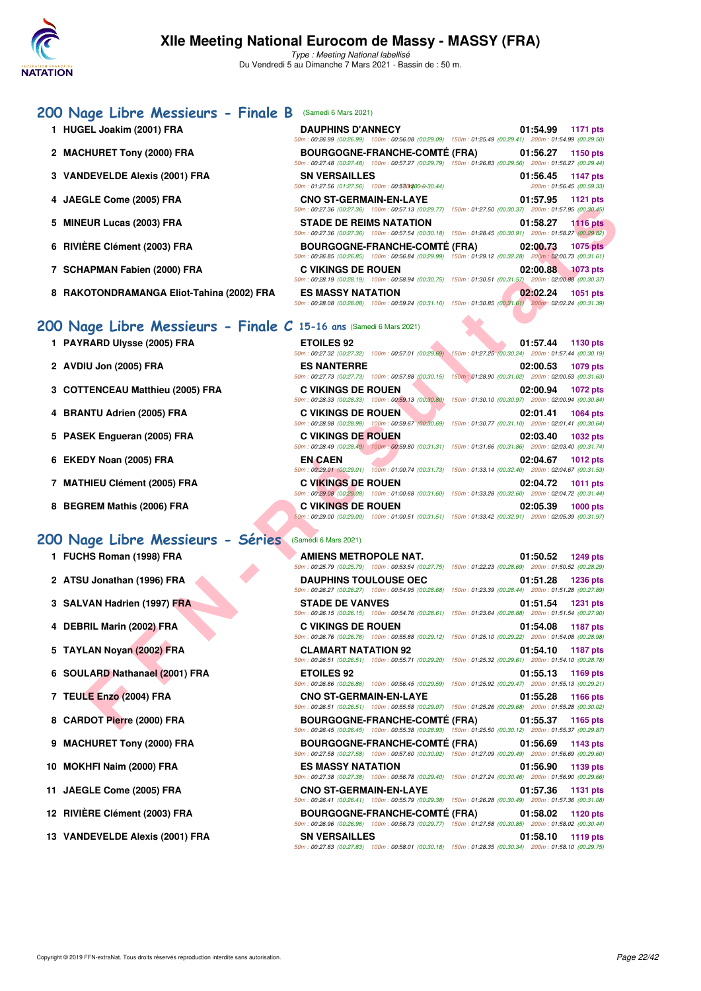

### **[200 Nage Libre Messieurs - Finale B](http://www.ffnatation.fr/webffn/resultats.php?idact=nat&go=epr&idcpt=69813&idepr=53)** (Samedi 6 Mars 2021)

| 1 HUGEL Joakim (2001) FRA                 | <b>DAUPHINS D'ANNECY</b>                                                                               | 01:54.99 1171 pts           |
|-------------------------------------------|--------------------------------------------------------------------------------------------------------|-----------------------------|
|                                           | 50m: 00:26.99 (00:26.99) 100m: 00:56.08 (00:29.09) 150m: 01:25.49 (00:29.41) 200m: 01:54.99 (00:29.50) |                             |
| 2 MACHURET Tony (2000) FRA                | BOURGOGNE-FRANCHE-COMTÉ (FRA) 01:56.27                                                                 | 1150 pts                    |
|                                           | 50m: 00:27.48 (00:27.48) 100m: 00:57.27 (00:29.79) 150m: 01:26.83 (00:29.56) 200m: 01:56.27 (00:29.44) |                             |
| 3 VANDEVELDE Alexis (2001) FRA            | <b>SN VERSAILLES</b>                                                                                   | 01:56.45 1147 pts           |
|                                           | 50m: 01:27.56 (01:27.56) 100m: 00:5301200:0-30.44)                                                     | 200m: 01:56.45 (00:59.33)   |
| 4 JAEGLE Come (2005) FRA                  | <b>CNO ST-GERMAIN-EN-LAYE</b>                                                                          | 01:57.95 1121 pts           |
|                                           | 50m: 00:27.36 (00:27.36) 100m: 00:57.13 (00:29.77) 150m: 01:27.50 (00:30.37) 200m: 01:57.95 (00:30.45) |                             |
| 5 MINEUR Lucas (2003) FRA                 | <b>STADE DE REIMS NATATION</b>                                                                         | <b>1116 pts</b><br>01:58.27 |
|                                           | 50m: 00:27.36 (00:27.36) 100m: 00:57.54 (00:30.18) 150m: 01:28.45 (00:30.91) 200m: 01:58.27 (00:29.82) |                             |
| 6 RIVIÈRE Clément (2003) FRA              | BOURGOGNE-FRANCHE-COMTÉ (FRA) 02:00.73                                                                 | <b>1075 pts</b>             |
|                                           | 50m: 00:26.85 (00:26.85) 100m: 00:56.84 (00:29.99) 150m: 01:29.12 (00:32.28) 200m: 02:00.73 (00:31.61) |                             |
| 7 SCHAPMAN Fabien (2000) FRA              | <b>C VIKINGS DE ROUEN</b>                                                                              | 02:00.88<br><b>1073 pts</b> |
|                                           | 50m: 00:28.19 (00:28.19) 100m: 00:58.94 (00:30.75) 150m: 01:30.51 (00:31.57) 200m: 02:00.88 (00:30.37) |                             |
| 8 RAKOTONDRAMANGA Eliot-Tahina (2002) FRA | <b>ES MASSY NATATION</b>                                                                               | 02:02.24<br>1051 pts        |
|                                           | 50m 00:28.08 (00:28.08) 100m 00:59.24 (00:31.16) 150m 01:30.85 (00:31.61) 200m 02:02.24 (00:31.39)     |                             |

# 200 Nage Libre Messieurs - Finale C

### **1 PAYRARD Ulysse (2005) FRA**

- **2 AVDIU Jon (2005) FRA ES NANTERRE 02:00.53 1079 pts**
- **3 COTTENCEAU Matthieu (2005) FRA**
- **4 BRANTU Adrien (2005) FRA**
- 5 PASEK Engueran (2005) FRA
- **6 EKEDY Noan (2005) FRA**
- 7 MATHIEU Clément (2005) FRA
- 

### **[200 Nage Libre Messieurs - Séries](http://www.ffnatation.fr/webffn/resultats.php?idact=nat&go=epr&idcpt=69813&idepr=53)** (Samedi 6 Mars 2021)

- **1 FUCHS Roman (1998) FRA**
- 2 ATSU Jonathan (1996) FRA
- **3 SALVAN Hadrien (1997) FRA**
- **4 DEBRIL Marin (2002) FRA**
- 5 TAYLAN Noyan (2002) FRA
- **6 SOULARD Nathanael (2001) FRA**
- **7 TEULE Enzo (2004) FRA**
- 8 CARDOT Pierre (2000) FRA
- **9 MACHURET Tony (2000) FRA**
- **10 MOKHFI Naim (2000) FRA**
- **11 JAEGLE Come (2005) FRA**
- **12 RIVIÈRE Clément (2003) FRA**
- **13 VANDEVELDE Alexis (2001) FRA**

|                                                                 |                                      | 50m: 00:27.36 (00:27.36) 100m: 00:57.13 (00:29.77) 150m: 01:27.50 (00:30.37) 200m: 01:57.95 (00:30.45)                                    |
|-----------------------------------------------------------------|--------------------------------------|-------------------------------------------------------------------------------------------------------------------------------------------|
| EUR Lucas (2003) FRA                                            | <b>STADE DE REIMS NATATION</b>       | 01:58.27<br>$1116$ pts                                                                                                                    |
|                                                                 |                                      | 50m : 00:27.36 (00:27.36) 100m : 00:57.54 (00:30.18) 150m : 01:28.45 (00:30.91) 200m : 01:58.27 (00:29.82)                                |
| ÈRE Clément (2003) FRA                                          | <b>BOURGOGNE-FRANCHE-COMTE (FRA)</b> | 02:00.73<br>1075 pts<br>50m: 00:26.85 (00:26.85) 100m: 00:56.84 (00:29.99) 150m: 01:29.12 (00:32.28) 200m: 02:00.73 (00:31.61)            |
| APMAN Fabien (2000) FRA                                         | <b>C VIKINGS DE ROUEN</b>            | 02:00.88<br><b>1073 pts</b><br>50m: 00:28.19 (00:28.19) 100m: 00:58.94 (00:30.75) 150m: 01:30.51 (00:31.57) 200m: 02:00.88 (00:30.37)     |
| OTONDRAMANGA Eliot-Tahina (2002) FRA                            | <b>ES MASSY NATATION</b>             | 02:02.24<br><b>1051 pts</b><br>$50m$ : 00:28.08 (00:28.08) 100m: 00:59.24 (00:31.16) 150m: 01:30.85 (00:31.61) 200m: 02:02.24 (00:31.39)  |
| age Libre Messieurs - Finale C 15-16 ans $(Samedi 6 Mars 2021)$ |                                      |                                                                                                                                           |
| <b>RARD Ulysse (2005) FRA</b>                                   | <b>ETOILES 92</b>                    | 01:57.44<br>1130 pts<br>50m: 00:27.32 (00:27.32) 100m: 00:57.01 (00:29.69) 150m: 01:27.25 (00:30.24) 200m: 01:57.44 (00:30.19)            |
| <b>IU Jon (2005) FRA</b>                                        | <b>ES NANTERRE</b>                   | 02:00.53<br>1079 pts                                                                                                                      |
| TENCEAU Matthieu (2005) FRA                                     | <b>C VIKINGS DE ROUEN</b>            | 50m : 00:27.73 (00:27.73) 100m : 00:57.88 (00:30.15) 150m : 01:28.90 (00:31.02) 200m : 02:00.53 (00:31.63)<br>02:00.94<br><b>1072 pts</b> |
| NTU Adrien (2005) FRA                                           | <b>C VIKINGS DE ROUEN</b>            | 50m: 00:28.33 (00:28.33) 100m: 00:59.13 (00:30.80) 150m: 01:30.10 (00:30.97) 200m: 02:00.94 (00:30.84)<br>02:01.41<br><b>1064 pts</b>     |
| EK Engueran (2005) FRA                                          | <b>C VIKINGS DE ROUEN</b>            | 50m : 00:28.98 (00:28.98) 100m : 00:59.67 (00:30.69) 150m : 01:30.77 (00:31.10) 200m : 02:01.41 (00:30.64)<br>02:03.40<br><b>1032 pts</b> |
|                                                                 |                                      | 50m: 00:28.49 (00:28.49) 100m: 00:59.80 (00:31.31) 150m: 01:31.66 (00:31.86) 200m: 02:03.40 (00:31.74)                                    |
| DY Noan (2005) FRA                                              | <b>EN CAEN</b>                       | 02:04.67<br><b>1012 pts</b><br>50m: 00:29.01 (00:29.01) 100m: 01:00.74 (00:31.73) 150m: 01:33.14 (00:32.40) 200m: 02:04.67 (00:31.53)     |
| HIEU Clément (2005) FRA                                         | <b>C VIKINGS DE ROUEN</b>            | 02:04.72<br><b>1011 pts</b><br>50m: 00:29.08 (00:29.08) 100m: 01:00.68 (00:31.60) 150m: 01:33.28 (00:32.60) 200m: 02:04.72 (00:31.44)     |
| REM Mathis (2006) FRA                                           | <b>C VIKINGS DE ROUEN</b>            | 02:05.39<br><b>1000 pts</b><br>$50m: 00:29.00$ (00:29.00) 100m: 01:00.51 (00:31.51) 150m: 01:33.42 (00:32.91) 200m: 02:05.39 (00:31.97)   |
| age Libre Messieurs - Séries                                    | (Samedi 6 Mars 2021)                 |                                                                                                                                           |
| HS Roman (1998) FRA                                             | AMIENS METROPOLE NAT.                | 01:50.52<br><b>1249 pts</b><br>50m: 00:25.79 (00:25.79) 100m: 00:53.54 (00:27.75) 150m: 01:22.23 (00:28.69) 200m: 01:50.52 (00:28.29)     |
| U Jonathan (1996) FRA                                           | <b>DAUPHINS TOULOUSE OEC</b>         | 01:51.28<br><b>1236 pts</b><br>50m: 00:26.27 (00:26.27) 100m: 00:54.95 (00:28.68) 150m: 01:23.39 (00:28.44) 200m: 01:51.28 (00:27.89)     |
| VAN Hadrien (1997) FRA                                          | <b>STADE DE VANVES</b>               | 01:51.54<br><b>1231 pts</b><br>50m : 00:26.15 (00:26.15) 100m : 00:54.76 (00:28.61) 150m : 01:23.64 (00:28.88) 200m : 01:51.54 (00:27.90) |
| RIL Marin (2002) FRA                                            | <b>C VIKINGS DE ROUEN</b>            | 01:54.08<br><b>1187 pts</b>                                                                                                               |
| LAN Noyan (2002) FRA                                            | <b>CLAMART NATATION 92</b>           | 50m : 00:26.76 (00:26.76) 100m : 00:55.88 (00:29.12) 150m : 01:25.10 (00:29.22) 200m : 01:54.08 (00:28.98)<br>01:54.10<br>1187 pts        |
| LARD Nathanael (2001) FRA                                       | <b>ETOILES 92</b>                    | 50m: 00:26.51 (00:26.51) 100m: 00:55.71 (00:29.20) 150m: 01:25.32 (00:29.61) 200m: 01:54.10 (00:28.78)<br>01:55.13<br>1169 pts            |
| LE Enzo (2004) FRA                                              | <b>CNO ST-GERMAIN-EN-LAYE</b>        | 50m : 00:26.86 (00:26.86) 100m : 00:56.45 (00:29.59) 150m : 01:25.92 (00:29.47) 200m : 01:55.13 (00:29.21)<br>01:55.28<br><b>1166 pts</b> |
|                                                                 |                                      | 50m: 00:26.51 (00:26.51) 100m: 00:55.58 (00:29.07) 150m: 01:25.26 (00:29.68) 200m: 01:55.28 (00:30.02)                                    |
| DOT Pierre (2000) FRA                                           | <b>BOURGOGNE-FRANCHE-COMTÉ (FRA)</b> | 01:55.37<br>1165 pts<br>0.05, 50, 100, 00, 10                                                                                             |

**8 BEGREM Mathis (2006) FRA C VIKINGS DE ROUEN 02:05.39 1000 pts** 50m : 00:29.00 (00:29.00) 100m : 01:00.51 (00:31.51) 150m : 01:33.42 (00:32.91) 200m : 02:05.39 (00:31.97)

| AMIENS METROPOLE NAT.                                                                                                                    |                                                 |  | 01:50.52 1249 pts   |
|------------------------------------------------------------------------------------------------------------------------------------------|-------------------------------------------------|--|---------------------|
| 50m: 00:25.79 (00:25.79) 100m: 00:53.54 (00:27.75) 150m: 01:22.23 (00:28.69) 200m: 01:50.52 (00:28.29)                                   |                                                 |  |                     |
| <b>DAUPHINS TOULOUSE OEC</b>                                                                                                             |                                                 |  | 01:51.28 1236 pts   |
| 50m: 00:26.27 (00:26.27) 100m: 00:54.95 (00:28.68) 150m: 01:23.39 (00:28.44) 200m: 01:51.28 (00:27.89)                                   |                                                 |  |                     |
| <b>STADE DE VANVES</b>                                                                                                                   |                                                 |  | 01:51.54 1231 pts   |
| 50m: 00:26.15 (00:26.15) 100m: 00:54.76 (00:28.61) 150m: 01:23.64 (00:28.88) 200m: 01:51.54 (00:27.90)                                   |                                                 |  |                     |
| <b>C VIKINGS DE ROUEN</b>                                                                                                                |                                                 |  | 01:54.08 1187 pts   |
| 50m : 00:26.76 (00:26.76) 100m : 00:55.88 (00:29.12) 150m : 01:25.10 (00:29.22) 200m : 01:54.08 (00:28.98)                               |                                                 |  |                     |
| <b>CLAMART NATATION 92</b>                                                                                                               |                                                 |  | 01:54.10 1187 pts   |
| 50m: 00:26.51 (00:26.51) 100m: 00:55.71 (00:29.20) 150m: 01:25.32 (00:29.61) 200m: 01:54.10 (00:28.78)                                   |                                                 |  |                     |
| <b>ETOILES 92</b>                                                                                                                        |                                                 |  | 01:55.13 1169 pts   |
| 50m: 00:26.86 (00:26.86) 100m: 00:56.45 (00:29.59) 150m: 01:25.92 (00:29.47) 200m: 01:55.13 (00:29.21)                                   |                                                 |  |                     |
| <b>CNO ST-GERMAIN-EN-LAYE</b>                                                                                                            |                                                 |  | 01:55.28 1166 pts   |
| 50m: 00:26.51 (00:26.51) 100m: 00:55.58 (00:29.07) 150m: 01:25.26 (00:29.68) 200m: 01:55.28 (00:30.02)                                   |                                                 |  |                     |
|                                                                                                                                          | BOURGOGNE-FRANCHE-COMTÉ (FRA) 01:55.37 1165 pts |  |                     |
| 50m: 00:26.45 (00:26.45) 100m: 00:55.38 (00:28.93) 150m: 01:25.50 (00:30.12) 200m: 01:55.37 (00:29.87)                                   |                                                 |  |                     |
|                                                                                                                                          | BOURGOGNE-FRANCHE-COMTÉ (FRA) 01:56.69 1143 pts |  |                     |
| 50m : 00:27.58 (00:27.58) 100m : 00:57.60 (00:30.02) 150m : 01:27.09 (00:29.49) 200m : 01:56.69 (00:29.60)                               |                                                 |  |                     |
| <b>ES MASSY NATATION</b>                                                                                                                 |                                                 |  | 01:56.90 1139 pts   |
| 50m : 00:27.38 (00:27.38) 100m : 00:56.78 (00:29.40) 150m : 01:27.24 (00:30.46) 200m : 01:56.90 (00:29.66)                               |                                                 |  |                     |
| <b>CNO ST-GERMAIN-EN-LAYE</b>                                                                                                            |                                                 |  | 01:57.36 1131 pts   |
| 50m : 00:26.41 (00:26.41) 100m : 00:55.79 (00:29.38) 150m : 01:26.28 (00:30.49) 200m : 01:57.36 (00:31.08)                               |                                                 |  |                     |
|                                                                                                                                          | BOURGOGNE-FRANCHE-COMTÉ (FRA) 01:58.02 1120 pts |  |                     |
| 50m: 00:26.96 (00:26.96) 100m: 00:56.73 (00:29.77) 150m: 01:27.58 (00:30.85) 200m: 01:58.02 (00:30.44)                                   |                                                 |  |                     |
| <b>SN VERSAILLES</b><br>50m : 00:27.83 (00:27.83) = 100m : 00:58.01 (00:30.18) = 150m : 01:28.35 (00:30.34) = 200m : 01:58.10 (00:29.75) |                                                 |  | $01:58.10$ 1119 pts |
|                                                                                                                                          |                                                 |  |                     |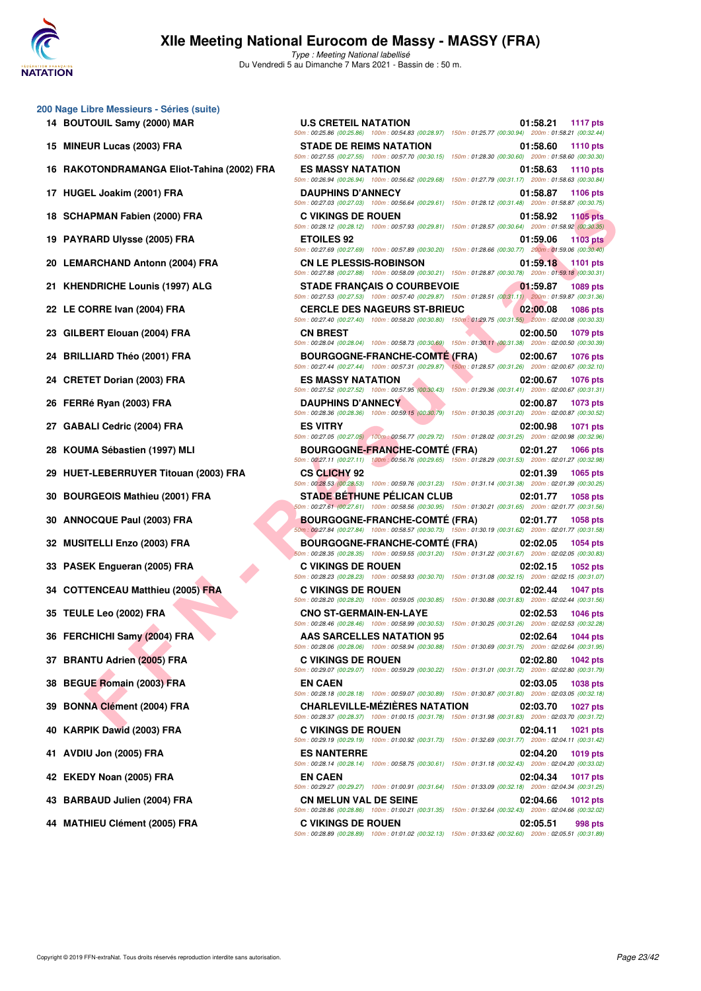

|    | 200 Nage Libre Messieurs - Séries (suite)<br>14 BOUTOUIL Samy (2000) MAR |
|----|--------------------------------------------------------------------------|
| 15 | <b>MINEUR Lucas (2003) FRA</b>                                           |
| 16 | RAKOTONDRAMANGA Eliot-Tahina (200                                        |
|    | 17 HUGEL Joakim (2001) FRA                                               |
|    | 18 SCHAPMAN Fabien (2000) FRA                                            |
|    | 19 PAYRARD Ulysse (2005) FRA                                             |
|    | 20 LEMARCHAND Antonn (2004) FRA                                          |
|    | 21 KHENDRICHE Lounis (1997) ALG                                          |
|    | 22 LE CORRE Ivan (2004) FRA                                              |
|    | 23 GILBERT Elouan (2004) FRA                                             |
| 24 | <b>BRILLIARD Théo (2001) FRA</b>                                         |
|    | 24 CRETET Dorian (2003) FRA                                              |
| 26 | FERRé Ryan (2003) FRA                                                    |
|    | 27 GABALI Cedric (2004) FRA                                              |
|    | 28 KOUMA Sébastien (1997) MLI                                            |
| 29 | HUET-LEBERRUYER Titouan (2003) FRA                                       |
|    | 30 BOURGEOIS Mathieu (2001) FRA                                          |
|    | 30 ANNOCQUE Paul (2003) FRA                                              |
| 32 | <b>MUSITELLI Enzo (2003) FRA</b>                                         |
|    | 33 PASEK Engueran (2005) FRA                                             |
|    | 34 COTTENCEAU Matthieu (2005) FRA                                        |
|    | 35 TEULE Leo (2002) FRA                                                  |
|    | 36 FERCHICHI Samy (2004) FRA                                             |
|    | 37 BRANTU Adrien (2005) FRA                                              |
|    | 38 BEGUE Romain (2003) FRA                                               |
|    | 39 BONNA Clément (2004) FRA                                              |
|    | 40 KARPIK Dawid (2003) FRA                                               |
| 41 | AVDIU Jon (2005) FRA                                                     |
| 42 | EKEDY Noan (2005) FRA                                                    |
|    | 43 BARBAUD Julien (2004) FRA                                             |
| 44 | <b>MATHIEU Clément (2005) FRA</b>                                        |

| <b>U Nage Libre Messieurs - Series (Suite)</b> |                                                                                                                                                    |                             |
|------------------------------------------------|----------------------------------------------------------------------------------------------------------------------------------------------------|-----------------------------|
| 14 BOUTOUIL Samy (2000) MAR                    | <b>U.S CRETEIL NATATION</b><br>50m: 00:25.86 (00:25.86) 100m: 00:54.83 (00:28.97) 150m: 01:25.77 (00:30.94) 200m: 01:58.21 (00:32.44)              | 01:58.21<br><b>1117 pts</b> |
| 15 MINEUR Lucas (2003) FRA                     | <b>STADE DE REIMS NATATION</b><br>50m : 00:27.55 (00:27.55) 100m : 00:57.70 (00:30.15) 150m : 01:28.30 (00:30.60) 200m : 01:58.60 (00:30.30)       | 01:58.60<br><b>1110 pts</b> |
| 16 RAKOTONDRAMANGA Eliot-Tahina (2002) FRA     | <b>ES MASSY NATATION</b><br>50m: 00:26.94 (00:26.94) 100m: 00:56.62 (00:29.68) 150m: 01:27.79 (00:31.17) 200m: 01:58.63 (00:30.84)                 | 01:58.63<br><b>1110 pts</b> |
| 17 HUGEL Joakim (2001) FRA                     | <b>DAUPHINS D'ANNECY</b>                                                                                                                           | 01:58.87<br><b>1106 pts</b> |
| 18 SCHAPMAN Fabien (2000) FRA                  | 50m: 00:27.03 (00:27.03) 100m: 00:56.64 (00:29.61) 150m: 01:28.12 (00:31.48) 200m: 01:58.87 (00:30.75)<br><b>C VIKINGS DE ROUEN</b>                | 01:58.92<br><b>1105 pts</b> |
| 19 PAYRARD Ulysse (2005) FRA                   | 50m: 00:28.12 (00:28.12) 100m: 00:57.93 (00:29.81) 150m: 01:28.57 (00:30.64) 200m: 01:58.92 (00:30.35)<br><b>ETOILES 92</b>                        | 01:59.06<br>1103 pts        |
| 20 LEMARCHAND Antonn (2004) FRA                | 50m: 00:27.69 (00:27.69) 100m: 00:57.89 (00:30.20) 150m: 01:28.66 (00:30.77) 200m: 01:59.06 (00:30.40)<br><b>CN LE PLESSIS-ROBINSON</b>            | 01:59.18 1101 pts           |
| 21 KHENDRICHE Lounis (1997) ALG                | 50m: 00:27.88 (00:27.88) 100m: 00:58.09 (00:30.21) 150m: 01:28.87 (00:30.78) 200m: 01:59.18 (00:30.31)<br><b>STADE FRANCAIS O COURBEVOIE</b>       | 01:59.87<br>1089 pts        |
| 22 LE CORRE Ivan (2004) FRA                    | 50m : 00:27.53 (00:27.53) 100m : 00:57.40 (00:29.87) 150m : 01:28.51 (00:31.11) 200m : 01:59.87 (00:31.36)<br><b>CERCLE DES NAGEURS ST-BRIEUC</b>  | 02:00.08<br><b>1086 pts</b> |
| 23 GILBERT Elouan (2004) FRA                   | 50m : 00:27.40 (00:27.40) 100m : 00:58.20 (00:30.80) 150m : 01:29.75 (00:31.55) 200m : 02:00.08 (00:30.33)<br><b>CN BREST</b>                      | 02:00.50<br>1079 pts        |
| 24 BRILLIARD Théo (2001) FRA                   | 50m: 00:28.04 (00:28.04) 100m: 00:58.73 (00:30.69) 150m: 01:30.11 (00:31.38) 200m: 02:00.50 (00:30.39)<br><b>BOURGOGNE-FRANCHE-COMTÉ (FRA)</b>     | 02:00.67<br><b>1076 pts</b> |
|                                                | 50m : 00:27.44 (00:27.44) 100m : 00:57.31 (00:29.87) 150m : 01:28.57 (00:31.26) 200m : 02:00.67 (00:32.10)                                         |                             |
| 24 CRETET Dorian (2003) FRA                    | <b>ES MASSY NATATION</b><br>50m : 00:27.52 (00:27.52) 100m : 00:57.95 (00:30.43) 150m : 01:29.36 (00:31.41) 200m : 02:00.67 (00:31.31)             | 02:00.67<br><b>1076 pts</b> |
| 26 FERRé Ryan (2003) FRA                       | <b>DAUPHINS D'ANNECY</b><br>50m: 00:28.36 (00:28.36) 100m: 00:59.15 (00:30.79) 150m: 01:30.35 (00:31.20) 200m: 02:00.87 (00:30.52)                 | 02:00.87<br>1073 pts        |
| 27   GABALI Cedric (2004) FRA                  | <b>ES VITRY</b><br>50m: 00:27.05 (00:27.05) 100m: 00:56.77 (00:29.72) 150m: 01:28.02 (00:31.25) 200m: 02:00.98 (00:32.96)                          | 02:00.98<br>1071 pts        |
| 28 KOUMA Sébastien (1997) MLI                  | <b>BOURGOGNE-FRANCHE-COMTE (FRA)</b><br>50m : 00:27.11 (00:27.11) 100m : 00:56.76 (00:29.65) 150m : 01:28.29 (00:31.53) 200m : 02:01.27 (00:32.98) | 02:01.27<br><b>1066 pts</b> |
| 29 HUET-LEBERRUYER Titouan (2003) FRA          | <b>CS CLICHY 92</b><br>50m: 00:28.53 (00:28.53) 100m: 00:59.76 (00:31.23) 150m: 01:31.14 (00:31.38) 200m: 02:01.39 (00:30.25)                      | 02:01.39<br>1065 pts        |
| 30 BOURGEOIS Mathieu (2001) FRA                | <b>STADE BÉTHUNE PÉLICAN CLUB</b><br>50m: 00:27.61 (00:27.61) 100m: 00:58.56 (00:30.95) 150m: 01:30.21 (00:31.65) 200m: 02:01.77 (00:31.56)        | 02:01.77<br><b>1058 pts</b> |
| 30 ANNOCQUE Paul (2003) FRA                    | <b>BOURGOGNE-FRANCHE-COMTE (FRA)</b><br>50m: 00:27.84 (00:27.84) 100m: 00:58.57 (00:30.73) 150m: 01:30.19 (00:31.62) 200m: 02:01.77 (00:31.58)     | 02:01.77<br>1058 pts        |
| <b>32 MUSITELLI Enzo (2003) FRA</b>            | <b>BOURGOGNE-FRANCHE-COMTÉ (FRA)</b><br>50m: 00:28.35 (00:28.35) 100m: 00:59.55 (00:31.20) 150m: 01:31.22 (00:31.67) 200m: 02:02.05 (00:30.83)     | 02:02.05<br>1054 pts        |
| 33 PASEK Engueran (2005) FRA                   | <b>C VIKINGS DE ROUEN</b>                                                                                                                          | 02:02.15<br>1052 pts        |
| 34 COTTENCEAU Matthieu (2005) FRA              | 50m: 00:28.23 (00:28.23) 100m: 00:58.93 (00:30.70) 150m: 01:31.08 (00:32.15) 200m: 02:02.15 (00:31.07)<br><b>C VIKINGS DE ROUEN</b>                | 02:02.44<br><b>1047 pts</b> |
| 35   TEULE Leo (2002) FRA                      | 50m: 00:28.20 (00:28.20) 100m: 00:59.05 (00:30.85) 150m: 01:30.88 (00:31.83) 200m: 02:02.44 (00:31.56)<br><b>CNO ST-GERMAIN-EN-LAYE</b>            | 02:02.53<br>1046 pts        |
| 36 FERCHICHI Samy (2004) FRA                   | 50m: 00:28.46 (00:28.46) 100m: 00:58.99 (00:30.53) 150m: 01:30.25 (00:31.26) 200m: 02:02.53 (00:32.28)<br><b>AAS SARCELLES NATATION 95</b>         | 02:02.64 1044 pts           |
| 37 BRANTU Adrien (2005) FRA                    | 50m: 00:28.06 (00:28.06) 100m: 00:58.94 (00:30.88) 150m: 01:30.69 (00:31.75) 200m: 02:02.64 (00:31.95)<br><b>C VIKINGS DE ROUEN</b>                | 02:02.80<br>1042 pts        |
| 38 BEGUE Romain (2003) FRA                     | 50m : 00:29.07 (00:29.07) 100m : 00:59.29 (00:30.22) 150m : 01:31.01 (00:31.72) 200m : 02:02.80 (00:31.79)<br><b>EN CAEN</b>                       | 02:03.05<br><b>1038 pts</b> |
| 39 BONNA Clément (2004) FRA                    | 50m: 00:28.18 (00:28.18) 100m: 00:59.07 (00:30.89) 150m: 01:30.87 (00:31.80) 200m: 02:03.05 (00:32.18)<br><b>CHARLEVILLE-MÉZIÈRES NATATION</b>     | 02:03.70<br>1027 pts        |
| 40 KARPIK Dawid (2003) FRA                     | 50m: 00:28.37 (00:28.37) 100m: 01:00.15 (00:31.78) 150m: 01:31.98 (00:31.83) 200m: 02:03.70 (00:31.72)<br><b>C VIKINGS DE ROUEN</b>                | 02:04.11<br>1021 pts        |
|                                                | 50m : 00:29.19 (00:29.19) 100m : 01:00.92 (00:31.73) 150m : 01:32.69 (00:31.77) 200m : 02:04.11 (00:31.42)                                         |                             |
| 41 AVDIU Jon (2005) FRA                        | <b>ES NANTERRE</b><br>50m: 00:28.14 (00:28.14) 100m: 00:58.75 (00:30.61) 150m: 01:31.18 (00:32.43) 200m: 02:04.20 (00:33.02)                       | 02:04.20<br><b>1019 pts</b> |
| 42 EKEDY Noan (2005) FRA                       | <b>EN CAEN</b><br>50m: 00:29.27 (00:29.27) 100m: 01:00.91 (00:31.64) 150m: 01:33.09 (00:32.18) 200m: 02:04.34 (00:31.25)                           | 02:04.34<br>1017 pts        |
| 43 BARBAUD Julien (2004) FRA                   | <b>CN MELUN VAL DE SEINE</b><br>50m: 00:28.86 (00:28.86) 100m: 01:00.21 (00:31.35) 150m: 01:32.64 (00:32.43) 200m: 02:04.66 (00:32.02)             | 02:04.66<br>1012 pts        |
| 44 MATHIEU Clément (2005) FRA                  | <b>C VIKINGS DE ROUEN</b><br>50m: 00:28.89 (00:28.89) 100m: 01:01.02 (00:32.13) 150m: 01:33.62 (00:32.60) 200m: 02:05.51 (00:31.89)                | 02:05.51<br>998 pts         |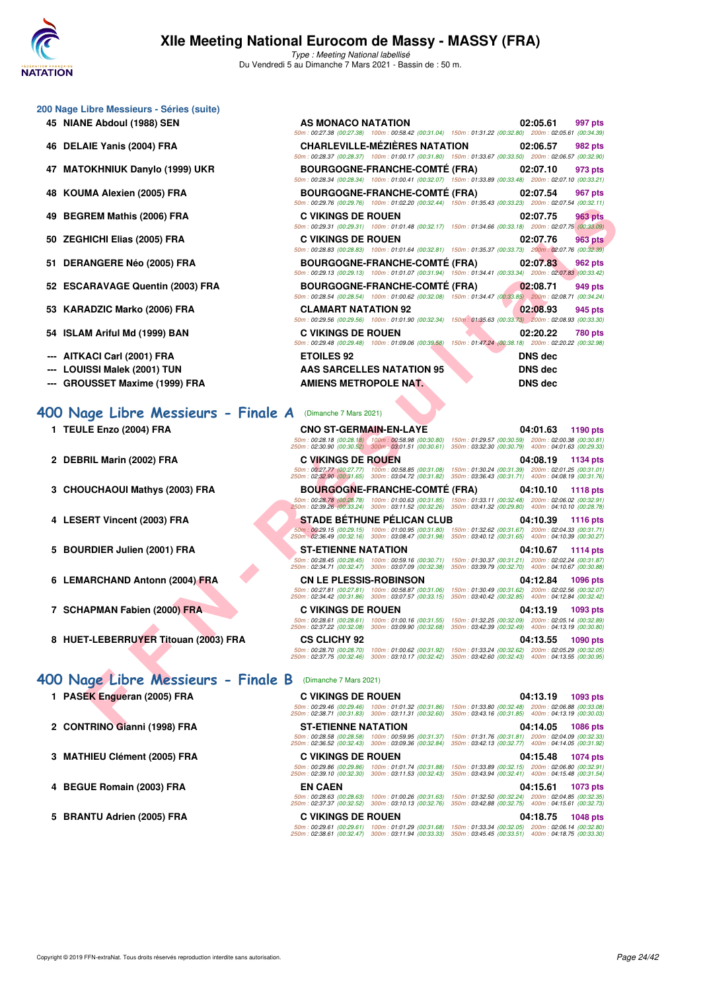

|  |  | 200 Nage Libre Messieurs - Séries (suite) |  |  |
|--|--|-------------------------------------------|--|--|
|--|--|-------------------------------------------|--|--|

- **45 NIANE Abdoul (1988) SEN**
- **46 DELAIE Yanis (2004) FRA**
- **47 MATOKHNIUK Danylo (1999) UKR**
- **48 KOUMA Alexien (2005) FRA**
- **49 BEGREM Mathis (2006) FRA**
- 50 ZEGHICHI Elias (2005) FRA
- 51 DERANGERE Néo (2005) FRA
- 52 ESCARAVAGE Quentin (2003) FRA
- 53 KARADZIC Marko (2006) FRA
- **54 ISLAM Ariful Md (1999) BAN**
- **--- AITKACI Carl (2001) FRA**
- --- LOUISSI Malek (2001) TUN
- **--- GROUSSET Maxime (1999) FRA**

### **400 Nage Libre Messieurs - Finale**

- **1 TEULE Enzo (2004) FRA**
- **2 DEBRIL Marin (2002) FRA**
- **3 CHOUCHAOUI Mathys (2003) FRA**
- **4 LESERT Vincent (2003) FRA**
- 5 BOURDIER Julien (2001) FRA
- **6 LEMARCHAND Antonn (2004) FRA**
- **7 SCHAPMAN Fabien (2000) FRA**
- 

### **[400 Nage Libre Messieurs - Finale B](http://www.ffnatation.fr/webffn/resultats.php?idact=nat&go=epr&idcpt=69813&idepr=54)** (Dimanche 7 Mars 2021)

- **1 PASEK Engueran (2005) FRA**
- 2 CONTRINO Gianni (1998) FRA
- **3 MATHIEU Clément (2005) FRA**
- **4 BEGUE Romain (2003) FRA EN CAEN 04:15.61 1073 pts**
- 5 BRANTU Adrien (2005) FRA

| AS MONACO NATATION                                 | 02:05.61 997 pts                                                                                       |
|----------------------------------------------------|--------------------------------------------------------------------------------------------------------|
|                                                    | 50m: 00:27.38 (00:27.38) 100m: 00:58.42 (00:31.04) 150m: 01:31.22 (00:32.80) 200m: 02:05.61 (00:34.39) |
|                                                    | CHARLEVILLE-MÉZIÈRES NATATION 02:06.57 982 pts                                                         |
|                                                    | 50m: 00:28.37 (00:28.37) 100m: 01:00.17 (00:31.80) 150m: 01:33.67 (00:33.50) 200m: 02:06.57 (00:32.90) |
|                                                    | BOURGOGNE-FRANCHE-COMTÉ (FRA) 02:07.10 973 pts                                                         |
|                                                    | 50m: 00:28.34 (00:28.34) 100m: 01:00.41 (00:32.07) 150m: 01:33.89 (00:33.48) 200m: 02:07.10 (00:33.21) |
|                                                    | BOURGOGNE-FRANCHE-COMTÉ (FRA) 02:07.54 967 pts                                                         |
|                                                    | 50m: 00:29.76 (00:29.76) 100m: 01:02.20 (00:32.44) 150m: 01:35.43 (00:33.23) 200m: 02:07.54 (00:32.11) |
| <b>C VIKINGS DE ROUEN</b>                          | 02:07.75 963 pts                                                                                       |
|                                                    | 50m: 00:29.31 (00:29.31) 100m: 01:01.48 (00:32.17) 150m: 01:34.66 (00:33.18) 200m: 02:07.75 (00:33.09) |
| <b>C VIKINGS DE ROUEN</b>                          | 02:07.76 963 pts                                                                                       |
|                                                    | 50m: 00:28.83 (00:28.83) 100m: 01:01.64 (00:32.81) 150m: 01:35.37 (00:33.73) 200m: 02:07.76 (00:32.39) |
|                                                    | BOURGOGNE-FRANCHE-COMTÉ (FRA) 02:07.83 962 pts                                                         |
|                                                    | 50m: 00:29.13 (00:29.13) 100m: 01:01.07 (00:31.94) 150m: 01:34.41 (00:33.34) 200m: 02:07.83 (00:33.42) |
|                                                    | BOURGOGNE-FRANCHE-COMTÉ (FRA) 02:08.71 949 pts                                                         |
|                                                    | 50m: 00:28.54 (00:28.54) 100m: 01:00.62 (00:32.08) 150m: 01:34.47 (00:33.85) 200m: 02:08.71 (00:34.24) |
| <b>CLAMART NATATION 92</b>                         | 02:08.93 945 pts                                                                                       |
|                                                    | 50m: 00:29.56 (00:29.56) 100m: 01:01.90 (00:32.34) 150m: 01:35.63 (00:33.73) 200m: 02:08.93 (00:33.30) |
| <b>C VIKINGS DE ROUEN</b>                          | 02:20.22 780 pts                                                                                       |
| 50m: 00:29.48 (00:29.48) 100m: 01:09.06 (00:39.58) | 150m: 01:47.24 (00:38.18) 200m: 02:20.22 (00:32.98)                                                    |
| <b>ETOILES 92</b>                                  | <b>DNS</b> dec                                                                                         |
| <b>AAS SARCELLES NATATION 95</b>                   | <b>DNS</b> dec                                                                                         |
| <b>AMIENS METROPOLE NAT.</b>                       | <b>DNS</b> dec                                                                                         |

| А | (Dimanche 7 Mars 2021) |
|---|------------------------|

|                                                       | $10011.0023.10.0023.101.0011.01.02.20.00032.441.0011.01.00340.00020$                                        | LUVIII. UL.UI.JT IUU.JL.III                                                                                                       |
|-------------------------------------------------------|-------------------------------------------------------------------------------------------------------------|-----------------------------------------------------------------------------------------------------------------------------------|
| REM Mathis (2006) FRA                                 | <b>C VIKINGS DE ROUEN</b>                                                                                   | 02:07.75<br>963 pts<br>50m : 00:29.31 (00:29.31) 100m : 01:01.48 (00:32.17) 150m : 01:34.66 (00:33.18) 200m : 02:07.75 (00:33.09) |
| HICHI Elias (2005) FRA                                | <b>C VIKINGS DE ROUEN</b>                                                                                   | 02:07.76<br>963 pts<br>50m: 00:28.83 (00:28.83) 100m: 01:01.64 (00:32.81) 150m: 01:35.37 (00:33.73) 200m: 02:07.76 (00:32.39)     |
| ANGERE Néo (2005) FRA                                 | <b>BOURGOGNE-FRANCHE-COMTE (FRA)</b>                                                                        | 02:07.83<br>962 pts                                                                                                               |
| ARAVAGE Quentin (2003) FRA                            | <b>BOURGOGNE-FRANCHE-COMTE (FRA)</b>                                                                        | 50m: 00:29.13 (00:29.13) 100m: 01:01.07 (00:31.94) 150m: 01:34.41 (00:33.34) 200m: 02:07.83 (00:33.42)<br>02:08.71<br>949 pts     |
|                                                       |                                                                                                             | 50m: 00:28.54 (00:28.54) 100m: 01:00.62 (00:32.08) 150m: 01:34.47 (00:33.85) 200m: 02:08.71 (00:34.24)                            |
| ADZIC Marko (2006) FRA                                | <b>CLAMART NATATION 92</b>                                                                                  | 02:08.93<br>945 pts<br>50m: 00:29.56 (00:29.56) 100m: 01:01.90 (00:32.34) 150m: 01:35.63 (00:33.73) 200m: 02:08.93 (00:33.30)     |
| M Ariful Md (1999) BAN                                | <b>C VIKINGS DE ROUEN</b>                                                                                   | 02:20.22<br>780 pts                                                                                                               |
|                                                       | 50m: 00:29.48 (00:29.48) 100m: 01:09.06 (00:39.58)                                                          | 150m: 01:47.24 (00:38.18) 200m: 02:20.22 (00:32.98)                                                                               |
| .ACI Carl (2001) FRA                                  | <b>ETOILES 92</b>                                                                                           | <b>DNS</b> dec                                                                                                                    |
| ISSI Malek (2001) TUN                                 | AAS SARCELLES NATATION 95                                                                                   | <b>DNS dec</b>                                                                                                                    |
| USSET Maxime (1999) FRA                               | AMIENS METROPOLE NAT.                                                                                       | <b>DNS dec</b>                                                                                                                    |
| <b>LE Enzo (2004) FRA</b>                             | <b>CNO ST-GERMAIN-EN-LAYE</b>                                                                               | 04:01.63<br>1190 pts<br>50m: 00:28.18 (00:28.18) 100m: 00:58.98 (00:30.80) 150m: 01:29.57 (00:30.59) 200m: 02:00.38 (00:30.81)    |
|                                                       |                                                                                                             |                                                                                                                                   |
|                                                       | 250m: 02:30.90 (00:30.52) 300m: 03:01.51 (00:30.61) 350m: 03:32.30 (00:30.79) 400m: 04:01.63 (00:29.33)     |                                                                                                                                   |
| RIL Marin (2002) FRA                                  | <b>C VIKINGS DE ROUEN</b>                                                                                   | 04:08.19<br>1134 pts                                                                                                              |
|                                                       | 50m: 00:27.77 (00:27.77) 100m: 00:58.85 (00:31.08)<br>250m: 02:32.90 (00:31.65) 300m: 03:04.72 (00:31.82)   | 150m: 01:30.24 (00:31.39) 200m: 02:01.25 (00:31.01)<br>350m: 03:36.43 (00:31.71) 400m: 04:08.19 (00:31.76)                        |
| UCHAOUI Mathys (2003) FRA                             | <b>BOURGOGNE-FRANCHE-COMTE (FRA)</b>                                                                        | 04:10.10<br>1118 pts                                                                                                              |
|                                                       | 250m : 02:39.26 (00:33.24) 300m : 03:11.52 (00:32.26) 350m : 03:41.32 (00:29.80) 400m : 04:10.10 (00:28.78) | 50m: 00:28.78 (00:28.78) 100m: 01:00.63 (00:31.85) 150m: 01:33.11 (00:32.48) 200m: 02:06.02 (00:32.91)                            |
| ERT Vincent (2003) FRA                                | <b>STADE BETHUNE PELICAN CLUB</b>                                                                           | 04:10.39<br><b>1116 pts</b>                                                                                                       |
|                                                       | 50m: 00:29.15 (00:29.15) 100m: 01:00.95 (00:31.80)<br>250m: 02:36.49 (00:32.16) 300m: 03:08.47 (00:31.98)   | 150m: 01:32.62 (00:31.67) 200m: 02:04.33 (00:31.71)<br>350m: 03:40.12 (00:31.65) 400m: 04:10.39 (00:30.27)                        |
| RDIER Julien (2001) FRA                               | <b>ST-ETIENNE NATATION</b>                                                                                  | 04:10.67<br>1114 pts                                                                                                              |
|                                                       | 50m: 00:28.45 (00:28.45) 100m: 00:59.16 (00:30.71)<br>250m: 02:34.71 (00:32.47) 300m: 03:07.09 (00:32.38)   | 150m: 01:30.37 (00:31.21) 200m: 02:02.24 (00:31.87)<br>350m: 03:39.79 (00:32.70) 400m: 04:10.67 (00:30.88)                        |
| ARCHAND Antonn (2004) FRA                             | <b>CN LE PLESSIS-ROBINSON</b>                                                                               | 04:12.84<br><b>1096 pts</b>                                                                                                       |
|                                                       | 250m: 02:34.42 (00:31.86) 300m: 03:07.57 (00:33.15) 350m: 03:40.42 (00:32.85) 400m: 04:12.84 (00:32.42)     | 50m: 00:27.81 (00:27.81) 100m: 00:58.87 (00:31.06) 150m: 01:30.49 (00:31.62) 200m: 02:02.56 (00:32.07)                            |
| APMAN Fabien (2000) FRA                               | <b>C VIKINGS DE ROUEN</b>                                                                                   | 04:13.19<br>1093 pts                                                                                                              |
|                                                       | 250m: 02:37.22 (00:32.08) 300m: 03:09.90 (00:32.68) 350m: 03:42.39 (00:32.49) 400m: 04:13.19 (00:30.80)     | 50m: 00:28.61 (00:28.61) 100m: 01:00.16 (00:31.55) 150m: 01:32.25 (00:32.09) 200m: 02:05.14 (00:32.89)                            |
| T-LEBERRUYER Titouan (2003) FRA                       | <b>CS CLICHY 92</b>                                                                                         | 04:13.55<br>1090 pts                                                                                                              |
|                                                       | 250m : 02:37.75 (00:32.46) 300m : 03:10.17 (00:32.42) 350m : 03:42.60 (00:32.43) 400m : 04:13.55 (00:30.95) | 50m: 00:28.70 (00:28.70) 100m: 01:00.62 (00:31.92) 150m: 01:33.24 (00:32.62) 200m: 02:05.29 (00:32.05)                            |
| 19e Libre Messieurs - Finale B (Dimanche 7 Mars 2021) |                                                                                                             |                                                                                                                                   |
| EK Engueran (2005) FRA                                | <b>C VIKINGS DE ROUEN</b>                                                                                   | 04:13.19<br>1093 pts                                                                                                              |
|                                                       | 250m: 02:38.71 (00:31.83) 300m: 03:11.31 (00:32.60) 350m: 03:43.16 (00:31.85) 400m: 04:13.19 (00:30.03)     | 50m: 00:29.46 (00:29.46) 100m: 01:01.32 (00:31.86) 150m: 01:33.80 (00:32.48) 200m: 02:06.88 (00:33.08)                            |
| TRINO Gianni (1998) FRA                               | <b>ST-ETIENNE NATATION</b>                                                                                  | 04:14.05 1086 pts                                                                                                                 |

**8 HUET-LEBERRUYER Titouan (2003) FRA CS CLICHY 92 04:13.55 1090 pts** 50m : 00:28.70 (00:28.70) 100m : 01:00.62 (00:31.92) 150m : 01:33.24 (00:32.62) 200m : 02:05.29 (00:32.05) 250m : 02:37.75 (00:32.46) 300m : 03:10.17 (00:32.42) 350m : 03:42.60 (00:32.43) 400m : 04:13.55 (00:30.95)

| <b>C VIKINGS DE ROUEN</b>                             |                                                        |                                                        | 04:13.19<br>1093 pts                                   |
|-------------------------------------------------------|--------------------------------------------------------|--------------------------------------------------------|--------------------------------------------------------|
| 50m: 00:29.46 (00:29.46)<br>250m: 02:38.71 (00:31.83) | 100m: 01:01.32 (00:31.86)<br>300m: 03:11.31 (00:32.60) | 150m: 01:33.80 (00:32.48)<br>350m: 03:43.16 (00:31.85) | 200m: 02:06.88 (00:33.08)<br>400m: 04:13.19 (00:30.03) |
| <b>ST-ETIENNE NATATION</b>                            |                                                        |                                                        | 04:14.05 1086 pts                                      |
| 50m: 00:28.58 (00:28.58)<br>250m: 02:36.52 (00:32.43) | 100m: 00:59.95 (00:31.37)<br>300m: 03:09.36 (00:32.84) | 150m: 01:31.76 (00:31.81)<br>350m: 03:42.13 (00:32.77) | 200m: 02:04.09 (00:32.33)<br>400m: 04:14.05 (00:31.92) |
| C VIKINGS DE ROUEN                                    |                                                        |                                                        | 04:15.48<br>1074 pts                                   |
| 50m: 00:29.86 (00:29.86)<br>250m: 02:39.10 (00:32.30) | 100m: 01:01.74 (00:31.88)<br>300m: 03:11.53 (00:32.43) | 150m: 01:33.89 (00:32.15)<br>350m: 03:43.94 (00:32.41) | 200m: 02:06.80 (00:32.91)<br>400m: 04:15.48 (00:31.54) |
| <b>EN CAEN</b>                                        |                                                        |                                                        | 04:15.61<br>1073 pts                                   |
| 50m: 00:28.63 (00:28.63)<br>250m: 02:37.37 (00:32.52) | 100m: 01:00.26 (00:31.63)<br>300m: 03:10.13 (00:32.76) | 150m: 01:32.50 (00:32.24)<br>350m: 03:42.88 (00:32.75) | 200m: 02:04.85 (00:32.35)<br>400m: 04:15.61 (00:32.73) |
| <b>C VIKINGS DE ROUEN</b>                             |                                                        |                                                        | 04:18.75<br>1048 pts                                   |
| 50m: 00:29.61 (00:29.61)                              | 100m: 01:01.29 (00:31.68)                              | 150m: 01:33.34 (00:32.05)                              | 200m: 02:06.14 (00:32.80)                              |
| 250m: 02:38.61 (00:32.47)                             | 300m: 03:11.94 (00:33.33)                              | 350m: 03:45.45 (00:33.51)                              | 400m: 04:18.75 (00:33.30)                              |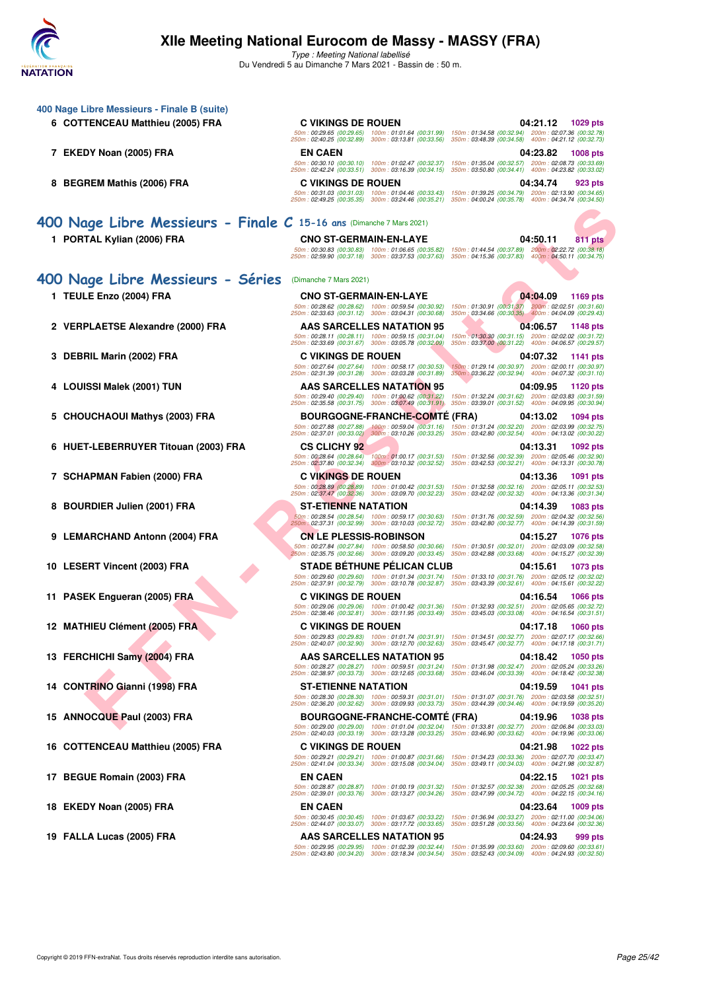

| 400 Nage Libre Messieurs - Finale B (suite)                          |                                                                                                              |                                                                                                                                                                                                                       |
|----------------------------------------------------------------------|--------------------------------------------------------------------------------------------------------------|-----------------------------------------------------------------------------------------------------------------------------------------------------------------------------------------------------------------------|
| 6 COTTENCEAU Matthieu (2005) FRA                                     | <b>C VIKINGS DE ROUEN</b>                                                                                    | 04:21.12 1029 pts                                                                                                                                                                                                     |
|                                                                      | 50m: 00:29.65 (00:29.65)<br>100m: 01:01.64 (00:31.99)<br>250m: 02:40.25 (00:32.89) 300m: 03:13.81 (00:33.56) | 150m: 01:34.58 (00:32.94) 200m: 02:07.36 (00:32.78)<br>350m: 03:48.39 (00:34.58) 400m: 04:21.12 (00:32.73)                                                                                                            |
| 7 EKEDY Noan (2005) FRA                                              | <b>EN CAEN</b>                                                                                               | 04:23.82<br>1008 pts                                                                                                                                                                                                  |
|                                                                      | 50m: 00:30.10 (00:30.10) 100m: 01:02.47 (00:32.37)<br>250m: 02:42.24 (00:33.51) 300m: 03:16.39 (00:34.15)    | 150m: 01:35.04 (00:32.57) 200m: 02:08.73 (00:33.69)<br>350m: 03:50.80 (00:34.41) 400m: 04:23.82 (00:33.02)                                                                                                            |
| 8 BEGREM Mathis (2006) FRA                                           | <b>C VIKINGS DE ROUEN</b>                                                                                    | 04:34.74<br>923 pts                                                                                                                                                                                                   |
|                                                                      | 50m: 00:31.03 (00:31.03)<br>100m: 01:04.46 (00:33.43)<br>250m: 02:49.25 (00:35.35) 300m: 03:24.46 (00:35.21) | 150m: 01:39.25 (00:34.79) 200m: 02:13.90 (00:34.65)<br>350m: 04:00.24 (00:35.78)<br>400m: 04:34.74 (00:34.50)                                                                                                         |
|                                                                      |                                                                                                              |                                                                                                                                                                                                                       |
| 400 Nage Libre Messieurs - Finale C 15-16 ans (Dimanche 7 Mars 2021) |                                                                                                              |                                                                                                                                                                                                                       |
| 1 PORTAL Kylian (2006) FRA                                           | <b>CNO ST-GERMAIN-EN-LAYE</b><br>50m: 00:30.83 (00:30.83) 100m: 01:06.65 (00:35.82)                          | 04:50.11<br>811 pts<br>150m: 01:44.54 (00:37.89) 200m: 02:22.72 (00:38.18)                                                                                                                                            |
|                                                                      | 250m: 02:59.90 (00:37.18) 300m: 03:37.53 (00:37.63)                                                          | 350m: 04:15.36 (00:37.83) 400m: 04:50.11 (00:34.75)                                                                                                                                                                   |
| 400 Nage Libre Messieurs - Séries                                    | (Dimanche 7 Mars 2021)                                                                                       |                                                                                                                                                                                                                       |
| 1 TEULE Enzo (2004) FRA                                              | <b>CNO ST-GERMAIN-EN-LAYE</b>                                                                                | 04:04.09<br>1169 pts                                                                                                                                                                                                  |
|                                                                      | 50m: 00:28.62 (00:28.62) 100m: 00:59.54 (00:30.92)                                                           | 150m: 01:30.91 (00:31.37) 200m: 02:02.51 (00:31.60)                                                                                                                                                                   |
| 2 VERPLAETSE Alexandre (2000) FRA                                    | 250m: 02:33.63 (00:31.12) 300m: 03:04.31 (00:30.68)<br>AAS SARCELLES NATATION 95                             | 350m : 03:34.66 (00:30.35) 400m : 04:04.09 (00:29.43)<br>04:06.57<br>1148 pts                                                                                                                                         |
|                                                                      | 50m: 00:28.11 (00:28.11) 100m: 00:59.15 (00:31.04)                                                           | 150m: 01:30.30 (00:31.15) 200m: 02:02.02 (00:31.72)                                                                                                                                                                   |
| 3 DEBRIL Marin (2002) FRA                                            | 250m: 02:33.69 (00:31.67) 300m: 03:05.78 (00:32.09)<br><b>C VIKINGS DE ROUEN</b>                             | 350m: 03:37.00 (00:31.22) 400m: 04:06.57 (00:29.57)<br>04:07.32<br>1141 pts                                                                                                                                           |
|                                                                      | 50m: 00:27.64 (00:27.64) 100m: 00:58.17 (00:30.53)<br>250m: 02:31.39 (00:31.28) 300m: 03:03.28 (00:31.89)    | 150m: 01:29.14 (00:30.97) 200m: 02:00.11 (00:30.97)<br>350m: 03:36.22 (00:32.94) 400m: 04:07.32 (00:31.10)                                                                                                            |
| 4 LOUISSI Malek (2001) TUN                                           | <b>AAS SARCELLES NATATION 95</b>                                                                             | 04:09.95<br>1120 pts                                                                                                                                                                                                  |
|                                                                      | 50m: 00:29.40 (00:29.40) 100m: 01:00.62 (00:31.22)<br>250m: 02:35.58 (00:31.75) 300m: 03:07.49 (00:31.91)    | 150m: 01:32.24 (00:31.62) 200m: 02:03.83 (00:31.59)<br>350m: 03:39.01 (00:31.52) 400m: 04:09.95 (00:30.94)                                                                                                            |
| 5 CHOUCHAOUI Mathys (2003) FRA                                       | <b>BOURGOGNE-FRANCHE-COMTE (FRA)</b>                                                                         | 04:13.02<br>1094 pts                                                                                                                                                                                                  |
|                                                                      | 50m: 00:27.88 (00:27.88) 100m: 00:59.04 (00:31.16)<br>250m: 02:37.01 (00:33.02) 300m: 03:10.26 (00:33.25)    | 150m: 01:31.24 (00:32.20) 200m: 02:03.99 (00:32.75)<br>350m: 03:42.80 (00:32.54) 400m: 04:13.02 (00:30.22)                                                                                                            |
| 6 HUET-LEBERRUYER Titouan (2003) FRA                                 | <b>CS CLICHY 92</b>                                                                                          | 04:13.31<br>1092 pts                                                                                                                                                                                                  |
|                                                                      | 50m: 00:28.64 (00:28.64)<br>100m: 01:00.17 (00:31.53)<br>250m: 02:37.80 (00:32.34) 300m: 03:10.32 (00:32.52) | 150m: 01:32.56 (00:32.39) 200m: 02:05.46 (00:32.90)<br>350m: 03:42.53 (00:32.21) 400m: 04:13.31 (00:30.78)                                                                                                            |
| 7 SCHAPMAN Fabien (2000) FRA                                         | <b>C VIKINGS DE ROUEN</b>                                                                                    | 04:13.36<br>1091 pts                                                                                                                                                                                                  |
|                                                                      | 50m: 00:28.89 (00:28.89) 100m: 01:00.42 (00:31.53)<br>250m: 02:37.47 (00:32.36) 300m: 03:09.70 (00:32.23)    | 150m: 01:32.58 (00:32.16) 200m: 02:05.11 (00:32.53)<br>350m: 03:42.02 (00:32.32) 400m: 04:13.36 (00:31.34)                                                                                                            |
| 8 BOURDIER Julien (2001) FRA                                         | ST-ETIENNE NATATION                                                                                          | 04:14.39<br>1083 pts                                                                                                                                                                                                  |
|                                                                      | 50m: 00:28.54 (00:28.54) 100m: 00:59.17 (00:30.63)<br>250m: 02:37.31 (00:32.99) 300m: 03:10.03 (00:32.72)    | 150m: 01:31.76 (00:32.59) 200m: 02:04.32 (00:32.56)<br>350m: 03:42.80 (00:32.77) 400m: 04:14.39 (00:31.59)                                                                                                            |
| 9 LEMARCHAND Antonn (2004) FRA                                       | <b>CN LE PLESSIS-ROBINSON</b>                                                                                | 04:15.27<br><b>1076 pts</b>                                                                                                                                                                                           |
|                                                                      | 50m: 00:27.84 (00:27.84) 100m: 00:58.50 (00:30.66)<br>250m: 02:35.75 (00:32.66) 300m: 03:09.20 (00:33.45)    | 150m: 01:30.51 (00:32.01) 200m: 02:03.09 (00:32.58)<br>350m: 03:42.88 (00:33.68)<br>400m: 04:15.27 (00:32.39)                                                                                                         |
| 10 LESERT Vincent (2003) FRA                                         | <b>STADE BETHUNE PELICAN CLUB</b>                                                                            | 04:15.61<br>1073 pts                                                                                                                                                                                                  |
|                                                                      |                                                                                                              | 50m : 00:29.60 (00:29.60) 100m : 01:01.34 (00:31.74) 150m : 01:33.10 (00:31.76) 200m : 02:05.12 (00:32.02)<br>250m: 02:37.91 (00:32.79) 300m: 03:10.78 (00:32.87) 350m: 03:43.39 (00:32.61) 400m: 04:15.61 (00:32.22) |
| 11 PASEK Engueran (2005) FRA                                         | <b>C VIKINGS DE ROUEN</b>                                                                                    | 04:16.54<br><b>1066 pts</b>                                                                                                                                                                                           |
|                                                                      | 50m: 00:29.06 (00:29.06) 100m: 01:00.42 (00:31.36)                                                           | 150m: 01:32.93 (00:32.51) 200m: 02:05.65 (00:32.72)<br>250m: 02:38.46 (00:32.81) 300m: 03:11.95 (00:33.49) 350m: 03:45.03 (00:33.08) 400m: 04:16.54 (00:31.51)                                                        |
| 12 MATHIEU Clément (2005) FRA                                        | <b>C VIKINGS DE ROUEN</b>                                                                                    | 04:17.18<br><b>1060 pts</b>                                                                                                                                                                                           |
|                                                                      | 50m: 00:29.83 (00:29.83) 100m: 01:01.74 (00:31.91)<br>250m: 02:40.07 (00:32.90) 300m: 03:12.70 (00:32.63)    | 150m: 01:34.51 (00:32.77) 200m: 02:07.17 (00:32.66)<br>350m: 03:45.47 (00:32.77) 400m: 04:17.18 (00:31.71)                                                                                                            |
| 13 FERCHICHI Samy (2004) FRA                                         | AAS SARCELLES NATATION 95                                                                                    | 04:18.42<br><b>1050 pts</b>                                                                                                                                                                                           |
|                                                                      | 50m: 00:28.27 (00:28.27) 100m: 00:59.51 (00:31.24)<br>250m: 02:38.97 (00:33.73) 300m: 03:12.65 (00:33.68)    | 150m: 01:31.98 (00:32.47) 200m: 02:05.24 (00:33.26)<br>350m: 03:46.04 (00:33.39) 400m: 04:18.42 (00:32.38)                                                                                                            |
| 14 CONTRINO Gianni (1998) FRA                                        | <b>ST-ETIENNE NATATION</b>                                                                                   | 04:19.59<br>1041 pts                                                                                                                                                                                                  |
|                                                                      |                                                                                                              | 50m: 00:28.30 (00:28.30) 100m: 00:59.31 (00:31.01) 150m: 01:31.07 (00:31.76) 200m: 02:03.58 (00:32.51)<br>250m: 02:36.20 (00:32.62) 300m: 03:09.93 (00:33.73) 350m: 03:44.39 (00:34.46) 400m: 04:19.59 (00:35.20)     |
| 15 ANNOCQUE Paul (2003) FRA                                          | <b>BOURGOGNE-FRANCHE-COMTE (FRA)</b>                                                                         | 04:19.96<br><b>1038 pts</b>                                                                                                                                                                                           |
|                                                                      | 50m: 00:29.00 (00:29.00) 100m: 01:01.04 (00:32.04)                                                           | 150m: 01:33.81 (00:32.77) 200m: 02:06.84 (00:33.03)<br>250m: 02:40.03 (00:33.19) 300m: 03:13.28 (00:33.25) 350m: 03:46.90 (00:33.62) 400m: 04:19.96 (00:33.06)                                                        |
| 16 COTTENCEAU Matthieu (2005) FRA                                    | <b>C VIKINGS DE ROUEN</b>                                                                                    | 04:21.98<br><b>1022 pts</b>                                                                                                                                                                                           |
|                                                                      |                                                                                                              | 50m: 00:29.21 (00:29.21) 100m: 01:00.87 (00:31.66) 150m: 01:34.23 (00:33.36) 200m: 02:07.70 (00:33.47)<br>250m: 02:41.04 (00:33.34) 300m: 03:15.08 (00:34.04) 350m: 03:49.11 (00:34.03) 400m: 04:21.98 (00:32.87)     |
| 17 BEGUE Romain (2003) FRA                                           | <b>EN CAEN</b>                                                                                               | 04:22.15<br>1021 pts                                                                                                                                                                                                  |
|                                                                      |                                                                                                              | 50m: 00:28.87 (00:28.87) 100m: 01:00.19 (00:31.32) 150m: 01:32.57 (00:32.38) 200m: 02:05.25 (00:32.68)<br>250m: 02:39.01 (00:33.76) 300m: 03:13.27 (00:34.26) 350m: 03:47.99 (00:34.72) 400m: 04:22.15 (00:34.16)     |
| 18 EKEDY Noan (2005) FRA                                             | <b>EN CAEN</b>                                                                                               | 04:23.64<br>1009 pts                                                                                                                                                                                                  |
|                                                                      | 50m: 00:30.45 (00:30.45) 100m: 01:03.67 (00:33.22)<br>250m: 02:44.07 (00:33.07) 300m: 03:17.72 (00:33.65)    | 150m: 01:36.94 (00:33.27) 200m: 02:11.00 (00:34.06)<br>350m: 03:51.28 (00:33.56) 400m: 04:23.64 (00:32.36)                                                                                                            |
| 19 FALLA Lucas (2005) FRA                                            | AAS SARCELLES NATATION 95                                                                                    | 04:24.93<br>999 pts                                                                                                                                                                                                   |
|                                                                      | 50m: 00:29.95 (00:29.95) 100m: 01:02.39 (00:32.44)<br>250m: 02:43.80 (00:34.20) 300m: 03:18.34 (00:34.54)    | 150m: 01:35.99 (00:33.60) 200m: 02:09.60 (00:33.61)<br>350m: 03:52.43 (00:34.09) 400m: 04:24.93 (00:32.50)                                                                                                            |
|                                                                      |                                                                                                              |                                                                                                                                                                                                                       |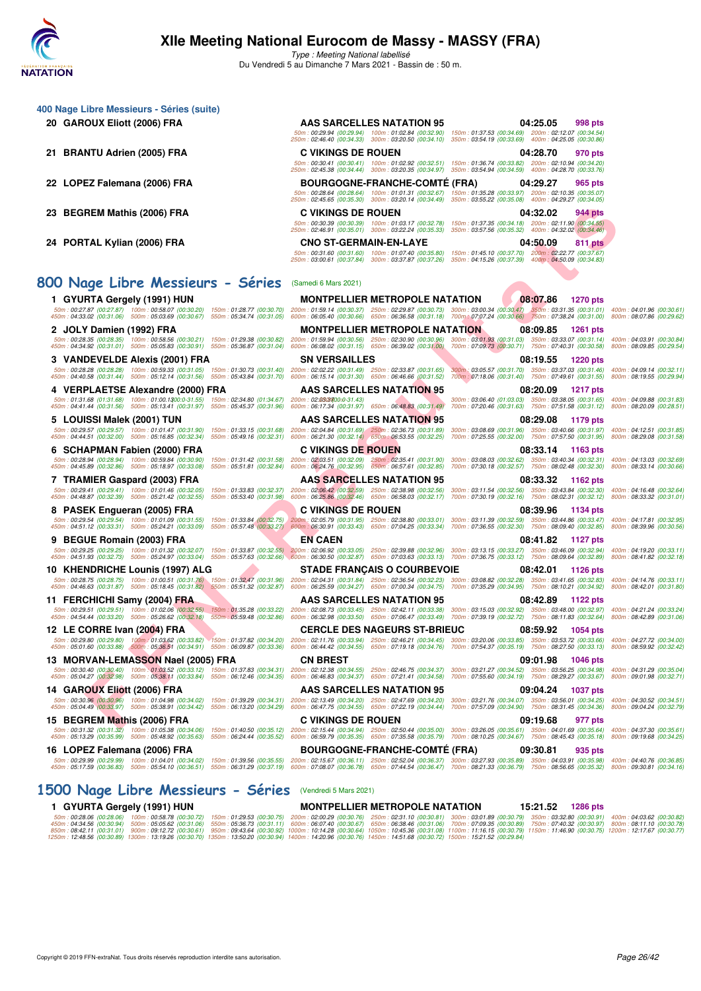

**400 Nage Libre Messieurs - Séries (suite)**

Type : Meeting National labellisé Du Vendredi 5 au Dimanche 7 Mars 2021 - Bassin de : 50 m.

| 20 GAROUX Eliott (2006) FRA                                                                                                                                                                                                                                                                                                                                                                                                       | <b>AAS SARCELLES NATATION 95</b>                                                                                                                                                                                                                                   | 04:25.05<br>998 pts<br>50m: 00:29.94 (00:29.94) 100m: 01:02.84 (00:32.90) 150m: 01:37.53 (00:34.69) 200m: 02:12.07 (00:34.54)                                                                                     |                           |
|-----------------------------------------------------------------------------------------------------------------------------------------------------------------------------------------------------------------------------------------------------------------------------------------------------------------------------------------------------------------------------------------------------------------------------------|--------------------------------------------------------------------------------------------------------------------------------------------------------------------------------------------------------------------------------------------------------------------|-------------------------------------------------------------------------------------------------------------------------------------------------------------------------------------------------------------------|---------------------------|
| 21 BRANTU Adrien (2005) FRA                                                                                                                                                                                                                                                                                                                                                                                                       | <b>C VIKINGS DE ROUEN</b>                                                                                                                                                                                                                                          | 250m: 02:46.40 (00:34.33) 300m: 03:20.50 (00:34.10) 350m: 03:54.19 (00:33.69) 400m: 04:25.05 (00:30.86)<br>04:28.70<br>970 pts                                                                                    |                           |
|                                                                                                                                                                                                                                                                                                                                                                                                                                   |                                                                                                                                                                                                                                                                    | 50m: 00:30.41 (00:30.41) 100m: 01:02.92 (00:32.51) 150m: 01:36.74 (00:33.82) 200m: 02:10.94 (00:34.20)<br>250m: 02:45.38 (00:34.44) 300m: 03:20.35 (00:34.97) 350m: 03:54.94 (00:34.59) 400m: 04:28.70 (00:33.76) |                           |
| 22 LOPEZ Falemana (2006) FRA                                                                                                                                                                                                                                                                                                                                                                                                      | <b>BOURGOGNE-FRANCHE-COMTE (FRA)</b>                                                                                                                                                                                                                               | 04:29.27<br>965 pts                                                                                                                                                                                               |                           |
|                                                                                                                                                                                                                                                                                                                                                                                                                                   |                                                                                                                                                                                                                                                                    | 50m: 00:28.64 (00:28.64) 100m: 01:01.31 (00:32.67) 150m: 01:35.28 (00:33.97) 200m: 02:10.35 (00:35.07)<br>250m: 02:45.65 (00:35.30) 300m: 03:20.14 (00:34.49) 350m: 03:55.22 (00:35.08) 400m: 04:29.27 (00:34.05) |                           |
| 23 BEGREM Mathis (2006) FRA                                                                                                                                                                                                                                                                                                                                                                                                       | <b>C VIKINGS DE ROUEN</b>                                                                                                                                                                                                                                          | 04:32.02<br>944 pts                                                                                                                                                                                               |                           |
|                                                                                                                                                                                                                                                                                                                                                                                                                                   |                                                                                                                                                                                                                                                                    | 50m: 00:30.39 (00:30.39) 100m: 01:03.17 (00:32.78) 150m: 01:37.35 (00:34.18) 200m: 02:11.90 (00:34.55)<br>250m: 02:46.91 (00:35.01) 300m: 03:22.24 (00:35.33) 350m: 03:57.56 (00:35.32) 400m: 04:32.02 (00:34.46) |                           |
| 24 PORTAL Kylian (2006) FRA                                                                                                                                                                                                                                                                                                                                                                                                       | <b>CNO ST-GERMAIN-EN-LAYE</b>                                                                                                                                                                                                                                      | 04:50.09<br>811 pts<br>50m: 00:31.60 (00:31.60) 100m: 01:07.40 (00:35.80) 150m: 01:45.10 (00:37.70) 200m: 02:22.77 (00:37.67)                                                                                     |                           |
|                                                                                                                                                                                                                                                                                                                                                                                                                                   |                                                                                                                                                                                                                                                                    | 250m : 03:00.61 (00:37.84) 300m : 03:37.87 (00:37.26) 350m : 04:15.26 (00:37.39) 400m : 04:50.09 (00:34.83)                                                                                                       |                           |
| 800 Nage Libre Messieurs - Séries (Samedi 6 Mars 2021)                                                                                                                                                                                                                                                                                                                                                                            |                                                                                                                                                                                                                                                                    |                                                                                                                                                                                                                   |                           |
| 1 GYURTA Gergely (1991) HUN                                                                                                                                                                                                                                                                                                                                                                                                       | <b>MONTPELLIER METROPOLE NATATION</b>                                                                                                                                                                                                                              | 08:07.86<br>1270 pts                                                                                                                                                                                              |                           |
|                                                                                                                                                                                                                                                                                                                                                                                                                                   |                                                                                                                                                                                                                                                                    |                                                                                                                                                                                                                   |                           |
| 2 JOLY Damien (1992) FRA                                                                                                                                                                                                                                                                                                                                                                                                          | <b>MONTPELLIER METROPOLE NATATION</b>                                                                                                                                                                                                                              | 08:09.85<br><b>1261</b> pts                                                                                                                                                                                       |                           |
| $50m: 00:28.35 \ (00:28.35) \quad 100m: 00:58.56 \ (00:30.21) \quad 150m: 01:29.38 \ (00:30.82)$<br>450m: 04:34.92 (00:31.01) 500m: 05:05.83 (00:30.91) 550m: 05:36.87 (00:31.04)                                                                                                                                                                                                                                                 | $200m: 01:59.94\ (00:30.56) \quad 250m: 02:30.90\ (00:30.96) \quad 300m: 03:01.98\ (00:31.03) \quad 350m: 03:33.07\ (00:31.14) \quad 400m: 04:03.91\ (00:30.84) \quad 600m: 04:03.91\ (00:30.85) \quad 600m: 06:09.85\ (00:30.87) \quad 600m: 06:09.85\ (00:30.87$ |                                                                                                                                                                                                                   |                           |
| 3   VANDEVELDE Alexis (2001) FRA                                                                                                                                                                                                                                                                                                                                                                                                  | <b>SN VERSAILLES</b>                                                                                                                                                                                                                                               | 08:19.55<br>1220 pts                                                                                                                                                                                              |                           |
| $50m:00.28.28\ (00.28.28)\  \  \, 100m:00.59.33\ (00.31.05)\  \  \, 150m:01.30.73\ (00.31.40)\  \  \, 200m:02.02.22\ (00.31.49)\  \  \, 250m:02.33.87\ (00.31.65)\  \  \, 300m:03.05.57\ (00.31.70)\  \  \, 350m:03.37.03\ (00.31.46)\  \  \, 400m:04.09.$<br>450m: 04:40.58 (00:31.44) 500m: 05:12.14 (00:31.56) 550m: 05:43.84 (00:31.70) 600m: 06:15.14 (00:31.30) 650m: 06:46.66 (00:31.52)                                   |                                                                                                                                                                                                                                                                    | 700m: 07:18.06 (00:31.40) 750m: 07:49.61 (00:31.55) 800m: 08:19.55 (00:29.94)                                                                                                                                     |                           |
| 4 VERPLAETSE Alexandre (2000) FRA                                                                                                                                                                                                                                                                                                                                                                                                 | <b>AAS SARCELLES NATATION 95</b>                                                                                                                                                                                                                                   | 08:20.09<br>1217 pts<br>300m: 03:06.40 (01:03.03) 350m: 03:38.05 (00:31.65) 400m: 04:09.88 (00:31.83)                                                                                                             |                           |
| 50m: 01:31.68 (01:31.68) 100m: 01:00.1300:0-31.55) 150m: 02:34.80 (01:34.67) 200m: 02:0303700:0-31.43)<br>450m: 04:41.44 (00:31.56) 500m: 05:13.41 (00:31.97) 550m: 05:45.37 (00:31.96) 600m: 06:17.34 (00:31.97) 650m: 06:48.83 (00:31.49)                                                                                                                                                                                       |                                                                                                                                                                                                                                                                    | 700m: 07:20.46 (00:31.63) 750m: 07:51.58 (00:31.12)                                                                                                                                                               | 800m: 08:20.09 (00:28.51) |
| 5 LOUISSI Malek (2001) TUN<br>50m: 00:29.57 (00:29.57) 100m: 01:01.47 (00:31.90)                                                                                                                                                                                                                                                                                                                                                  | <b>AAS SARCELLES NATATION 95</b><br>150m: 01:33.15 (00:31.68) 200m: 02:04.84 (00:31.69) 250m: 02:36.73 (00:31.89)                                                                                                                                                  | 08:29.08<br>1179 pts<br>300m: 03:08.69 (00:31.96) 350m: 03:40.66 (00:31.97)                                                                                                                                       | 400m: 04:12.51 (00:31.85) |
| 450m: 04:44.51 (00:32.00) 500m: 05:16.85 (00:32.34)                                                                                                                                                                                                                                                                                                                                                                               | 550m: 05:49.16 (00:32.31) 600m: 06:21.30 (00:32.14) 650m: 06:53.55 (00:32.25)                                                                                                                                                                                      | 700m: 07:25.55 (00:32.00) 750m: 07:57.50 (00:31.95)                                                                                                                                                               | 800m: 08:29.08 (00:31.58) |
| 6 SCHAPMAN Fabien (2000) FRA<br>50m: 00:28.94 (00:28.94) 100m: 00:59.84 (00:30.90)                                                                                                                                                                                                                                                                                                                                                | <b>C VIKINGS DE ROUEN</b>                                                                                                                                                                                                                                          | 08:33.14<br>1163 pts                                                                                                                                                                                              | 400m: 04:13.03 (00:32.69) |
| 450m: 04:45.89 (00:32.86) 500m: 05:18.97 (00:33.08)                                                                                                                                                                                                                                                                                                                                                                               | 150m : 01:31.42 (00:31.58) 200m : 02:03.51 (00:32.09) 250m : 02:35.41 (00:31.90) 300m : 03:08.03 (00:32.62) 350m : 03:40.34 (00:32.31)<br>550m : 05:51.81 (00:32.84) 600m : 06:24.76 (00:32.95) 650m : 06:57.61 (00:32.85) 700m :                                  |                                                                                                                                                                                                                   | 800m: 08:33.14 (00:30.66) |
| 7 TRAMIER Gaspard (2003) FRA<br>50m: 00:29.41 (00:29.41) 100m: 01:01.46 (00:32.05)<br>150m: 01:33.83 (00:32.37)                                                                                                                                                                                                                                                                                                                   | <b>AAS SARCELLES NATATION 95</b>                                                                                                                                                                                                                                   | 08:33.32<br>1162 pts<br>200m: 02:06.42 (00:32.59) 250m: 02:38.98 (00:32.56) 300m: 03:11.54 (00:32.56) 350m: 03:43.84 (00:32.30)                                                                                   | 400m: 04:16.48 (00:32.64) |
| 450m: 04:48.87 (00:32.39) 500m: 05:21.42 (00:32.55)<br>550m: 05:53.40 (00:31.98)                                                                                                                                                                                                                                                                                                                                                  |                                                                                                                                                                                                                                                                    | 600m: 06:25.86 (00:32.46) 650m: 06:58.03 (00:32.17) 700m: 07:30.19 (00:32.16) 750m: 08:02.31 (00:32.12)                                                                                                           | 800m: 08:33.32 (00:31.01) |
| 8 PASEK Engueran (2005) FRA<br>50m: 00:29.54 (00:29.54) 100m: 01:01.09 (00:31.55)<br>150m: 01:33.84 (00:32.75)                                                                                                                                                                                                                                                                                                                    | <b>C VIKINGS DE ROUEN</b><br>200m; 02:05.79 (00:31.95) 250m: 02:38.80 (00:33.01) 300m: 03:11.39 (00:32.59) 350m: 03:44.86 (00:33.47) 400m: 04:17.81 (00:32.95)                                                                                                     | 08:39.96<br>1134 pts                                                                                                                                                                                              |                           |
| 450m: 04:51.12 (00:33.31) 500m: 05:24.21 (00:33.09)                                                                                                                                                                                                                                                                                                                                                                               | 550m: 05:57.48 (00:33.27) 600m: 06:30.91 (00:33.43) 650m: 07:04.25 (00:33.34) 700m: 07:36.55 (00:32.30) 750m: 08:09.40 (00:32.85)<br><b>EN CAEN</b>                                                                                                                | 08:41.82                                                                                                                                                                                                          | 800m: 08:39.96 (00:30.56) |
| 9 BEGUE Romain (2003) FRA<br>$\frac{50m}{22225} \cdot \frac{002225}{1002225} \cdot \frac{002225}{1002225} \cdot \frac{003240}{100225} \cdot \frac{003245}{100225} \cdot \frac{003257}{1002575} \cdot \frac{003255}{200255} \cdot \frac{200m}{200255} \cdot \frac{003245}{20002587} \cdot \frac{003245}{200257} \cdot \frac{003245}{200257} \cdot \frac{003245}{20$                                                                |                                                                                                                                                                                                                                                                    | 1127 pts                                                                                                                                                                                                          |                           |
| 10 KHENDRICHE Lounis (1997) ALG                                                                                                                                                                                                                                                                                                                                                                                                   | <b>STADE FRANÇAIS O COURBEVOIE</b>                                                                                                                                                                                                                                 | 08:42.01<br>1126 pts                                                                                                                                                                                              |                           |
| 50m : 00:28.75 (00:28.75) 100m : 01:00.51 (00:31.76) 150m : 01:32,47 (00:31.96) 200m : 02:04.31 (00:31.84) 250m : 02:36.54 (00:32.23) 300m : 03:08.82 (00:32.28) 350m : 03:41.65 (00:32.83) 400m : 04:14.76 (00:33.11)<br>450m: 04:46.63 (00:31.87) 500m: 05:18.45 (00:31.82) 550m: 05:51.32 (00:32.87)                                                                                                                           | 600m: 06:25.59 (00:34.27) 650m: 07:00.34 (00:34.75)                                                                                                                                                                                                                | 700m: 07:35.29 (00:34.95) 750m: 08:10.21 (00:34.92) 800m: 08:42.01 (00:31.80)                                                                                                                                     |                           |
| 11 FERCHICHI Samy (2004) FRA                                                                                                                                                                                                                                                                                                                                                                                                      | AAS SARCELLES NATATION 95                                                                                                                                                                                                                                          | 08:42.89<br>1122 pts                                                                                                                                                                                              |                           |
| 50m: 00:29.51 (00:29.51) 100m: 01:02.06 (00:32.55) 150m: 01:35.28 (00:33.22)<br>450m: 04:54.44 (00:33.20) 500m: 05:26.62 (00:32.18) 550m: 05:59.48 (00:32.86)                                                                                                                                                                                                                                                                     | 200m: 02:08.73 (00:33.45) 250m: 02:42.11 (00:33.38) 300m: 03:15.03 (00:32.92) 350m: 03:48.00 (00:32.97) 400m: 04:21.24 (00:33.24)                                                                                                                                  | 600m: 06:32.98 (00:33.50) 650m: 07:06.47 (00:33.49) 700m: 07:39.19 (00:32.72) 750m: 08:11.83 (00:32.64) 800m: 08:42.89 (00:31.06)                                                                                 |                           |
| 12 LE CORRE Ivan (2004) FRA                                                                                                                                                                                                                                                                                                                                                                                                       | <b>CERCLE DES NAGEURS ST-BRIEUC</b>                                                                                                                                                                                                                                | 08:59.92<br>1054 pts                                                                                                                                                                                              |                           |
| 50m:00:29.80 (00:29.80) 100m:01:03.62 (00:33.82) 150m:01:37.82 (00:34.20) 200m:02:11.76 (00:33.94) 250m:02:46.21 (00:34.45) 300m:03:20.06 (00:33.85) 350m:03:53.72 (00:33.66) 400m:04:27.72 (00:34.00)<br>450m : 05:01.60 (00:33.88) 500m : 05:36.51 (00:34.91) 550m : 06:09.87 (00:33.36) 600m : 06:44.42 (00:34.55) 650m : 07:19.18 (00:34.76) 700m : 07:54.37 (00:35.19) 750m : 08:27.50 (00:33.13) 800m : 08:59.92 (00:32.42) |                                                                                                                                                                                                                                                                    |                                                                                                                                                                                                                   |                           |
| 13 MORVAN-LEMASSON Nael (2005) FRA                                                                                                                                                                                                                                                                                                                                                                                                | <b>CN BREST</b>                                                                                                                                                                                                                                                    | 09:01.98<br>1046 pts                                                                                                                                                                                              |                           |
| 50m: 00:30.40 (00:30.40) 100m: 01:03.52 (00:33.12) 150m: 01:37.83 (00:34.31) 200m: 02:12.38 (00:34.55) 250m: 02:46.75 (00:34.37)<br>450m: 05:04.27 (00:32.98) 500m: 05:38.11 (00:33.84) 550m: 06:12.46 (00:34.35)                                                                                                                                                                                                                 | 600m: 06:46.83 (00:34.37) 650m: 07:21.41 (00:34.58) 700m: 07:55.60 (00:34.19) 750m: 08:29.27 (00:33.67) 800m: 09:01.98 (00:32.71)                                                                                                                                  | 300m: 03:21.27 (00:34.52) 350m: 03:56.25 (00:34.98) 400m: 04:31.29 (00:35.04)                                                                                                                                     |                           |
| 14 GAROUX Eliott (2006) FRA                                                                                                                                                                                                                                                                                                                                                                                                       | AAS SARCELLES NATATION 95                                                                                                                                                                                                                                          | 09:04.24<br>1037 pts                                                                                                                                                                                              |                           |
| 50m: 00:30.96 (00:30.96) 100m: 01:04.98 (00:34.02)<br>450m: 05:04.49 (00:33.97) 500m: 05:38.91 (00:34.42)<br>550m: 06:13.20 (00:34.29)                                                                                                                                                                                                                                                                                            | 150m: 01:39.29 (00:34.31) 200m: 02:13.49 (00:34.20) 250m: 02:47.69 (00:34.20)<br>600m: 06:47.75 (00:34.55) 650m: 07:22.19 (00:34.44)                                                                                                                               | 300m: 03:21.76 (00:34.07) 350m: 03:56.01 (00:34.25)<br>700m: 07:57.09 (00:34.90) 750m: 08:31.45 (00:34.36) 800m: 09:04.24 (00:32.79)                                                                              | 400m: 04:30.52 (00:34.51) |
| 15 BEGREM Mathis (2006) FRA                                                                                                                                                                                                                                                                                                                                                                                                       | <b>C VIKINGS DE ROUEN</b>                                                                                                                                                                                                                                          | 09:19.68<br>977 pts                                                                                                                                                                                               |                           |
| 50m: 00:31.32 (00:31.32) 100m: 01:05.38 (00:34.06) 150m: 01:40.50 (00:35.12) 200m: 02:15.44 (00:34.94) 250m: 02:50.44 (00:35.00) 300m: 03:26.05 (00:35.61) 350m: 04:01.69 (00:35.64) 400m: 04:07:30 (00:35.61)<br>450m: 05:13.29 (00:35.99) 500m: 05:48.92 (00:35.63)<br>550m: 06:24.44 (00:35.52)                                                                                                                                | 600m: 06:59.79 (00:35.35) 650m: 07:35.58 (00:35.79) 700m: 08:10.25 (00:34.67) 750m: 08:45.43 (00:35.18) 800m: 09:19.68 (00:34.25)                                                                                                                                  |                                                                                                                                                                                                                   |                           |
| 16 LOPEZ Falemana (2006) FRA<br>$50m:00:29.99\ (00:29.99)\quad 100m:01:04.01\ (00:34.02)\quad 150m:01:39.56\ (00:35.55)\quad 200m:02:15.67\ (00:36.11)\quad 250m:02:52.04\ (00:36.37)\quad 300m:03:27.93\ (00:35.89)\quad 350m:04:03.91\ (00:35.98)\quad 400m:04:076\ (00:36.85)\ (00:36.87)\quad 500m:$                                                                                                                          | <b>BOURGOGNE-FRANCHE-COMTE (FRA)</b>                                                                                                                                                                                                                               | 09:30.81<br>935 pts                                                                                                                                                                                               |                           |
| 450m : 05:17.59 (00:36.83) 500m : 05:54.10 (00:36.51) 550m : 06:31.29 (00:37.19) 600m : 07:08.07 (00:36.78) 650m : 07:44.54 (00:36.47) 700m : 08:21.33 (00:36.79) 750m : 08:56.65 (00:35.32) 800m : 09:30.81 (00:34.16)                                                                                                                                                                                                           |                                                                                                                                                                                                                                                                    |                                                                                                                                                                                                                   |                           |
| 1500 Nage Libre Messieurs - Séries                                                                                                                                                                                                                                                                                                                                                                                                | (Vendredi 5 Mars 2021)                                                                                                                                                                                                                                             |                                                                                                                                                                                                                   |                           |

1 GYURTA Gergely (1991) HUN MONTPELLIER METROPOLE NATATION 15:21.52 1286 pts<br>50m : 00:28.06 (00:28.06) 100m : 00:58.78 (00:30.72) 150m : 01:29.53 (00:30.75) 200m : 02:00.29 (00:30.76) 250m : 02:31.10 (00:30.31) 300m : 03:0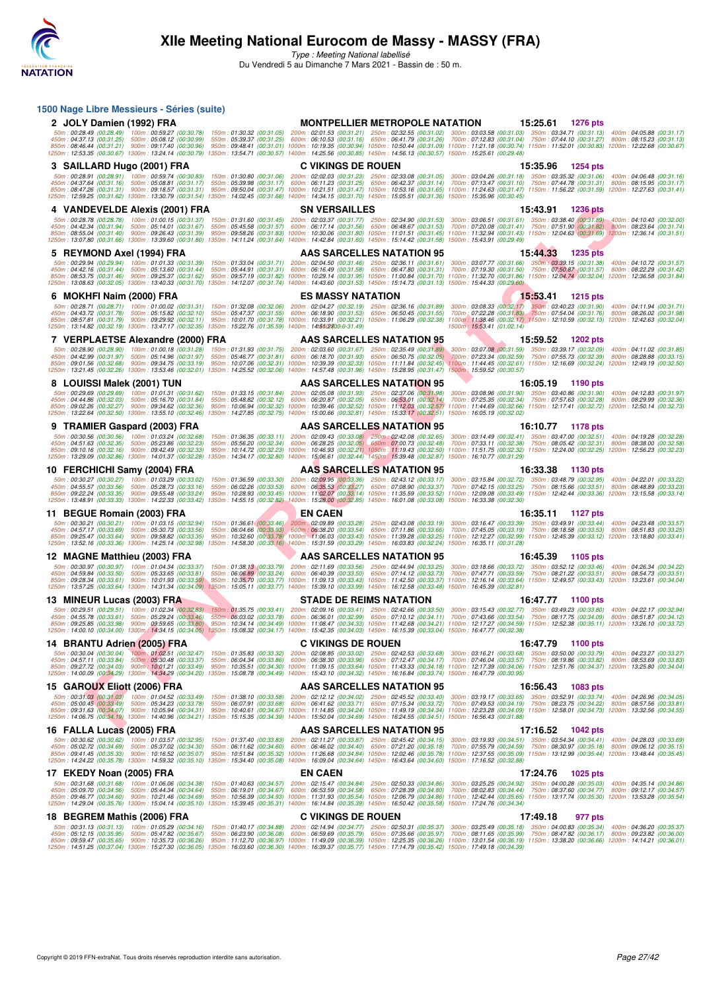

**1500 Nage Libre Messieurs - Séries (suite)**

# **XIIe Meeting National Eurocom de Massy - MASSY (FRA)**

| 2 JOLY Damien (1992) FRA                                                                                                                                                                                                                                                                                                                                                                                                                                                                                                                                                                                                                                                                                                                               |                                                                                                                                                                                                                                                                                                                                                                                                                                                                                                                                 | <b>MONTPELLIER METROPOLE NATATION</b>                                                                                             | 15:25.61 1276 pts                                                             |  |
|--------------------------------------------------------------------------------------------------------------------------------------------------------------------------------------------------------------------------------------------------------------------------------------------------------------------------------------------------------------------------------------------------------------------------------------------------------------------------------------------------------------------------------------------------------------------------------------------------------------------------------------------------------------------------------------------------------------------------------------------------------|---------------------------------------------------------------------------------------------------------------------------------------------------------------------------------------------------------------------------------------------------------------------------------------------------------------------------------------------------------------------------------------------------------------------------------------------------------------------------------------------------------------------------------|-----------------------------------------------------------------------------------------------------------------------------------|-------------------------------------------------------------------------------|--|
| 50m: 00:28.49 (00:28.49) 100m: 00:59.27 (00:30.78)<br>450m: 04:37.13 (00:31.25) 500m: 05:08.12 (00:30.99)<br>850m: 08:46.44 (00:31.21) 900m: 09:17.40 (00:30.96)<br>1250m : 12:53.35 (00:30.67) 1300m : 13:24.14 (00:30.79) 1350m : 13:54.71 (00:30.57) 1400m : 14:25.56 (00:30.85) 1450m : 14:56.13 (00:30.57) 1500m : 15:25.61 (00:29.48)                                                                                                                                                                                                                                                                                                                                                                                                            | 150m: 01:30.32 (00:31.05) 200m: 02:01.53 (00:31.21) 250m: 02:32.55 (00:31.02) 300m: 03:03.58 (00:31.03) 350m: 03:34.71 (00:31.13) 400m: 04:05.88 (00:31.17)<br>550m : 05:39.37 (00:31.25) 600m : 06:10.53 (00:31.16) 650m : 06:41.79 (00:31.26) 700m : 07:12.83 (00:31.04) 750m : 07:44.10 (00:31.27) 800m : 08:15.23 (00:31.13)<br>950m: 09:48.41 (00:31.01) 1000m: 10:19.35 (00:30.94) 1050m: 10:50.44 (00:31.09) 1100m: 11:21.18 (00:30.74) 1150m: 11:52.01 (00:30.83) 1200m: 12:22.68 (00:30.87)                            |                                                                                                                                   |                                                                               |  |
| 3 SAILLARD Hugo (2001) FRA                                                                                                                                                                                                                                                                                                                                                                                                                                                                                                                                                                                                                                                                                                                             | <b>C VIKINGS DE ROUEN</b>                                                                                                                                                                                                                                                                                                                                                                                                                                                                                                       |                                                                                                                                   | 15:35.96<br><b>1254 pts</b>                                                   |  |
| 50m: 00:28.91 (00:28.91) 100m: 00:59.74 (00:30.83)<br>450m: 04:37.64 (00:31.16) 500m: 05:08.81 (00:31.17)<br>850m: 08:47.26 (00:31.31) 900m: 09:18.57 (00:31.31)<br>1250m : 12:59.25 (00:31.62) 1300m : 13:30.79 (00:31.54) 1350m : 14:02.45 (00:31.66) 1400m : 14:34.15 (00:31.70) 1450m : 15:05.51 (00:31.36) 1500m : 15:35.96 (00:30.45)                                                                                                                                                                                                                                                                                                                                                                                                            | 150m: 01:30.80 (00:31.06) 200m: 02:02.03 (00:31.23) 250m: 02:33.08 (00:31.05) 300m: 03:04.26 (00:31.18) 350m: 03:35.32 (00:31.06) 400m: 04:06.48 (00:31.16)<br>550m : 05:39.98 (00:31.17) 600m : 06:11.23 (00:31.25) 650m : 06:42.37 (00:31.14) 700m : 07:13.47 (00:31.10) 750m : 07:44.78 (00:31.31) 800m : 08:15.95 (00:31.17)<br>950m: 09:50.04 (00:31.47) 1000m: 10:21.51 (00:31.47) 1050m: 10:53.16 (00:31.65) 1100m: 11:24.63 (00:31.47) 1150m: 11:56.22 (00:31.59) 1200m: 12:27.63 (00:31.41)                            |                                                                                                                                   |                                                                               |  |
| 4 VANDEVELDE Alexis (2001) FRA                                                                                                                                                                                                                                                                                                                                                                                                                                                                                                                                                                                                                                                                                                                         | <b>SN VERSAILLES</b>                                                                                                                                                                                                                                                                                                                                                                                                                                                                                                            |                                                                                                                                   | 15:43.91<br><b>1236 pts</b>                                                   |  |
| 50m:00:28.78 (00:28.78) 100m:01:00.15 (00:31.37) 150m:01:31.60 (00:31.45) 200m:02:03.37 (00:31.77) 250m:02:34.90 (00:31.53) 300m:03:06.51 (00:31.61) 350m:03:38.40 (00:31.89) 400m:04:10.40 (00:32.00<br>450m: 04:42.34 (00:31.94) 500m: 05:14.01 (00:31.67)<br>850m : 08:55.04 (00:31.40) 900m : 09:26.43 (00:31.39) 950m : 09:58.26 (00:31.83) 1000m : 10:30.06 (00:31.80) 1050m : 11:01.51 (00:31.45) 1100m : 11:32.94 (00:31.43) 150m : 12:04.63 (00:31.69) 1200m : 12:36.14 (00:31.51)<br>1250m: 13:07.80 (00:31.66) 1300m: 13:39.60 (00:31.80) 1350m: 14:11.24 (00:31.64) 1400m: 14:42.84 (00:31.60) 1450m: 15:14.42 (00:31.58) 1500m: 15:43.91 (00:29.49)                                                                                       | 550m : 05:45.58 (00:31.57) 600m : 06:17.14 (00:31.56) 650m : 06:48.67 (00:31.53) 700m : 07:20.08 (00:31.41) 750m : 07:51.90 (00:31.82) 800m : 08:23.64 (00:31.74)                                                                                                                                                                                                                                                                                                                                                               |                                                                                                                                   |                                                                               |  |
| 5 REYMOND Axel (1994) FRA                                                                                                                                                                                                                                                                                                                                                                                                                                                                                                                                                                                                                                                                                                                              |                                                                                                                                                                                                                                                                                                                                                                                                                                                                                                                                 | AAS SARCELLES NATATION 95                                                                                                         | 15:44.33<br><b>1235 pts</b>                                                   |  |
| 50m: 00:29.94 (00:29.94) 100m: 01:01.33 (00:31.39) 150m: 01:33.04 (00:31.71) 200m: 02:04.50 (00:31.46) 250m: 02:36.11 (00:31.61) 300m: 03:07.77 (00:31.66) 350m: 03:39.15 (00:31.38) 400m: 04:10.72 (00:31.57)<br>450m: 04:42.16 (00:31.44) 500m: 05:13.60 (00:31.44)<br>850m: 08:53.75 (00:31.46) 900m: 09:25.37 (00:31.62)<br>1250m : 13:08.63 (00:32.05) 1300m : 13:40.33 (00:31.70) 1350m : 14:12.07 (00:31.74) 1400m : 14:43.60 (00:31.53) 1450m : 15:14.73 (00:31.13) 1500m : 15:44.33 (00:29.60)                                                                                                                                                                                                                                                | 550m: 05:44.91 (00:31.31) 600m: 06:16.49 (00:31.58) 650m: 06:47.80 (00:31.31) 700m: 07:19.30 (00:31.50) 750m: 07:50.87 (00:31.57) 800m: 08:22.29 (00:31.42)<br>950m: 09:57.19 (00:31.82) 1000m: 10:29.14 (00:31.95) 1050m: 11:00.84 (00:31.70) 1100m: 11:32.70 (00:31.86) 1150m: 12:04.74 (00:32.04) 1200m: 12:36.58 (00:31.84)                                                                                                                                                                                                 |                                                                                                                                   |                                                                               |  |
| 6 MOKHFI Naim (2000) FRA                                                                                                                                                                                                                                                                                                                                                                                                                                                                                                                                                                                                                                                                                                                               | <b>ES MASSY NATATION</b>                                                                                                                                                                                                                                                                                                                                                                                                                                                                                                        |                                                                                                                                   | 15:53.41<br>1215 pts                                                          |  |
| 50m: 00:28.71 (00:28.71) 100m: 01:00.02 (00:31.31)<br>450m: 04:43.72 (00:31.78) 500m: 05:15.82 (00:32.10)<br>850m: 08:57.81 (00:31.79) 900m: 09:29.92 (00:32.11)<br>1250m: 13:14.82 (00:32.19) 1300m: 13:47.17 (00:32.35) 1350m: 15:22.76 (01:35.59) 1400m: 14:5502700:0-31.49)                                                                                                                                                                                                                                                                                                                                                                                                                                                                        | 150m : 01:32.08 (00:32.06) 200m : 02:04.27 (00:32.19) 250m : 02:36.16 (00:31.89) 300m : 03:08.33 (00:32.17) 350m : 03:40.23 (00:31.90) 400m : 04:11.94 (00:31.71,<br>550m: 05:47.37 (00:31.55) 600m: 06:18.90 (00:31.53) 650m: 06:50.45 (00:31.55) 700m: 07:22.28 (00:31.83) 750m: 07:54.04 (00:31.76) 800m: 08:26.02 (00:31.98)<br>950m : 10:01.70 (00:31.78) 1000m : 10:33.91 (00:32.21) 1050m : 11:06.29 (00:32.38) 1100m : 11:38.46 (00:32.17) 1150m : 12:10.59 (00:32.13) 1200m : 12:42.63 (00:32.04)                      | 1500m: 15:53.41 (01:02.14)                                                                                                        |                                                                               |  |
| 7 VERPLAETSE Alexandre (2000) FRA                                                                                                                                                                                                                                                                                                                                                                                                                                                                                                                                                                                                                                                                                                                      |                                                                                                                                                                                                                                                                                                                                                                                                                                                                                                                                 | AAS SARCELLES NATATION 95                                                                                                         | 15:59.52<br>1202 pts                                                          |  |
| 50m: 00:28.90 (00:28.90) 100m: 01:00.18 (00:31.28)<br>450m: 04:42.99 (00:31.97) 500m: 05:14.96 (00:31.97)<br>850m: 09:01.56 (00:32.68) 900m: 09:34.75 (00:33.19)<br>1250m : 13:21.45 (00:32.26) 1300m : 13:53.46 (00:32.01) 1350m : 14:25.52 (00:32.06) 1400m : 14:57.48 (00:31.96) 1450m : 15:28.95 (00:31.47) 1500m : 15:59.52 (00:30.57)                                                                                                                                                                                                                                                                                                                                                                                                            | 150m: 01:31.93 (00:31.75) 200m: 02:03.60 (00:31.67) 250m: 02:35.49 (00:31.89) 300m: 03:07.08 (00:31.59) 350m: 03:39.17 (00:32.09) 400m: 04:11.02 (00:31.85)<br>550m : 05:46.77 (00:31.81) 600m : 06:18.70 (00:31.93) 650m : 06:50.75 (00:32.05) 700m : 07:23.34 (00:32.59) 750m : 07:55.73 (00:32.39) 800m : 08:28.88 (00:32.15)<br>950m: 10:07.06 (00:32.31) 1000m: 10:39.39 (00:32.33) 1050m: 11:11.84 (00:32.45) 1100m: 11:44.45 (00:32.61) 1150m: 12:16.69 (00:32.24) 1200m: 12:49.19 (00:32.50)                            |                                                                                                                                   |                                                                               |  |
| 8 LOUISSI Malek (2001) TUN                                                                                                                                                                                                                                                                                                                                                                                                                                                                                                                                                                                                                                                                                                                             |                                                                                                                                                                                                                                                                                                                                                                                                                                                                                                                                 | <b>AAS SARCELLES NATATION 95</b>                                                                                                  | 16:05.19<br>1190 pts                                                          |  |
| 50m: 00:29.69 (00:29.69) 100m: 01:01.31 (00:31.62)<br>450m: 04:44.86 (00:32.03) 500m: 05:16.70 (00:31.84)<br>850m: 09:02.26 (00:32.27) 900m: 09:34.62 (00:32.36)<br>1250m : 13:22.64 (00:32.50) 1300m : 13:55.10 (00:32.46) 1350m : 14:27.85 (00:32.75) 1400m : 15:00.66 (00:32.81) 1450m : 15:33.17 (00:32.51) 1500m : 16:05.19 (00:32.02)                                                                                                                                                                                                                                                                                                                                                                                                            | 150m : 01:33.15 (00:31.84) 200m : 02:05.08 (00:31.93) 250m : 02:37.06 (00:31.98) 300m : 03:08.96 (00:31.90) 350m : 03:40.86 (00:31.90) 400m : 04:12.83 (00:31.97)<br>550m : 05:48.82 (00:32.12) 600m : 06:20.87 (00:32.05) 650m : 06:53.01 (00:32.14) 700m : 07:25.35 (00:32.34) 750m : 07:57.63 (00:32.28) 800m : 08:29.99 (00:32.36)<br>950m: 10:06.94 (00:32.32) 1000m: 10:39.46 (00:32.52) 1050m: 11:12.03 (00:32.57) 1100m: 11:44.69 (00:32.66) 1150m: 12:17.41 (00:32.72) 1200m: 12:50.14 (00:32.73)                      |                                                                                                                                   |                                                                               |  |
| 9 TRAMIER Gaspard (2003) FRA                                                                                                                                                                                                                                                                                                                                                                                                                                                                                                                                                                                                                                                                                                                           |                                                                                                                                                                                                                                                                                                                                                                                                                                                                                                                                 | <b>AAS SARCELLES NATATION 95</b>                                                                                                  | 16:10.77<br>1178 pts                                                          |  |
| 50m: 00:30.56 (00:30.56) 100m: 01:03.24 (00:32.68)<br>450m: 04:51.63 (00:32.35) 500m: 05:23.86 (00:32.23)<br>850m: 09:10.16 (00:32.16) 900m: 09:42.49 (00:32.33)<br>1250m: 13:29.09 (00:32.86) 1300m: 14:01.37 (00:32.28) 1350m: 14:34.17 (00:32.80) 1400m: 15:06.61 (00:32.44) 1450m: 15:39.48 (00:32.87) 1500m: 16:10.77 (00:31.29)                                                                                                                                                                                                                                                                                                                                                                                                                  | 150m: 01:36.35 (00:33.11)<br>550m : 05:56.20 (00:32.34) 600m : 06:28.25 (00:32.05) 650m : 07:00.73 (00:32.48) 700m : 07:33.11 (00:32.38) 750m : 08:05.42 (00:32.31) 800m : 08:38.00 (00:32.58)<br>950m : 10:14.72 (00:32.23) 1000m : 10:46.93 (00:32.21) 1050m : 11:19.43 (00:32.50) 1100m : 11:51.75 (00:32.32) 1150m : 12:24.00 (00:32.25) 1200m : 12:56.23 (00:32.23)                                                                                                                                                        | 200m:02:09.43 (00:33.08) 250m:02:42.08 (00:32.65) 300m:03:14.49 (00:32.41) 350m:03:47.00 (00:32.51) 400m:04:19.28 (00:32.28       |                                                                               |  |
| 10 FERCHICHI Samy (2004) FRA                                                                                                                                                                                                                                                                                                                                                                                                                                                                                                                                                                                                                                                                                                                           |                                                                                                                                                                                                                                                                                                                                                                                                                                                                                                                                 | <b>AAS SARCELLES NATATION 95</b>                                                                                                  | 16:33.38<br>1130 pts                                                          |  |
| 50m: 00:30.27 (00:30.27) 100m: 01:03.29 (00:33.02)<br>450m: 04:55.57 (00:33.56) 500m: 05:28.73 (00:33.16)<br>850m: 09:22.24 (00:33.35) 900m: 09:55.48 (00:33.24)<br>1250m: 13:48.91 (00:33.33) 1300m: 14:22.33 (00:33.42) 1350m: 14:55.15 (00:32.82) 1400m: 15:28.00 (00:32.85) 1450m: 16:01.08 (00:33.08) 1500m: 16:33.38 (00:32.30)                                                                                                                                                                                                                                                                                                                                                                                                                  | 150m : 01:36.59 (00:33.30) 200m : 02:09.95 (00:33.36) 250m : 02:43.12 (00:33.17) 300m : 03:15.84 (00:32.72) 350m : 03:48.79 (00:32.95) 400m : 04:22.01 (00:32.22)<br>550m: 06:02.26 (00:33.53) 600m: 06:35.53 (00:33.27) 650m: 07:08.90 (00:33.37)<br>950m: 10:28.93 (00:33.45) 1000m: 11:02.07 (00:33.14) 1050m: 11:35.59 (00:33.52) 1100m: 12:09.08 (00:33.49) 1150m: 12:42.44 (00:33.36) 1200m: 13:15.58 (00:33.14)                                                                                                          |                                                                                                                                   | 700m: 07:42.15 (00:33.25) 750m: 08:15.66 (00:33.51) 800m: 08:48.89 (00:33.23) |  |
| 11 BEGUE Romain (2003) FRA                                                                                                                                                                                                                                                                                                                                                                                                                                                                                                                                                                                                                                                                                                                             | <b>EN CAEN</b>                                                                                                                                                                                                                                                                                                                                                                                                                                                                                                                  |                                                                                                                                   | 16:35.11 1127 pts                                                             |  |
| 50m: 00:30.21 (00:30.21) 100m: 01:03.15 (00:32.94)<br>450m: 04:57.17 (00:33.69) 500m: 05:30.73 (00:33.56)<br>850m: 09:25.47 (00:33.64) 900m: 09:58.82 (00:33.35)<br>1250m: 13:52.16 (00:33.36) 1300m: 14:25.14 (00:32.98)                                                                                                                                                                                                                                                                                                                                                                                                                                                                                                                              | 150m: 01:36.61 (00:33.46) 200m: 02:09.89 (00:33.28) 250m: 02:43.08 (00:33.19) 300m: 03:16.47 (00:33.39) 350m: 03:49.91 (00:33.44) 400m: 04:23.48 (00:33.57)<br>550m: 06:04.66 (00:33.93) 600m: 06:38.20 (00:33.54) 650m: 07:11.86 (00:33.66)<br>950m: 10:32.60 (00:33.78) 1000m: 11:06.03 (00:33.43) 1050m: 11:39.28 (00:33.25) 1100m: 12:12.27 (00:32.99) 1150m: 12:45.39 (00:33.12) 1200m: 13:18.80 (00:33.11)<br>1350m: 14:58.30 (00:33.16) 1400m: 15:31.59 (00:33.29) 1450m: 16:03.83 (00:32.24) 1500m: 16:35.11 (00:31.28) |                                                                                                                                   | 700m: 07:45.05 (00:33.19) 750m: 08:18.58 (00:33.53) 800m: 08:51.83 (00:33.25) |  |
| 12 MAGNE Matthieu (2003) FRA                                                                                                                                                                                                                                                                                                                                                                                                                                                                                                                                                                                                                                                                                                                           |                                                                                                                                                                                                                                                                                                                                                                                                                                                                                                                                 | AAS SARCELLES NATATION 95                                                                                                         | 16:45.39<br>1105 pts                                                          |  |
| 50m: 00:30.97 (00:30.97) 100m: 01:04.34 (00:33.37) 150m: 01:38.13 (00:33.79) 200m: 02:11.69 (00:33.56) 250m: 02:44.94 (00:33.25)<br>450m : 04:59.84 (00:33.50) 500m : 05:33.65 (00:33.81) 550m : 06:06.89 (00:33.24) 600m : 06:40.39 (00:33.50) 650m : 07:14.12 (00:33.73) 700m : 07:47.71 (00:33.59) 750m : 08:21.22 (00:33.51) 800m : 08:54.73 (00:33.51)<br>850m:09:28.34 (00:33.61) 900m:10:01.93 (00:33.59) 950m:10:35,70 (00:33.77) 1000m:11:09.13 (00:33.43) 1050m:11:42.50 (00:33.37) 1100m:12:16.14 (00:33.64) 1150m:12:49.57 (00:33.43) 1200m:13:23.61 (00:34.04)<br>1250m : 13:57.25 (00:33.64) 1300m : 14:31.34 (00:34.09) 1350m : 15:05.11 (00:33.77) 1400m : 15:39.10 (00:33.99) 1450m : 16:12.58 (00:33.48) 1500m : 16:45.39 (00:32.81) |                                                                                                                                                                                                                                                                                                                                                                                                                                                                                                                                 |                                                                                                                                   | 300m: 03:18.66 (00:33.72) 350m: 03:52.12 (00:33.46) 400m: 04:26.34 (00:34.22) |  |
| 13 MINEUR Lucas (2003) FRA                                                                                                                                                                                                                                                                                                                                                                                                                                                                                                                                                                                                                                                                                                                             | <b>STADE DE REIMS NATATION</b>                                                                                                                                                                                                                                                                                                                                                                                                                                                                                                  |                                                                                                                                   | 16:47.77<br>1100 pts                                                          |  |
| 50m: 00:29.51 (00:29.51) 100m: 01:02.34 (00:32.83)<br>450m: 04:55.78 (00:33.61) 500m: 05:29.24 (00:33.46)<br>850m : 09:25.85 (00:33.98) 900m : 09:59.65 (00:33.80) 950m : 10:34.14 (00:34.49) 1000m : 11:08.47 (00:34.39) 1050m : 11:42.68 (00:34.21) 1100m : 12:17.27 (00:34.59) 1150m : 12:52.38 (00:35.11) 1200m : 13:26.10 (00:33.72)<br>1250m : 14:00.10 (00:34.00) 1300m : 14:34.15 (00:34.05) 1350m : 15:08.32 (00:34.17) 1400m : 15:42.35 (00:34.03) 1450m : 16:15.39 (00:33.04) 1500m : 16:47.77 (00:32.38)                                                                                                                                                                                                                                   | 150m : 01:35.75 (00:33.41) 200m : 02:09.16 (00:33.41) 250m : 02:42.66 (00:33.50) 300m : 03:15.43 (00:32.77) 350m : 03:49.23 (00:33.80) 400m : 04:22.17 (00:32.94)<br>550m : 06:03.02 (00:33.78) 600m : 06:36.01 (00:32.99) 650m : 07:10.12 (00:34.11) 700m : 07:43.66 (00:33.54) 750m : 08:17.75 (00:34.09) 800m : 08:51.87 (00:34.12)                                                                                                                                                                                          |                                                                                                                                   |                                                                               |  |
| 14 BRANTU Adrien (2005) FRA                                                                                                                                                                                                                                                                                                                                                                                                                                                                                                                                                                                                                                                                                                                            | C VIKINGS DE ROUEN                                                                                                                                                                                                                                                                                                                                                                                                                                                                                                              |                                                                                                                                   | 16:47.79 1100 pts                                                             |  |
| 50m: 00:30.04 (00:30.04) 100m: 01:02.51 (00:32.47)<br>450m: 04:57.11 (00:33.84) 500m: 05:30.48 (00:33.37)<br>850m: 09:27.72 (00:34.03) 900m: 10:01.21 (00:33.49)<br>1250m: 14:00.09 (00:34.29) 1300m: 14:34.29 (00:34.20) 1350m: 15:08.78 (00:34.49) 1400m: 15:43.10 (00:34.32) 1450m: 16:16.84 (00:33.74) 1500m: 16:47.79 (00:30.95)                                                                                                                                                                                                                                                                                                                                                                                                                  | 150m: 01:35.83 (00:33.32) 200m: 02:08.85 (00:33.02) 250m: 02:42.53 (00:33.68) 300m: 03:16.21 (00:33.68) 350m: 03:50.00 (00:33.79) 400m: 04:23.27 (00:33.27)<br>550m:06:04.34 (00:33.86) 600m:06:38.30 (00:33.96) 650m:07:12.47 (00:34.17) 700m:07:46.04 (00:33.57) 750m:08:19.86 (00:33.82) 800m:08:53.69 (00:33.83)<br>950m: 10:35.51 (00:34.30) 1000m: 11:09.15 (00:33.64) 1050m: 11:43.33 (00:34.18) 1100m: 12:17.39 (00:34.06) 1150m: 12:51.76 (00:34.37) 1200m: 13:25.80 (00:34.04)                                        |                                                                                                                                   |                                                                               |  |
| 15 GAROUX Eliott (2006) FRA                                                                                                                                                                                                                                                                                                                                                                                                                                                                                                                                                                                                                                                                                                                            |                                                                                                                                                                                                                                                                                                                                                                                                                                                                                                                                 | <b>AAS SARCELLES NATATION 95</b>                                                                                                  | 16:56.43<br>1083 pts                                                          |  |
| 50m: 00:31.03 (00:31.03) 100m: 01:04.52 (00:33.49) 150m: 01:38.10 (00:33.58) 200m: 02:12.12 (00:34.02) 250m: 02:45.52 (00:33.40) 300m: 03:19.17 (00:33.65) 350m: 03:52.91 (00:33.4) 400m: 04:26.96 (00:34.05)<br>450m: 05:00.45 (00:33.49) 500m: 05:34.23 (00:33.78)<br>850m: 09:31.63 (00:34.07) 900m: 10:05.94 (00:34.31)<br>1250m: 14:06.75 (00:34.19) 1300m: 14:40.96 (00:34.21) 1350m: 15:15.35 (00:34.39) 1400m: 15:50.04 (00:34.69) 1450m: 16:24.55 (00:34.51) 1500m: 16:56.43 (00:31.88)                                                                                                                                                                                                                                                       | 550m: 06:07.91 (00:33.68)<br>950m: 10:40.61 (00:34.67) 1000m: 11:14.85 (00:34.24) 1050m: 11:49.19 (00:34.34) 1100m: 12:23.28 (00:34.09) 1150m: 12:58.01 (00:34.73) 1200m: 13:32.56 (00:34.55)                                                                                                                                                                                                                                                                                                                                   | 600m:06:41.62 (00:33.71) 650m:07:15.34 (00:33.72) 700m:07:49.53 (00:34.19) 750m:08:23.75 (00:34.22) 800m:08:57.56 (00:33.81       |                                                                               |  |
| 16 FALLA Lucas (2005) FRA                                                                                                                                                                                                                                                                                                                                                                                                                                                                                                                                                                                                                                                                                                                              |                                                                                                                                                                                                                                                                                                                                                                                                                                                                                                                                 | AAS SARCELLES NATATION 95                                                                                                         | 17:16.52<br>1042 pts                                                          |  |
| 50m: 00:30.62 (00:30.62) 100m: 01:03.57 (00:32.95)<br>450m: 05:02.72 (00:34.69) 500m: 05:37.02 (00:34.30)<br>850m: 09:41.45 (00:35.33) 900m: 10:16.52 (00:35.07)<br>1250m: 14:24.22 (00:35.78) 1300m: 14:59.32 (00:35.10) 1350m: 15:34.40 (00:35.08) 1400m: 16:09.04 (00:34.64) 1450m: 16:43.64 (00:34.60) 1500m: 17:16.52 (00:32.88)                                                                                                                                                                                                                                                                                                                                                                                                                  | 150m: 01:37.40 (00:33.83)<br>600m: 06:46.02 (00:34.40) 650m: 07:21.20 (00:35.18)<br>550m: 06:11.62 (00:34.60)<br>950m: 10:51.84 (00:35.32) 1000m: 11:26.68 (00:34.84) 1050m: 12:02.46 (00:35.78) 1100m: 12:37.55 (00:35.09) 1150m: 13:12.99 (00:35.44) 1200m: 13:48.44 (00:35.45)                                                                                                                                                                                                                                               | 200m: 02:11.27 (00:33.87) 250m: 02:45.42 (00:34.15) 300m: 03:19.93 (00:34.51) 350m: 03:54.34 (00:34.41) 400m: 04:28.03 (00:33.69  | 700m: 07:55.79 (00:34.59) 750m: 08:30.97 (00:35.18) 800m: 09:06.12 (00:35.15) |  |
| 17 EKEDY Noan (2005) FRA                                                                                                                                                                                                                                                                                                                                                                                                                                                                                                                                                                                                                                                                                                                               | <b>EN CAEN</b>                                                                                                                                                                                                                                                                                                                                                                                                                                                                                                                  |                                                                                                                                   | 17:24.76<br>1025 pts                                                          |  |
| 50m: 00:31.68 (00:31.68) 100m: 01:06.06 (00:34.38)<br>450m: 05:09.70 (00:34.56) 500m: 05:44.34 (00:34.64)<br>850m: 09:46.77 (00:34.60) 900m: 10:21.46 (00:34.69)<br>1250m : 14:29.04 (00:35.76) 1300m : 15:04.14 (00:35.10) 1350m : 15:39.45 (00:35.31) 1400m : 16:14.84 (00:35.39) 1450m : 16:50.42 (00:35.58) 1500m : 17:24.76 (00:34.34)                                                                                                                                                                                                                                                                                                                                                                                                            | 150m: 01:40.63 (00:34.57) 200m: 02:15.47 (00:34.84) 250m: 02:50.33 (00:34.86) 300m: 03:25.25 (00:34.92) 350m: 04:00.28 (00:35.03) 400m: 04:35.14 (00:34.86)<br>550m: 06:19.01 (00:34.67)<br>950m: 10:56.39 (00:34.93) 1000m: 11:31.93 (00:35.54) 1050m: 12:06.79 (00:34.86) 1100m: 12:42.44 (00:35.65) 1150m: 13:17.74 (00:35.30) 1200m: 13:53.28 (00:35.54)                                                                                                                                                                    | 600m: 06:53.59 (00:34.58) 650m: 07:28.39 (00:34.80) 700m: 08:02.83 (00:34.44) 750m: 08:37.60 (00:34.77) 800m: 09:12.17 (00:34.57) |                                                                               |  |
| 18 BEGREM Mathis (2006) FRA                                                                                                                                                                                                                                                                                                                                                                                                                                                                                                                                                                                                                                                                                                                            | <b>C VIKINGS DE ROUEN</b>                                                                                                                                                                                                                                                                                                                                                                                                                                                                                                       |                                                                                                                                   | 17:49.18<br>977 pts                                                           |  |
| 50m; 00:31.13 (00:31.13) 100m; 01:05.29 (00:34.16) 150m; 01:40.17 (00:34.88) 200m; 02:14.94 (00:34.77) 250m; 02:50.31 (00:35.37) 300m; 03:25.49 (00:35.18) 350m; 04:00.83 (00:35.34) 400m; 04:06.29 (00:35.37)<br>450m: 05:12.15 (00:35.95) 500m: 05:47.82 (00:35.67)<br>850m: 09:59.47 (00:35.65) 900m: 10:35.73 (00:36.26)<br>1250m: 14:51.25 (00:37.04) 1300m: 15:27.30 (00:36.05) 1350m: 16:03.60 (00:36.30) 1400m: 16:39.37 (00:35.77) 1450m: 17:14.79 (00:35.42) 1500m: 17:49.18 (00:34.39)                                                                                                                                                                                                                                                      | 550m:06:23.90 (00:36.08) 600m:06:59.69 (00:35.79) 650m:07:35.66 (00:35.97) 700m:08:11.65 (00:35.99) 750m:08:47.82 (00:36.17) 800m:09:23.82 (00:36.00)<br>950m: 11:12.70 (00:36.97) 1000m: 11:49.09 (00:36.39) 1050m: 12:25.35 (00:36.26) 1100m: 13:01.54 (00:36.19) 1150m: 13:38.20 (00:36.66) 1200m: 14:14.21 (00:36.01)                                                                                                                                                                                                       |                                                                                                                                   |                                                                               |  |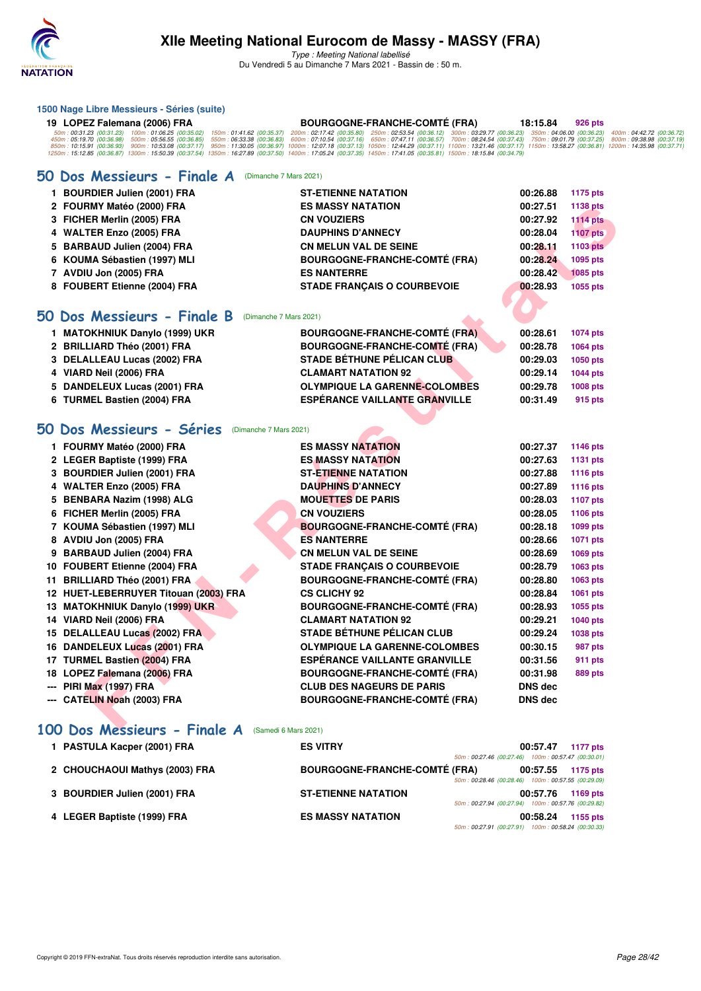

Type : Meeting National labellisé Du Vendredi 5 au Dimanche 7 Mars 2021 - Bassin de : 50 m.

| 1500 Nage Libre Messieurs - Séries (suite) |                                                                                                                                                                                                                        |  |  |                                      |  |          |         |  |
|--------------------------------------------|------------------------------------------------------------------------------------------------------------------------------------------------------------------------------------------------------------------------|--|--|--------------------------------------|--|----------|---------|--|
|                                            | 19 LOPEZ Falemana (2006) FRA                                                                                                                                                                                           |  |  | <b>BOURGOGNE-FRANCHE-COMTÉ (FRA)</b> |  | 18:15.84 | 926 pts |  |
|                                            | 50m: 00:31.23 (00:31.23) 100m: 01:06.25 (00:35.02) 150m: 01:41.62 (00:35.37) 200m: 02:17.42 (00:35.80) 250m: 02:53.54 (00:36.12) 300m: 03:29.77 (00:36.23) 350m: 04:06.00 (00:36.23) 400m: 04:42.72 (00:36.72)         |  |  |                                      |  |          |         |  |
|                                            | 450m:05:19.70 (00:36.98) 500m:05:56.55 (00:36.85) 550m:06:33.38 (00:36.83) 600m:07:10.54 (00:37.16) 650m:07:47.11 (00:36.57) 700m:08:24.54 (00:37.43) 750m:09:01.79 (00:37.28) 800m:09:32.25) 800m:09:38.98 (00:37.19) |  |  |                                      |  |          |         |  |
|                                            | 850m:10:15.91 (00:36.93) 900m:10:53.08 (00:37.17) 950m:11:30.05 (00:36.97) 1000m:12:07.18 (00:37.13) 1050m:12:44.29 (00:37.11) 1100m:13:21.46 (00:37.17) 1150m:13:58.27 (00:36.81) 1200m:14:35.98 (00:37.11)           |  |  |                                      |  |          |         |  |
|                                            | 1250m: 15:12.85 (00:36.87) 1300m: 15:50.39 (00:37.54) 1350m: 16:27.89 (00:37.50) 1400m: 17:05.24 (00:37.35) 1450m: 17:41.05 (00:35.81) 1500m: 18:15.84 (00:34.79)                                                      |  |  |                                      |  |          |         |  |

### **[50 Dos Messieurs - Finale A](http://www.ffnatation.fr/webffn/resultats.php?idact=nat&go=epr&idcpt=69813&idepr=61)** (Dimanche 7 Mars 2021)

| 1 BOURDIER Julien (2001) FRA | <b>ST-ETIENNE NATATION</b>           | 00:26.88 | 1175 pts        |
|------------------------------|--------------------------------------|----------|-----------------|
| 2 FOURMY Matéo (2000) FRA    | <b>ES MASSY NATATION</b>             | 00:27.51 | 1138 pts        |
| 3 FICHER Merlin (2005) FRA   | <b>CN VOUZIERS</b>                   | 00:27.92 | <b>1114 pts</b> |
| 4 WALTER Enzo (2005) FRA     | <b>DAUPHINS D'ANNECY</b>             | 00:28.04 | <b>1107 pts</b> |
| 5 BARBAUD Julien (2004) FRA  | <b>CN MELUN VAL DE SEINE</b>         | 00:28.11 | 1103 pts        |
| 6 KOUMA Sébastien (1997) MLI | <b>BOURGOGNE-FRANCHE-COMTÉ (FRA)</b> | 00:28.24 | 1095 pts        |
| 7 AVDIU Jon (2005) FRA       | <b>ES NANTERRE</b>                   | 00:28.42 | <b>1085 pts</b> |
| 8 FOUBERT Etienne (2004) FRA | <b>STADE FRANCAIS O COURBEVOIE</b>   | 00:28.93 | 1055 pts        |
|                              |                                      |          |                 |

### **[50 Dos Messieurs - Finale B](http://www.ffnatation.fr/webffn/resultats.php?idact=nat&go=epr&idcpt=69813&idepr=61)** (Dimanche 7 Mars 2021) **1 MATOKHNIUK Danylo (1999) UKR BOURGOGNE-FRANCHE-COMTÉ (FRA) 00:28.61 1074 pts 2 BRILLIARD Théo (2001) FRA BOURGOGNE-FRANCHE-COMTÉ (FRA) 00:28.78 1064 pts 3 DELALLEAU Lucas (2002) FRA STADE BÉTHUNE PÉLICAN CLUB 00:29.03 1050 pts 4 VIARD Neil (2006) FRA CLAMART NATATION 92 00:29.14 1044 pts 5 DANDELEUX Lucas (2001) FRA OLYMPIQUE LA GARENNE-COLOMBES 00:29.78 1008 pts**

# **[50 Dos Messieurs - Séries](http://www.ffnatation.fr/webffn/resultats.php?idact=nat&go=epr&idcpt=69813&idepr=61)** (Dimanche 7 Mars 2021)

|                                                                                                                                                                                                                                                                                                                                                                                                                                                                            | 2 FOURMY Matéo (2000) FRA             | <b>ES MASSY NATATION</b>             | 00:27.51       | 1138 pts        |
|----------------------------------------------------------------------------------------------------------------------------------------------------------------------------------------------------------------------------------------------------------------------------------------------------------------------------------------------------------------------------------------------------------------------------------------------------------------------------|---------------------------------------|--------------------------------------|----------------|-----------------|
| 3 FICHER Merlin (2005) FRA                                                                                                                                                                                                                                                                                                                                                                                                                                                 |                                       | <b>CN VOUZIERS</b>                   | 00:27.92       | <b>1114 pts</b> |
| 4 WALTER Enzo (2005) FRA                                                                                                                                                                                                                                                                                                                                                                                                                                                   |                                       | <b>DAUPHINS D'ANNECY</b>             | 00:28.04       | <b>1107 pts</b> |
| 5 BARBAUD Julien (2004) FRA                                                                                                                                                                                                                                                                                                                                                                                                                                                |                                       | <b>CN MELUN VAL DE SEINE</b>         | 00:28.11       | 1103 pts        |
| 6 KOUMA Sébastien (1997) MLI                                                                                                                                                                                                                                                                                                                                                                                                                                               |                                       | <b>BOURGOGNE-FRANCHE-COMTÉ (FRA)</b> | 00:28.24       | 1095 pts        |
| 7 AVDIU Jon (2005) FRA                                                                                                                                                                                                                                                                                                                                                                                                                                                     |                                       | <b>ES NANTERRE</b>                   | 00:28.42       | <b>1085 pts</b> |
| 8 FOUBERT Etienne (2004) FRA                                                                                                                                                                                                                                                                                                                                                                                                                                               |                                       | <b>STADE FRANÇAIS O COURBEVOIE</b>   | 00:28.93       | 1055 pts        |
|                                                                                                                                                                                                                                                                                                                                                                                                                                                                            |                                       |                                      |                |                 |
| 0 Dos Messieurs - Finale B                                                                                                                                                                                                                                                                                                                                                                                                                                                 | (Dimanche 7 Mars 2021)                |                                      |                |                 |
| 1 MATOKHNIUK Danylo (1999) UKR                                                                                                                                                                                                                                                                                                                                                                                                                                             |                                       | <b>BOURGOGNE-FRANCHE-COMTÉ (FRA)</b> | 00:28.61       | 1074 pts        |
| 2 BRILLIARD Théo (2001) FRA                                                                                                                                                                                                                                                                                                                                                                                                                                                |                                       | <b>BOURGOGNE-FRANCHE-COMTÉ (FRA)</b> | 00:28.78       | 1064 pts        |
| 3 DELALLEAU Lucas (2002) FRA                                                                                                                                                                                                                                                                                                                                                                                                                                               |                                       | STADE BÉTHUNE PÉLICAN CLUB           | 00:29.03       | 1050 pts        |
| 4 VIARD Neil (2006) FRA                                                                                                                                                                                                                                                                                                                                                                                                                                                    |                                       | <b>CLAMART NATATION 92</b>           | 00:29.14       | 1044 pts        |
| 5 DANDELEUX Lucas (2001) FRA                                                                                                                                                                                                                                                                                                                                                                                                                                               |                                       | <b>OLYMPIQUE LA GARENNE-COLOMBES</b> | 00:29.78       | 1008 pts        |
| 6 TURMEL Bastien (2004) FRA                                                                                                                                                                                                                                                                                                                                                                                                                                                |                                       | <b>ESPÉRANCE VAILLANTE GRANVILLE</b> | 00:31.49       | 915 pts         |
|                                                                                                                                                                                                                                                                                                                                                                                                                                                                            |                                       |                                      |                |                 |
| O Dos Messieurs - Séries                                                                                                                                                                                                                                                                                                                                                                                                                                                   | (Dimanche 7 Mars 2021)                |                                      |                |                 |
| 1 FOURMY Matéo (2000) FRA                                                                                                                                                                                                                                                                                                                                                                                                                                                  |                                       | <b>ES MASSY NATATION</b>             | 00:27.37       | 1146 pts        |
| 2 LEGER Baptiste (1999) FRA                                                                                                                                                                                                                                                                                                                                                                                                                                                |                                       | <b>ES MASSY NATATION</b>             | 00:27.63       | 1131 pts        |
| 3 BOURDIER Julien (2001) FRA                                                                                                                                                                                                                                                                                                                                                                                                                                               |                                       | <b>ST-ETIENNE NATATION</b>           | 00:27.88       | 1116 pts        |
|                                                                                                                                                                                                                                                                                                                                                                                                                                                                            |                                       |                                      |                |                 |
|                                                                                                                                                                                                                                                                                                                                                                                                                                                                            |                                       | <b>DAUPHINS D'ANNECY</b>             | 00:27.89       | 1116 pts        |
|                                                                                                                                                                                                                                                                                                                                                                                                                                                                            |                                       | <b>MOUETTES DE PARIS</b>             | 00:28.03       | 1107 pts        |
|                                                                                                                                                                                                                                                                                                                                                                                                                                                                            |                                       | <b>CN VOUZIERS</b>                   | 00:28.05       | 1106 pts        |
|                                                                                                                                                                                                                                                                                                                                                                                                                                                                            |                                       | <b>BOURGOGNE-FRANCHE-COMTÉ (FRA)</b> | 00:28.18       | 1099 pts        |
|                                                                                                                                                                                                                                                                                                                                                                                                                                                                            |                                       | <b>ES NANTERRE</b>                   | 00:28.66       | 1071 pts        |
|                                                                                                                                                                                                                                                                                                                                                                                                                                                                            |                                       | <b>CN MELUN VAL DE SEINE</b>         | 00:28.69       | 1069 pts        |
|                                                                                                                                                                                                                                                                                                                                                                                                                                                                            |                                       | <b>STADE FRANÇAIS O COURBEVOIE</b>   | 00:28.79       | 1063 pts        |
|                                                                                                                                                                                                                                                                                                                                                                                                                                                                            |                                       | <b>BOURGOGNE-FRANCHE-COMTÉ (FRA)</b> | 00:28.80       | 1063 pts        |
|                                                                                                                                                                                                                                                                                                                                                                                                                                                                            | 12 HUET-LEBERRUYER Titouan (2003) FRA | <b>CS CLICHY 92</b>                  | 00:28.84       | 1061 pts        |
|                                                                                                                                                                                                                                                                                                                                                                                                                                                                            |                                       | <b>BOURGOGNE-FRANCHE-COMTÉ (FRA)</b> | 00:28.93       | 1055 pts        |
|                                                                                                                                                                                                                                                                                                                                                                                                                                                                            |                                       | <b>CLAMART NATATION 92</b>           | 00:29.21       | 1040 pts        |
|                                                                                                                                                                                                                                                                                                                                                                                                                                                                            |                                       | <b>STADE BÉTHUNE PÉLICAN CLUB</b>    | 00:29.24       | 1038 pts        |
|                                                                                                                                                                                                                                                                                                                                                                                                                                                                            |                                       | <b>OLYMPIQUE LA GARENNE-COLOMBES</b> | 00:30.15       | 987 pts         |
|                                                                                                                                                                                                                                                                                                                                                                                                                                                                            |                                       | <b>ESPÉRANCE VAILLANTE GRANVILLE</b> | 00:31.56       | 911 pts         |
|                                                                                                                                                                                                                                                                                                                                                                                                                                                                            |                                       | <b>BOURGOGNE-FRANCHE-COMTÉ (FRA)</b> | 00:31.98       | 889 pts         |
| 4 WALTER Enzo (2005) FRA<br>5 BENBARA Nazim (1998) ALG<br>6 FICHER Merlin (2005) FRA<br>7 KOUMA Sébastien (1997) MLI<br>8 AVDIU Jon (2005) FRA<br>9 BARBAUD Julien (2004) FRA<br>10 FOUBERT Etienne (2004) FRA<br>11 BRILLIARD Théo (2001) FRA<br>13 MATOKHNIUK Danylo (1999) UKR<br>14 VIARD Neil (2006) FRA<br>15 DELALLEAU Lucas (2002) FRA<br>16 DANDELEUX Lucas (2001) FRA<br>17 TURMEL Bastien (2004) FRA<br>18 LOPEZ Falemana (2006) FRA<br>--- PIRI Max (1997) FRA |                                       | <b>CLUB DES NAGEURS DE PARIS</b>     | <b>DNS dec</b> |                 |

### **[100 Dos Messieurs - Finale A](http://www.ffnatation.fr/webffn/resultats.php?idact=nat&go=epr&idcpt=69813&idepr=62)** (Samedi 6 Mars 2021)

| 1 PASTULA Kacper (2001) FRA    | <b>ES VITRY</b>                      |                                                    | 00:57.47 | 1177 pts |
|--------------------------------|--------------------------------------|----------------------------------------------------|----------|----------|
|                                |                                      | 50m: 00:27.46 (00:27.46) 100m: 00:57.47 (00:30.01) |          |          |
| 2 CHOUCHAOUI Mathys (2003) FRA | <b>BOURGOGNE-FRANCHE-COMTÉ (FRA)</b> |                                                    | 00:57.55 | 1175 pts |
|                                |                                      | 50m: 00:28.46 (00:28.46) 100m: 00:57.55 (00:29.09) |          |          |
| 3 BOURDIER Julien (2001) FRA   | <b>ST-ETIENNE NATATION</b>           |                                                    | 00:57.76 | 1169 pts |
|                                |                                      | 50m: 00:27.94 (00:27.94) 100m: 00:57.76 (00:29.82) |          |          |
| 4 LEGER Baptiste (1999) FRA    | <b>ES MASSY NATATION</b>             |                                                    | 00:58.24 | 1155 pts |
|                                |                                      | 50m: 00:27.91 (00:27.91) 100m: 00:58.24 (00:30.33  |          |          |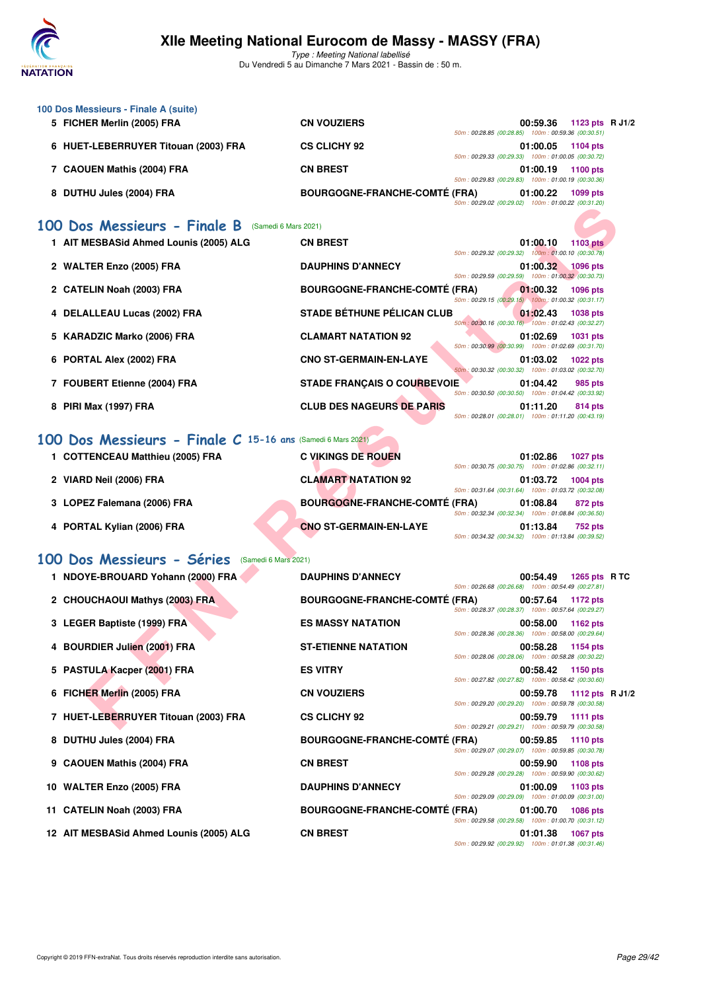

Type : Meeting National labellisé Du Vendredi 5 au Dimanche 7 Mars 2021 - Bassin de : 50 m.

| 100 Dos Messieurs - Finale A (suite) |                                      |                                                    |
|--------------------------------------|--------------------------------------|----------------------------------------------------|
| 5 FICHER Merlin (2005) FRA           | <b>CN VOUZIERS</b>                   | 1123 pts R J1/2<br>00:59.36                        |
|                                      |                                      | 50m: 00:28.85 (00:28.85) 100m: 00:59.36 (00:30.51) |
| 6 HUET-LEBERRUYER Titouan (2003) FRA | <b>CS CLICHY 92</b>                  | 01:00.05<br>1104 pts                               |
|                                      |                                      | 50m: 00:29.33 (00:29.33) 100m: 01:00.05 (00:30.72) |
| 7 CAOUEN Mathis (2004) FRA           | <b>CN BREST</b>                      | 01:00.19<br>1100 pts                               |
|                                      |                                      | 50m: 00:29.83 (00:29.83) 100m: 01:00.19 (00:30.36) |
| 8 DUTHU Jules (2004) FRA             | <b>BOURGOGNE-FRANCHE-COMTÉ (FRA)</b> | 01:00.22<br>1099 pts                               |
|                                      |                                      | 50m: 00:29.02 (00:29.02) 100m: 01:00.22 (00:31.20) |

# **[100 Dos Messieurs - Finale B](http://www.ffnatation.fr/webffn/resultats.php?idact=nat&go=epr&idcpt=69813&idepr=62)** (Samedi 6 Mars 2021)

|                                                            |                                      | JUM . UU.LJ.UZ (UU.LJ.UZ) TUUM . UT.UU.ZZ (UU.JT.ZU)                                                                                    |  |
|------------------------------------------------------------|--------------------------------------|-----------------------------------------------------------------------------------------------------------------------------------------|--|
| 00 Dos Messieurs - Finale B                                | (Samedi 6 Mars 2021)                 |                                                                                                                                         |  |
| 1 AIT MESBASid Ahmed Lounis (2005) ALG                     | <b>CN BREST</b>                      | 01:00.10<br><b>1103 pts</b><br>50m: 00:29.32 (00:29.32) 100m: 01:00.10 (00:30.78)                                                       |  |
| 2 WALTER Enzo (2005) FRA                                   | <b>DAUPHINS D'ANNECY</b>             | 01:00.32<br>1096 pts<br>50m: 00:29.59 (00:29.59) 100m: 01:00.32 (00:30.73)                                                              |  |
| 2 CATELIN Noah (2003) FRA                                  | <b>BOURGOGNE-FRANCHE-COMTÉ (FRA)</b> | 01:00.32<br><b>1096 pts</b>                                                                                                             |  |
| 4 DELALLEAU Lucas (2002) FRA                               | <b>STADE BÉTHUNE PÉLICAN CLUB</b>    | 50m: 00:29.15 (00:29.15) 100m: 01:00.32 (00:31.17)<br>01:02.43<br><b>1038 pts</b>                                                       |  |
| 5 KARADZIC Marko (2006) FRA                                | <b>CLAMART NATATION 92</b>           | 50m: 00:30.16 (00:30.16) 100m: 01:02.43 (00:32.27)<br>01:02.69<br><b>1031 pts</b>                                                       |  |
| 6 PORTAL Alex (2002) FRA                                   | <b>CNO ST-GERMAIN-EN-LAYE</b>        | 50m: 00:30.99 (00:30.99) 100m: 01:02.69 (00:31.70)<br>01:03.02<br><b>1022 pts</b><br>50m: 00:30.32 (00:30.32) 100m: 01:03.02 (00:32.70) |  |
| 7 FOUBERT Etienne (2004) FRA                               | <b>STADE FRANÇAIS O COURBEVOIE</b>   | 01:04.42<br><b>985 pts</b><br>50m: 00:30.50 (00:30.50) 100m: 01:04.42 (00:33.92)                                                        |  |
| 8 PIRI Max (1997) FRA                                      | <b>CLUB DES NAGEURS DE PARIS</b>     | 01:11.20<br>814 pts<br>50m: 00:28.01 (00:28.01) 100m: 01:11.20 (00:43.19)                                                               |  |
| 00 Dos Messieurs - Finale C 15-16 ans (Samedi 6 Mars 2021) |                                      |                                                                                                                                         |  |
| 1 COTTENCEAU Matthieu (2005) FRA                           | <b>C VIKINGS DE ROUEN</b>            | 01:02.86<br><b>1027 pts</b><br>50m: 00:30.75 (00:30.75) 100m: 01:02.86 (00:32.11)                                                       |  |
| 2 VIARD Neil (2006) FRA                                    | <b>CLAMART NATATION 92</b>           | 01:03.72<br>1004 pts                                                                                                                    |  |
| 3 LOPEZ Falemana (2006) FRA                                | <b>BOURGOGNE-FRANCHE-COMTÉ (FRA)</b> | 50m: 00:31.64 (00:31.64) 100m: 01:03.72 (00:32.08)<br>01:08.84<br>872 pts                                                               |  |
| 4 PORTAL Kylian (2006) FRA                                 | <b>CNO ST-GERMAIN-EN-LAYE</b>        | 50m: 00:32.34 (00:32.34) 100m: 01:08.84 (00:36.50)<br>01:13.84<br>752 pts<br>50m: 00:34.32 (00:34.32) 100m: 01:13.84 (00:39.52)         |  |
| 00 Dos Messieurs - Séries<br>(Samedi 6 Mars 2021)          |                                      |                                                                                                                                         |  |
| 1 NDOYE-BROUARD Yohann (2000) FRA                          | <b>DAUPHINS D'ANNECY</b>             | 00:54.49<br>1265 pts RTC<br>50m: 00:26.68 (00:26.68) 100m: 00:54.49 (00:27.81)                                                          |  |
| 2 CHOUCHAOUI Mathys (2003) FRA                             | <b>BOURGOGNE-FRANCHE-COMTÉ (FRA)</b> | 00:57.64<br>1172 pts                                                                                                                    |  |
| 3 LEGER Baptiste (1999) FRA                                | <b>ES MASSY NATATION</b>             | 50m: 00:28.37 (00:28.37) 100m: 00:57.64 (00:29.27)<br>00:58.00<br>1162 pts                                                              |  |
| 4 BOURDIER Julien (2001) FRA                               | <b>ST-ETIENNE NATATION</b>           | 50m: 00:28.36 (00:28.36) 100m: 00:58.00 (00:29.64)<br>00:58.28<br>1154 pts                                                              |  |
| 5 PASTULA Kacper (2001) FRA                                | <b>ES VITRY</b>                      | 50m: 00:28.06 (00:28.06) 100m: 00:58.28 (00:30.22)<br>00:58.42<br>1150 pts                                                              |  |
| 6 FICHER Merlin (2005) FRA                                 | <b>CN VOUZIERS</b>                   | 50m: 00:27.82 (00:27.82) 100m: 00:58.42 (00:30.60)<br>00:59.78<br>1112 pts $R$ J1/2                                                     |  |
| 7 HUET-LEBERRUYER Titouan (2003) FRA                       | <b>CS CLICHY 92</b>                  | 50m: 00:29.20 (00:29.20) 100m: 00:59.78 (00:30.58)<br>00:59.79<br>1111 pts                                                              |  |
|                                                            |                                      | 50m: 00:29.21 (00:29.21) 100m: 00:59.79 (00:30.58)                                                                                      |  |

# **[100 Dos Messieurs - Finale C](http://www.ffnatation.fr/webffn/resultats.php?idact=nat&go=epr&idcpt=69813&idepr=62) 15-16 ans** (Samedi 6 Mars 2021)

| 1 COTTENCEAU Matthieu (2005) FRA | <b>C VIKINGS DE ROUEN</b>            |                                                    | 01:02.86 | <b>1027 pts</b> |
|----------------------------------|--------------------------------------|----------------------------------------------------|----------|-----------------|
|                                  |                                      | 50m: 00:30.75 (00:30.75) 100m: 01:02.86 (00:32.11) |          |                 |
| 2 VIARD Neil (2006) FRA          | <b>CLAMART NATATION 92</b>           |                                                    | 01:03.72 | <b>1004 pts</b> |
|                                  |                                      | 50m: 00:31.64 (00:31.64) 100m: 01:03.72 (00:32.08) |          |                 |
| 3 LOPEZ Falemana (2006) FRA      | <b>BOURGOGNE-FRANCHE-COMTÉ (FRA)</b> |                                                    | 01:08.84 | 872 pts         |
|                                  |                                      | 50m: 00:32.34 (00:32.34) 100m: 01:08.84 (00:36.50) |          |                 |
| 4 PORTAL Kylian (2006) FRA       | <b>CNO ST-GERMAIN-EN-LAYE</b>        |                                                    | 01:13.84 | <b>752 pts</b>  |
|                                  |                                      | 50m: 00:34.32 (00:34.32) 100m: 01:13.84 (00:39.52) |          |                 |

### **[100 Dos Messieurs - Séries](http://www.ffnatation.fr/webffn/resultats.php?idact=nat&go=epr&idcpt=69813&idepr=62)** (Samedi 6 Mars 2021)

| 1 NDOYE-BROUARD Yohann (2000) FRA       | <b>DAUPHINS D'ANNECY</b>             | 50m: 00:26.68 (00:26.68) 100m: 00:54.49 (00:27.81) | 00:54.49 1265 pts RTC    |                 |  |
|-----------------------------------------|--------------------------------------|----------------------------------------------------|--------------------------|-----------------|--|
| 2 CHOUCHAOUI Mathys (2003) FRA          | <b>BOURGOGNE-FRANCHE-COMTÉ (FRA)</b> | 50m: 00:28.37 (00:28.37) 100m: 00:57.64 (00:29.27) | 00:57.64 1172 pts        |                 |  |
| 3 LEGER Baptiste (1999) FRA             | <b>ES MASSY NATATION</b>             | 50m: 00:28.36 (00:28.36) 100m: 00:58.00 (00:29.64) | 00:58.00                 | 1162 pts        |  |
| 4 BOURDIER Julien (2001) FRA            | <b>ST-ETIENNE NATATION</b>           | 50m: 00:28.06 (00:28.06) 100m: 00:58.28 (00:30.22) | 00:58.28                 | 1154 pts        |  |
| 5 PASTULA Kacper (2001) FRA             | <b>ES VITRY</b>                      | 50m: 00:27.82 (00:27.82) 100m: 00:58.42 (00:30.60) | 00:58.42 1150 pts        |                 |  |
| 6 FICHER Merlin (2005) FRA              | <b>CN VOUZIERS</b>                   | 50m: 00:29.20 (00:29.20) 100m: 00:59.78 (00:30.58) | 00:59.78 1112 pts R J1/2 |                 |  |
| 7 HUET-LEBERRUYER Titouan (2003) FRA    | <b>CS CLICHY 92</b>                  | 50m: 00:29.21 (00:29.21) 100m: 00:59.79 (00:30.58) | 00:59.79 1111 pts        |                 |  |
| 8 DUTHU Jules (2004) FRA                | <b>BOURGOGNE-FRANCHE-COMTÉ (FRA)</b> | 50m: 00:29.07 (00:29.07) 100m: 00:59.85 (00:30.78) | 00:59.85 1110 pts        |                 |  |
| 9 CAOUEN Mathis (2004) FRA              | <b>CN BREST</b>                      | 50m: 00:29.28 (00:29.28) 100m: 00:59.90 (00:30.62) | 00:59.90 1108 pts        |                 |  |
| 10 WALTER Enzo (2005) FRA               | <b>DAUPHINS D'ANNECY</b>             | 50m: 00:29.09 (00:29.09) 100m: 01:00.09 (00:31.00) | $01:00.09$ 1103 pts      |                 |  |
| 11 CATELIN Noah (2003) FRA              | <b>BOURGOGNE-FRANCHE-COMTÉ (FRA)</b> | 50m: 00:29.58 (00:29.58) 100m: 01:00.70 (00:31.12) | 01:00.70 1086 pts        |                 |  |
| 12 AIT MESBASid Ahmed Lounis (2005) ALG | <b>CN BREST</b>                      | 50m: 00:29.92 (00:29.92) 100m: 01:01.38 (00:31.46) | 01:01.38                 | <b>1067 pts</b> |  |
|                                         |                                      |                                                    |                          |                 |  |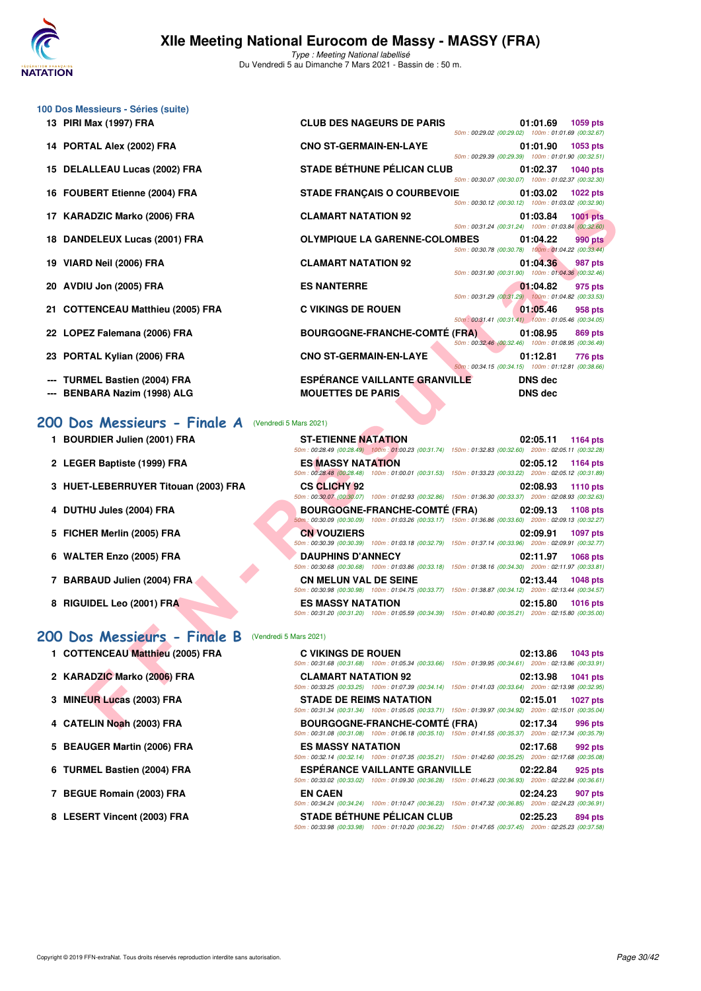

| 100 Dos Messieurs - Séries (suite)   |                                                                                                                                                                               |
|--------------------------------------|-------------------------------------------------------------------------------------------------------------------------------------------------------------------------------|
| 13 PIRI Max (1997) FRA               | <b>CLUB DES NAGEURS DE PARIS</b><br>01:01.69<br>1059 pts<br>50m: 00:29.02 (00:29.02) 100m: 01:01.69 (00:32.67)                                                                |
| 14 PORTAL Alex (2002) FRA            | <b>CNO ST-GERMAIN-EN-LAYE</b><br>01:01.90<br>1053 pts<br>50m: 00:29.39 (00:29.39) 100m: 01:01.90 (00:32.51)                                                                   |
| 15 DELALLEAU Lucas (2002) FRA        | <b>STADE BÉTHUNE PÉLICAN CLUB</b><br>01:02.37<br><b>1040 pts</b><br>50m: 00:30.07 (00:30.07) 100m: 01:02.37 (00:32.30)                                                        |
| 16 FOUBERT Etienne (2004) FRA        | <b>STADE FRANÇAIS O COURBEVOIE</b><br>01:03.02<br><b>1022 pts</b>                                                                                                             |
| 17 KARADZIC Marko (2006) FRA         | 50m: 00:30.12 (00:30.12) 100m: 01:03.02 (00:32.90)<br><b>CLAMART NATATION 92</b><br>01:03.84<br><b>1001 pts</b>                                                               |
| 18 DANDELEUX Lucas (2001) FRA        | 50m: 00:31.24 (00:31.24) 100m: 01:03.84 (00:32.60)<br><b>OLYMPIQUE LA GARENNE-COLOMBES</b><br>01:04.22<br>990 pts                                                             |
| 19 VIARD Neil (2006) FRA             | 50m: 00:30.78 (00:30.78) 100m: 01:04.22 (00:33.44)<br><b>CLAMART NATATION 92</b><br>01:04.36<br>987 pts                                                                       |
| 20 AVDIU Jon (2005) FRA              | 50m: 00:31.90 (00:31.90) 100m: 01:04.36 (00:32.46)<br><b>ES NANTERRE</b><br>01:04.82<br>975 pts                                                                               |
| 21 COTTENCEAU Matthieu (2005) FRA    | 50m: 00:31.29 (00:31.29) 100m: 01:04.82 (00:33.53)<br><b>C VIKINGS DE ROUEN</b><br>01:05.46<br>958 pts                                                                        |
| 22 LOPEZ Falemana (2006) FRA         | 50m: 00:31.41 (00:31.41) 100m: 01:05.46 (00:34.05)<br><b>BOURGOGNE-FRANCHE-COMTÉ (FRA)</b><br>01:08.95<br>869 pts                                                             |
| 23 PORTAL Kylian (2006) FRA          | 50m: 00:32.46 (00:32.46) 100m: 01:08.95 (00:36.49)<br><b>CNO ST-GERMAIN-EN-LAYE</b><br>01:12.81<br>776 pts                                                                    |
| <b>TURMEL Bastien (2004) FRA</b>     | 50m: 00:34.15 (00:34.15) 100m: 01:12.81 (00:38.66)<br><b>ESPÉRANCE VAILLANTE GRANVILLE</b><br><b>DNS dec</b>                                                                  |
| BENBARA Nazim (1998) ALG             | <b>MOUETTES DE PARIS</b><br><b>DNS</b> dec                                                                                                                                    |
| 200 Dos Messieurs - Finale A         | (Vendredi 5 Mars 2021)                                                                                                                                                        |
| 1 BOURDIER Julien (2001) FRA         | <b>ST-ETIENNE NATATION</b><br>02:05.11<br>1164 pts<br>50m : 00:28.49 (00:28.49) 100m : 01:00.23 (00:31.74) 150m : 01:32.83 (00:32.60) 200m : 02:05.11 (00:32.28)              |
| 2 LEGER Baptiste (1999) FRA          | <b>ES MASSY NATATION</b><br>02:05.12<br><b>1164 pts</b><br>50m: 00:28.48 (00:28.48) 100m: 01:00.01 (00:31.53) 150m: 01:33.23 (00:33.22) 200m: 02:05.12 (00:31.89)             |
|                                      |                                                                                                                                                                               |
| 3 HUET-LEBERRUYER Titouan (2003) FRA | <b>CS CLICHY 92</b><br>02:08.93<br><b>1110 pts</b>                                                                                                                            |
| <b>DUTHU Jules (2004) FRA</b><br>4   | 50m: 00:30.07 (00:30.07) 100m: 01:02.93 (00:32.86) 150m: 01:36.30 (00:33.37) 200m: 02:08.93 (00:32.63)<br><b>BOURGOGNE-FRANCHE-COMTÉ (FRA)</b><br>02:09.13<br><b>1108 pts</b> |
| FICHER Merlin (2005) FRA<br>5        | $50m$ : 00:30.09 (00:30.09) 100m: 01:03.26 (00:33.17) 150m: 01:36.86 (00:33.60) 200m: 02:09.13 (00:32.27)<br><b>CN VOUZIERS</b><br>02:09.91<br><b>1097 pts</b>                |
| 6 WALTER Enzo (2005) FRA             | 50m: 00:30.39 (00:30.39) 100m: 01:03.18 (00:32.79) 150m: 01:37.14 (00:33.96) 200m: 02:09.91 (00:32.77)<br><b>DAUPHINS D'ANNECY</b><br>02:11.97<br>1068 pts                    |
| 7 BARBAUD Julien (2004) FRA          | 50m: 00:30.68 (00:30.68) 100m: 01:03.86 (00:33.18) 150m: 01:38.16 (00:34.30) 200m: 02:11.97 (00:33.81)<br><b>CN MELUN VAL DE SEINE</b><br>02:13.44<br>1048 pts                |
| 8 RIGUIDEL Leo (2001) FRA            | 50m : 00:30.98 (00:30.98) 100m : 01:04.75 (00:33.77) 150m : 01:38.87 (00:34.12) 200m : 02:13.44 (00:34.57)<br><b>ES MASSY NATATION</b><br>02:15.80<br><b>1016 pts</b>         |
|                                      | 50m : 00:31.20 (00:31.20) 100m : 01:05.59 (00:34.39) 150m : 01:40.80 (00:35.21) 200m : 02:15.80 (00:35.00)                                                                    |
| 200 Dos Messieurs - Finale B         | (Vendredi 5 Mars 2021)                                                                                                                                                        |
| 1 COTTENCEAU Matthieu (2005) FRA     | <b>C VIKINGS DE ROUEN</b><br>02:13.86<br><b>1043 pts</b><br>50m: 00:31.68 (00:31.68) 100m: 01:05.34 (00:33.66) 150m: 01:39.95 (00:34.61) 200m: 02:13.86 (00:33.91)            |
| 2 KARADZIC Marko (2006) FRA          | <b>CLAMART NATATION 92</b><br>02:13.98<br>1041 pts<br>50m: 00:33.25 (00:33.25) 100m: 01:07.39 (00:34.14) 150m: 01:41.03 (00:33.64) 200m: 02:13.98 (00:32.95)                  |
| 3 MINEUR Lucas (2003) FRA            | <b>STADE DE REIMS NATATION</b><br>02:15.01<br><b>1027 pts</b><br>50m: 00:31.34 (00:31.34) 100m: 01:05.05 (00:33.71) 150m: 01:39.97 (00:34.92) 200m: 02:15.01 (00:35.04)       |

# [200 Dos Messieurs - Finale A](http://www.ffnatation.fr/webffn/resultats.php?idact=nat&go=epr&idcpt=69813&idepr=63) (Vendredi 5 Mars 2021)

| 1 BOURDIER Julien (2001) FRA         | <b>ST-ETIENNE NATATION</b>                                                                             | 02:05.11<br>1164 pts        |
|--------------------------------------|--------------------------------------------------------------------------------------------------------|-----------------------------|
|                                      | 50m: 00:28.49 (00:28.49) 100m: 01:00.23 (00:31.74) 150m: 01:32.83 (00:32.60) 200m: 02:05.11 (00:32.28) |                             |
| 2 LEGER Baptiste (1999) FRA          | <b>ES MASSY NATATION</b>                                                                               | 02:05.12<br>1164 pts        |
|                                      | 50m: 00:28.48 (00:28.48) 100m: 01:00.01 (00:31.53) 150m: 01:33.23 (00:33.22) 200m: 02:05.12 (00:31.89) |                             |
| 3 HUET-LEBERRUYER Titouan (2003) FRA | <b>CS CLICHY 92</b>                                                                                    | 02:08.93<br>1110 $pts$      |
|                                      | 50m: 00:30.07 (00:30.07) 100m: 01:02.93 (00:32.86) 150m: 01:36.30 (00:33.37) 200m: 02:08.93 (00:32.63) |                             |
| 4 DUTHU Jules (2004) FRA             | <b>BOURGOGNE-FRANCHE-COMTÉ (FRA)</b>                                                                   | 02:09.13<br>1108 pts        |
|                                      | 50m; 00:30.09 (00:30.09) 100m; 01:03.26 (00:33.17) 150m; 01:36.86 (00:33.60) 200m; 02:09.13 (00:32.27) |                             |
| 5 FICHER Merlin (2005) FRA           | <b>CN VOUZIERS</b>                                                                                     | 02:09.91<br><b>1097 pts</b> |
|                                      | 50m: 00:30.39 (00:30.39) 100m: 01:03.18 (00:32.79) 150m: 01:37.14 (00:33.96) 200m: 02:09.91 (00:32.77) |                             |
| 6 WALTER Enzo (2005) FRA             | <b>DAUPHINS D'ANNECY</b>                                                                               | 02:11.97<br><b>1068 pts</b> |
|                                      | 50m: 00:30.68 (00:30.68) 100m: 01:03.86 (00:33.18) 150m: 01:38.16 (00:34.30) 200m: 02:11.97 (00:33.81) |                             |
| 7 BARBAUD Julien (2004) FRA          | <b>CN MELUN VAL DE SEINE</b>                                                                           | 02:13.44<br><b>1048 pts</b> |
|                                      | 50m: 00:30.98 (00:30.98) 100m: 01:04.75 (00:33.77) 150m: 01:38.87 (00:34.12) 200m: 02:13.44 (00:34.57) |                             |
| 8 RIGUIDEL Leo (2001) FRA            | <b>ES MASSY NATATION</b>                                                                               | 02:15.80<br><b>1016 pts</b> |
|                                      | 50m: 00:31.20 (00:31.20) 100m: 01:05.59 (00:34.39) 150m: 01:40.80 (00:35.21) 200m: 02:15.80 (00:35.00) |                             |
|                                      |                                                                                                        |                             |

# **[200 Dos Messieurs - Finale B](http://www.ffnatation.fr/webffn/resultats.php?idact=nat&go=epr&idcpt=69813&idepr=63)** (Vendredi 5 Mars 2021)

| 1 COTTENCEAU Matthieu (2005) FRA | <b>C VIKINGS DE ROUEN</b>  | 50m: 00:31.68 (00:31.68) 100m: 01:05.34 (00:33.66) 150m: 01:39.95 (00:34.61) 200m: 02:13.86 (00:33.91)                                           | 02:13.86 | 1043 pts        |
|----------------------------------|----------------------------|--------------------------------------------------------------------------------------------------------------------------------------------------|----------|-----------------|
| 2 KARADZIC Marko (2006) FRA      | <b>CLAMART NATATION 92</b> | 50m: 00:33.25 (00:33.25) 100m: 01:07.39 (00:34.14) 150m: 01:41.03 (00:33.64) 200m: 02:13.98 (00:32.95)                                           | 02:13.98 | 1041 pts        |
| 3 MINEUR Lucas (2003) FRA        |                            | <b>STADE DE REIMS NATATION</b><br>50m: 00:31.34 (00:31.34) 100m: 01:05.05 (00:33.71) 150m: 01:39.97 (00:34.92) 200m: 02:15.01 (00:35.04)         | 02:15.01 | <b>1027 pts</b> |
| 4 CATELIN Noah (2003) FRA        |                            | BOURGOGNE-FRANCHE-COMTÉ (FRA) 02:17.34<br>50m: 00:31.08 (00:31.08) 100m: 01:06.18 (00:35.10) 150m: 01:41.55 (00:35.37) 200m: 02:17.34 (00:35.79) |          | 996 pts         |
| 5 BEAUGER Martin (2006) FRA      | <b>ES MASSY NATATION</b>   | 50m: 00:32.14 (00:32.14) 100m: 01:07.35 (00:35.21) 150m: 01:42.60 (00:35.25) 200m: 02:17.68 (00:35.08)                                           | 02:17.68 | 992 pts         |
| 6 TURMEL Bastien (2004) FRA      |                            | <b>ESPÉRANCE VAILLANTE GRANVILLE</b><br>50m: 00:33.02 (00:33.02) 100m: 01:09.30 (00:36.28) 150m: 01:46.23 (00:36.93) 200m: 02:22.84 (00:36.61)   | 02:22.84 | 925 pts         |
| 7 BEGUE Romain (2003) FRA        | <b>EN CAEN</b>             | 50m: 00:34.24 (00:34.24) 100m: 01:10.47 (00:36.23) 150m: 01:47.32 (00:36.85) 200m: 02:24.23 (00:36.91)                                           | 02:24.23 | 907 pts         |
| 8 LESERT Vincent (2003) FRA      |                            | <b>STADE BÉTHUNE PÉLICAN CLUB</b><br>50m: 00:33.98 (00:33.98) 100m: 01:10.20 (00:36.22) 150m: 01:47.65 (00:37.45) 200m: 02:25.23 (00:37.58)      | 02:25.23 | 894 pts         |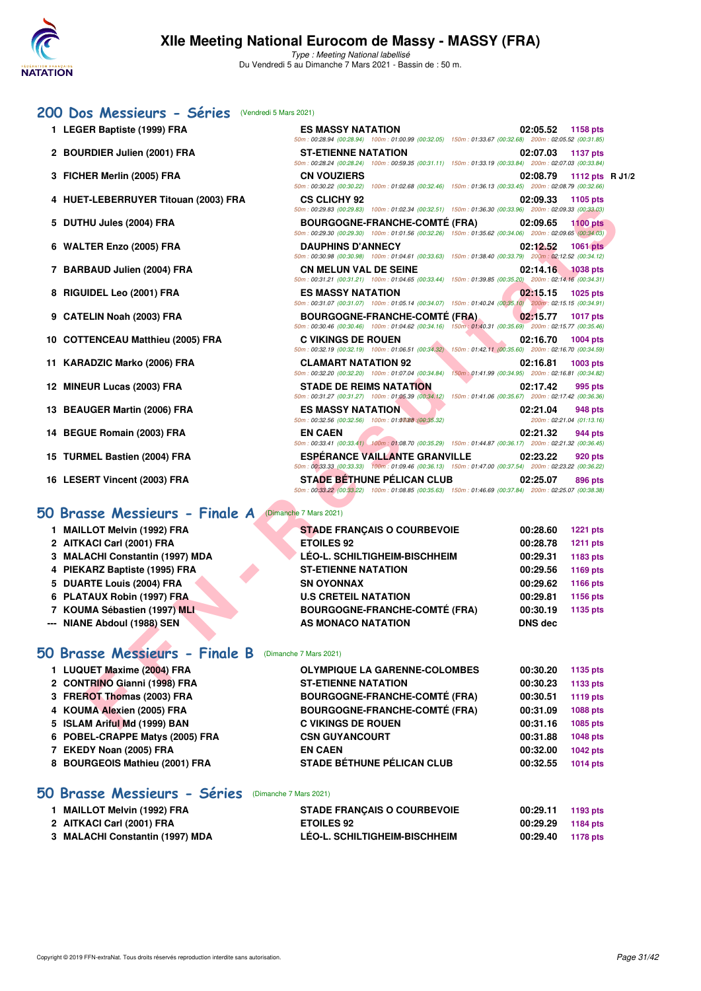

### **[200 Dos Messieurs - Séries](http://www.ffnatation.fr/webffn/resultats.php?idact=nat&go=epr&idcpt=69813&idepr=63)** (Vendredi 5 Mars 2021)

- 
- 2 BOURDIER Julien (2001) FRA
- **3 FICHER Merlin (2005) FRA**
- **4 HUET-LEBERRUYER Titouan (2003) FRA CS CLICHY 92 02:09.33 1105 pts**
- 5 DUTHU Jules (2004) FRA
- **6 WALTER Enzo (2005) FRA**
- 7 BARBAUD Julien (2004) FRA
- 8 RIGUIDEL Leo (2001) FRA
- **9 CATELIN Noah (2003) FRA**
- **10 COTTENCEAU Matthieu (2005) FRA**
- 11 KARADZIC Marko (2006) FRA
- **12 MINEUR Lucas (2003) FRA**
- **13 BEAUGER Martin (2006) FRA**
- **14 BEGUE Romain (2003) FRA**
- **15 TURMEL Bastien (2004) FRA**
- 16 LESERT Vincent (2003) FRA

### **[50 Brasse Messieurs - Finale A](http://www.ffnatation.fr/webffn/resultats.php?idact=nat&go=epr&idcpt=69813&idepr=71)** (Dimanche 7 Mars 2021)

- **1 MAILLOT Melvin (1992) FRA STADE FRANÇAIS O COURBEVOIE 00:28.60 1221 pts**
- **2 AITKACI Carl (2001) FRA ETOILES 92 00:28.78 1211 pts**
- **3 MALACHI Constantin (1997) MDA LÉO-L. SCHILTIGHEIM-BISCHHEIM 00:29.31 1183 pts**
- **4 PIEKARZ Baptiste (1995) FRA ST-ETIENNE NATATION 00:29.56 1169 pts**
- **5 DUARTE Louis (2004) FRA SN OYONNAX 00:29.62 1166 pts**
- **6 PLATAUX Robin (1997) FRA U.S CRETEIL NATATION 00:29.81 1156 pts**
- **7 KOUMA Sébastien (1997) MLI BOURGOGNE-FRANCHE-COMTÉ (FRA) 00:30.19 1135 pts**
- **--- NIANE Abdoul (1988) SEN AS MONACO NATATION DNS dec**

### **[50 Brasse Messieurs - Finale B](http://www.ffnatation.fr/webffn/resultats.php?idact=nat&go=epr&idcpt=69813&idepr=71)** (Dimanche 7 Mars 2021)

| 1 LUQUET Maxime (2004) FRA      | <b>OLYMPIQUE LA GARENNE-COLOMBES</b> | 00:30.20 | 1135 pts        |
|---------------------------------|--------------------------------------|----------|-----------------|
| 2 CONTRINO Gianni (1998) FRA    | <b>ST-ETIENNE NATATION</b>           | 00:30.23 | 1133 pts        |
| 3 FREROT Thomas (2003) FRA      | <b>BOURGOGNE-FRANCHE-COMTÉ (FRA)</b> | 00:30.51 | <b>1119 pts</b> |
| 4 KOUMA Alexien (2005) FRA      | <b>BOURGOGNE-FRANCHE-COMTÉ (FRA)</b> | 00:31.09 | <b>1088 pts</b> |
| 5 ISLAM Ariful Md (1999) BAN    | <b>C VIKINGS DE ROUEN</b>            | 00:31.16 | 1085 pts        |
| 6 POBEL-CRAPPE Matys (2005) FRA | <b>CSN GUYANCOURT</b>                | 00:31.88 | 1048 pts        |
| 7 EKEDY Noan (2005) FRA         | <b>EN CAEN</b>                       | 00:32.00 | 1042 pts        |
| 8 BOURGEOIS Mathieu (2001) FRA  | <b>STADE BÉTHUNE PÉLICAN CLUB</b>    | 00:32.55 | 1014 pts        |
|                                 |                                      |          |                 |

### **[50 Brasse Messieurs - Séries](http://www.ffnatation.fr/webffn/resultats.php?idact=nat&go=epr&idcpt=69813&idepr=71)** (Dimanche 7 Mars 2021)

| 1 MAILLOT Melvin (1992) FRA     | <b>STADE FRANÇAIS O COURBEVOIE</b>   | 00:29.11 | 1193 pts |
|---------------------------------|--------------------------------------|----------|----------|
| 2 AITKACI Carl (2001) FRA       | <b>ETOILES 92</b>                    | 00:29.29 | 1184 pts |
| 3 MALACHI Constantin (1997) MDA | <b>LÉO-L. SCHILTIGHEIM-BISCHHEIM</b> | 00:29.40 | 1178 pts |

| 1 LEGER Baptiste (1999) FRA          | <b>ES MASSY NATATION</b><br>50m: 00:28.94 (00:28.94) 100m: 01:00.99 (00:32.05) 150m: 01:33.67 (00:32.68) 200m: 02:05.52 (00:31.85)                 | 02:05.52       | 1158 pts                             |  |
|--------------------------------------|----------------------------------------------------------------------------------------------------------------------------------------------------|----------------|--------------------------------------|--|
| 2 BOURDIER Julien (2001) FRA         | <b>ST-ETIENNE NATATION</b><br>50m: 00:28.24 (00:28.24) 100m: 00:59.35 (00:31.11) 150m: 01:33.19 (00:33.84) 200m: 02:07.03 (00:33.84)               | 02:07.03       | <b>1137 pts</b>                      |  |
| 3 FICHER Merlin (2005) FRA           | <b>CN VOUZIERS</b><br>50m: 00:30.22 (00:30.22) 100m: 01:02.68 (00:32.46) 150m: 01:36.13 (00:33.45) 200m: 02:08.79 (00:32.66)                       | 02:08.79       | 1112 pts R J1/2                      |  |
| 4 HUET-LEBERRUYER Titouan (2003) FRA | <b>CS CLICHY 92</b><br>50m: 00:29.83 (00:29.83) 100m: 01:02.34 (00:32.51) 150m: 01:36.30 (00:33.96) 200m: 02:09.33 (00:33.03)                      | 02:09.33       | 1105 pts                             |  |
| 5 DUTHU Jules (2004) FRA             | <b>BOURGOGNE-FRANCHE-COMTÉ (FRA)</b><br>50m: 00:29.30 (00:29.30) 100m: 01:01.56 (00:32.26) 150m: 01:35.62 (00:34.06) 200m: 02:09.65 (00:34.03)     | 02:09.65       | <b>1100 pts</b>                      |  |
| 6 WALTER Enzo (2005) FRA             | <b>DAUPHINS D'ANNECY</b><br>50m : 00:30.98 (00:30.98) 100m : 01:04.61 (00:33.63) 150m : 01:38.40 (00:33.79) 200m : 02:12.52 (00:34.12)             | 02:12.52       | <b>1061 pts</b>                      |  |
| 7 BARBAUD Julien (2004) FRA          | <b>CN MELUN VAL DE SEINE</b><br>50m : 00:31.21 (00:31.21) 100m : 01:04.65 (00:33.44) 150m : 01:39.85 (00:35.20) 200m : 02:14.16 (00:34.31)         | 02:14.16       | <b>1038 pts</b>                      |  |
| 8 RIGUIDEL Leo (2001) FRA            | <b>ES MASSY NATATION</b><br>50m : 00:31.07 (00:31.07) 100m : 01:05.14 (00:34.07) 150m : 01:40.24 (00:35.10) 200m : 02:15.15 (00:34.91)             | 02:15.15       | 1025 pts                             |  |
| 9 CATELIN Noah (2003) FRA            | <b>BOURGOGNE-FRANCHE-COMTE (FRA)</b><br>50m : 00:30.46 (00:30.46) 100m : 01:04.62 (00:34.16) 150m : 01:40.31 (00:35.69) 200m : 02:15.77 (00:35.46) | 02:15.77       | <b>1017 pts</b>                      |  |
| 0 COTTENCEAU Matthieu (2005) FRA     | <b>C VIKINGS DE ROUEN</b><br>50m: 00:32.19 (00:32.19) 100m: 01:06.51 (00:34.32) 150m: 01:42.11 (00:35.60) 200m: 02:16.70 (00:34.59)                | 02:16.70       | 1004 pts                             |  |
| 1 KARADZIC Marko (2006) FRA          | <b>CLAMART NATATION 92</b><br>50m : 00:32.20 (00:32.20) 100m : 01:07.04 (00:34.84) 150m : 01:41.99 (00:34.95) 200m : 02:16.81 (00:34.82)           | 02:16.81       | 1003 pts                             |  |
| 2 MINEUR Lucas (2003) FRA            | <b>STADE DE REIMS NATATION</b><br>50m : 00:31.27 (00:31.27) 100m : 01:05.39 (00:34.12) 150m : 01:41.06 (00:35.67) 200m : 02:17.42 (00:36.36)       | 02:17.42       | 995 pts                              |  |
| 3 BEAUGER Martin (2006) FRA          | <b>ES MASSY NATATION</b><br>50m: 00:32.56 (00:32.56) 100m: 01:03088 (00:35.32)                                                                     | 02:21.04       | 948 pts<br>200m: 02:21.04 (01:13.16) |  |
| 4 BEGUE Romain (2003) FRA            | <b>EN CAEN</b><br>50m : 00:33.41 (00:33.41) 100m : 01:08.70 (00:35.29) 150m : 01:44.87 (00:36.17) 200m : 02:21.32 (00:36.45)                       | 02:21.32       | 944 pts                              |  |
| 5 TURMEL Bastien (2004) FRA          | <b>ESPÉRANCE VAILLANTE GRANVILLE</b><br>50m: 00:33.33 (00:33.33) 100m: 01:09.46 (00:36.13) 150m: 01:47.00 (00:37.54) 200m: 02:23.22 (00:36.22)     | 02:23.22       | 920 pts                              |  |
| 6 LESERT Vincent (2003) FRA          | <b>STADE BETHUNE PELICAN CLUB</b><br>50m: 00:33.22 (00:33.22) 100m: 01:08.85 (00:35.63) 150m: 01:46.69 (00:37.84) 200m: 02:25.07 (00:38.38)        | 02:25.07       | 896 pts                              |  |
| Brasse Messieurs - Finale A          | (Dimanche 7 Mars 2021)                                                                                                                             |                |                                      |  |
| 1 MAILLOT Melvin (1992) FRA          | <b>STADE FRANÇAIS O COURBEVOIE</b>                                                                                                                 | 00:28.60       | <b>1221 pts</b>                      |  |
| 2 AITKACI Carl (2001) FRA            | <b>ETOILES 92</b>                                                                                                                                  | 00:28.78       | <b>1211 pts</b>                      |  |
| 3 MALACHI Constantin (1997) MDA      | LÉO-L. SCHILTIGHEIM-BISCHHEIM                                                                                                                      | 00:29.31       | 1183 pts                             |  |
| 4 PIEKARZ Baptiste (1995) FRA        | <b>ST-ETIENNE NATATION</b>                                                                                                                         | 00:29.56       | 1169 pts                             |  |
| 5 DUARTE Louis (2004) FRA            | <b>SN OYONNAX</b>                                                                                                                                  | 00:29.62       | 1166 pts                             |  |
| 6 PLATAUX Robin (1997) FRA           | <b>U.S CRETEIL NATATION</b>                                                                                                                        | 00:29.81       | 1156 pts                             |  |
| 7 KOUMA Sébastien (1997) MLI         | <b>BOURGOGNE-FRANCHE-COMTÉ (FRA)</b>                                                                                                               | 00:30.19       | 1135 pts                             |  |
| -- NIANE Abdoul (1988) SEN           | AS MONACO NATATION                                                                                                                                 | <b>DNS dec</b> |                                      |  |
| <b>D</b> Brasse Messieurs - Finale B | (Dimanche 7 Mars 2021)                                                                                                                             |                |                                      |  |
| 1 LUQUET Maxime (2004) FRA           | <b>OLYMPIQUE LA GARENNE-COLOMBES</b>                                                                                                               | 00:30.20       | 1135 pts                             |  |
| 2 CONTRINO Gianni (1998) FRA         | <b>ST-ETIENNE NATATION</b>                                                                                                                         | 00:30.23       | 1133 pts                             |  |
| 3 FREROT Thomas (2003) FRA           | <b>BOURGOGNE-FRANCHE-COMTÉ (FRA)</b>                                                                                                               | 00:30.51       | <b>1119 pts</b>                      |  |
| 4 KOUMA Alexien (2005) FRA           | <b>BOURGOGNE-FRANCHE-COMTÉ (FRA)</b>                                                                                                               | 00:31.09       | 1088 pts                             |  |
| 5 ISLAM Ariful Md (1999) BAN         | <b>C VIKINGS DE ROUEN</b>                                                                                                                          | 00:31.16       | 1085 pts                             |  |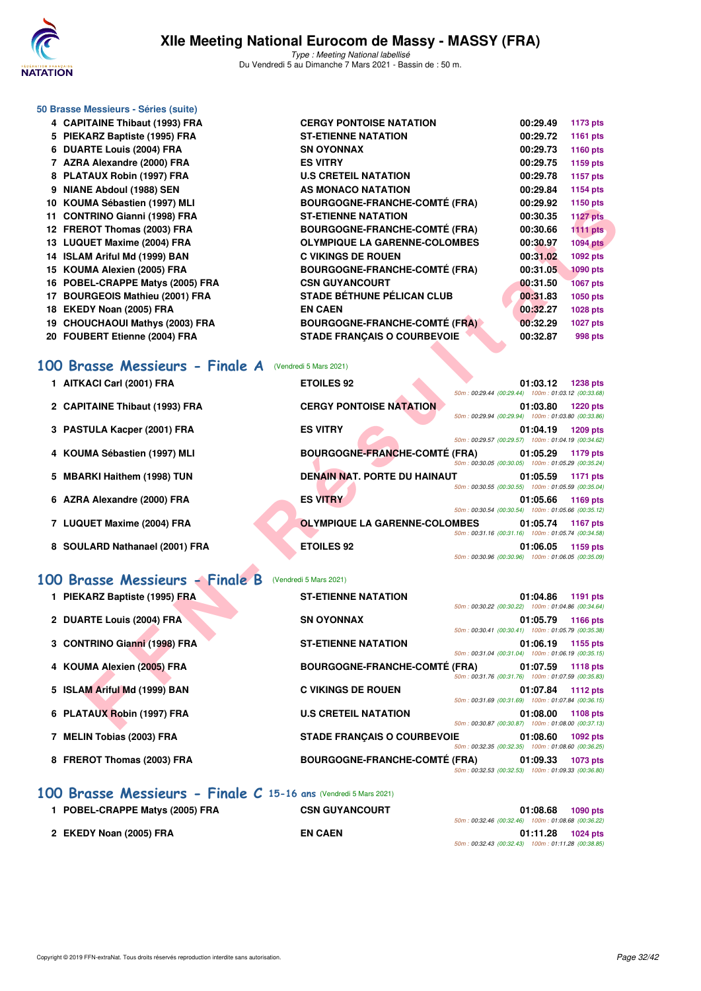

|    | 50 Brasse Messieurs - Séries (suite) |                                      |                                                     |                     |                 |
|----|--------------------------------------|--------------------------------------|-----------------------------------------------------|---------------------|-----------------|
|    | 4 CAPITAINE Thibaut (1993) FRA       | <b>CERGY PONTOISE NATATION</b>       |                                                     | 00:29.49            | 1173 pts        |
|    | 5 PIEKARZ Baptiste (1995) FRA        | <b>ST-ETIENNE NATATION</b>           |                                                     | 00:29.72            | <b>1161 pts</b> |
|    | 6 DUARTE Louis (2004) FRA            | <b>SN OYONNAX</b>                    |                                                     | 00:29.73            | 1160 pts        |
|    | 7 AZRA Alexandre (2000) FRA          | <b>ES VITRY</b>                      |                                                     | 00:29.75            | 1159 pts        |
|    | 8 PLATAUX Robin (1997) FRA           | <b>U.S CRETEIL NATATION</b>          |                                                     | 00:29.78            | <b>1157 pts</b> |
|    | 9 NIANE Abdoul (1988) SEN            | AS MONACO NATATION                   |                                                     | 00:29.84            | 1154 pts        |
|    | 10 KOUMA Sébastien (1997) MLI        | <b>BOURGOGNE-FRANCHE-COMTÉ (FRA)</b> |                                                     | 00:29.92            | 1150 pts        |
|    | 11 CONTRINO Gianni (1998) FRA        | <b>ST-ETIENNE NATATION</b>           |                                                     | 00:30.35            | <b>1127 pts</b> |
|    | 12 FREROT Thomas (2003) FRA          | <b>BOURGOGNE-FRANCHE-COMTÉ (FRA)</b> |                                                     | 00:30.66            | <b>1111 pts</b> |
|    | 13 LUQUET Maxime (2004) FRA          | <b>OLYMPIQUE LA GARENNE-COLOMBES</b> |                                                     | 00:30.97            | <b>1094 pts</b> |
|    | 14 ISLAM Ariful Md (1999) BAN        | <b>C VIKINGS DE ROUEN</b>            |                                                     | 00:31.02            | 1092 pts        |
|    | 15 KOUMA Alexien (2005) FRA          | <b>BOURGOGNE-FRANCHE-COMTÉ (FRA)</b> |                                                     | 00:31.05            | <b>1090 pts</b> |
|    | 16 POBEL-CRAPPE Matys (2005) FRA     | <b>CSN GUYANCOURT</b>                |                                                     | 00:31.50            | <b>1067 pts</b> |
|    | 17 BOURGEOIS Mathieu (2001) FRA      | <b>STADE BÉTHUNE PÉLICAN CLUB</b>    |                                                     | 00:31.83            | 1050 pts        |
|    | 18 EKEDY Noan (2005) FRA             | <b>EN CAEN</b>                       |                                                     | 00:32.27            | 1028 pts        |
|    | 19 CHOUCHAOUI Mathys (2003) FRA      | <b>BOURGOGNE-FRANCHE-COMTÉ (FRA)</b> |                                                     | 00:32.29            | <b>1027 pts</b> |
|    | 20 FOUBERT Etienne (2004) FRA        | <b>STADE FRANÇAIS O COURBEVOIE</b>   |                                                     | 00:32.87            | 998 pts         |
|    | 100 Brasse Messieurs - Finale A      | (Vendredi 5 Mars 2021)               |                                                     |                     |                 |
|    | 1 AITKACI Carl (2001) FRA            | <b>ETOILES 92</b>                    | 50m: 00:29.44 (00:29.44) 100m: 01:03.12 (00:33.68)  | 01:03.12            | <b>1238 pts</b> |
|    | 2 CAPITAINE Thibaut (1993) FRA       | <b>CERGY PONTOISE NATATION</b>       | 50m: 00:29.94 (00:29.94) 100m: 01:03.80 (00:33.86)  | 01:03.80            | <b>1220 pts</b> |
|    | 3 PASTULA Kacper (2001) FRA          | <b>ES VITRY</b>                      | 50m: 00:29.57 (00:29.57) 100m: 01:04.19 (00:34.62)  | 01:04.19            | 1209 pts        |
|    | 4 KOUMA Sébastien (1997) MLI         | <b>BOURGOGNE-FRANCHE-COMTÉ (FRA)</b> | 50m: 00:30.05 (00:30.05) 100m: 01:05.29 (00:35.24)  | 01:05.29            | 1179 pts        |
| 5. | <b>MBARKI Haithem (1998) TUN</b>     | <b>DENAIN NAT. PORTE DU HAINAUT</b>  | 50m: 00:30.55 (00:30.55) 100m: 01:05.59 (00:35.04)  | 01:05.59            | 1171 pts        |
|    | 6 AZRA Alexandre (2000) FRA          | <b>ES VITRY</b>                      | 50m: 00:30.54 (00:30.54) 100m: 01:05.66 (00:35.12)  | 01:05.66            | 1169 pts        |
|    | 7 LUQUET Maxime (2004) FRA           | <b>OLYMPIQUE LA GARENNE-COLOMBES</b> | 50m: 00:31.16 (00:31.16) 100m: 01:05.74 (00:34.58)  | 01:05.74            | <b>1167 pts</b> |
|    | 8 SOULARD Nathanael (2001) FRA       | <b>ETOILES 92</b>                    | 50m: 00:30.96 (00:30.96) 100m: 01:06.05 (00:35.09)  | 01:06.05            | 1159 pts        |
|    | 100 Brasse Messieurs - Finale B      | (Vendredi 5 Mars 2021)               |                                                     |                     |                 |
|    | 1 PIEKARZ Baptiste (1995) FRA        | <b>ST-ETIENNE NATATION</b>           |                                                     | 01:04.86            | 1191 pts        |
|    | 2 DUARTE Louis (2004) FRA            | <b>SN OYONNAX</b>                    | 50m: 00:30.22 (00:30.22) 100m: 01:04.86 (00:34.64)  | 01:05.79 1166 pts   |                 |
|    |                                      |                                      | 50m: 00:30.41 (00:30.41)  100m: 01:05.79 (00:35.38) |                     |                 |
|    | 3 CONTRINO Gianni (1998) FRA         | <b>ST-ETIENNE NATATION</b>           | 50m: 00:31.04 (00:31.04) 100m: 01:06.19 (00:35.15)  | $01:06.19$ 1155 pts |                 |
|    | 4 KOUMA Alexien (2005) FRA           | <b>BOURGOGNE-FRANCHE-COMTÉ (FRA)</b> | 50m: 00:31.76 (00:31.76) 100m: 01:07.59 (00:35.83)  | 01:07.59            | <b>1118 pts</b> |
|    | 5 ISLAM Ariful Md (1999) BAN         | <b>C VIKINGS DE ROUEN</b>            | 50m: 00:31.69 (00:31.69) 100m: 01:07.84 (00:36.15)  | 01:07.84            | <b>1112 pts</b> |
|    | 6 PLATAUX Robin (1997) FRA           | <b>U.S CRETEIL NATATION</b>          |                                                     | 01:08.00            | 1108 pts        |
|    |                                      |                                      | 50m: 00:30.87 (00:30.87) 100m: 01:08.00 (00:37.13)  |                     |                 |

- **7 LUQUET Maxime (2004) FRA OLYMPIQUE LA GARENNE-COLOMBES 01:05.74 1167 pts**
- **8 SOULARD Nathanael (2001) FRA ETOILES 92 01:06.05 1159 pts**

### **[100 Brasse Messieurs - Finale B](http://www.ffnatation.fr/webffn/resultats.php?idact=nat&go=epr&idcpt=69813&idepr=72)** (Vendredi 5 Mars 2021)

| 1 PIEKARZ Baptiste (1995) FRA | <b>ST-ETIENNE NATATION</b><br>1191 pts<br>01:04.86                                                                 |
|-------------------------------|--------------------------------------------------------------------------------------------------------------------|
|                               | 50m: 00:30.22 (00:30.22) 100m: 01:04.86 (00:34.64)                                                                 |
| 2 DUARTE Louis (2004) FRA     | <b>SN OYONNAX</b><br>01:05.79<br>1166 pts<br>50m: 00:30.41 (00:30.41) 100m: 01:05.79 (00:35.38)                    |
| 3 CONTRINO Gianni (1998) FRA  | <b>ST-ETIENNE NATATION</b><br>01:06.19<br>1155 pts<br>50m: 00:31.04 (00:31.04) 100m: 01:06.19 (00:35.15)           |
| 4 KOUMA Alexien (2005) FRA    | <b>BOURGOGNE-FRANCHE-COMTÉ (FRA)</b><br>01:07.59<br>1118 pts<br>50m: 00:31.76 (00:31.76) 100m: 01:07.59 (00:35.83) |
| 5 ISLAM Ariful Md (1999) BAN  | <b>C VIKINGS DE ROUEN</b><br>01:07.84<br>1112 pts<br>50m: 00:31.69 (00:31.69) 100m: 01:07.84 (00:36.15)            |
| 6 PLATAUX Robin (1997) FRA    | <b>U.S CRETEIL NATATION</b><br>01:08.00<br>1108 pts<br>50m: 00:30.87 (00:30.87) 100m: 01:08.00 (00:37.13)          |
| 7 MELIN Tobias (2003) FRA     | <b>STADE FRANCAIS O COURBEVOIE</b><br>01:08.60<br>1092 pts<br>50m: 00:32.35 (00:32.35) 100m: 01:08.60 (00:36.25)   |
| 8 FREROT Thomas (2003) FRA    | <b>BOURGOGNE-FRANCHE-COMTÉ (FRA)</b><br>01:09.33<br>1073 pts<br>50m: 00:32.53 (00:32.53) 100m: 01:09.33 (00:36.80) |

### **[100 Brasse Messieurs - Finale C](http://www.ffnatation.fr/webffn/resultats.php?idact=nat&go=epr&idcpt=69813&idepr=72) 15-16 ans** (Vendredi 5 Mars 2021)

| 1 POBEL-CRAPPE Matys (2005) FRA | <b>CSN GUYANCOURT</b> | 01:08.68<br>1090 pts                               |
|---------------------------------|-----------------------|----------------------------------------------------|
|                                 |                       | 50m: 00:32.46 (00:32.46) 100m: 01:08.68 (00:36.22) |
| 2 EKEDY Noan (2005) FRA         | <b>EN CAEN</b>        | 01:11.28<br>1024 pts                               |
|                                 |                       | 50m: 00:32.43 (00:32.43) 100m: 01:11.28 (00:38.85) |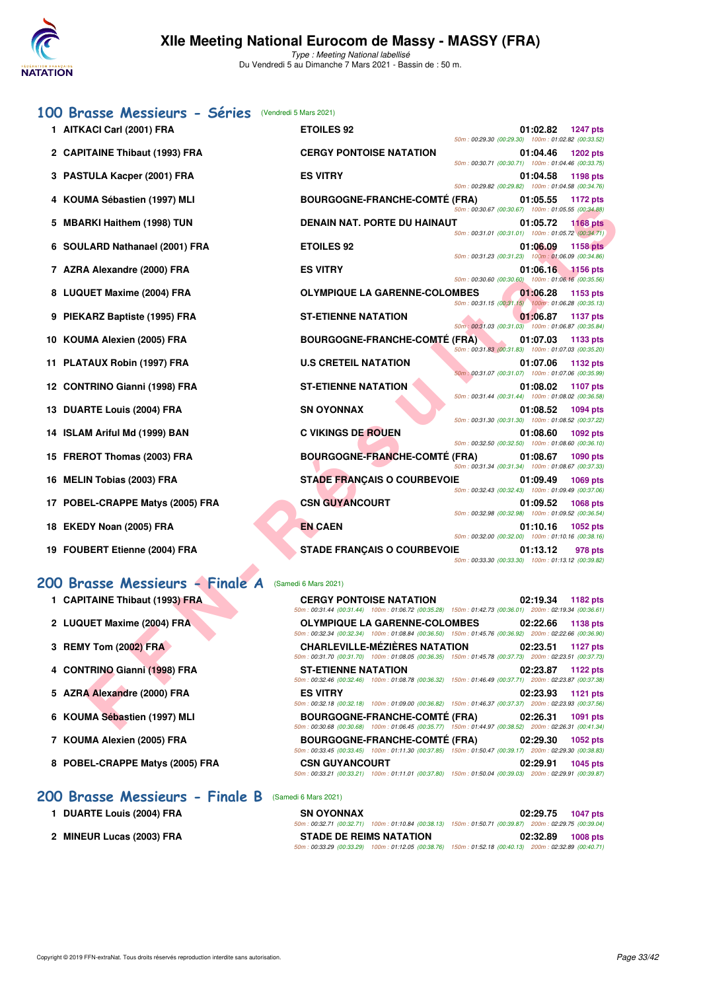

### **[100 Brasse Messieurs - Séries](http://www.ffnatation.fr/webffn/resultats.php?idact=nat&go=epr&idcpt=69813&idepr=72)** (Vendredi 5 Mars 2021)

| 1 AITKACI Carl (2001) FRA        | <b>ETOILES 92</b>                                                                                                                              | 50m: 00:29.30 (00:29.30) 100m: 01:02.82 (00:33.52)   | 01:02.82 | <b>1247 pts</b> |
|----------------------------------|------------------------------------------------------------------------------------------------------------------------------------------------|------------------------------------------------------|----------|-----------------|
| 2 CAPITAINE Thibaut (1993) FRA   | <b>CERGY PONTOISE NATATION</b>                                                                                                                 |                                                      | 01:04.46 | <b>1202 pts</b> |
| 3 PASTULA Kacper (2001) FRA      | <b>ES VITRY</b>                                                                                                                                | 50m: 00:30.71 (00:30.71) 100m: 01:04.46 (00:33.75)   | 01:04.58 | 1198 pts        |
| 4 KOUMA Sébastien (1997) MLI     | <b>BOURGOGNE-FRANCHE-COMTE (FRA)</b>                                                                                                           | 50m: 00:29.82 (00:29.82) 100m: 01:04.58 (00:34.76)   | 01:05.55 | 1172 pts        |
| 5 MBARKI Haithem (1998) TUN      | <b>DENAIN NAT. PORTE DU HAINAUT</b>                                                                                                            | 50m: 00:30.67 (00:30.67) 100m: 01:05.55 (00:34.88)   | 01:05.72 | <b>1168 pts</b> |
| 6 SOULARD Nathanael (2001) FRA   | <b>ETOILES 92</b>                                                                                                                              | 50m: 00:31.01 (00:31.01) 100m: 01:05.72 (00:34.71)   | 01:06.09 | <b>1158 pts</b> |
| 7 AZRA Alexandre (2000) FRA      | <b>ES VITRY</b>                                                                                                                                | 50m: 00:31.23 (00:31.23) 100m: 01:06.09 (00:34.86)   | 01:06.16 | <b>1156 pts</b> |
| 8 LUQUET Maxime (2004) FRA       | <b>OLYMPIQUE LA GARENNE-COLOMBES</b>                                                                                                           | 50m: 00:30.60 (00:30.60) 100m: 01:06.16 (00:35.56)   | 01:06.28 | 1153 pts        |
|                                  |                                                                                                                                                | 50m: 00:31.15 (00:31.15) 100m: 01:06.28 (00:35.13)   |          |                 |
| 9 PIEKARZ Baptiste (1995) FRA    | <b>ST-ETIENNE NATATION</b>                                                                                                                     | 50m : 00:31.03 (00:31.03) 100m : 01:06.87 (00:35.84) | 01:06.87 | 1137 pts        |
| 10 KOUMA Alexien (2005) FRA      | <b>BOURGOGNE-FRANCHE-COMTE (FRA)</b>                                                                                                           | 50m: 00:31.83 (00:31.83) 100m: 01:07.03 (00:35.20)   | 01:07.03 | 1133 pts        |
| 11 PLATAUX Robin (1997) FRA      | <b>U.S CRETEIL NATATION</b>                                                                                                                    | 50m: 00:31.07 (00:31.07) 100m: 01:07.06 (00:35.99)   | 01:07.06 | 1132 pts        |
| 12 CONTRINO Gianni (1998) FRA    | <b>ST-ETIENNE NATATION</b>                                                                                                                     | 50m: 00:31.44 (00:31.44) 100m: 01:08.02 (00:36.58)   | 01:08.02 | 1107 pts        |
| 13 DUARTE Louis (2004) FRA       | <b>SN OYONNAX</b>                                                                                                                              |                                                      | 01:08.52 | 1094 pts        |
| 14 ISLAM Ariful Md (1999) BAN    | <b>C VIKINGS DE ROUEN</b>                                                                                                                      | 50m: 00:31.30 (00:31.30) 100m: 01:08.52 (00:37.22)   | 01:08.60 | 1092 pts        |
| 15 FREROT Thomas (2003) FRA      | <b>BOURGOGNE-FRANCHE-COMTÉ (FRA)</b>                                                                                                           | 50m: 00:32.50 (00:32.50) 100m: 01:08.60 (00:36.10)   | 01:08.67 | 1090 pts        |
| 16 MELIN Tobias (2003) FRA       | <b>STADE FRANCAIS O COURBEVOIE</b>                                                                                                             | 50m: 00:31.34 (00:31.34) 100m: 01:08.67 (00:37.33)   | 01:09.49 | 1069 pts        |
| 17 POBEL-CRAPPE Matys (2005) FRA | <b>CSN GUYANCOURT</b>                                                                                                                          | 50m: 00:32.43 (00:32.43) 100m: 01:09.49 (00:37.06)   | 01:09.52 | <b>1068 pts</b> |
| 18 EKEDY Noan (2005) FRA         | <b>EN CAEN</b>                                                                                                                                 | 50m: 00:32.98 (00:32.98) 100m: 01:09.52 (00:36.54)   | 01:10.16 | 1052 pts        |
|                                  |                                                                                                                                                | 50m: 00:32.00 (00:32.00) 100m: 01:10.16 (00:38.16)   |          |                 |
| 19 FOUBERT Etienne (2004) FRA    | <b>STADE FRANÇAIS O COURBEVOIE</b>                                                                                                             | 50m: 00:33.30 (00:33.30) 100m: 01:13.12 (00:39.82)   | 01:13.12 | 978 pts         |
| 00 Brasse Messieurs - Finale A   | (Samedi 6 Mars 2021)                                                                                                                           |                                                      |          |                 |
| 1 CAPITAINE Thibaut (1993) FRA   | <b>CERGY PONTOISE NATATION</b>                                                                                                                 |                                                      | 02:19.34 | 1182 pts        |
| 2 LUQUET Maxime (2004) FRA       | 50m: 00:31.44 (00:31.44) 100m: 01:06.72 (00:35.28) 150m: 01:42.73 (00:36.01) 200m: 02:19.34 (00:36.61)<br><b>OLYMPIQUE LA GARENNE-COLOMBES</b> |                                                      | 02:22.66 | 1138 pts        |
| 3 REMY Tom (2002) FRA            | 50m: 00:32.34 (00:32.34) 100m: 01:08.84 (00:36.50) 150m: 01:45.76 (00:36.92) 200m: 02:22.66 (00:36.90)<br><b>CHARLEVILLE-MEZIERES NATATION</b> |                                                      | 02:23.51 | <b>1127 pts</b> |
|                                  | 50m: 00:31.70 (00:31.70) 100m: 01:08.05 (00:36.35) 150m: 01:45.78 (00:37.73) 200m: 02:23.51 (00:37.73)                                         |                                                      |          |                 |
| 4 CONTRINO Gianni (1998) FRA     | <b>ST-ETIENNE NATATION</b><br>50m : 00:32.46 (00:32.46) 100m : 01:08.78 (00:36.32) 150m : 01:46.49 (00:37.71) 200m : 02:23.87 (00:37.38)       |                                                      | 02:23.87 | <b>1122 pts</b> |
| 5 AZRA Alexandre (2000) FRA      | <b>ES VITRY</b><br>50m: 00:32.18 (00:32.18) 100m: 01:09.00 (00:36.82) 150m: 01:46.37 (00:37.37) 200m: 02:23.93 (00:37.56)                      |                                                      | 02:23.93 | 1121 pts        |
| 6 KOUMA Sébastien (1997) MLI     | <b>BOURGOGNE-FRANCHE-COMTE (FRA)</b>                                                                                                           |                                                      | 02:26.31 | 1091 pts        |
|                                  | 50m; 00:30.68 (00:30.68) 100m; 01:06.45 (00:35.77) 150m; 01:44.97 (00:38.52) 200m; 02:26.31 (00:41.34)                                         |                                                      |          |                 |

### **[200 Brasse Messieurs - Finale A](http://www.ffnatation.fr/webffn/resultats.php?idact=nat&go=epr&idcpt=69813&idepr=73)** (Samedi 6 Mars 2021)

|                            | <b>CERGY PONTOISE NATATION</b>                                                                                                                            |  | 02:19.34 1182 pts |
|----------------------------|-----------------------------------------------------------------------------------------------------------------------------------------------------------|--|-------------------|
|                            | 50m: 00:31.44 (00:31.44) 100m: 01:06.72 (00:35.28) 150m: 01:42.73 (00:36.01) 200m: 02:19.34 (00:36.61)                                                    |  |                   |
|                            | OLYMPIQUE LA GARENNE-COLOMBES 02:22.66 1138 pts                                                                                                           |  |                   |
|                            | 50m: 00:32.34 (00:32.34) 100m: 01:08.84 (00:36.50) 150m: 01:45.76 (00:36.92) 200m: 02:22.66 (00:36.90)                                                    |  |                   |
|                            | <b>CHARLEVILLE-MÉZIÈRES NATATION</b>                                                                                                                      |  | 02:23.51 1127 pts |
|                            | 50m: 00:31.70 (00:31.70) 100m: 01:08.05 (00:36.35) 150m: 01:45.78 (00:37.73) 200m: 02:23.51 (00:37.73)                                                    |  |                   |
| <b>ST-ETIENNE NATATION</b> |                                                                                                                                                           |  | 02:23.87 1122 pts |
|                            | 50m: 00:32.46 (00:32.46) 100m: 01:08.78 (00:36.32) 150m: 01:46.49 (00:37.71) 200m: 02:23.87 (00:37.38)                                                    |  |                   |
|                            |                                                                                                                                                           |  |                   |
| <b>ES VITRY</b>            |                                                                                                                                                           |  | 02:23.93 1121 pts |
|                            | 50m: 00:32.18 (00:32.18) 100m: 01:09.00 (00:36.82) 150m: 01:46.37 (00:37.37) 200m: 02:23.93 (00:37.56)                                                    |  |                   |
|                            |                                                                                                                                                           |  |                   |
|                            | BOURGOGNE-FRANCHE-COMTÉ (FRA) 02:26.31 1091 pts<br>50m: 00:30.68 (00:30.68) 100m: 01:06.45 (00:35.77) 150m: 01:44.97 (00:38.52) 200m: 02:26.31 (00:41.34) |  |                   |
|                            |                                                                                                                                                           |  | 1052 pts          |
|                            | BOURGOGNE-FRANCHE-COMTÉ (FRA) 02:29.30<br>50m: 00:33.45 (00:33.45) 100m: 01:11.30 (00:37.85) 150m: 01:50.47 (00:39.17) 200m: 02:29.30 (00:38.83)          |  |                   |
| <b>CSN GUYANCOURT</b>      |                                                                                                                                                           |  | 02:29.91 1045 pts |

### **[200 Brasse Messieurs - Finale B](http://www.ffnatation.fr/webffn/resultats.php?idact=nat&go=epr&idcpt=69813&idepr=73)** (Samedi 6 Mars 2021)

|  | 1 DUARTE Louis (2004) FRA |  |
|--|---------------------------|--|
|  |                           |  |

7 KOUMA Alexien (2005) FRA

8 POBEL-CRAPPE Matys (2005) FRA

2 MINEUR Lucas (2003) FRA STADE DE REIMS NAT

 $SN OYONNAX$  $50m : 00:32.71$  (00:32.71)  $100m : 01$ 

| <b>SN OYONNAX</b>              |                                                                                                        | 02:29.75 1047 pts |
|--------------------------------|--------------------------------------------------------------------------------------------------------|-------------------|
|                                | 50m; 00:32.71 (00:32.71) 100m; 01:10.84 (00:38.13) 150m; 01:50.71 (00:39.87) 200m; 02:29.75 (00:39.04) |                   |
| <b>STADE DE REIMS NATATION</b> |                                                                                                        | 02:32.89 1008 pts |
|                                | 50m: 00:33.29 (00:33.29) 100m: 01:12.05 (00:38.76) 150m: 01:52.18 (00:40.13) 200m: 02:32.89 (00:40.71) |                   |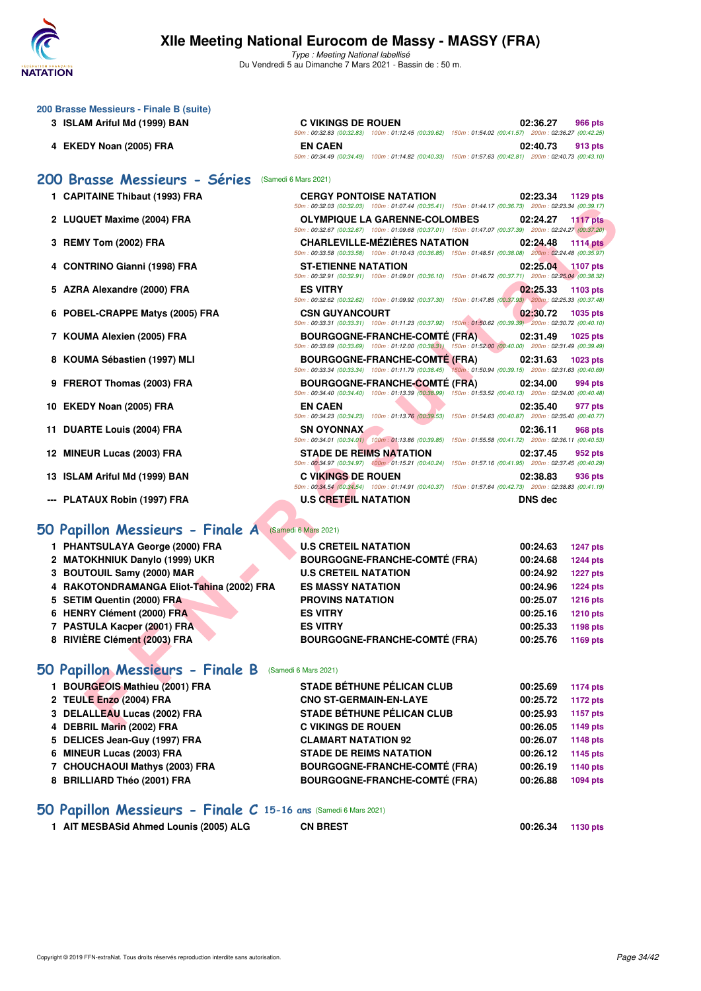

**200 Brasse Messieurs - Finale B (suite)**

# **XIIe Meeting National Eurocom de Massy - MASSY (FRA)**

Type : Meeting National labellisé Du Vendredi 5 au Dimanche 7 Mars 2021 - Bassin de : 50 m.

|   | 3 ISLAM Ariful Md (1999) BAN                          | <b>C VIKINGS DE ROUEN</b>                                                                                                                           | 02:36.27       | 966 pts         |
|---|-------------------------------------------------------|-----------------------------------------------------------------------------------------------------------------------------------------------------|----------------|-----------------|
|   |                                                       | 50m: 00:32.83 (00:32.83) 100m: 01:12.45 (00:39.62) 150m: 01:54.02 (00:41.57) 200m: 02:36.27 (00:42.25)                                              |                |                 |
|   | 4 EKEDY Noan (2005) FRA                               | <b>EN CAEN</b><br>50m : 00:34.49 (00:34.49) 100m : 01:14.82 (00:40.33) 150m : 01:57.63 (00:42.81) 200m : 02:40.73 (00:43.10)                        | 02:40.73       | 913 pts         |
|   |                                                       |                                                                                                                                                     |                |                 |
|   | 200 Brasse Messieurs - Séries                         | (Samedi 6 Mars 2021)                                                                                                                                |                |                 |
|   | 1 CAPITAINE Thibaut (1993) FRA                        | <b>CERGY PONTOISE NATATION</b><br>50m : 00:32.03 (00:32.03) 100m : 01:07.44 (00:35.41) 150m : 01:44.17 (00:36.73) 200m : 02:23.34 (00:39.17)        | 02:23.34       | 1129 pts        |
|   | 2 LUQUET Maxime (2004) FRA                            | <b>OLYMPIQUE LA GARENNE-COLOMBES</b>                                                                                                                | 02:24.27       | 1117 $pts$      |
|   |                                                       | 50m : 00:32.67 (00:32.67) 100m : 01:09.68 (00:37.01) 150m : 01:47.07 (00:37.39) 200m : 02:24.27 (00:37.20)                                          |                |                 |
|   | 3 REMY Tom (2002) FRA                                 | <b>CHARLEVILLE-MEZIERES NATATION</b>                                                                                                                | 02:24.48       | <b>1114 pts</b> |
|   |                                                       | 50m: 00:33.58 (00:33.58) 100m: 01:10.43 (00:36.85) 150m: 01:48.51 (00:38.08) 200m: 02:24.48 (00:35.97)                                              |                |                 |
|   | 4 CONTRINO Gianni (1998) FRA                          | <b>ST-ETIENNE NATATION</b><br>50m : 00:32.91 (00:32.91) 100m : 01:09.01 (00:36.10) 150m : 01:46.72 (00:37.71) 200m : 02:25.04 (00:38.32)            | 02:25.04       | 1107 pts        |
|   | 5 AZRA Alexandre (2000) FRA                           | <b>ES VITRY</b>                                                                                                                                     | 02:25.33       | 1103 pts        |
|   |                                                       | 50m : 00:32.62 (00:32.62) 100m : 01:09.92 (00:37.30) 150m : 01:47.85 (00:37.93) 200m : 02:25.33 (00:37.48)                                          |                |                 |
|   | 6 POBEL-CRAPPE Matys (2005) FRA                       | <b>CSN GUYANCOURT</b>                                                                                                                               | 02:30.72       | 1035 pts        |
|   |                                                       | 50m: 00:33.31 (00:33.31) 100m: 01:11.23 (00:37.92) 150m: 01:50.62 (00:39.39) 200m: 02:30.72 (00:40.10)                                              |                |                 |
|   | 7 KOUMA Alexien (2005) FRA                            | <b>BOURGOGNE-FRANCHE-COMTE (FRA).</b><br>50m : 00:33.69 (00:33.69) 100m : 01:12.00 (00:38.31) 150m : 01:52.00 (00:40.00) 200m : 02:31.49 (00:39.49) | 02:31.49       | <b>1025 pts</b> |
|   | 8 KOUMA Sébastien (1997) MLI                          | <b>BOURGOGNE-FRANCHE-COMTÉ (FRA)</b>                                                                                                                | 02:31.63       | 1023 pts        |
|   |                                                       | 50m : 00:33.34 (00:33.34) 100m : 01:11.79 (00:38.45) 150m : 01:50.94 (00:39.15) 200m : 02:31.63 (00:40.69)                                          |                |                 |
|   | 9 FREROT Thomas (2003) FRA                            | <b>BOURGOGNE-FRANCHE-COMTÉ (FRA)</b>                                                                                                                | 02:34.00       | 994 pts         |
|   |                                                       | 50m : 00:34.40 (00:34.40) 100m : 01:13.39 (00:38.99) 150m : 01:53.52 (00:40.13) 200m : 02:34.00 (00:40.48)                                          |                |                 |
|   | 10 EKEDY Noan (2005) FRA                              | <b>EN CAEN</b><br>50m : 00:34.23 (00:34.23) 100m : 01:13.76 (00:39.53) 150m : 01:54.63 (00:40.87) 200m : 02:35.40 (00:40.77)                        | 02:35.40       | 977 pts         |
|   | 11 DUARTE Louis (2004) FRA                            | <b>SN OYONNAX</b>                                                                                                                                   | 02:36.11       | 968 pts         |
|   |                                                       | 50m : 00:34.01 (00:34.01) 100m : 01:13.86 (00:39.85) 150m : 01:55.58 (00:41.72) 200m : 02:36.11 (00:40.53)                                          |                |                 |
|   | 12 MINEUR Lucas (2003) FRA                            | <b>STADE DE REIMS NATATION</b>                                                                                                                      | 02:37.45       | 952 pts         |
|   | 13 ISLAM Ariful Md (1999) BAN                         | 50m: 00:34.97 (00:34.97) 100m: 01:15.21 (00:40.24) 150m: 01:57.16 (00:41.95) 200m: 02:37.45 (00:40.29)<br><b>C VIKINGS DE ROUEN</b>                 | 02:38.83       |                 |
|   |                                                       | 50m: 00:34.54 (00:34.54) 100m: 01:14.91 (00:40.37) 150m: 01:57.64 (00:42.73) 200m: 02:38.83 (00:41.19)                                              |                | 936 pts         |
|   | --- PLATAUX Robin (1997) FRA                          | <b>U.S CRETEIL NATATION</b>                                                                                                                         | <b>DNS</b> dec |                 |
|   |                                                       |                                                                                                                                                     |                |                 |
|   | 50 Papillon Messieurs - Finale A (Samedi 6 Mars 2021) |                                                                                                                                                     |                |                 |
|   | 1 PHANTSULAYA George (2000) FRA                       | <b>U.S CRETEIL NATATION</b>                                                                                                                         | 00:24.63       | <b>1247 pts</b> |
|   | 2 MATOKHNIUK Danylo (1999) UKR                        | <b>BOURGOGNE-FRANCHE-COMTÉ (FRA)</b>                                                                                                                | 00:24.68       | <b>1244 pts</b> |
|   | 3 BOUTOUIL Samy (2000) MAR                            | <b>U.S CRETEIL NATATION</b>                                                                                                                         | 00:24.92       | <b>1227 pts</b> |
| 4 | RAKOTONDRAMANGA Eliot-Tahina (2002) FRA               | <b>ES MASSY NATATION</b>                                                                                                                            | 00:24.96       | <b>1224 pts</b> |
| 5 | <b>SETIM Quentin (2000) FRA</b>                       | <b>PROVINS NATATION</b>                                                                                                                             | 00:25.07       | <b>1216 pts</b> |
|   | 6 HENRY Clément (2000) FRA                            | <b>ES VITRY</b>                                                                                                                                     | 00:25.16       | <b>1210 pts</b> |
|   | 7 PASTULA Kacper (2001) FRA                           | <b>ES VITRY</b>                                                                                                                                     | 00:25.33       | 1198 pts        |
|   | 8 RIVIÈRE Clément (2003) FRA                          | <b>BOURGOGNE-FRANCHE-COMTÉ (FRA)</b>                                                                                                                | 00:25.76       | 1169 pts        |
|   |                                                       |                                                                                                                                                     |                |                 |
|   | 50 Papillon Messieurs - Finale B                      | (Samedi 6 Mars 2021)                                                                                                                                |                |                 |
|   | 1 BOURGEOIS Mathieu (2001) FRA                        | STADE BÉTHUNE PÉLICAN CLUB                                                                                                                          | 00:25.69       | <b>1174 pts</b> |
|   | 2 TEULE Enzo (2004) FRA                               | <b>CNO ST-GERMAIN-EN-LAYE</b>                                                                                                                       | 00:25.72       | <b>1172 pts</b> |
|   | 3 DELALLEAU Lucas (2002) FRA                          | <b>STADE BÉTHUNE PÉLICAN CLUB</b>                                                                                                                   | 00:25.93       | <b>1157 pts</b> |
|   | 4 DEBRIL Marin (2002) FRA                             | <b>C VIKINGS DE ROUEN</b>                                                                                                                           | 00:26.05       | 1149 pts        |
|   | 5 DELICES Jean-Guy (1997) FRA                         | <b>CLAMART NATATION 92</b>                                                                                                                          | 00:26.07       | <b>1148 pts</b> |
|   | 6 MINEUR Lucas (2003) FRA                             | <b>STADE DE REIMS NATATION</b>                                                                                                                      | 00:26.12       | 1145 pts        |
|   | 7 CHOUCHAOUI Mathys (2003) FRA                        | <b>BOURGOGNE-FRANCHE-COMTÉ (FRA)</b>                                                                                                                | 00:26.19       | 1140 pts        |

### **[50 Papillon Messieurs - Finale C](http://www.ffnatation.fr/webffn/resultats.php?idact=nat&go=epr&idcpt=69813&idepr=81) 15-16 ans** (Samedi 6 Mars 2021)

**1 AIT MESBASid Ahmed Lounis (2005) ALG CN BREST 00:26.34 1130 pts**

**8 BRILLIARD Théo (2001) FRA BOURGOGNE-FRANCHE-COMTÉ (FRA) 00:26.88 1094 pts**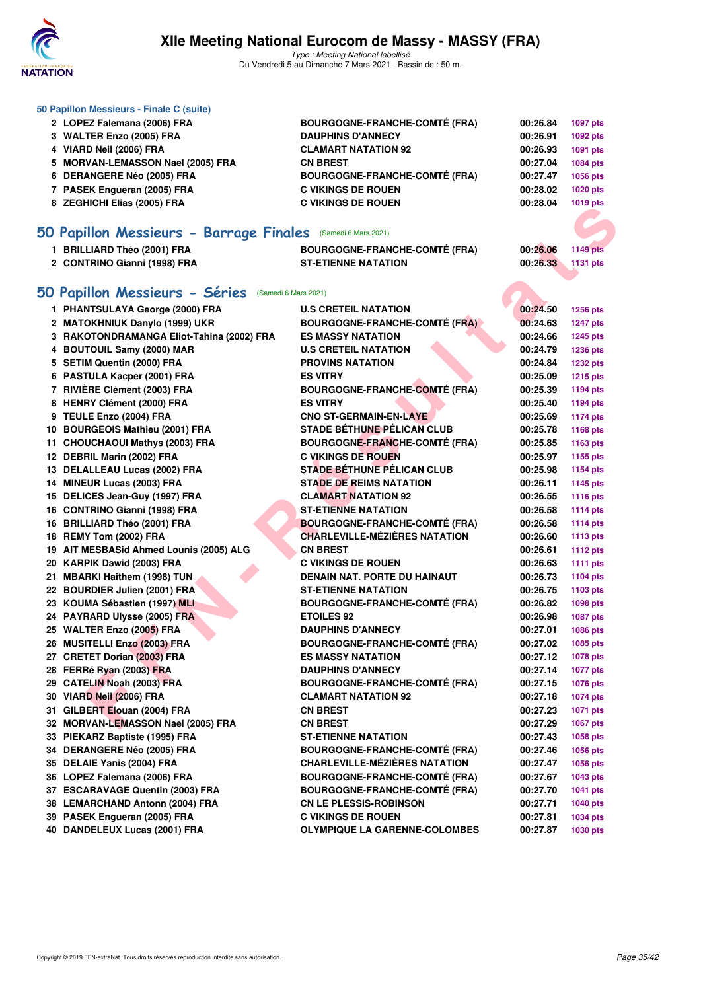

|   | 50 Papillon Messieurs - Finale C (suite)                     |                                      |          |                 |
|---|--------------------------------------------------------------|--------------------------------------|----------|-----------------|
|   | 2 LOPEZ Falemana (2006) FRA                                  | <b>BOURGOGNE-FRANCHE-COMTÉ (FRA)</b> | 00:26.84 | 1097 pts        |
|   | 3 WALTER Enzo (2005) FRA                                     | <b>DAUPHINS D'ANNECY</b>             | 00:26.91 | 1092 pts        |
|   | 4 VIARD Neil (2006) FRA                                      | <b>CLAMART NATATION 92</b>           | 00:26.93 | 1091 pts        |
| 5 | <b>MORVAN-LEMASSON Nael (2005) FRA</b>                       | <b>CN BREST</b>                      | 00:27.04 | 1084 pts        |
|   | 6 DERANGERE Néo (2005) FRA                                   | <b>BOURGOGNE-FRANCHE-COMTÉ (FRA)</b> | 00:27.47 | 1056 pts        |
|   | 7 PASEK Engueran (2005) FRA                                  | <b>C VIKINGS DE ROUEN</b>            | 00:28.02 | <b>1020 pts</b> |
|   | 8 ZEGHICHI Elias (2005) FRA                                  | <b>C VIKINGS DE ROUEN</b>            | 00:28.04 | 1019 pts        |
|   |                                                              |                                      |          |                 |
|   | 50 Papillon Messieurs - Barrage Finales (Samedi 6 Mars 2021) |                                      |          |                 |
|   | 1 BRILLIARD Théo (2001) FRA                                  | <b>BOURGOGNE-FRANCHE-COMTÉ (FRA)</b> | 00:26.06 | <b>1149 pts</b> |
|   | 2 CONTRINO Gianni (1998) FRA                                 | <b>ST-ETIENNE NATATION</b>           | 00:26.33 | 1131 pts        |
|   |                                                              |                                      |          |                 |
|   | 50 Papillon Messieurs - Séries<br>(Samedi 6 Mars 2021)       |                                      |          |                 |
|   | 1 PHANTSULAYA George (2000) FRA                              | <b>U.S CRETEIL NATATION</b>          | 00:24.50 | 1256 pts        |
|   | 2 MATOKHNIUK Danylo (1999) UKR                               | <b>BOURGOGNE-FRANCHE-COMTÉ (FRA)</b> | 00:24.63 | <b>1247 pts</b> |
|   | 3 RAKOTONDRAMANGA Eliot-Tahina (2002) FRA                    | <b>ES MASSY NATATION</b>             | 00:24.66 | <b>1245 pts</b> |
|   | 4 BOUTOUIL Samy (2000) MAR                                   | <b>U.S CRETEIL NATATION</b>          | 00:24.79 | <b>1236 pts</b> |
|   | 5 SETIM Quentin (2000) FRA                                   | <b>PROVINS NATATION</b>              | 00:24.84 | <b>1232 pts</b> |
|   | 6 PASTULA Kacper (2001) FRA                                  | <b>ES VITRY</b>                      | 00:25.09 | <b>1215 pts</b> |
|   | 7 RIVIÈRE Clément (2003) FRA                                 | <b>BOURGOGNE-FRANCHE-COMTÉ (FRA)</b> | 00:25.39 | 1194 pts        |
|   | 8 HENRY Clément (2000) FRA                                   | <b>ES VITRY</b>                      | 00:25.40 | 1194 pts        |
|   | 9 TEULE Enzo (2004) FRA                                      | <b>CNO ST-GERMAIN-EN-LAYE</b>        | 00:25.69 | <b>1174 pts</b> |
|   | 10 BOURGEOIS Mathieu (2001) FRA                              | <b>STADE BÉTHUNE PÉLICAN CLUB</b>    | 00:25.78 | 1168 pts        |
|   | 11 CHOUCHAOUI Mathys (2003) FRA                              | <b>BOURGOGNE-FRANCHE-COMTÉ (FRA)</b> | 00:25.85 | 1163 pts        |
|   | 12 DEBRIL Marin (2002) FRA                                   | <b>C VIKINGS DE ROUEN</b>            | 00:25.97 | 1155 pts        |
|   | 13 DELALLEAU Lucas (2002) FRA                                | <b>STADE BÉTHUNE PÉLICAN CLUB</b>    | 00:25.98 | 1154 pts        |
|   | 14 MINEUR Lucas (2003) FRA                                   | <b>STADE DE REIMS NATATION</b>       | 00:26.11 | 1145 pts        |
|   | 15 DELICES Jean-Guy (1997) FRA                               | <b>CLAMART NATATION 92</b>           | 00:26.55 | <b>1116 pts</b> |
|   | 16 CONTRINO Gianni (1998) FRA                                | <b>ST-ETIENNE NATATION</b>           | 00:26.58 | <b>1114 pts</b> |
|   | 16 BRILLIARD Théo (2001) FRA                                 | <b>BOURGOGNE-FRANCHE-COMTÉ (FRA)</b> | 00:26.58 | <b>1114 pts</b> |
|   | 18 REMY Tom (2002) FRA                                       | <b>CHARLEVILLE-MÉZIÈRES NATATION</b> | 00:26.60 | <b>1113 pts</b> |
|   | 19 AIT MESBASid Ahmed Lounis (2005) ALG                      | <b>CN BREST</b>                      | 00:26.61 | <b>1112 pts</b> |
|   | 20 KARPIK Dawid (2003) FRA                                   | <b>C VIKINGS DE ROUEN</b>            | 00:26.63 | <b>1111 pts</b> |
|   | 21 MBARKI Haithem (1998) TUN                                 | <b>DENAIN NAT. PORTE DU HAINAUT</b>  | 00:26.73 | 1104 pts        |
|   | 22 BOURDIER Julien (2001) FRA                                | <b>ST-ETIENNE NATATION</b>           | 00:26.75 | 1103 pts        |
|   | 23 KOUMA Sébastien (1997) MLI                                | <b>BOURGOGNE-FRANCHE-COMTÉ (FRA)</b> | 00:26.82 | <b>1098 pts</b> |
|   | 24 PAYRARD Ulysse (2005) FRA                                 | <b>ETOILES 92</b>                    | 00:26.98 | 1087 pts        |
|   | 25 WALTER Enzo (2005) FRA                                    | <b>DAUPHINS D'ANNECY</b>             | 00:27.01 | 1086 pts        |
|   | 26 MUSITELLI Enzo (2003) FRA                                 | <b>BOURGOGNE-FRANCHE-COMTÉ (FRA)</b> | 00:27.02 | 1085 pts        |
|   | 27 CRETET Dorian (2003) FRA                                  | <b>ES MASSY NATATION</b>             | 00:27.12 | 1078 pts        |
|   | 28 FERRé Ryan (2003) FRA                                     | <b>DAUPHINS D'ANNECY</b>             | 00:27.14 | <b>1077 pts</b> |
|   | 29 CATELIN Noah (2003) FRA                                   | <b>BOURGOGNE-FRANCHE-COMTÉ (FRA)</b> | 00:27.15 | 1076 pts        |
|   | 30 VIARD Neil (2006) FRA                                     | <b>CLAMART NATATION 92</b>           | 00:27.18 | 1074 pts        |
|   | 31 GILBERT Elouan (2004) FRA                                 | <b>CN BREST</b>                      | 00:27.23 | 1071 pts        |
|   | 32 MORVAN-LEMASSON Nael (2005) FRA                           | <b>CN BREST</b>                      | 00:27.29 | 1067 pts        |
|   | 33 PIEKARZ Baptiste (1995) FRA                               | <b>ST-ETIENNE NATATION</b>           | 00:27.43 | 1058 pts        |
|   | 34 DERANGERE Néo (2005) FRA                                  | <b>BOURGOGNE-FRANCHE-COMTÉ (FRA)</b> | 00:27.46 | 1056 pts        |
|   | 35 DELAIE Yanis (2004) FRA                                   | <b>CHARLEVILLE-MÉZIÈRES NATATION</b> | 00:27.47 | 1056 pts        |
|   | 36 LOPEZ Falemana (2006) FRA                                 | <b>BOURGOGNE-FRANCHE-COMTÉ (FRA)</b> | 00:27.67 | 1043 pts        |
|   | 37 ESCARAVAGE Quentin (2003) FRA                             | <b>BOURGOGNE-FRANCHE-COMTÉ (FRA)</b> | 00:27.70 | 1041 pts        |
|   | 38 LEMARCHAND Antonn (2004) FRA                              | <b>CN LE PLESSIS-ROBINSON</b>        | 00:27.71 | <b>1040 pts</b> |
|   | 39 PASEK Engueran (2005) FRA                                 | <b>C VIKINGS DE ROUEN</b>            | 00:27.81 | 1034 pts        |
|   | 40 DANDELEUX Lucas (2001) FRA                                | <b>OLYMPIQUE LA GARENNE-COLOMBES</b> | 00:27.87 | 1030 pts        |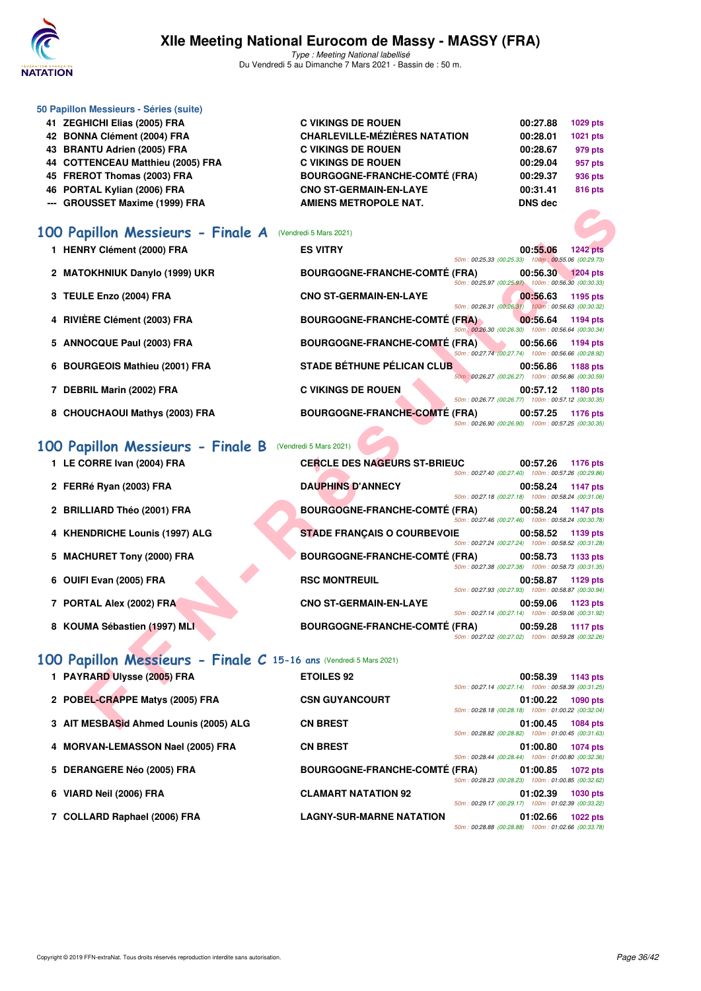

Type : Meeting National labellisé Du Vendredi 5 au Dimanche 7 Mars 2021 - Bassin de : 50 m.

| 50 Papillon Messieurs - Séries (suite) |                                      |                |                |
|----------------------------------------|--------------------------------------|----------------|----------------|
| 41 ZEGHICHI Elias (2005) FRA           | <b>C VIKINGS DE ROUEN</b>            | 00:27.88       | 1029 pts       |
| 42 BONNA Clément (2004) FRA            | <b>CHARLEVILLE-MÉZIÈRES NATATION</b> | 00:28.01       | 1021 pts       |
| 43 BRANTU Adrien (2005) FRA            | <b>C VIKINGS DE ROUEN</b>            | 00:28.67       | 979 pts        |
| 44 COTTENCEAU Matthieu (2005) FRA      | <b>C VIKINGS DE ROUEN</b>            | 00:29.04       | 957 pts        |
| 45 FREROT Thomas (2003) FRA            | <b>BOURGOGNE-FRANCHE-COMTÉ (FRA)</b> | 00:29.37       | 936 pts        |
| 46 PORTAL Kylian (2006) FRA            | <b>CNO ST-GERMAIN-EN-LAYE</b>        | 00:31.41       | <b>816 pts</b> |
| --- GROUSSET Maxime (1999) FRA         | <b>AMIENS METROPOLE NAT.</b>         | <b>DNS</b> dec |                |
|                                        |                                      |                |                |

# **[100 Papillon Messieurs - Finale A](http://www.ffnatation.fr/webffn/resultats.php?idact=nat&go=epr&idcpt=69813&idepr=82)** (Vendredi 5 Mars 2021)

| 1 HENRY Clément (2000) FRA     | <b>ES VITRY</b>                        |                                                      | 00:55.06 | <b>1242 pts</b> |
|--------------------------------|----------------------------------------|------------------------------------------------------|----------|-----------------|
|                                |                                        | 50m: 00:25.33 (00:25.33) 100m: 00:55.06 (00:29.73)   |          |                 |
| 2 MATOKHNIUK Danylo (1999) UKR | <b>BOURGOGNE-FRANCHE-COMTÉ (FRA)</b>   | 50m: 00:25.97 (00:25.97) 100m: 00:56.30 (00:30.33)   | 00:56.30 | <b>1204 pts</b> |
| 3 TEULE Enzo (2004) FRA        | <b>CNO ST-GERMAIN-EN-LAYE</b>          |                                                      | 00:56.63 | 1195 pts        |
|                                |                                        | 50m: 00:26.31 (00:26.31) 100m: 00:56.63 (00:30.32)   |          |                 |
| 4 RIVIÈRE Clément (2003) FRA   | <b>BOURGOGNE-FRANCHE-COMTÉ (FRA)</b>   | 50m : 00:26.30 (00:26.30) 100m : 00:56.64 (00:30.34) | 00:56.64 | 1194 pts        |
| 5 ANNOCQUE Paul (2003) FRA     | BOURGOGNE-FRANCHE-COMTÉ (FRA) 00:56.66 |                                                      |          | 1194 pts        |
|                                |                                        | 50m: 00:27.74 (00:27.74) 100m: 00:56.66 (00:28.92)   |          |                 |
| 6 BOURGEOIS Mathieu (2001) FRA | STADE BÉTHUNE PÉLICAN CLUB             | 50m: 00:26.27 (00:26.27) 100m: 00:56.86 (00:30.59)   | 00:56.86 | 1188 pts        |
| 7 DEBRIL Marin (2002) FRA      | <b>C VIKINGS DE ROUEN</b>              |                                                      | 00:57.12 | 1180 pts        |
|                                |                                        | 50m: 00:26.77 (00:26.77) 100m: 00:57.12 (00:30.35)   |          |                 |
| 8 CHOUCHAOUI Mathys (2003) FRA | <b>BOURGOGNE-FRANCHE-COMTÉ (FRA)</b>   | 50m: 00:26.90 (00:26.90) 100m: 00:57.25 (00:30.35)   | 00:57.25 | 1176 pts        |
|                                |                                        |                                                      |          |                 |

# [100 Papillon Messieurs - Finale B](http://www.ffnatation.fr/webffn/resultats.php?idact=nat&go=epr&idcpt=69813&idepr=82) (Vendredi 5 Mars 2021)

| GROUSSET MAXILIE (1999) FRA                                       |                                      |                                                      | טש כווע  |                 |
|-------------------------------------------------------------------|--------------------------------------|------------------------------------------------------|----------|-----------------|
| <b>00 Papillon Messieurs - Finale A</b> (Vendredi 5 Mars 2021)    |                                      |                                                      |          |                 |
| 1 HENRY Clément (2000) FRA                                        | <b>ES VITRY</b>                      | 50m: 00:25.33 (00:25.33) 100m: 00:55.06 (00:29.73)   | 00:55.06 | <b>1242 pts</b> |
| 2 MATOKHNIUK Danylo (1999) UKR                                    | <b>BOURGOGNE-FRANCHE-COMTÉ (FRA)</b> | 50m: 00:25.97 (00:25.97) 100m: 00:56.30 (00:30.33)   | 00:56.30 | $1204$ pts      |
| 3 TEULE Enzo (2004) FRA                                           | <b>CNO ST-GERMAIN-EN-LAYE</b>        | 50m: 00:26.31 (00:26.31) 100m: 00:56.63 (00:30.32)   | 00:56.63 | 1195 pts        |
| 4 RIVIÈRE Clément (2003) FRA                                      | <b>BOURGOGNE-FRANCHE-COMTE (FRA)</b> | 50m : 00:26.30 (00:26.30) 100m : 00:56.64 (00:30.34) | 00:56.64 | 1194 pts        |
| 5 ANNOCQUE Paul (2003) FRA                                        | <b>BOURGOGNE-FRANCHE-COMTE (FRA)</b> | 50m: 00:27.74 (00:27.74) 100m: 00:56.66 (00:28.92)   | 00:56.66 | 1194 pts        |
| 6 BOURGEOIS Mathieu (2001) FRA                                    | STADE BÉTHUNE PÉLICAN CLUB           | 50m: 00:26.27 (00:26.27) 100m: 00:56.86 (00:30.59)   | 00:56.86 | 1188 pts        |
| 7 DEBRIL Marin (2002) FRA                                         | <b>C VIKINGS DE ROUEN</b>            | 50m: 00:26.77 (00:26.77) 100m: 00:57.12 (00:30.35)   | 00:57.12 | 1180 pts        |
| 8 CHOUCHAOUI Mathys (2003) FRA                                    | <b>BOURGOGNE-FRANCHE-COMTE (FRA)</b> | 50m: 00:26.90 (00:26.90) 100m: 00:57.25 (00:30.35)   | 00:57.25 | 1176 pts        |
| 00 Papillon Messieurs - Finale B                                  | (Vendredi 5 Mars 2021)               |                                                      |          |                 |
| 1 LE CORRE Ivan (2004) FRA                                        | <b>CERCLE DES NAGEURS ST-BRIEUC</b>  | 50m: 00:27.40 (00:27.40) 100m: 00:57.26 (00:29.86)   | 00:57.26 | 1176 pts        |
| 2 FERRé Ryan (2003) FRA                                           | <b>DAUPHINS D'ANNECY</b>             | 50m: 00:27.18 (00:27.18) 100m: 00:58.24 (00:31.06)   | 00:58.24 | 1147 pts        |
| 2 BRILLIARD Théo (2001) FRA                                       | <b>BOURGOGNE-FRANCHE-COMTÉ (FRA)</b> | 50m: 00:27.46 (00:27.46) 100m: 00:58.24 (00:30.78)   | 00:58.24 | 1147 pts        |
| 4 KHENDRICHE Lounis (1997) ALG                                    | <b>STADE FRANÇAIS O COURBEVOIE</b>   | 50m: 00:27.24 (00:27.24) 100m: 00:58.52 (00:31.28)   | 00:58.52 | 1139 pts        |
| 5 MACHURET Tony (2000) FRA                                        | <b>BOURGOGNE-FRANCHE-COMTÉ (FRA)</b> | 50m: 00:27.38 (00:27.38) 100m: 00:58.73 (00:31.35)   | 00:58.73 | 1133 pts        |
| 6 OUIFI Evan (2005) FRA                                           | <b>RSC MONTREUIL</b>                 | 50m: 00:27.93 (00:27.93) 100m: 00:58.87 (00:30.94)   | 00:58.87 | 1129 pts        |
| 7 PORTAL Alex (2002) FRA                                          | <b>CNO ST-GERMAIN-EN-LAYE</b>        | 50m: 00:27.14 (00:27.14) 100m: 00:59.06 (00:31.92)   | 00:59.06 | 1123 pts        |
| 8 KOUMA Sébastien (1997) MLI                                      | <b>BOURGOGNE-FRANCHE-COMTÉ (FRA)</b> | 50m: 00:27.02 (00:27.02) 100m: 00:59.28 (00:32.26)   | 00:59.28 | <b>1117 pts</b> |
| 00 Papillon Messieurs - Finale C 15-16 ans (Vendredi 5 Mars 2021) |                                      |                                                      |          |                 |
| 1 PAYRARD Ulysse (2005) FRA                                       | <b>ETOILES 92</b>                    | 50m: 00:27.14 (00:27.14) 100m: 00:58.39 (00:31.25)   | 00:58.39 | 1143 pts        |
| 2 POBEL-CRAPPE Matys (2005) FRA                                   | <b>CSN GUYANCOURT</b>                | 50m: 00:28.18 (00:28.18) 100m: 01:00.22 (00:32.04)   | 01:00.22 | <b>1090 pts</b> |
| 3 AIT MESBASid Ahmed Lounis (2005) ALG                            | <b>CN BREST</b>                      |                                                      | 01:00.45 | 1084 pts        |

# **[100 Papillon Messieurs - Finale C](http://www.ffnatation.fr/webffn/resultats.php?idact=nat&go=epr&idcpt=69813&idepr=82) 15-16 ans** (Vendredi 5 Mars 2021)

| 1 PAYRARD Ulysse (2005) FRA            | <b>ETOILES 92</b>                    |                                                    | 00:58.39 | 1143 pts        |
|----------------------------------------|--------------------------------------|----------------------------------------------------|----------|-----------------|
|                                        |                                      | 50m: 00:27.14 (00:27.14) 100m: 00:58.39 (00:31.25) |          |                 |
| 2 POBEL-CRAPPE Matys (2005) FRA        | <b>CSN GUYANCOURT</b>                |                                                    | 01:00.22 | 1090 pts        |
|                                        |                                      | 50m: 00:28.18 (00:28.18) 100m: 01:00.22 (00:32.04) |          |                 |
| 3 AIT MESBASid Ahmed Lounis (2005) ALG | <b>CN BREST</b>                      |                                                    | 01:00.45 | 1084 pts        |
|                                        |                                      | 50m: 00:28.82 (00:28.82) 100m: 01:00.45 (00:31.63) |          |                 |
| 4 MORVAN-LEMASSON Nael (2005) FRA      | <b>CN BREST</b>                      | 50m: 00:28.44 (00:28.44) 100m: 01:00.80 (00:32.36) | 01:00.80 | 1074 pts        |
| 5 DERANGERE Néo (2005) FRA             | <b>BOURGOGNE-FRANCHE-COMTÉ (FRA)</b> |                                                    | 01:00.85 | 1072 pts        |
|                                        |                                      | 50m: 00:28.23 (00:28.23) 100m: 01:00.85 (00:32.62) |          |                 |
| 6 VIARD Neil (2006) FRA                | <b>CLAMART NATATION 92</b>           |                                                    | 01:02.39 | <b>1030 pts</b> |
|                                        |                                      | 50m: 00:29.17 (00:29.17) 100m: 01:02.39 (00:33.22) |          |                 |
| 7 COLLARD Raphael (2006) FRA           | <b>LAGNY-SUR-MARNE NATATION</b>      |                                                    | 01:02.66 | 1022 pts        |
|                                        |                                      | 50m: 00:28.88 (00:28.88) 100m: 01:02.66 (00:33.78) |          |                 |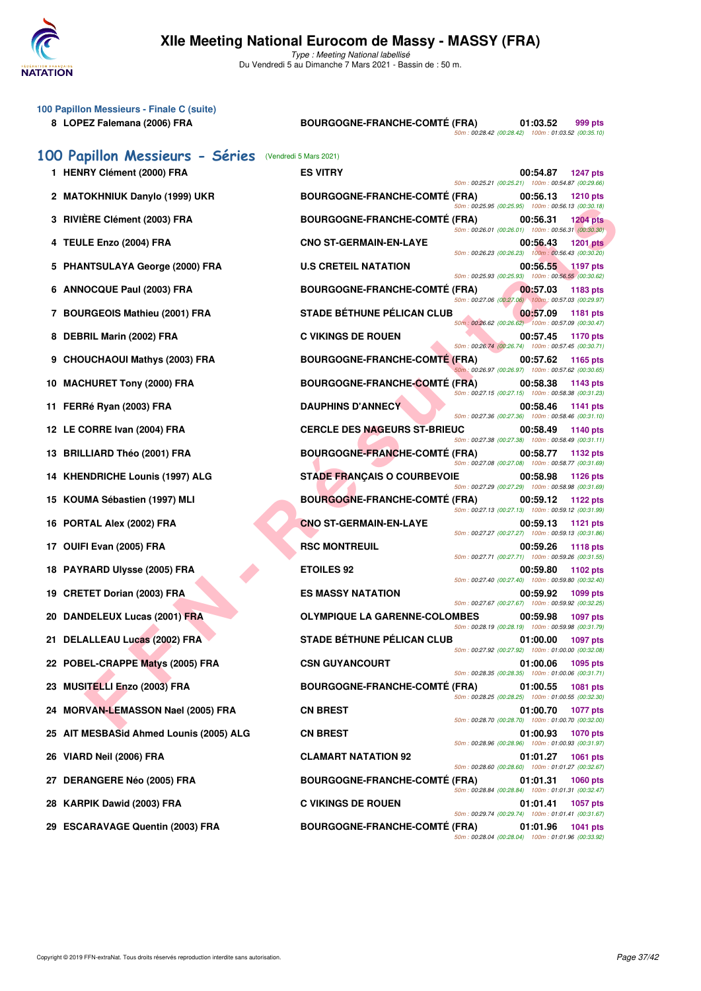

| 100 Papillon Messieurs - Finale C (suite)<br>8 LOPEZ Falemana (2006) FRA | <b>BOURGOGNE-FRANCHE-COMTÉ (FRA)</b> | 50m: 00:28.42 (00:28.42) 100m: 01:03.52 (00:35.10)                                                       | 01:03.52 | 999 pts         |
|--------------------------------------------------------------------------|--------------------------------------|----------------------------------------------------------------------------------------------------------|----------|-----------------|
| 100 Papillon Messieurs - Séries                                          | (Vendredi 5 Mars 2021)               |                                                                                                          |          |                 |
| 1 HENRY Clément (2000) FRA                                               | <b>ES VITRY</b>                      | 50m: 00:25.21 (00:25.21) 100m: 00:54.87 (00:29.66)                                                       | 00:54.87 | <b>1247 pts</b> |
| 2 MATOKHNIUK Danylo (1999) UKR                                           | <b>BOURGOGNE-FRANCHE-COMTE (FRA)</b> | 50m: 00:25.95 (00:25.95) 100m: 00:56.13 (00:30.18)                                                       | 00:56.13 | <b>1210 pts</b> |
| 3 RIVIÈRE Clément (2003) FRA                                             | <b>BOURGOGNE-FRANCHE-COMTÉ (FRA)</b> | 50m: 00:26.01 (00:26.01) 100m: 00:56.31 (00:30.30)                                                       | 00:56.31 | <b>1204 pts</b> |
| <b>TEULE Enzo (2004) FRA</b><br>4                                        | <b>CNO ST-GERMAIN-EN-LAYE</b>        |                                                                                                          | 00:56.43 | <b>1201 pts</b> |
| <b>PHANTSULAYA George (2000) FRA</b>                                     | <b>U.S CRETEIL NATATION</b>          | 50m: 00:26.23 (00:26.23) 100m: 00:56.43 (00:30.20)                                                       | 00:56.55 | <b>1197 pts</b> |
| <b>ANNOCQUE Paul (2003) FRA</b><br>6                                     | <b>BOURGOGNE-FRANCHE-COMTE (FRA)</b> | 50m: 00:25.93 (00:25.93) 100m: 00:56.55 (00:30.62)                                                       | 00:57.03 | 1183 pts        |
| <b>BOURGEOIS Mathieu (2001) FRA</b><br>7                                 | <b>STADE BÉTHUNE PÉLICAN CLUB</b>    | 50m: 00:27.06 (00:27.06) 100m: 00:57.03 (00:29.97)                                                       | 00:57.09 | 1181 pts        |
| DEBRIL Marin (2002) FRA<br>8                                             | <b>C VIKINGS DE ROUEN</b>            | 50m: 00:26.62 (00:26.62) 100m: 00:57.09 (00:30.47)                                                       | 00:57.45 | 1170 pts        |
| <b>CHOUCHAOUI Mathys (2003) FRA</b><br>9                                 | <b>BOURGOGNE-FRANCHE-COMTE (FRA)</b> | 50m: 00:26.74 (00:26.74) 100m: 00:57.45 (00:30.71)                                                       | 00:57.62 | 1165 pts        |
| <b>MACHURET Tony (2000) FRA</b><br>10                                    | <b>BOURGOGNE-FRANCHE-COMTÉ (FRA)</b> | 50m: 00:26.97 (00:26.97) 100m: 00:57.62 (00:30.65)                                                       | 00:58.38 | 1143 pts        |
| 11 FERRé Ryan (2003) FRA                                                 | <b>DAUPHINS D'ANNECY</b>             | 50m: 00:27.15 (00:27.15) 100m: 00:58.38 (00:31.23)                                                       | 00:58.46 | 1141 pts        |
| 12 LE CORRE Ivan (2004) FRA                                              | <b>CERCLE DES NAGEURS ST-BRIEUC</b>  | 50m: 00:27.36 (00:27.36) 100m: 00:58.46 (00:31.10)                                                       | 00:58.49 | 1140 pts        |
| 13 BRILLIARD Théo (2001) FRA                                             | <b>BOURGOGNE-FRANCHE-COMTÉ (FRA)</b> | 50m: 00:27.38 (00:27.38) 100m: 00:58.49 (00:31.11)                                                       | 00:58.77 | 1132 pts        |
| 14 KHENDRICHE Lounis (1997) ALG                                          | <b>STADE FRANÇAIS O COURBEVOIE</b>   | 50m: 00:27.08 (00:27.08) 100m: 00:58.77 (00:31.69)                                                       | 00:58.98 | 1126 pts        |
| 15 KOUMA Sébastien (1997) MLI                                            | <b>BOURGOGNE-FRANCHE-COMTÉ (FRA)</b> | 50m: 00:27.29 (00:27.29) 100m: 00:58.98 (00:31.69)                                                       | 00:59.12 | 1122 pts        |
| PORTAL Alex (2002) FRA<br>16                                             | <b>CNO ST-GERMAIN-EN-LAYE</b>        | 50m: 00:27.13 (00:27.13) 100m: 00:59.12 (00:31.99)<br>50m: 00:27.27 (00:27.27) 100m: 00:59.13 (00:31.86) | 00:59.13 | 1121 pts        |
| 17 OUIFI Evan (2005) FRA                                                 | <b>RSC MONTREUIL</b>                 | 50m: 00:27.71 (00:27.71) 100m: 00:59.26 (00:31.55)                                                       | 00:59.26 | <b>1118 pts</b> |
| 18 PAYRARD Ulysse (2005) FRA                                             | <b>ETOILES 92</b>                    | 50m: 00:27.40 (00:27.40) 100m: 00:59.80 (00:32.40)                                                       | 00:59.80 | 1102 pts        |
| 19 CRETET Dorian (2003) FRA                                              | <b>ES MASSY NATATION</b>             | 50m: 00:27.67 (00:27.67) 100m: 00:59.92 (00:32.25)                                                       | 00:59.92 | 1099 pts        |
| 20 DANDELEUX Lucas (2001) FRA                                            | <b>OLYMPIQUE LA GARENNE-COLOMBES</b> | 50m: 00:28.19 (00:28.19) 100m: 00:59.98 (00:31.79)                                                       | 00:59.98 | <b>1097 pts</b> |
| 21 DELALLEAU Lucas (2002) FRA                                            | <b>STADE BÉTHUNE PÉLICAN CLUB</b>    | 50m: 00:27.92 (00:27.92) 100m: 01:00.00 (00:32.08)                                                       | 01:00.00 | <b>1097 pts</b> |
| 22 POBEL-CRAPPE Matys (2005) FRA                                         | <b>CSN GUYANCOURT</b>                |                                                                                                          | 01:00.06 | 1095 pts        |
| <b>MUSITELLI Enzo (2003) FRA</b><br>23                                   | <b>BOURGOGNE-FRANCHE-COMTÉ (FRA)</b> | 50m: 00:28.35 (00:28.35) 100m: 01:00.06 (00:31.71)                                                       | 01:00.55 | 1081 pts        |
| 24 MORVAN-LEMASSON Nael (2005) FRA                                       | <b>CN BREST</b>                      | 50m: 00:28.25 (00:28.25) 100m: 01:00.55 (00:32.30)                                                       | 01:00.70 | <b>1077 pts</b> |
| 25 AIT MESBASid Ahmed Lounis (2005) ALG                                  | <b>CN BREST</b>                      | 50m: 00:28.70 (00:28.70) 100m: 01:00.70 (00:32.00)                                                       | 01:00.93 | <b>1070 pts</b> |
| 26 VIARD Neil (2006) FRA                                                 | <b>CLAMART NATATION 92</b>           | 50m: 00:28.96 (00:28.96) 100m: 01:00.93 (00:31.97)                                                       | 01:01.27 | 1061 pts        |
| <b>DERANGERE Néo (2005) FRA</b><br>27                                    | <b>BOURGOGNE-FRANCHE-COMTÉ (FRA)</b> | 50m: 00:28.60 (00:28.60) 100m: 01:01.27 (00:32.67)                                                       | 01:01.31 | <b>1060 pts</b> |
| 28 KARPIK Dawid (2003) FRA                                               | <b>C VIKINGS DE ROUEN</b>            | 50m: 00:28.84 (00:28.84) 100m: 01:01.31 (00:32.47)                                                       | 01:01.41 | 1057 pts        |
| 29 ESCARAVAGE Quentin (2003) FRA                                         | <b>BOURGOGNE-FRANCHE-COMTE (FRA)</b> | 50m: 00:29.74 (00:29.74) 100m: 01:01.41 (00:31.67)<br>50m: 00:28.04 (00:28.04) 100m: 01:01.96 (00:33.92) | 01:01.96 | 1041 pts        |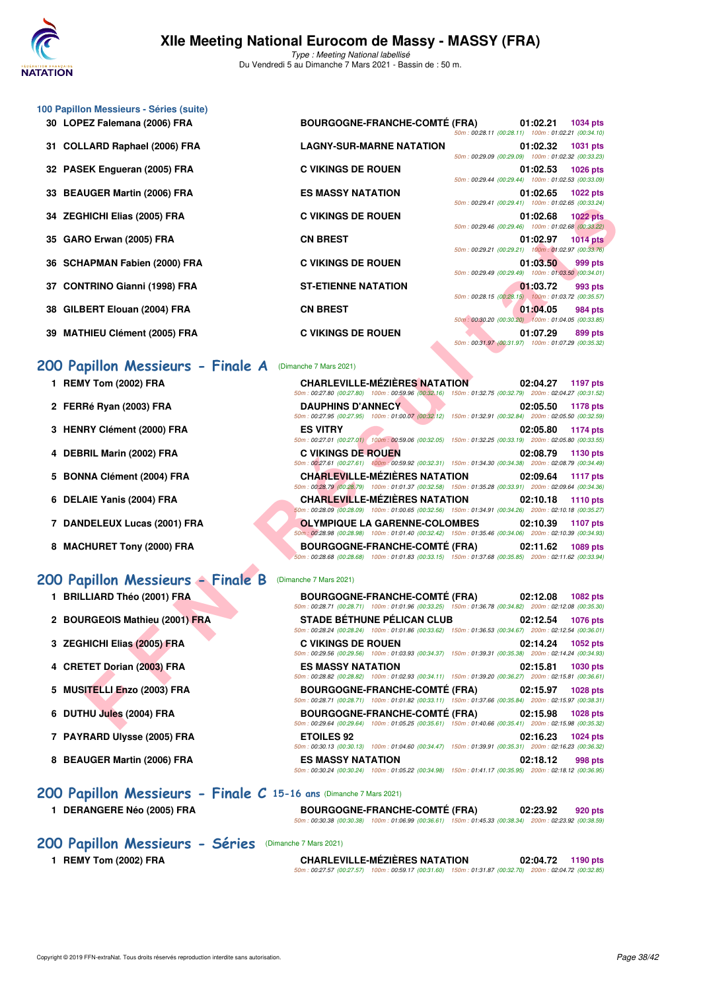

| 30 LOPEZ Falemana (2006) FRA  | <b>BOURGOGNE-FRANCHE-COMTÉ (FRA)</b> | 50m: 00:28.11 (00:28.11) 100m: 01:02.21 (00:34.10) | 01:02.21            | 1034 pts        |
|-------------------------------|--------------------------------------|----------------------------------------------------|---------------------|-----------------|
| 31 COLLARD Raphael (2006) FRA | <b>LAGNY-SUR-MARNE NATATION</b>      | 50m: 00:29.09 (00:29.09) 100m: 01:02.32 (00:33.23) | 01:02.32            | 1031 pts        |
| 32 PASEK Engueran (2005) FRA  | <b>C VIKINGS DE ROUEN</b>            | 50m: 00:29.44 (00:29.44) 100m: 01:02.53 (00:33.09) | 01:02.53 1026 pts   |                 |
| 33 BEAUGER Martin (2006) FRA  | <b>ES MASSY NATATION</b>             | 50m: 00:29.41 (00:29.41) 100m: 01:02.65 (00:33.24) | $01:02.65$ 1022 pts |                 |
| 34 ZEGHICHI Elias (2005) FRA  | <b>C VIKINGS DE ROUEN</b>            | 50m: 00:29.46 (00:29.46) 100m: 01:02.68 (00:33.22) | 01:02.68 1022 pts   |                 |
| 35 GARO Erwan (2005) FRA      | <b>CN BREST</b>                      | 50m: 00:29.21 (00:29.21) 100m: 01:02.97 (00:33.76) | 01:02.97            | <b>1014 pts</b> |
| 36 SCHAPMAN Fabien (2000) FRA | <b>C VIKINGS DE ROUEN</b>            | 50m: 00:29.49 (00:29.49) 100m: 01:03.50 (00:34.01) | 01:03.50            | 999 pts         |
| 37 CONTRINO Gianni (1998) FRA | <b>ST-ETIENNE NATATION</b>           | 50m: 00:28.15 (00:28.15) 100m: 01:03.72 (00:35.57) | 01:03.72            | 993 pts         |
| 38 GILBERT Elouan (2004) FRA  | <b>CN BREST</b>                      | 50m: 00:30.20 (00:30.20) 100m: 01:04.05 (00:33.85) | 01:04.05            | 984 pts         |
| 39 MATHIEU Clément (2005) FRA | <b>C VIKINGS DE ROUEN</b>            | 50m: 00:31.97 (00:31.97) 100m: 01:07.29 (00:35.32) | 01:07.29            | 899 pts         |

### **[200 Papillon Messieurs - Finale A](http://www.ffnatation.fr/webffn/resultats.php?idact=nat&go=epr&idcpt=69813&idepr=83)** (Dimanche 7 Mars 2021)

- **1 REMY Tom (2002) FRA CHARLEVILLE-MÉZIÈRES NATATION 02:04.27 1197 pts**
- **2 FERRé Ryan (2003) FRA DAUPHINS D'ANNECY 02:05.50 1178 pts**
- **3 HENRY Clément (2000) FRA ES VITRY 02:05.80 1174 pts**

**100 Papillon Messieurs - Séries (suite)**

- **4 DEBRIL Marin (2002) FRA C VIKINGS DE ROUEN 02:08.79 1130 pts**
- **5 BONNA Clément (2004) FRA CHARLEVILLE-MÉZIÈRES NATATION 02:09.64 1117 pts**
- **6 DELAIE Yanis (2004) FRA CHARLEVILLE-MÉZIÈRES NATATION 02:10.18 1110 pts**
- **7 DANDELEUX Lucas (2001) FRA OLYMPIQUE LA GARENNE-COLOMBES 02:10.39 1107 pts**
- **8 MACHURET Tony (2000) FRA BOURGOGNE-FRANCHE-COMTÉ (FRA) 02:11.62 1089 pts**

### **[200 Papillon Messieurs - Finale B](http://www.ffnatation.fr/webffn/resultats.php?idact=nat&go=epr&idcpt=69813&idepr=83)** (Dimanche 7 Mars 2021)

|    | 34 ZEGHICHI Elias (2005) FRA      | <b>C VIKINGS DE ROUEN</b><br>01:02.68<br><b>1022 pts</b>                                                                                                                      |
|----|-----------------------------------|-------------------------------------------------------------------------------------------------------------------------------------------------------------------------------|
|    | 35 GARO Erwan (2005) FRA          | 50m: 00:29.46 (00:29.46) 100m: 01:02.68 (00:33.22)<br><b>CN BREST</b><br>01:02.97<br><b>1014 pts</b>                                                                          |
| 36 | <b>SCHAPMAN Fabien (2000) FRA</b> | 50m: 00:29.21 (00:29.21) 100m: 01:02.97 (00:33.76)<br><b>C VIKINGS DE ROUEN</b><br>01:03.50<br>999 pts                                                                        |
|    | <b>CONTRINO Gianni (1998) FRA</b> | 50m: 00:29.49 (00:29.49) 100m: 01:03.50 (00:34.01)<br><b>ST-ETIENNE NATATION</b><br>01:03.72<br>993 pts                                                                       |
| 38 | GILBERT Elouan (2004) FRA         | 50m: 00:28.15 (00:28.15)  100m: 01:03.72  (00:35.57)<br><b>CN BREST</b><br>01:04.05<br>984 pts                                                                                |
| 39 | <b>MATHIEU Clément (2005) FRA</b> | 50m: 00:30.20 (00:30.20) 100m: 01:04.05 (00:33.85)<br><b>C VIKINGS DE ROUEN</b><br>01:07.29<br>899 pts                                                                        |
|    |                                   | 50m: 00:31.97 (00:31.97) 100m: 01:07.29 (00:35.32)                                                                                                                            |
|    | 200 Papillon Messieurs - Finale A | (Dimanche 7 Mars 2021)                                                                                                                                                        |
|    | 1 REMY Tom (2002) FRA             | <b>CHARLEVILLE-MÉZIÈRES NATATION</b><br>02:04.27<br>1197 pts<br>50m: 00:27.80 (00:27.80) 100m: 00:59.96 (00:32.16) 150m: 01:32.75 (00:32.79) 200m: 02:04.27 (00:31.52)        |
|    | 2 FERRé Ryan (2003) FRA           | <b>DAUPHINS D'ANNECY</b><br>02:05.50<br>1178 pts<br>50m : 00:27.95 (00:27.95) 100m : 01:00.07 (00:32.12) 150m : 01:32.91 (00:32.84) 200m : 02:05.50 (00:32.59)                |
|    | 3 HENRY Clément (2000) FRA        | <b>ES VITRY</b><br>02:05.80<br><b>1174 pts</b>                                                                                                                                |
|    | 4 DEBRIL Marin (2002) FRA         | 50m : 00:27.01 (00:27.01) 100m : 00:59.06 (00:32.05) 150m : 01:32.25 (00:33.19) 200m : 02:05.80 (00:33.55)<br><b>C VIKINGS DE ROUEN</b><br>02:08.79<br>1130 pts               |
|    | 5 BONNA Clément (2004) FRA        | 50m: 00:27.61 (00:27.61) 100m: 00:59.92 (00:32.31) 150m: 01:34.30 (00:34.38) 200m: 02:08.79 (00:34.49)<br><b>CHARLEVILLE-MÉZIÈRES NATATION</b><br>02:09.64<br><b>1117 pts</b> |
|    | 6 DELAIE Yanis (2004) FRA         | 50m: 00:28.79 (00:28.79) 100m: 01:01.37 (00:32.58) 150m: 01:35.28 (00:33.91) 200m: 02:09.64 (00:34.36)<br><b>CHARLEVILLE-MÉZIÈRES NATATION</b><br>02:10.18<br>1110 pts        |
|    |                                   | 50m: 00:28.09 (00:28.09) 100m: 01:00.65 (00:32.56) 150m: 01:34.91 (00:34.26) 200m: 02:10.18 (00:35.27)                                                                        |
|    | 7 DANDELEUX Lucas (2001) FRA      | <b>OLYMPIQUE LA GARENNE-COLOMBES</b><br>02:10.39<br>1107 pts<br>50m; 00:28.98 (00:28.98) 100m: 01:01.40 (00:32.42) 150m: 01:35.46 (00:34.06) 200m: 02:10.39 (00:34.93)        |
|    | 8 MACHURET Tony (2000) FRA        | <b>BOURGOGNE-FRANCHE-COMTE (FRA)</b><br>02:11.62<br>1089 pts<br>50m: 00:28.68 (00:28.68) 100m: 01:01.83 (00:33.15) 150m: 01:37.68 (00:35.85) 200m: 02:11.62 (00:33.94)        |
|    | 200 Papillon Messieurs - Finale B | (Dimanche 7 Mars 2021)                                                                                                                                                        |
|    | 1 BRILLIARD Théo (2001) FRA       | <b>BOURGOGNE-FRANCHE-COMTÉ (FRA)</b><br>02:12.08<br><b>1082 pts</b>                                                                                                           |
|    | 2 BOURGEOIS Mathieu (2001) FRA    | 50m: 00:28.71 (00:28.71) 100m: 01:01.96 (00:33.25) 150m: 01:36.78 (00:34.82) 200m: 02:12.08 (00:35.30)<br><b>STADE BÉTHUNE PÉLICAN CLUB</b><br>02:12.54<br>1076 pts           |
|    | 3 ZEGHICHI Elias (2005) FRA       | 50m: 00:28.24 (00:28.24) 100m: 01:01.86 (00:33.62) 150m: 01:36.53 (00:34.67) 200m: 02:12.54 (00:36.01)<br><b>C VIKINGS DE ROUEN</b><br>02:14.24<br>1052 pts                   |
|    | 4 CRETET Dorian (2003) FRA        | 50m: 00:29.56 (00:29.56) 100m: 01:03.93 (00:34.37) 150m: 01:39.31 (00:35.38) 200m: 02:14.24 (00:34.93)<br><b>ES MASSY NATATION</b><br>02:15.81<br><b>1030 pts</b>             |
|    |                                   | 50m: 00:28.82 (00:28.82) 100m: 01:02.93 (00:34.11) 150m: 01:39.20 (00:36.27) 200m: 02:15.81 (00:36.61)                                                                        |
|    | 5 MUSITELLI Enzo (2003) FRA       | <b>BOURGOGNE-FRANCHE-COMTÉ (FRA)</b><br>02:15.97<br><b>1028 pts</b><br>50m: 00:28.71 (00:28.71) 100m: 01:01.82 (00:33.11) 150m: 01:37.66 (00:35.84) 200m: 02:15.97 (00:38.31) |
|    | 6 DUTHU Jules (2004) FRA          | <b>BOURGOGNE-FRANCHE-COMTÉ (FRA)</b><br>02:15.98<br>1028 pts<br>50m: 00:29.64 (00:29.64) 100m: 01:05.25 (00:35.61) 150m: 01:40.66 (00:35.41) 200m: 02:15.98 (00:35.32)        |
|    | 7 PAYRARD Ulysse (2005) FRA       | <b>ETOILES 92</b><br>02:16.23<br>1024 pts<br>50m: 00:30.13 (00:30.13) 100m: 01:04.60 (00:34.47) 150m: 01:39.91 (00:35.31) 200m: 02:16.23 (00:36.32)                           |
|    | 8 BEAUGER Martin (2006) FRA       | <b>ES MASSY NATATION</b><br>02:18.12<br>998 pts                                                                                                                               |

**1 DERANGERE Néo (2005) FRA BOURGOGNE-FRANCHE-COMTÉ (FRA) 02:23.92 920 pts** 50m : 00:30.38 (00:30.38) 100m : 01:06.99 (00:36.61) 150m : 01:45.33 (00:38.34) 200m : 02:23.92 (00:38.59)

### **[200 Papillon Messieurs - Séries](http://www.ffnatation.fr/webffn/resultats.php?idact=nat&go=epr&idcpt=69813&idepr=83)** (Dimanche 7 Mars 2021)

- 
- **1 REMY Tom (2002) FRA CHARLEVILLE-MÉZIÈRES NATATION 02:04.72 1190 pts** 50m : 00:27.57 (00:27.57) 100m : 00:59.17 (00:31.60) 150m : 01:31.87 (00:32.70) 200m : 02:04.72 (00:32.85)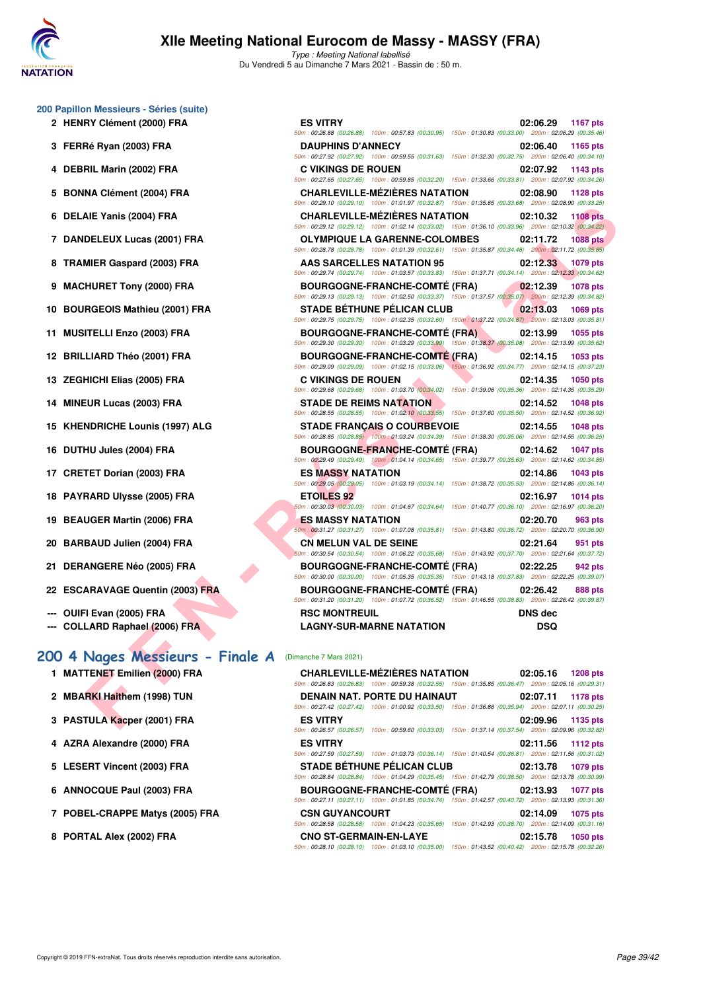

Type : Meeting National labellisé Du Vendredi 5 au Dimanche 7 Mars 2021 - Bassin de : 50 m.

50m : 00:26.88 (00:26.88) 100m : 00:57.83 (00:30.95) 150m : 01:30.83 (00:33.00) 200m : 02:06.29 (00:35.46)

50m : 00:27.92 (00:27.92) 100m : 00:59.55 (00:31.63) 150m : 01:32.30 (00:32.75) 200m : 02:06.40 (00:34.10)

50m : 00:27.65 (00:27.65) 100m : 00:59.85 (00:32.20) 150m : 01:33.66 (00:33.81) 200m : 02:07.92 (00:34.26)

50m : 00:29.10 (00:29.10) 100m : 01:01.97 (00:32.87) 150m : 01:35.65 (00:33.68) 200m : 02:08.90 (00:33.25)

| 200 Papillon Messieurs - Séries (suite) |  |  |  |
|-----------------------------------------|--|--|--|
|-----------------------------------------|--|--|--|

- **2 HENRY Clément (2000) FRA ES VITRY 02:06.29 1167 pts**
- **3 FERRé Ryan (2003) FRA DAUPHINS D'ANNECY 02:06.40 1165 pts**
- **4 DEBRIL Marin (2002) FRA C VIKINGS DE ROUEN 02:07.92 1143 pts**
- **5 BONNA Clément (2004) FRA CHARLEVILLE-MÉZIÈRES NATATION 02:08.90 1128 pts**
- **6 DELAIE Yanis (2004) FRA CHARLEVILLE-MÉZIÈRES NATATION 02:10.32 1108 pts**
- **7 DANDELEUX Lucas (2001) FRA OLYMPIQUE LA GARENNE-COLOMBES 02:11.72 1088 pts**
- **8 TRAMIER Gaspard (2003) FRA AAS SARCELLES NATATION 95 02:12.33 1079 pts**
- **9 MACHURET Tony (2000) FRA BOURGOGNE-FRANCHE-COMTÉ (FRA) 02:12.39 1078 pts**
- **10 BOURGEOIS Mathieu (2001) FRA STADE BÉTHUNE PÉLICAN CLUB 02:13.03 1069 pts**
- **11 MUSITELLI Enzo (2003) FRA BOURGOGNE-FRANCHE-COMTÉ (FRA) 02:13.99 1055 pts**
- **12 BRILLIARD Théo (2001) FRA** BOURGOGNE-FRANCHE-COMTÉ (FRA) 02:14.15 1053 pts<br> **50m**: 00:23.09 100m: 01:02.15 (00:33.06) 160m: 01:02.15 (00:33.06) 160m: 01:02.17 200m: 02:14.15 (00:37.23)
- **13 ZEGHICHI Elias (2005) FRA C VIKINGS DE ROUEN 02:14.35 1050 pts**
- **14 MINEUR Lucas (2003) FRA STADE DE REIMS NATATION 02:14.52 1048 pts**
- **15 KHENDRICHE Lounis (1997) ALG STADE FRANÇAIS O COURBEVOIE 02:14.55 1048 pts**
- **16 DUTHU Jules (2004) FRA BOURGOGNE-FRANCHE-COMTÉ (FRA) 02:14.62 1047 pts**
- **17 CRETET Dorian (2003) FRA ES MASSY NATATION 02:14.86 1043 pts**
- **18 PAYRARD Ulysse (2005) FRA ETOILES 92 02:16.97 1014 pts**
- **19 BEAUGER Martin (2006) FRA ES MASSY NATATION 02:20.70 963 pts**
- **20 BARBAUD Julien (2004) FRA CN MELUN VAL DE SEINE 02:21.64 951 pts**
- **21 DERANGERE Néo (2005) FRA BOURGOGNE-FRANCHE-COMTÉ (FRA) 02:22.25 942 pts**
- **22 ESCARAVAGE Quentin (2003) FRA BOURGOGNE-FRANCHE-COMTÉ (FRA) 02:26.42 888 pts**
- **--- OUIFI Evan (2005) FRA RSC MONTREUIL DNS dec**
- **--- COLLARD Raphael (2006) FRA LAGNY-SUR-MARNE NATATION DSQ**

2 **MBARKI Haithem (1998) TUN** 

**3 PASTULA Kacper (2001) FRA** 

**4 AZRA Alexandre (2000) FRA** 

**5 LESERT Vincent (2003) FRA** 

**6 ANNOCQUE Paul (2003) FRA** 

**8 PORTAL Alex (2002) FRA** 

**7 POBEL-CRAPPE Matys (2005) FRA** 

### **[200 4 Nages Messieurs - Finale A](http://www.ffnatation.fr/webffn/resultats.php?idact=nat&go=epr&idcpt=69813&idepr=91)** (Dimanche 7 Mars 2021) **1 MATTENET Emilien (2000) FRA**

|                                              | JUM DULLA TU (UULLA TU) TUUM DULUTAT (UULULUT) TUUM DULUT (UTIJULUU QUUDUDU) ZUUM DELUULUU (UULUULU)                                               |                              |
|----------------------------------------------|----------------------------------------------------------------------------------------------------------------------------------------------------|------------------------------|
| AIE Yanis (2004) FRA                         | <b>CHARLEVILLE-MÉZIÈRES NATATION</b><br>50m: 00:29.12 (00:29.12) 100m: 01:02.14 (00:33.02) 150m: 01:36.10 (00:33.96) 200m: 02:10.32 (00:34.22)     | 02:10.32<br><b>1108 pts</b>  |
| DELEUX Lucas (2001) FRA                      | <b>OLYMPIQUE LA GARENNE-COLOMBES</b><br>50m: 00:28.78 (00:28.78) 100m: 01:01.39 (00:32.61) 150m: 01:35.87 (00:34.48) 200m: 02:11.72 (00:35.85)     | <b>1088 pts</b><br>02:11.72  |
| MIER Gaspard (2003) FRA                      | AAS SARCELLES NATATION 95<br>50m: 00:29.74 (00:29.74) 100m: 01:03.57 (00:33.83) 150m: 01:37.71 (00:34.14) 200m: 02:12.33 (00:34.62)                | 02:12.33<br>1079 pts         |
| <b>HURET Tony (2000) FRA</b>                 | <b>BOURGOGNE-FRANCHE-COMTÉ (FRA)</b><br>50m: 00:29.13 (00:29.13) 100m: 01:02.50 (00:33.37) 150m: 01:37.57 (00:35.07) 200m: 02:12.39 (00:34.82)     | 02:12.39<br><b>1078 pts</b>  |
| RGEOIS Mathieu (2001) FRA                    | <b>STADE BETHUNE PELICAN CLUB</b><br>50m: 00:29.75 (00:29.75) 100m: 01:02.35 (00:32.60) 150m: 01:37.22 (00:34.87) 200m: 02:13.03 (00:35.81)        | 02:13.03<br>1069 pts         |
| <b>ITELLI Enzo (2003) FRA</b>                | <b>BOURGOGNE-FRANCHE-COMTE (FRA)</b><br>50m : 00:29.30 (00:29.30) 100m : 01:03.29 (00:33.99) 150m : 01:38.37 (00:35.08) 200m : 02:13.99 (00:35.62) | 02:13.99<br><b>1055 pts</b>  |
| LIARD Théo (2001) FRA                        | <b>BOURGOGNE-FRANCHE-COMTÉ (FRA)</b><br>50m : 00:29.09 (00:29.09) 100m : 01:02.15 (00:33.06) 150m : 01:36.92 (00:34.77) 200m : 02:14.15 (00:37.23) | 02:14.15<br>1053 pts         |
| HICHI Elias (2005) FRA                       | <b>C VIKINGS DE ROUEN</b><br>50m: 00:29.68 (00:29.68) 100m: 01:03.70 (00:34.02) 150m: 01:39.06 (00:35.36) 200m: 02:14.35 (00:35.29)                | 02:14.35<br><b>1050 pts</b>  |
| EUR Lucas (2003) FRA                         | <b>STADE DE REIMS NATATION</b><br>50m : 00:28.55 (00:28.55) 100m : 01:02.10 (00:33.55) 150m : 01:37.60 (00:35.50) 200m : 02:14.52 (00:36.92)       | 02:14.52<br><b>1048 pts</b>  |
| <b>NDRICHE Lounis (1997) ALG</b>             | <b>STADE FRANÇAIS O COURBEVOIE</b><br>$50m: 00:28.85 (00:28.85) -100m: 01:03.24 (00:34.39) -150m: 01:38.30 (00:35.06) -200m: 02:14.55 (00:36.25)$  | 02:14.55<br><b>1048 pts</b>  |
| HU Jules (2004) FRA                          | <b>BOURGOGNE-FRANCHE-COMTE (FRA)</b><br>50m: 00:29.49 (00:29.49) 100m: 01:04.14 (00:34.65) 150m: 01:39.77 (00:35.63) 200m: 02:14.62 (00:34.85)     | 02:14.62<br><b>1047 pts</b>  |
| TET Dorian (2003) FRA                        | <b>ES MASSY NATATION</b><br>50m: 00:29.05 (00:29.05) 100m: 01:03.19 (00:34.14) 150m: 01:38.72 (00:35.53) 200m: 02:14.86 (00:36.14)                 | 02:14.86<br><b>1043 pts</b>  |
| <b>RARD Ulysse (2005) FRA</b>                | <b>ETOILES 92</b><br>50m: 00:30.03 (00:30.03) 100m: 01:04.67 (00:34.64) 150m: 01:40.77 (00:36.10) 200m: 02:16.97 (00:36.20)                        | 02:16.97<br><b>1014 pts</b>  |
| UGER Martin (2006) FRA                       | <b>ES MASSY NATATION</b><br>50m: 00:31.27 (00:31.27) 100m: 01:07.08 (00:35.81) 150m: 01:43.80 (00:36.72) 200m: 02:20.70 (00:36.90)                 | 02:20.70<br>963 pts          |
| <b>BAUD Julien (2004) FRA</b>                | <b>CN MELUN VAL DE SEINE</b><br>50m : 00:30.54 (00:30.54) 100m : 01:06.22 (00:35.68) 150m : 01:43.92 (00:37.70) 200m : 02:21.64 (00:37.72)         | 02:21.64<br>951 pts          |
| ANGERE Néo (2005) FRA                        | <b>BOURGOGNE-FRANCHE-COMTÉ (FRA)</b><br>50m: 00:30.00 (00:30.00) 100m: 01:05.35 (00:35.35) 150m: 01:43.18 (00:37.83) 200m: 02:22.25 (00:39.07)     | 02:22.25<br>942 pts          |
| ARAVAGE Quentin (2003) FRA                   | <b>BOURGOGNE-FRANCHE-COMTÉ (FRA)</b><br>50m: 00:31.20 (00:31.20) 100m: 01:07.72 (00:36.52) 150m: 01:46.55 (00:38.83) 200m: 02:26.42 (00:39.87)     | 02:26.42<br>888 pts          |
| I Evan (2005) FRA<br>LARD Raphael (2006) FRA | <b>RSC MONTREUIL</b><br><b>LAGNY-SUR-MARNE NATATION</b>                                                                                            | <b>DNS dec</b><br><b>DSQ</b> |
| Nages Messieurs - Finale A                   | (Dimanche 7 Mars 2021)                                                                                                                             |                              |
| TENET Emilien (2000) FRA                     | <b>CHARLEVILLE-MEZIERES NATATION</b><br>50m: 00:26.83 (00:26.83) 100m: 00:59.38 (00:32.55) 150m: 01:35.85 (00:36.47) 200m: 02:05.16 (00:29.31)     | 02:05.16<br><b>1208 pts</b>  |
| <b>RKI Haithem (1998) TUN</b>                | DENAIN NAT. PORTE DU HAINAUT<br>50m : 00:27.42 (00:27.42) 100m : 01:00.92 (00:33.50) 150m : 01:36.86 (00:35.94) 200m : 02:07.11 (00:30.25)         | 02:07.11<br>1178 pts         |
| TULA Kacper (2001) FRA                       | <b>ES VITRY</b><br>$50m:00:26.57 (00:26.57) 100m:00:59.60 (00:33.03) 150m:01:37.14 (00:37.54) 200m:02:09.96 (00:32.82)$                            | 02:09.96 1135 pts            |
| A Alexandre (2000) FRA                       | <b>ES VITRY</b><br>50m: 00:27.59 (00:27.59) 100m: 01:03.73 (00:36.14) 150m: 01:40.54 (00:36.81) 200m: 02:11.56 (00:31.02)                          | 02:11.56<br>1112 pts         |
| ERT Vincent (2003) FRA                       | <b>STADE BÉTHUNE PÉLICAN CLUB</b><br>50m: 00:28.84 (00:28.84) 100m: 01:04.29 (00:35.45) 150m: 01:42.79 (00:38.50) 200m: 02:13.78 (00:30.99)        | 02:13.78<br><b>1079 pts</b>  |
| OCQUE Paul (2003) FRA                        | <b>BOURGOGNE-FRANCHE-COMTÉ (FRA)</b><br>50m: 00:27.11 (00:27.11) 100m: 01:01.85 (00:34.74) 150m: 01:42.57 (00:40.72) 200m: 02:13.93 (00:31.36)     | 02:13.93<br>1077 pts         |
| EL-CRAPPE Matys (2005) FRA                   | <b>CSN GUYANCOURT</b><br>50m: 00:28.58 (00:28.58) 100m: 01:04.23 (00:35.65) 150m: 01:42.93 (00:38.70) 200m: 02:14.09 (00:31.16)                    | 02:14.09<br>1075 pts         |
| TAL Alex (2002) FRA                          | <b>CNO ST-GERMAIN-EN-LAYE</b><br>50m : 00:28 10 (00:28 10) 100m : 01:03 10 (00:35 00) 150m : 01:43 52 (00:40 42) 200m : 02:15 78 (00:32 26)        | 02:15.78<br><b>1050 pts</b>  |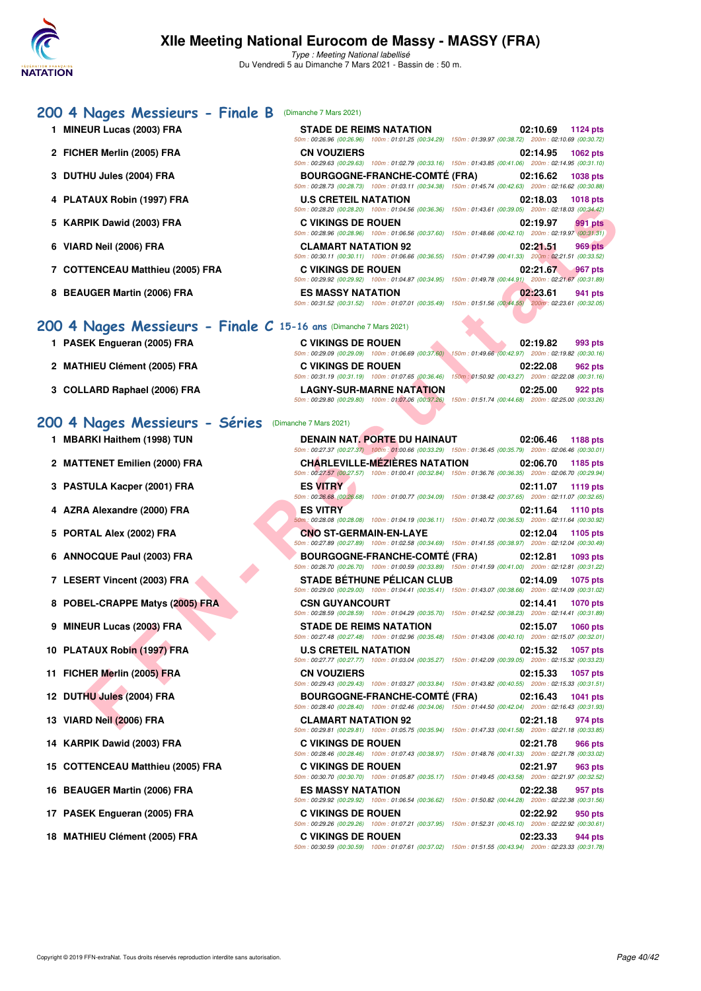

# **[200 4 Nages Messieurs - Finale B](http://www.ffnatation.fr/webffn/resultats.php?idact=nat&go=epr&idcpt=69813&idepr=91)** (Dimanche 7 Mars 2021) **1 MINEUR Lucas (2003) FRA**

- **2 FICHER Merlin (2005) FRA**
- 3 DUTHU Jules (2004) FRA
- 4 PLATAUX Robin (1997) FRA
- **5 KARPIK Dawid (2003) FRA**
- **6 VIARD Neil (2006) FRA CLAMART NATATION 92 02:21.51 969 pts**
- **7 COTTENCEAU Matthieu (2005) FRA**
- **8 BEAUGER Martin (2006) FRA**

### **200 4 Nages Messieurs - Finale**

- 1 PASEK Engueran (2005) FRA
- 2 MATHIEU Clément (2005) FRA
- 3 COLLARD Raphael (2006) FRA

### **200 4 Nages Messie**

- **1 MBARKI Haithem (1998) TUN**
- 2 **MATTENET Emilien (2000) FRA**
- **3 PASTULA Kacper (2001) FRA**
- **4 AZRA Alexandre (2000) FRA**
- **5 PORTAL Alex (2002) FRA**
- **6 ANNOCQUE Paul (2003) FRA**
- 7 LESERT Vincent (2003) FRA
- **8 POBEL-CRAPPE Matys (2005) FRA**
- **9 MINEUR Lucas (2003) FRA**
- **10 PLATAUX Robin (1997) FRA**
- **11 FICHER Merlin (2005) FRA**
- **12 DUTHU Jules (2004) FRA**
- **13 VIARD Neil (2006) FRA**
- **14 KARPIK Dawid (2003) FRA**
- **15 COTTENCEAU Matthieu (2005) FRA**
- 16 BEAUGER Martin (2006) FRA
- 17 PASEK Engueran (2005) FRA
- 18 MATHIEU Clément (2005) FRA

| <b>STADE DE REIMS NATATION</b> | 02:10.69 1124 pts                                                                                      |
|--------------------------------|--------------------------------------------------------------------------------------------------------|
|                                | 50m: 00:26.96 (00:26.96) 100m: 01:01.25 (00:34.29) 150m: 01:39.97 (00:38.72) 200m: 02:10.69 (00:30.72) |
| <b>CN VOUZIERS</b>             | 02:14.95 1062 pts                                                                                      |
|                                | 50m: 00:29.63 (00:29.63) 100m: 01:02.79 (00:33.16) 150m: 01:43.85 (00:41.06) 200m: 02:14.95 (00:31.10) |
|                                | BOURGOGNE-FRANCHE-COMTÉ (FRA) 02:16.62 1038 pts                                                        |
|                                | 50m: 00:28.73 (00:28.73) 100m: 01:03.11 (00:34.38) 150m: 01:45.74 (00:42.63) 200m: 02:16.62 (00:30.88) |
| <b>U.S CRETEIL NATATION</b>    | 02:18.03 1018 pts                                                                                      |
|                                | 50m: 00:28.20 (00:28.20) 100m: 01:04.56 (00:36.36) 150m: 01:43.61 (00:39.05) 200m: 02:18.03 (00:34.42) |
| C VIKINGS DE ROUEN             | 02:19.97 991 pts                                                                                       |
|                                | 50m: 00:28.96 (00:28.96) 100m: 01:06.56 (00:37.60) 150m: 01:48.66 (00:42.10) 200m: 02:19.97 (00:31.31) |
| <b>CLAMART NATATION 92</b>     | 02:21.51 969 pts                                                                                       |
|                                | 50m: 00:30.11 (00:30.11) 100m: 01:06.66 (00:36.55) 150m: 01:47.99 (00:41.33) 200m: 02:21.51 (00:33.52) |
| <b>C VIKINGS DE ROUEN</b>      | 02:21.67 967 pts                                                                                       |
|                                | 50m: 00:29.92 (00:29.92) 100m: 01:04.87 (00:34.95) 150m: 01:49.78 (00:44.91) 200m: 02:21.67 (00:31.89) |
| <b>ES MASSY NATATION</b>       | 02:23.61 941 pts                                                                                       |
|                                | 50m: 00:31.52 (00:31.52) 100m: 01:07.01 (00:35.49) 150m: 01:51.56 (00:44.55) 200m: 02:23.61 (00:32.05) |

| <b>es Messieurs - Finale C 15-16 ans (Dimanche 7 Mars 2021</b> |  |  |  |  |
|----------------------------------------------------------------|--|--|--|--|
|                                                                |  |  |  |  |

| <b>C VIKINGS DE ROUEN</b>                          | 02:19.82<br>993 pts                                 |
|----------------------------------------------------|-----------------------------------------------------|
| 50m: 00:29.09 (00:29.09) 100m: 01:06.69 (00:37.60) | 150m: 01:49.66 (00:42.97) 200m: 02:19.82 (00:30.16) |
| <b>C VIKINGS DE ROUEN</b>                          | 02:22.08<br>962 pts                                 |
| 50m: 00:31.19 (00:31.19) 100m: 01:07.65 (00:36.46) | 150m: 01:50.92 (00:43.27) 200m: 02:22.08 (00:31.16) |
| <b>LAGNY-SUR-MARNE NATATION</b>                    | 02:25.00<br>922 pts                                 |
| 50m: 00:29.80 (00:29.80) 100m: 01:07.06 (00:37.26) | 150m: 01:51.74 (00:44.68) 200m: 02:25.00 (00:33.26) |

| <b>2UMS</b> | <b>Séries</b> | (Dimanche 7 Mars 2021) |
|-------------|---------------|------------------------|
|-------------|---------------|------------------------|

|                                                               | 50m : 00:28.20 (00:28.20) 100m : 01:04.56 (00:36.36) 150m : 01:43.61 (00:39.05) 200m : 02:18.03 (00:34.42)                                                                                                                                          |                             |
|---------------------------------------------------------------|-----------------------------------------------------------------------------------------------------------------------------------------------------------------------------------------------------------------------------------------------------|-----------------------------|
| PIK Dawid (2003) FRA                                          | <b>C VIKINGS DE ROUEN</b><br>50m : 00:28.96 (00:28.96) 100m : 01:06.56 (00:37.60) 150m : 01:48.66 (00:42.10) 200m : 02:19.97 (00:31.31)                                                                                                             | 02:19.97<br>991 pts         |
| <b>≀D Neil (2006) FRA</b>                                     | <b>CLAMART NATATION 92</b><br>50m: 00:30.11 (00:30.11) 100m: 01:06.66 (00:36.55) 150m: 01:47.99 (00:41.33) 200m: 02:21.51 (00:33.52)                                                                                                                | 02:21.51<br>969 pts         |
| TENCEAU Matthieu (2005) FRA                                   | <b>C VIKINGS DE ROUEN</b><br>50m: 00:29.92 (00:29.92) 100m: 01:04.87 (00:34.95) 150m: 01:49.78 (00:44.91) 200m: 02:21.67 (00:31.89)                                                                                                                 | 02:21.67<br>967 pts         |
| UGER Martin (2006) FRA                                        | <b>ES MASSY NATATION</b><br>50m : 00:31.52 (00:31.52) 100m : 01:07.01 (00:35.49) 150m : 01:51.56 (00:44.55) 200m : 02:23.61 (00:32.05)                                                                                                              | 02:23.61<br>941 pts         |
| Nages Messieurs - Finale $C$ 15-16 ans (Dimanche 7 Mars 2021) |                                                                                                                                                                                                                                                     |                             |
| EK Engueran (2005) FRA                                        | <b>C VIKINGS DE ROUEN</b><br>50m : 00:29.09 (00:29.09) 100m : 01:06.69 (00:37.60) 150m : 01:49.66 (00:42.97) 200m : 02:19.82 (00:30.16)                                                                                                             | 02:19.82<br>993 pts         |
| HIEU Clément (2005) FRA                                       | <b>C VIKINGS DE ROUEN</b>                                                                                                                                                                                                                           | 02:22.08<br>962 pts         |
| LARD Raphael (2006) FRA                                       | 50m: 00:31.19 (00:31.19) 100m: 01:07.65 (00:36.46) 150m: 01:50.92 (00:43.27) 200m: 02:22.08 (00:31.16)<br><b>LAGNY-SUR-MARNE NATATION</b><br>50m: 00:29.80 (00:29.80) 100m: 01:07.06 (00:37.26) 150m: 01:51.74 (00:44.68) 200m: 02:25.00 (00:33.26) | 02:25.00<br>922 pts         |
| Nages Messieurs - Séries                                      | (Dimanche 7 Mars 2021)                                                                                                                                                                                                                              |                             |
| RKI Haithem (1998) TUN                                        | DENAIN NAT. PORTE DU HAINAUT<br>50m: 00:27.37 (00:27.37) 100m: 01:00.66 (00:33.29) 150m: 01:36.45 (00:35.79) 200m: 02:06.46 (00:30.01)                                                                                                              | 02:06.46<br>1188 pts        |
| TENET Emilien (2000) FRA                                      | <b>CHARLEVILLE-MEZIERES NATATION</b>                                                                                                                                                                                                                | 02:06.70<br>1185 pts        |
| TULA Kacper (2001) FRA                                        | 50m: 00:27.57 (00:27.57) 100m: 01:00.41 (00:32.84) 150m: 01:36.76 (00:36.35) 200m: 02:06.70 (00:29.94)<br><b>ES VITRY</b>                                                                                                                           | 02:11.07<br>1119 pts        |
| A Alexandre (2000) FRA                                        | 50m: 00:26.68 (00:26.68) 100m: 01:00.77 (00:34.09) 150m: 01:38.42 (00:37.65) 200m: 02:11.07 (00:32.65)<br><b>ES VITRY</b>                                                                                                                           | 02:11.64<br><b>1110 pts</b> |
| TAL Alex (2002) FRA                                           | 50m; 00:28.08 (00:28.08) 100m: 01:04.19 (00:36.11) 150m: 01:40.72 (00:36.53) 200m: 02:11.64 (00:30.92)<br><b>CNO ST-GERMAIN-EN-LAYE</b>                                                                                                             | 02:12.04<br>1105 pts        |
| OCQUE Paul (2003) FRA                                         | 50m: 00:27.89 (00:27.89) 100m: 01:02.58 (00:34.69) 150m: 01:41.55 (00:38.97) 200m: 02:12.04 (00:30.49)<br><b>BOURGOGNE-FRANCHE-COMTÉ (FRA)</b>                                                                                                      | 02:12.81<br>1093 pts        |
| ERT Vincent (2003) FRA                                        | 50m: 00:26.70 (00:26.70) 100m: 01:00.59 (00:33.89) 150m: 01:41.59 (00:41.00) 200m: 02:12.81 (00:31.22)<br><b>STADE BETHUNE PELICAN CLUB</b>                                                                                                         | 02:14.09<br><b>1075 pts</b> |
| EL-CRAPPE Matys (2005) FRA                                    | 50m : 00:29.00 (00:29.00) 100m : 01:04.41 (00:35.41) 150m : 01:43.07 (00:38.66) 200m : 02:14.09 (00:31.02)<br><b>CSN GUYANCOURT</b>                                                                                                                 | 02:14.41<br><b>1070 pts</b> |
| EUR Lucas (2003) FRA                                          | 50m: 00:28.59 (00:28.59) 100m: 01:04.29 (00:35.70) 150m: 01:42.52 (00:38.23) 200m: 02:14.41 (00:31.89)<br><b>STADE DE REIMS NATATION</b>                                                                                                            | 02:15.07<br><b>1060 pts</b> |
| TAUX Robin (1997) FRA                                         | 50m : 00:27.48 (00:27.48) 100m : 01:02.96 (00:35.48) 150m : 01:43.06 (00:40.10) 200m : 02:15.07 (00:32.01)<br><b>U.S CRETEIL NATATION</b>                                                                                                           | 02:15.32<br><b>1057 pts</b> |
| IER Merlin (2005) FRA                                         | 50m: 00:27.77 (00:27.77) 100m: 01:03.04 (00:35.27) 150m: 01:42.09 (00:39.05) 200m: 02:15.32 (00:33.23)<br><b>CN VOUZIERS</b>                                                                                                                        | 02:15.33<br><b>1057 pts</b> |
| HU Jules (2004) FRA                                           | 50m: 00:29.43 (00:29.43) 100m: 01:03.27 (00:33.84) 150m: 01:43.82 (00:40.55) 200m: 02:15.33 (00:31.51)<br><b>BOURGOGNE-FRANCHE-COMTE (FRA)</b>                                                                                                      | 02:16.43<br><b>1041 pts</b> |
| ID Neil (2006) FRA                                            | 50m : 00:28.40 (00:28.40) 100m : 01:02.46 (00:34.06) 150m : 01:44.50 (00:42.04) 200m : 02:16.43 (00:31.93)<br><b>CLAMART NATATION 92</b>                                                                                                            | 02:21.18<br>974 pts         |
| PIK Dawid (2003) FRA                                          | 50m: 00:29.81 (00:29.81) 100m: 01:05.75 (00:35.94) 150m: 01:47.33 (00:41.58) 200m: 02:21.18 (00:33.85)<br><b>C VIKINGS DE ROUEN</b>                                                                                                                 | 02:21.78<br>966 pts         |
| TENCEAU Matthieu (2005) FRA                                   | 50m: 00:28.46 (00:28.46) 100m: 01:07.43 (00:38.97) 150m: 01:48.76 (00:41.33) 200m: 02:21.78 (00:33.02)<br><b>C VIKINGS DE ROUEN</b>                                                                                                                 | 02:21.97<br>963 pts         |
| UGER Martin (2006) FRA                                        | 50m: 00:30.70 (00:30.70) 100m: 01:05.87 (00:35.17) 150m: 01:49.45 (00:43.58) 200m: 02:21.97 (00:32.52)<br><b>ES MASSY NATATION</b>                                                                                                                  | 02:22.38<br>957 pts         |
| EK Engueran (2005) FRA                                        | 50m : 00:29.92 (00:29.92) 100m : 01:06.54 (00:36.62) 150m : 01:50.82 (00:44.28) 200m : 02:22.38 (00:31.56)<br><b>C VIKINGS DE ROUEN</b>                                                                                                             | 02:22.92<br>950 pts         |
| HIEU Clément (2005) FRA                                       | $50m:00:29.26$ (00:29.26) $100m:01:07.21$ (00:37.95) $150m:01:52.31$ (00:45.10) $200m:02:22.92$ (00:30.61)<br><b>C VIKINGS DE ROUEN</b><br>50m: 00:30.59 (00:30.59) 100m: 01:07.61 (00:37.02) 150m: 01:51.55 (00:43.94) 200m: 02:23.33 (00:31.78)   | 02:23.33<br>944 pts         |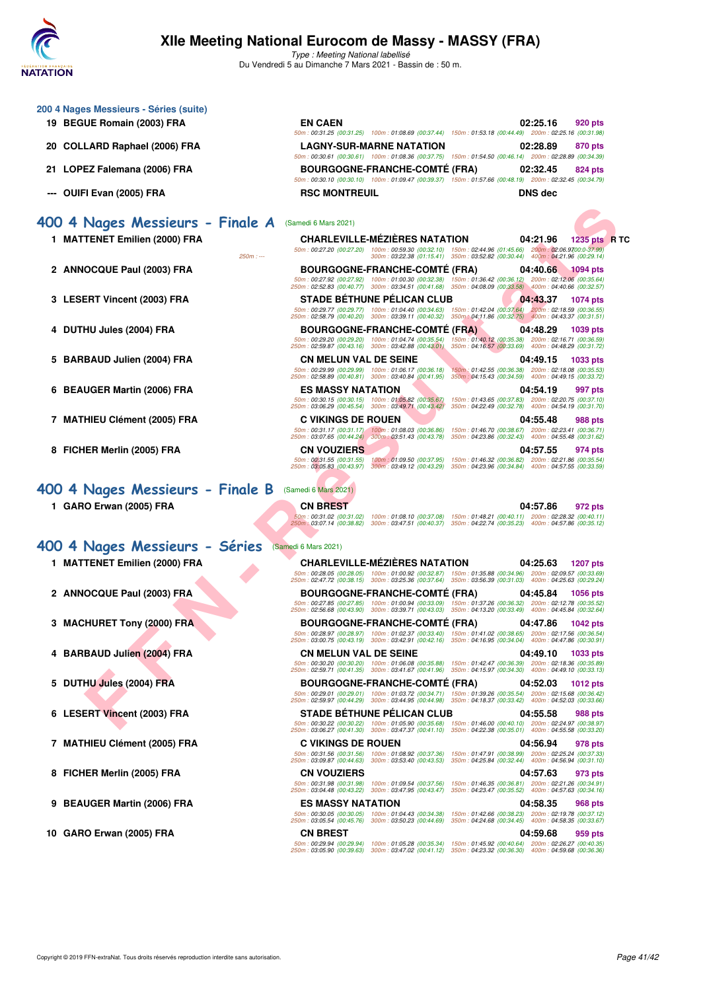

| 200 4 Nages Messieurs - Séries (suite)<br>19 BEGUE Romain (2003) FRA | <b>EN CAEN</b>                                                                                                                                                                                                                                            | 02:25.16<br>920 pts                                                                                        |
|----------------------------------------------------------------------|-----------------------------------------------------------------------------------------------------------------------------------------------------------------------------------------------------------------------------------------------------------|------------------------------------------------------------------------------------------------------------|
|                                                                      | 50m: 00:31.25 (00:31.25) 100m: 01:08.69 (00:37.44) 150m: 01:53.18 (00:44.49) 200m: 02:25.16 (00:31.98)                                                                                                                                                    |                                                                                                            |
| COLLARD Raphael (2006) FRA<br>20                                     | <b>LAGNY-SUR-MARNE NATATION</b><br>50m: 00:30.61 (00:30.61) 100m: 01:08.36 (00:37.75) 150m: 01:54.50 (00:46.14) 200m: 02:28.89 (00:34.39)                                                                                                                 | 02:28.89<br>870 pts                                                                                        |
| LOPEZ Falemana (2006) FRA<br>21.                                     | <b>BOURGOGNE-FRANCHE-COMTE (FRA)</b><br>50m: 00:30.10 (00:30.10) 100m: 01:09.47 (00:39.37) 150m: 01:57.66 (00:48.19) 200m: 02:32.45 (00:34.79)                                                                                                            | 02:32.45<br>824 pts                                                                                        |
| OUIFI Evan (2005) FRA<br>---                                         | <b>RSC MONTREUIL</b>                                                                                                                                                                                                                                      | <b>DNS</b> dec                                                                                             |
| 400 4 Nages Messieurs - Finale A                                     | (Samedi 6 Mars 2021)                                                                                                                                                                                                                                      |                                                                                                            |
| 1 MATTENET Emilien (2000) FRA                                        | <b>CHARLEVILLE-MEZIERES NATATION</b><br>100m: 00:59.30 (00:32.10) 150m: 02:44.96 (01:45.66)<br>50m: 00:27.20 (00:27.20)<br>300m: 03:22.38 (01:15.41) 350m: 03:52.82 (00:30.44) 400m: 04:21.96 (00:29.14)<br>$250m: -$                                     | 04:21.96<br>1235 pts R TC<br>200m: 02:06.9700:0-37.99)                                                     |
| 2 ANNOCQUE Paul (2003) FRA                                           | <b>BOURGOGNE-FRANCHE-COMTE (FRA)</b><br>50m: 00:27.92 (00:27.92) 100m: 01:00.30 (00:32.38) 150m: 01:36.42 (00:36.12) 200m: 02:12.06 (00:35.64)<br>250m: 02:52.83 (00:40.77) 300m: 03:34.51 (00:41.68) 350m: 04:08.09 (00:33.58) 400m: 04:40.66 (00:32.57) | 04:40.66<br>$\sqrt{1094}$ pts                                                                              |
| 3<br><b>LESERT Vincent (2003) FRA</b>                                | <b>STADE BETHUNE PELICAN CLUB</b><br>50m: 00:29.77 (00:29.77) 100m: 01:04.40 (00:34.63)<br>150m: 01:42.04 (00:37.64)                                                                                                                                      | 04:43.37<br><b>1074 pts</b><br>200m: 02:18.59 (00:36.55)                                                   |
| DUTHU Jules (2004) FRA<br>4                                          | 250m: 02:58.79 (00:40.20) 300m: 03:39.11 (00:40.32)<br><b>BOURGOGNE-FRANCHE-COMTE (FRA)</b>                                                                                                                                                               | 350m : 04:11.86 (00:32.75) 400m : 04:43.37 (00:31.51)<br>04:48.29<br>1039 pts                              |
|                                                                      | 50m: 00:29.20 (00:29.20) 100m: 01:04.74 (00:35.54)<br>250m: 02:59.87 (00:43.16) 300m: 03:42.88 (00:43.01)                                                                                                                                                 | 150m: 01:40.12 (00:35.38) 200m: 02:16.71 (00:36.59)<br>350m: 04:16.57 (00:33.69) 400m: 04:48.29 (00:31.72) |
| 5<br><b>BARBAUD Julien (2004) FRA</b>                                | <b>CN MELUN VAL DE SEINE</b>                                                                                                                                                                                                                              | 04:49.15<br>1033 pts                                                                                       |
|                                                                      | 50m: 00:29.99 (00:29.99) 100m: 01:06.17 (00:36.18)<br>250m: 02:58.89 (00:40.81) 300m: 03:40.84 (00:41.95)                                                                                                                                                 | 150m: 01:42.55 (00:36.38) 200m: 02:18.08 (00:35.53)<br>350m: 04:15.43 (00:34.59) 400m: 04:49.15 (00:33.72) |
| <b>BEAUGER Martin (2006) FRA</b><br>6                                | <b>ES MASSY NATATION</b><br>50m: 00:30.15 (00:30.15) 100m: 01:05.82 (00:35.67)                                                                                                                                                                            | 04:54.19<br>997 pts<br>150m: 01:43.65 (00:37.83) 200m: 02:20.75 (00:37.10)                                 |
|                                                                      | 250m: 03:06.29 (00:45.54) 300m: 03:49.71 (00:43.42)                                                                                                                                                                                                       | 350m: 04:22.49 (00:32.78) 400m: 04:54.19 (00:31.70)                                                        |
| <b>MATHIEU Clément (2005) FRA</b><br>7                               | <b>C VIKINGS DE ROUEN</b><br>150m: 01:46.70 (00:38.67)<br>50m: 00:31.17 (00:31.17) 100m: 01:08.03 (00:36.86)                                                                                                                                              | 04:55.48<br>988 pts<br>200m: 02:23.41 (00:36.71)                                                           |
|                                                                      | 250m: 03:07.65 (00:44.24) 300m: 03:51.43 (00:43.78)<br>350m: 04:23.86 (00:32.43)                                                                                                                                                                          | 400m: 04:55.48 (00:31.62)                                                                                  |
| 8<br>FICHER Merlin (2005) FRA                                        | <b>CN VOUZIERS</b><br>50m: 00:31.55 (00:31.55)<br>150m: 01:46.32 (00:36.82)<br>100m: 01:09.50 (00:37.95)<br>250m: 03:05.83 (00:43.97)<br>300m: 03:49.12 (00:43.29)                                                                                        | 04:57.55<br>974 pts<br>200m: 02:21.86 (00:35.54)<br>350m: 04:23.96 (00:34.84) 400m: 04:57.55 (00:33.59)    |
| 400 4 Nages Messieurs - Finale B                                     | (Samedi 6 Mars 2021)                                                                                                                                                                                                                                      |                                                                                                            |
| 1 GARO Erwan (2005) FRA                                              | CN BREST                                                                                                                                                                                                                                                  | 04:57.86<br>972 pts                                                                                        |
|                                                                      | 50m: 00:31.02 (00:31.02)<br>100m: 01:08.10 (00:37.08)<br>250m: 03:07.14 (00:38.82)<br>300m: 03:47.51 (00:40.37) 350m: 04:22.74 (00:35.23) 400m: 04:57.86 (00:35.12)                                                                                       | 150m: 01:48.21 (00:40.11) 200m: 02:28.32 (00:40.11)                                                        |
| 400 4 Nages Messieurs - Séries                                       | (Samedi 6 Mars 2021)                                                                                                                                                                                                                                      |                                                                                                            |
| 1 MATTENET Emilien (2000) FRA                                        | <b>CHARLEVILLE-MEZIERES NATATION</b>                                                                                                                                                                                                                      | 04:25.63<br><b>1207 pts</b>                                                                                |
|                                                                      | 50m: 00:28.05 (00:28.05) 100m: 01:00.92 (00:32.87) 150m: 01:35.88 (00:34.96)<br>250m: 02:47.72 (00:38.15) 300m: 03:25.36 (00:37.64) 350m: 03:56.39 (00:31.03)                                                                                             | 200m: 02:09.57 (00:33.69)<br>400m: 04:25.63 (00:29.24)                                                     |
| 2<br><b>ANNOCQUE Paul (2003) FRA</b>                                 | <b>BOURGOGNE-FRANCHE-COMTE (FRA)</b>                                                                                                                                                                                                                      | 04:45.84<br>1056 pts                                                                                       |
|                                                                      | 50m: 00:27.85 (00:27.85)<br>100m: 01:00.94 (00:33.09) 150m: 01:37.26 (00:36.32)<br>250m: 02:56.68 (00:43.90) 300m: 03:39.71 (00:43.03) 350m: 04:13.20 (00:33.49)                                                                                          | 200m: 02:12.78 (00:35.52)<br>400m: 04:45.84 (00:32.64)                                                     |
| <b>MACHURET Tony (2000) FRA</b><br>3.                                | <b>BOURGOGNE-FRANCHE-COMTÉ (FRA)</b><br>50m: 00:28.97 (00:28.97) 100m: 01:02.37 (00:33.40)                                                                                                                                                                | 04:47.86<br>1042 pts                                                                                       |
|                                                                      | 250m : 03:00.75 (00:43.19) 300m : 03:42.91 (00:42.16)                                                                                                                                                                                                     | 150m: 01:41.02 (00:38.65) 200m: 02:17.56 (00:36.54)<br>350m: 04:16.95 (00:34.04) 400m: 04:47.86 (00:30.91) |
| 4 BARBAUD Julien (2004) FRA                                          | <b>CN MELUN VAL DE SEINE</b><br>50m: 00:30.20 (00:30.20) 100m: 01:06.08 (00:35.88)                                                                                                                                                                        | 04:49.10<br>1033 pts<br>150m: 01:42.47 (00:36.39) 200m: 02:18.36 (00:35.89)                                |
|                                                                      | 250m: 02:59.71 (00:41.35) 300m: 03:41.67 (00:41.96)                                                                                                                                                                                                       | 350m: 04:15.97 (00:34.30) 400m: 04:49.10 (00:33.13)                                                        |
| 5<br>DUTHU Jules (2004) FRA                                          | <b>BOURGOGNE-FRANCHE-COMTE (FRA)</b><br>50m: 00:29.01 (00:29.01) 100m: 01:03.72 (00:34.71)                                                                                                                                                                | 04:52.03<br>1012 pts                                                                                       |
|                                                                      | 250m: 02:59.97 (00:44.29) 300m: 03:44.95 (00:44.98)                                                                                                                                                                                                       | 350m: 04:18.37 (00:33.42)  400m: 04:52.03 (00:33.66)                                                       |
| <b>LESERT Vincent (2003) FRA</b><br>6                                | <b>STADE BETHUNE PELICAN CLUB</b><br>50m: 00:30.22 (00:30.22) 100m: 01:05.90 (00:35.68)                                                                                                                                                                   | 04:55.58<br><b>988 pts</b><br>150m: 01:46.00 (00:40.10) 200m: 02:24.97 (00:38.97)                          |
|                                                                      | 250m: 03:06.27 (00:41.30) 300m: 03:47.37 (00:41.10) 350m: 04:22.38 (00:35.01) 400m: 04:55.58 (00:33.20)                                                                                                                                                   |                                                                                                            |
| <b>MATHIEU Clément (2005) FRA</b><br>7                               | <b>C VIKINGS DE ROUEN</b><br>50m: 00:31.56 (00:31.56) 100m: 01:08.92 (00:37.36)                                                                                                                                                                           | 04:56.94<br>978 pts<br>150m: 01:47.91 (00:38.99) 200m: 02:25.24 (00:37.33)                                 |
|                                                                      | 250m: 03:09.87 (00:44.63) 300m: 03:53.40 (00:43.53) 350m: 04:25.84 (00:32.44) 400m: 04:56.94 (00:31.10)<br><b>CN VOUZIERS</b>                                                                                                                             |                                                                                                            |
| FICHER Merlin (2005) FRA<br>8                                        | 50m: 00:31.98 (00:31.98)<br>100m: 01:09.54 (00:37.56)                                                                                                                                                                                                     | 04:57.63<br>973 pts<br>150m: 01:46.35 (00:36.81) 200m: 02:21.26 (00:34.91)                                 |
| 9<br><b>BEAUGER Martin (2006) FRA</b>                                | 250m: 03:04.48 (00:43.22)<br>300m: 03:47.95 (00:43.47)<br><b>ES MASSY NATATION</b>                                                                                                                                                                        | 350m: 04:23.47 (00:35.52) 400m: 04:57.63 (00:34.16)<br>04:58.35<br><b>968 pts</b>                          |
|                                                                      | 50m: 00:30.05 (00:30.05) 100m: 01:04.43 (00:34.38)<br>250m: 03:05.54 (00:45.76)<br>300m : 03:50.23 (00:44.69)                                                                                                                                             | 150m: 01:42.66 (00:38.23) 200m: 02:19.78 (00:37.12)<br>350m: 04:24.68 (00:34.45) 400m: 04:58.35 (00:33.67) |
| GARO Erwan (2005) FRA<br>10                                          | <b>CN BREST</b>                                                                                                                                                                                                                                           | 04:59.68<br>959 pts                                                                                        |
|                                                                      | 50m: 00:29.94 (00:29.94)<br>100m: 01:05.28 (00:35.34) 150m: 01:45.92 (00:40.64) 200m: 02:26.27 (00:40.35)<br>250m: 03:05.90 (00:39.63)<br>300m: 03:47.02 (00:41.12) 350m: 04:23.32 (00:36.30) 400m: 04:59.68 (00:36.36)                                   |                                                                                                            |